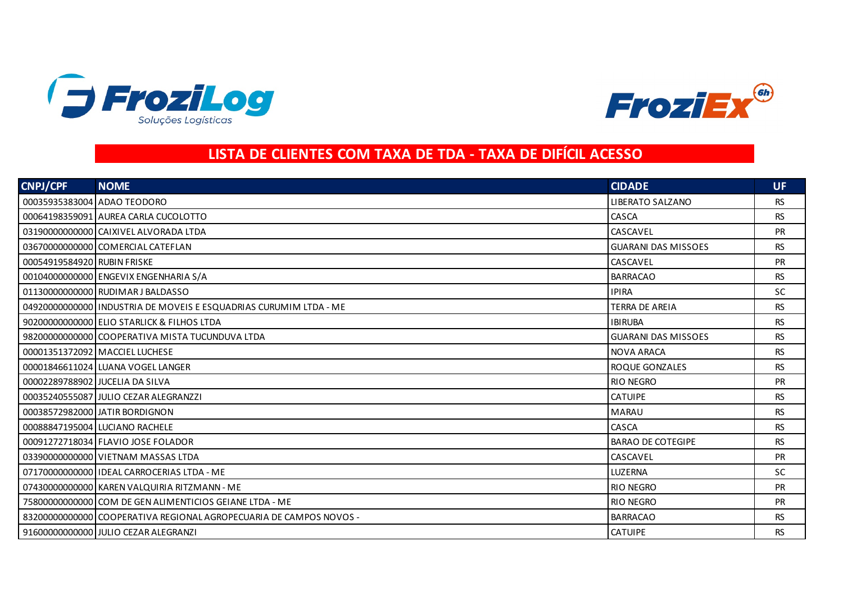



## **LISTA DE CLIENTES COM TAXA DE TDA - TAXA DE DIFÍCIL ACESSO**

| <b>CNPJ/CPF</b>             | <b>NOME</b>                                                        | <b>CIDADE</b>              | UF.       |
|-----------------------------|--------------------------------------------------------------------|----------------------------|-----------|
| 00035935383004 ADAO TEODORO |                                                                    | <b>LIBERATO SALZANO</b>    | <b>RS</b> |
|                             | 00064198359091 AUREA CARLA CUCOLOTTO                               | CASCA                      | <b>RS</b> |
|                             | 03190000000000 CAIXIVEL ALVORADA LTDA                              | CASCAVEL                   | PR        |
|                             | 036700000000000 COMERCIAL CATEFLAN                                 | <b>GUARANI DAS MISSOES</b> | <b>RS</b> |
| 00054919584920 RUBIN FRISKE |                                                                    | CASCAVEL                   | <b>PR</b> |
|                             | 00104000000000 ENGEVIX ENGENHARIA S/A                              | <b>BARRACAO</b>            | <b>RS</b> |
|                             | 01130000000000 RUDIMAR J BALDASSO                                  | <b>IPIRA</b>               | <b>SC</b> |
|                             | 04920000000000 INDUSTRIA DE MOVEIS E ESQUADRIAS CURUMIM LTDA - ME  | TERRA DE AREIA             | <b>RS</b> |
|                             | 90200000000000 ELIO STARLICK & FILHOS LTDA                         | <b>IBIRUBA</b>             | <b>RS</b> |
|                             | 98200000000000 COOPERATIVA MISTA TUCUNDUVA LTDA                    | <b>GUARANI DAS MISSOES</b> | <b>RS</b> |
|                             | 00001351372092 MACCIEL LUCHESE                                     | <b>NOVA ARACA</b>          | <b>RS</b> |
|                             | 00001846611024 LUANA VOGEL LANGER                                  | <b>ROQUE GONZALES</b>      | <b>RS</b> |
|                             | 00002289788902 JUCELIA DA SILVA                                    | <b>RIO NEGRO</b>           | <b>PR</b> |
|                             | 00035240555087 JULIO CEZAR ALEGRANZZI                              | <b>CATUIPE</b>             | <b>RS</b> |
|                             | 00038572982000 JATIR BORDIGNON                                     | <b>MARAU</b>               | <b>RS</b> |
|                             | 00088847195004 LUCIANO RACHELE                                     | CASCA                      | <b>RS</b> |
|                             | 00091272718034 FLAVIO JOSE FOLADOR                                 | <b>BARAO DE COTEGIPE</b>   | <b>RS</b> |
|                             | 03390000000000 VIETNAM MASSAS LTDA                                 | CASCAVEL                   | <b>PR</b> |
|                             | 07170000000000 IDEAL CARROCERIAS LTDA - ME                         | LUZERNA                    | <b>SC</b> |
|                             | 07430000000000 KAREN VALQUIRIA RITZMANN - ME                       | <b>RIO NEGRO</b>           | <b>PR</b> |
|                             | 75800000000000 COM DE GEN ALIMENTICIOS GEIANE LTDA - ME            | <b>RIO NEGRO</b>           | <b>PR</b> |
|                             | 83200000000000 COOPERATIVA REGIONAL AGROPECUARIA DE CAMPOS NOVOS - | <b>BARRACAO</b>            | <b>RS</b> |
|                             | 91600000000000 JULIO CEZAR ALEGRANZI                               | <b>CATUIPE</b>             | <b>RS</b> |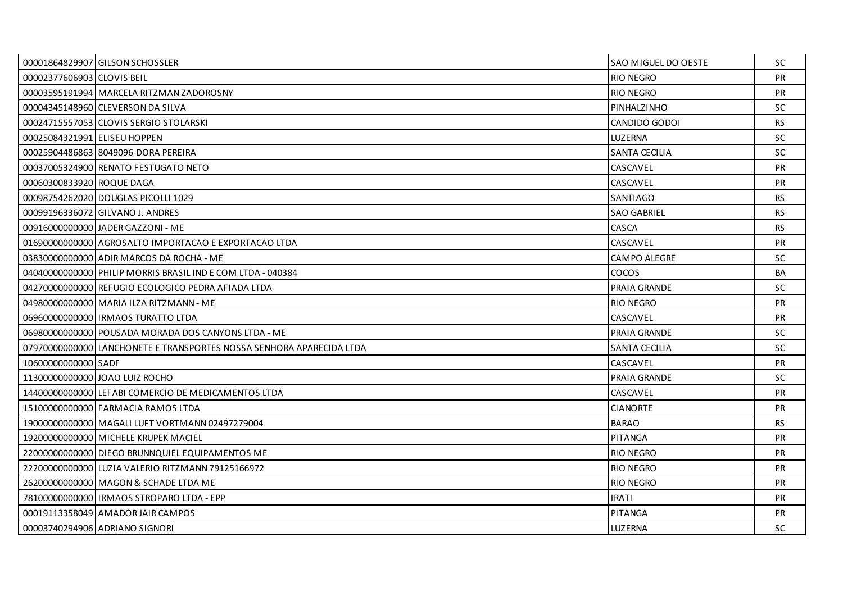|                              | 00001864829907 GILSON SCHOSSLER                                      | SAO MIGUEL DO OESTE  | SC        |
|------------------------------|----------------------------------------------------------------------|----------------------|-----------|
| 00002377606903 CLOVIS BEIL   |                                                                      | RIO NEGRO            | <b>PR</b> |
|                              | 00003595191994 MARCELA RITZMAN ZADOROSNY                             | <b>RIO NEGRO</b>     | <b>PR</b> |
|                              | 00004345148960 CLEVERSON DA SILVA                                    | PINHALZINHO          | SC.       |
|                              | 00024715557053 CLOVIS SERGIO STOLARSKI                               | CANDIDO GODOI        | <b>RS</b> |
| 00025084321991 ELISEU HOPPEN |                                                                      | <b>LUZERNA</b>       | SC.       |
|                              | 00025904486863 8049096-DORA PEREIRA                                  | <b>SANTA CECILIA</b> | SC.       |
|                              | 00037005324900 RENATO FESTUGATO NETO                                 | CASCAVEL             | <b>PR</b> |
| 00060300833920 ROQUE DAGA    |                                                                      | CASCAVEL             | <b>PR</b> |
|                              | 00098754262020 DOUGLAS PICOLLI 1029                                  | SANTIAGO             | RS.       |
|                              | 00099196336072 GILVANO J. ANDRES                                     | <b>SAO GABRIEL</b>   | <b>RS</b> |
|                              | 00916000000000 JADER GAZZONI - ME                                    | CASCA                | <b>RS</b> |
|                              | 01690000000000 AGROSALTO IMPORTACAO E EXPORTACAO LTDA                | CASCAVEL             | <b>PR</b> |
|                              | 03830000000000 ADIR MARCOS DA ROCHA - ME                             | CAMPO ALEGRE         | <b>SC</b> |
|                              | 04040000000000 PHILIP MORRIS BRASIL IND E COM LTDA - 040384          | COCOS                | <b>BA</b> |
|                              | 04270000000000 REFUGIO ECOLOGICO PEDRA AFIADA LTDA                   | PRAIA GRANDE         | SC.       |
|                              | 04980000000000 MARIA ILZA RITZMANN - ME                              | RIO NEGRO            | <b>PR</b> |
|                              | 06960000000000 IRMAOS TURATTO LTDA                                   | CASCAVEL             | <b>PR</b> |
|                              | 06980000000000 POUSADA MORADA DOS CANYONS LTDA - ME                  | PRAIA GRANDE         | SC.       |
|                              | 07970000000000 LANCHONETE E TRANSPORTES NOSSA SENHORA APARECIDA LTDA | <b>SANTA CECILIA</b> | <b>SC</b> |
| 10600000000000 SADF          |                                                                      | CASCAVEL             | <b>PR</b> |
|                              | 11300000000000 JOAO LUIZ ROCHO                                       | PRAIA GRANDE         | SC.       |
|                              | 14400000000000 LEFABI COMERCIO DE MEDICAMENTOS LTDA                  | CASCAVEL             | <b>PR</b> |
|                              | 15100000000000 FARMACIA RAMOS LTDA                                   | <b>CIANORTE</b>      | <b>PR</b> |
|                              | 19000000000000 MAGALI LUFT VORTMANN 02497279004                      | <b>BARAO</b>         | RS.       |
|                              | 19200000000000 MICHELE KRUPEK MACIEL                                 | PITANGA              | <b>PR</b> |
|                              | 22000000000000 DIEGO BRUNNQUIEL EQUIPAMENTOS ME                      | <b>RIO NEGRO</b>     | <b>PR</b> |
|                              | 22200000000000 LUZIA VALERIO RITZMANN 79125166972                    | <b>RIO NEGRO</b>     | <b>PR</b> |
|                              | 26200000000000 MAGON & SCHADE LTDA ME                                | <b>RIO NEGRO</b>     | <b>PR</b> |
|                              | 78100000000000 IRMAOS STROPARO LTDA - EPP                            | <b>IRATI</b>         | <b>PR</b> |
|                              | 00019113358049 AMADOR JAIR CAMPOS                                    | <b>PITANGA</b>       | <b>PR</b> |
|                              | 00003740294906 ADRIANO SIGNORI                                       | LUZERNA              | <b>SC</b> |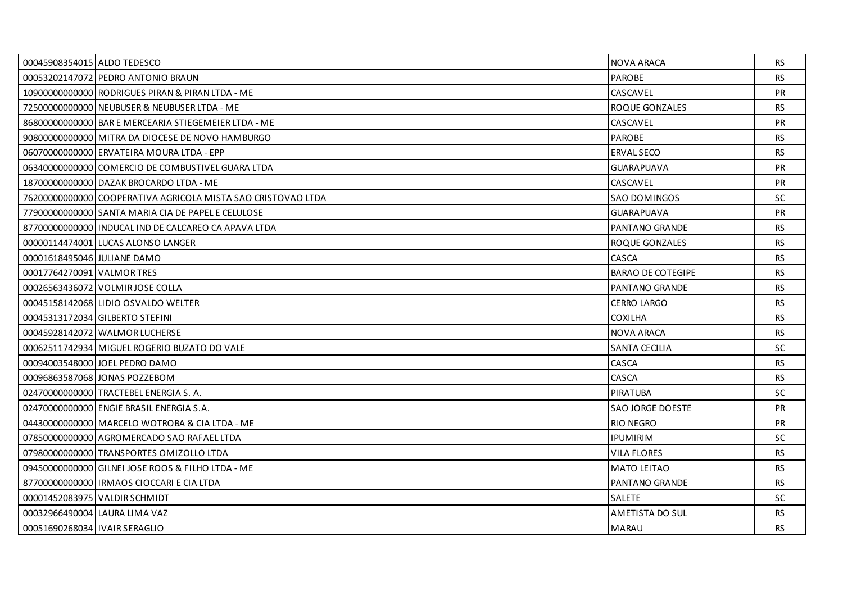| 00045908354015 ALDO TEDESCO     |                                                              | <b>NOVA ARACA</b>        | RS.       |
|---------------------------------|--------------------------------------------------------------|--------------------------|-----------|
|                                 | 00053202147072 PEDRO ANTONIO BRAUN                           | <b>PAROBE</b>            | <b>RS</b> |
|                                 | 10900000000000 RODRIGUES PIRAN & PIRAN LTDA - ME             | CASCAVEL                 | <b>PR</b> |
|                                 | 72500000000000 NEUBUSER & NEUBUSER LTDA - ME                 | ROQUE GONZALES           | <b>RS</b> |
|                                 | 86800000000000 BAR E MERCEARIA STIEGEMEIER LTDA - ME         | CASCAVEL                 | <b>PR</b> |
|                                 | 90800000000000 MITRA DA DIOCESE DE NOVO HAMBURGO             | <b>PAROBE</b>            | <b>RS</b> |
|                                 | 06070000000000 ERVATEIRA MOURA LTDA - EPP                    | <b>ERVAL SECO</b>        | <b>RS</b> |
|                                 | 06340000000000 COMERCIO DE COMBUSTIVEL GUARA LTDA            | <b>GUARAPUAVA</b>        | <b>PR</b> |
|                                 | 18700000000000 DAZAK BROCARDO LTDA - ME                      | CASCAVEL                 | <b>PR</b> |
|                                 | 76200000000000 COOPERATIVA AGRICOLA MISTA SAO CRISTOVAO LTDA | <b>SAO DOMINGOS</b>      | SC.       |
|                                 | 77900000000000 SANTA MARIA CIA DE PAPEL E CELULOSE           | <b>GUARAPUAVA</b>        | <b>PR</b> |
|                                 | 87700000000000 I INDUCAL IND DE CALCAREO CA APAVA LTDA       | PANTANO GRANDE           | <b>RS</b> |
|                                 | 00000114474001 LUCAS ALONSO LANGER                           | ROQUE GONZALES           | <b>RS</b> |
| 00001618495046 JULIANE DAMO     |                                                              | CASCA                    | <b>RS</b> |
| 00017764270091 VALMOR TRES      |                                                              | <b>BARAO DE COTEGIPE</b> | <b>RS</b> |
|                                 | 00026563436072 VOLMIRJOSE COLLA                              | PANTANO GRANDE           | <b>RS</b> |
|                                 | 00045158142068 LIDIO OSVALDO WELTER                          | <b>CERRO LARGO</b>       | <b>RS</b> |
|                                 | 00045313172034 GILBERTO STEFINI                              | <b>COXILHA</b>           | <b>RS</b> |
|                                 | 00045928142072 WALMOR LUCHERSE                               | <b>NOVA ARACA</b>        | <b>RS</b> |
|                                 | 00062511742934 MIGUEL ROGERIO BUZATO DO VALE                 | <b>SANTA CECILIA</b>     | <b>SC</b> |
|                                 | 00094003548000 JOEL PEDRO DAMO                               | CASCA                    | <b>RS</b> |
|                                 | 000968635870681JONAS POZZEBOM                                | CASCA                    | <b>RS</b> |
|                                 | 02470000000000 TRACTEBEL ENERGIA S. A.                       | <b>PIRATUBA</b>          | <b>SC</b> |
|                                 | 02470000000000 ENGIE BRASIL ENERGIA S.A.                     | <b>SAO JORGE DOESTE</b>  | <b>PR</b> |
|                                 | 04430000000000 MARCELO WOTROBA & CIA LTDA - ME               | <b>RIO NEGRO</b>         | <b>PR</b> |
|                                 | 07850000000000 AGROMERCADO SAO RAFAEL LTDA                   | <b>IPUMIRIM</b>          | SC.       |
|                                 | 07980000000000 TRANSPORTES OMIZOLLO LTDA                     | VILA FLORES              | <b>RS</b> |
|                                 | 09450000000000 GILNELJOSE ROOS & FILHO LTDA - ME             | <b>MATO LEITAO</b>       | <b>RS</b> |
|                                 | 87700000000000   IRMAOS CIOCCARI E CIA LTDA                  | <b>PANTANO GRANDE</b>    | <b>RS</b> |
|                                 | 00001452083975 VALDIR SCHMIDT                                | <b>SALETE</b>            | SC.       |
|                                 | 00032966490004 LAURA LIMA VAZ                                | AMETISTA DO SUL          | <b>RS</b> |
| 00051690268034   IVAIR SERAGLIO |                                                              | <b>MARAU</b>             | <b>RS</b> |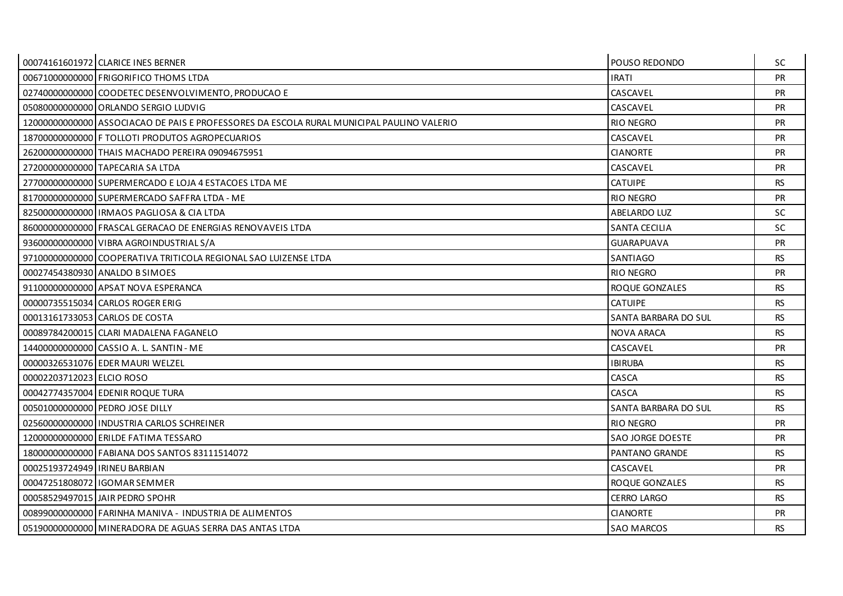|                                 | 00074161601972 CLARICE INES BERNER                                                        | POUSO REDONDO           | SC.       |
|---------------------------------|-------------------------------------------------------------------------------------------|-------------------------|-----------|
|                                 | 00671000000000 FRIGORIFICO THOMS LTDA                                                     | <b>IRATI</b>            | <b>PR</b> |
|                                 | 02740000000000 COODETEC DESENVOLVIMENTO. PRODUCAO E                                       | CASCAVEL                | PR        |
|                                 | 050800000000000 ORLANDO SERGIO LUDVIG                                                     | CASCAVEL                | <b>PR</b> |
|                                 | 12000000000000 ASSOCIACAO DE PAIS E PROFESSORES DA ESCOLA RURAL MUNICIPAL PAULINO VALERIO | <b>RIO NEGRO</b>        | PR        |
|                                 | 18700000000000 F TOLLOTI PRODUTOS AGROPECUARIOS                                           | CASCAVEL                | PR        |
|                                 | 26200000000000 THAIS MACHADO PEREIRA 09094675951                                          | <b>CIANORTE</b>         | <b>PR</b> |
|                                 | 27200000000000 TAPECARIA SA LTDA                                                          | CASCAVEL                | PR        |
|                                 | 27700000000000 SUPERMERCADO E LOJA 4 ESTACOES LTDA ME                                     | <b>CATUIPE</b>          | <b>RS</b> |
|                                 | 81700000000000 SUPERMERCADO SAFFRA LTDA - ME                                              | <b>RIO NEGRO</b>        | <b>PR</b> |
|                                 | 82500000000000 IRMAOS PAGLIOSA & CIA LTDA                                                 | <b>ABELARDO LUZ</b>     | <b>SC</b> |
|                                 | 86000000000000 FRASCAL GERACAO DE ENERGIAS RENOVAVEIS LTDA                                | SANTA CECILIA           | <b>SC</b> |
|                                 | 93600000000000 VIBRA AGROINDUSTRIAL S/A                                                   | <b>GUARAPUAVA</b>       | <b>PR</b> |
|                                 | 97100000000000 COOPERATIVA TRITICOLA REGIONAL SAO LUIZENSE LTDA                           | SANTIAGO                | <b>RS</b> |
|                                 | 00027454380930 ANALDO B SIMOES                                                            | RIO NEGRO               | <b>PR</b> |
|                                 | 911000000000000 APSAT NOVA ESPERANCA                                                      | ROQUE GONZALES          | <b>RS</b> |
|                                 | 00000735515034 CARLOS ROGER ERIG                                                          | <b>CATUIPE</b>          | <b>RS</b> |
|                                 | 00013161733053 CARLOS DE COSTA                                                            | SANTA BARBARA DO SUL    | <b>RS</b> |
|                                 | 00089784200015 CLARI MADALENA FAGANELO                                                    | <b>NOVA ARACA</b>       | <b>RS</b> |
|                                 | 14400000000000 CASSIO A. L. SANTIN - ME                                                   | CASCAVEL                | PR        |
|                                 | 00000326531076 EDER MAURI WELZEL                                                          | <b>IBIRUBA</b>          | <b>RS</b> |
| 00002203712023 ELCIO ROSO       |                                                                                           | CASCA                   | <b>RS</b> |
|                                 | 00042774357004 EDENIR ROQUE TURA                                                          | CASCA                   | <b>RS</b> |
|                                 | 00501000000000 PEDRO JOSE DILLY                                                           | SANTA BARBARA DO SUL    | <b>RS</b> |
|                                 | 02560000000000 INDUSTRIA CARLOS SCHREINER                                                 | <b>RIO NEGRO</b>        | <b>PR</b> |
|                                 | 12000000000000 ERILDE FATIMA TESSARO                                                      | <b>SAO JORGE DOESTE</b> | PR        |
|                                 | 18000000000000 FABIANA DOS SANTOS 83111514072                                             | PANTANO GRANDE          | <b>RS</b> |
| 00025193724949 I IRINEU BARBIAN |                                                                                           | CASCAVEL                | <b>PR</b> |
|                                 | 00047251808072 IGOMAR SEMMER                                                              | ROQUE GONZALES          | <b>RS</b> |
|                                 | 00058529497015 JAIR PEDRO SPOHR                                                           | <b>CERRO LARGO</b>      | <b>RS</b> |
|                                 | 00899000000000 FARINHA MANIVA - INDUSTRIA DE ALIMENTOS                                    | <b>CIANORTE</b>         | <b>PR</b> |
|                                 | 05190000000000 MINERADORA DE AGUAS SERRA DAS ANTAS LTDA                                   | <b>SAO MARCOS</b>       | <b>RS</b> |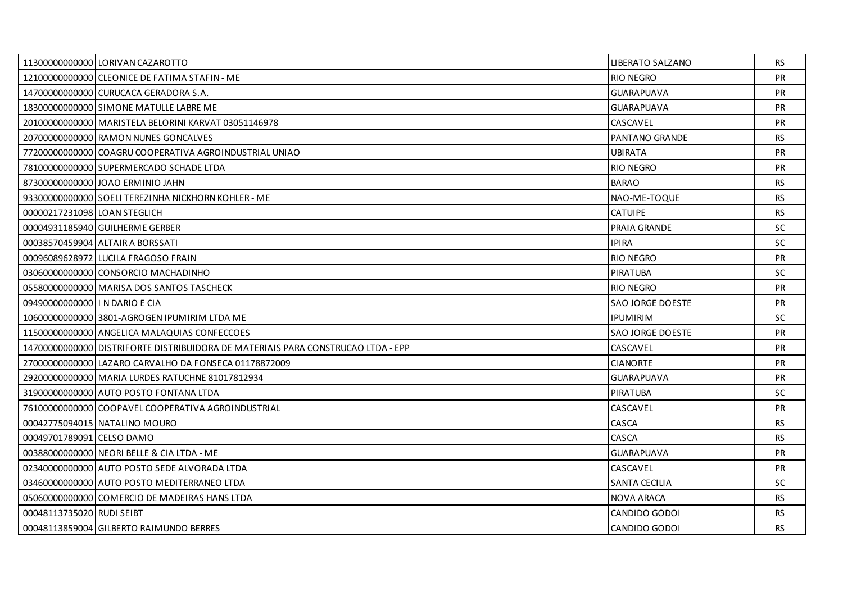|                                 | 11300000000000 LORIVAN CAZAROTTO                                                 | LIBERATO SALZANO        | <b>RS</b> |
|---------------------------------|----------------------------------------------------------------------------------|-------------------------|-----------|
|                                 | 12100000000000 CLEONICE DE FATIMA STAFIN - ME                                    | <b>RIO NEGRO</b>        | <b>PR</b> |
|                                 | 147000000000000 CURUCACA GERADORA S.A.                                           | <b>GUARAPUAVA</b>       | <b>PR</b> |
|                                 | 18300000000000 SIMONE MATULLE LABRE ME                                           | <b>GUARAPUAVA</b>       | PR        |
|                                 | 20100000000000 MARISTELA BELORINI KARVAT 03051146978                             | CASCAVEL                | <b>PR</b> |
|                                 | 20700000000000 RAMON NUNES GONCALVES                                             | <b>PANTANO GRANDE</b>   | <b>RS</b> |
|                                 | 77200000000000 COAGRU COOPERATIVA AGROINDUSTRIAL UNIAO                           | <b>UBIRATA</b>          | <b>PR</b> |
|                                 | 78100000000000 SUPERMERCADO SCHADE LTDA                                          | <b>RIO NEGRO</b>        | PR        |
|                                 | 87300000000000 JOAO ERMINIO JAHN                                                 | <b>BARAO</b>            | <b>RS</b> |
|                                 | 93300000000000 SOELI TEREZINHA NICKHORN KOHLER - ME                              | NAO-ME-TOQUE            | <b>RS</b> |
| 00000217231098 LOAN STEGLICH    |                                                                                  | <b>CATUIPE</b>          | <b>RS</b> |
|                                 | 00004931185940 GUILHERME GERBER                                                  | PRAIA GRANDE            | SC.       |
|                                 | 00038570459904 ALTAIR A BORSSATI                                                 | <b>IPIRA</b>            | <b>SC</b> |
|                                 | 00096089628972 LUCILA FRAGOSO FRAIN                                              | <b>RIO NEGRO</b>        | PR        |
|                                 | 03060000000000 CONSORCIO MACHADINHO                                              | PIRATUBA                | SC.       |
|                                 | 05580000000000 MARISA DOS SANTOS TASCHECK                                        | <b>RIO NEGRO</b>        | <b>PR</b> |
| 09490000000000   IN DARIO E CIA |                                                                                  | SAO JORGE DOESTE        | PR        |
|                                 | 106000000000000 3801-AGROGEN IPUMIRIM LTDA ME                                    | <b>IPUMIRIM</b>         | SC.       |
|                                 | 115000000000000 ANGELICA MALAQUIAS CONFECCOES                                    | <b>SAO JORGE DOESTE</b> | <b>PR</b> |
|                                 | 14700000000000 DISTRIFORTE DISTRIBUIDORA DE MATERIAIS PARA CONSTRUCAO LTDA - EPP | CASCAVEL                | <b>PR</b> |
|                                 | 27000000000000 LAZARO CARVALHO DA FONSECA 01178872009                            | <b>CIANORTE</b>         | <b>PR</b> |
|                                 | 292000000000000 MARIA LURDES RATUCHNE 81017812934                                | GUARAPUAVA              | <b>PR</b> |
|                                 | 31900000000000 AUTO POSTO FONTANA LTDA                                           | PIRATUBA                | SC.       |
|                                 | 76100000000000 COOPAVEL COOPERATIVA AGROINDUSTRIAL                               | CASCAVEL                | <b>PR</b> |
|                                 | 00042775094015 NATALINO MOURO                                                    | CASCA                   | <b>RS</b> |
| 00049701789091 CELSO DAMO       |                                                                                  | CASCA                   | <b>RS</b> |
|                                 | 00388000000000 NEORI BELLE & CIA LTDA - ME                                       | GUARAPUAVA              | <b>PR</b> |
|                                 | 023400000000000 AUTO POSTO SEDE ALVORADA LTDA                                    | CASCAVEL                | <b>PR</b> |
|                                 | 03460000000000 AUTO POSTO MEDITERRANEO LTDA                                      | <b>SANTA CECILIA</b>    | <b>SC</b> |
|                                 | 050600000000000 COMERCIO DE MADEIRAS HANS LTDA                                   | NOVA ARACA              | <b>RS</b> |
| 00048113735020 RUDI SEIBT       |                                                                                  | CANDIDO GODOI           | <b>RS</b> |
|                                 | 00048113859004 GILBERTO RAIMUNDO BERRES                                          | CANDIDO GODOI           | <b>RS</b> |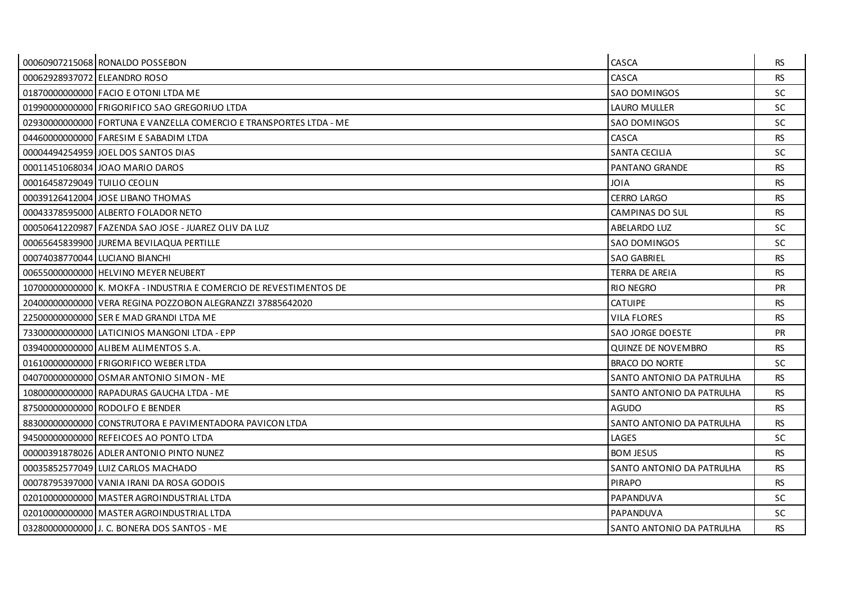|                              | 00060907215068 RONALDO POSSEBON                                     | CASCA                     | <b>RS</b> |
|------------------------------|---------------------------------------------------------------------|---------------------------|-----------|
| 00062928937072 ELEANDRO ROSO |                                                                     | CASCA                     | <b>RS</b> |
|                              | 018700000000000 FACIO E OTONI LTDA ME                               | <b>SAO DOMINGOS</b>       | SC.       |
|                              | 019900000000000 FRIGORIFICO SAO GREGORIUO LTDA                      | <b>LAURO MULLER</b>       | <b>SC</b> |
|                              | 02930000000000 FORTUNA E VANZELLA COMERCIO E TRANSPORTES LTDA - ME  | <b>SAO DOMINGOS</b>       | <b>SC</b> |
|                              | 04460000000000 FARESIM E SABADIM LTDA                               | CASCA                     | <b>RS</b> |
|                              | 00004494254959 JOEL DOS SANTOS DIAS                                 | <b>SANTA CECILIA</b>      | SC.       |
|                              | 00011451068034 JOAO MARIO DAROS                                     | PANTANO GRANDE            | <b>RS</b> |
| 00016458729049 TUILIO CEOLIN |                                                                     | <b>JOIA</b>               | <b>RS</b> |
|                              | 00039126412004 JOSE LIBANO THOMAS                                   | <b>CERRO LARGO</b>        | <b>RS</b> |
|                              | 00043378595000 ALBERTO FOLADOR NETO                                 | CAMPINAS DO SUL           | <b>RS</b> |
|                              | 00050641220987 FAZENDA SAO JOSE - JUAREZ OLIV DA LUZ                | ABELARDO LUZ              | SC.       |
|                              | 00065645839900 JUREMA BEVILAQUA PERTILLE                            | <b>SAO DOMINGOS</b>       | <b>SC</b> |
|                              | 00074038770044 LUCIANO BIANCHI                                      | <b>SAO GABRIEL</b>        | <b>RS</b> |
|                              | 006550000000000 HELVINO MEYER NEUBERT                               | TERRA DE AREIA            | <b>RS</b> |
|                              | 107000000000000 K. MOKFA - INDUSTRIA E COMERCIO DE REVESTIMENTOS DE | <b>RIO NEGRO</b>          | <b>PR</b> |
|                              | 20400000000000 VERA REGINA POZZOBON ALEGRANZZI 37885642020          | <b>CATUIPE</b>            | <b>RS</b> |
|                              | 22500000000000 SER E MAD GRANDI LTDA ME                             | VILA FLORES               | <b>RS</b> |
|                              | 73300000000000 LATICINIOS MANGONI LTDA - EPP                        | <b>SAO JORGE DOESTE</b>   | <b>PR</b> |
|                              | 03940000000000 ALIBEM ALIMENTOS S.A.                                | QUINZE DE NOVEMBRO        | <b>RS</b> |
|                              | 01610000000000 FRIGORIFICO WEBER LTDA                               | <b>BRACO DO NORTE</b>     | <b>SC</b> |
|                              | 04070000000000 OSMAR ANTONIO SIMON - ME                             | SANTO ANTONIO DA PATRULHA | <b>RS</b> |
|                              | 108000000000000 RAPADURAS GAUCHA LTDA - ME                          | SANTO ANTONIO DA PATRULHA | <b>RS</b> |
|                              | 87500000000000 RODOLFO E BENDER                                     | <b>AGUDO</b>              | <b>RS</b> |
|                              | 88300000000000 CONSTRUTORA E PAVIMENTADORA PAVICON LTDA             | SANTO ANTONIO DA PATRULHA | <b>RS</b> |
|                              | 94500000000000 REFEICOES AO PONTO LTDA                              | LAGES                     | <b>SC</b> |
|                              | 00000391878026 ADLER ANTONIO PINTO NUNEZ                            | <b>BOM JESUS</b>          | <b>RS</b> |
|                              | 00035852577049 LUIZ CARLOS MACHADO                                  | SANTO ANTONIO DA PATRULHA | <b>RS</b> |
|                              | 00078795397000 VANIA IRANI DA ROSA GODOIS                           | <b>PIRAPO</b>             | <b>RS</b> |
|                              | 02010000000000 MASTER AGROINDUSTRIAL LTDA                           | PAPANDUVA                 | <b>SC</b> |
|                              | 02010000000000 MASTER AGROINDUSTRIAL LTDA                           | PAPANDUVA                 | SC.       |
|                              | 03280000000000 J. C. BONERA DOS SANTOS - ME                         | SANTO ANTONIO DA PATRULHA | <b>RS</b> |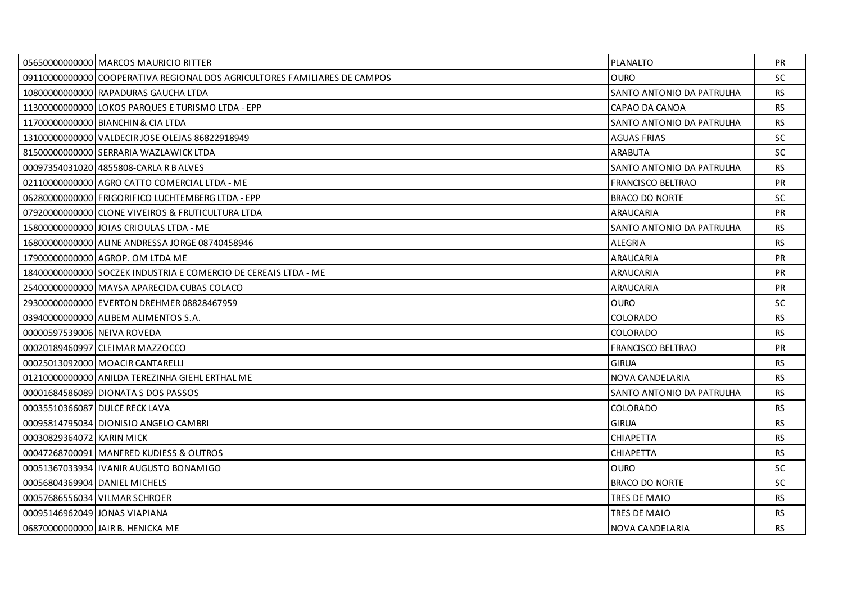|                               | 05650000000000 MARCOS MAURICIO RITTER                                     | PLANALTO                  | <b>PR</b> |
|-------------------------------|---------------------------------------------------------------------------|---------------------------|-----------|
|                               | 09110000000000 COOPERATIVA REGIONAL DOS AGRICULTORES FAMILIARES DE CAMPOS | <b>OURO</b>               | <b>SC</b> |
|                               | 108000000000000 RAPADURAS GAUCHA LTDA                                     | SANTO ANTONIO DA PATRULHA | <b>RS</b> |
|                               | 11300000000000 LOKOS PARQUES E TURISMO LTDA - EPP                         | CAPAO DA CANOA            | <b>RS</b> |
|                               | 11700000000000 BIANCHIN & CIA LTDA                                        | SANTO ANTONIO DA PATRULHA | <b>RS</b> |
|                               | 13100000000000 VALDECIR JOSE OLEJAS 86822918949                           | <b>AGUAS FRIAS</b>        | <b>SC</b> |
|                               | 81500000000000 SERRARIA WAZLAWICK LTDA                                    | <b>ARABUTA</b>            | <b>SC</b> |
|                               | 0009735403102014855808-CARLA R B ALVES                                    | SANTO ANTONIO DA PATRULHA | <b>RS</b> |
|                               | 02110000000000 AGRO CATTO COMERCIAL LTDA - ME                             | <b>FRANCISCO BELTRAO</b>  | <b>PR</b> |
|                               | 06280000000000 FRIGORIFICO LUCHTEMBERG LTDA - EPP                         | <b>BRACO DO NORTE</b>     | <b>SC</b> |
|                               | 079200000000000 CLONE VIVEIROS & FRUTICULTURA LTDA                        | ARAUCARIA                 | PR        |
|                               | 15800000000000 JOIAS CRIOULAS LTDA - ME                                   | SANTO ANTONIO DA PATRULHA | <b>RS</b> |
|                               | 168000000000000 ALINE ANDRESSA JORGE 08740458946                          | ALEGRIA                   | RS.       |
|                               | 17900000000000 AGROP. OM LTDA ME                                          | ARAUCARIA                 | PR        |
|                               | 18400000000000 SOCZEK INDUSTRIA E COMERCIO DE CEREAIS LTDA - ME           | ARAUCARIA                 | <b>PR</b> |
|                               | 254000000000000 MAYSA APARECIDA CUBAS COLACO                              | ARAUCARIA                 | <b>PR</b> |
|                               | 29300000000000 EVERTON DREHMER 08828467959                                | <b>OURO</b>               | <b>SC</b> |
|                               | 039400000000000 ALIBEM ALIMENTOS S.A.                                     | <b>COLORADO</b>           | <b>RS</b> |
| 00000597539006 NEIVA ROVEDA   |                                                                           | <b>COLORADO</b>           | RS.       |
|                               | 00020189460997 CLEIMAR MAZZOCCO                                           | <b>FRANCISCO BELTRAO</b>  | <b>PR</b> |
|                               | 00025013092000   MOACIR CANTARELLI                                        | <b>GIRUA</b>              | <b>RS</b> |
|                               | 01210000000000 ANILDA TEREZINHA GIEHL ERTHAL ME                           | NOVA CANDELARIA           | <b>RS</b> |
|                               | 00001684586089 DIONATA S DOS PASSOS                                       | SANTO ANTONIO DA PATRULHA | <b>RS</b> |
|                               | 00035510366087 DULCE RECK LAVA                                            | <b>COLORADO</b>           | RS.       |
|                               | 00095814795034 DIONISIO ANGELO CAMBRI                                     | <b>GIRUA</b>              | <b>RS</b> |
| 00030829364072 KARIN MICK     |                                                                           | <b>CHIAPETTA</b>          | <b>RS</b> |
|                               | 00047268700091 MANFRED KUDIESS & OUTROS                                   | <b>CHIAPETTA</b>          | <b>RS</b> |
|                               | 00051367033934 I IVANIR AUGUSTO BONAMIGO                                  | <b>OURO</b>               | <b>SC</b> |
| 00056804369904 DANIEL MICHELS |                                                                           | <b>BRACO DO NORTE</b>     | <b>SC</b> |
|                               | 00057686556034 VILMAR SCHROER                                             | TRES DE MAIO              | <b>RS</b> |
|                               | 00095146962049 JONAS VIAPIANA                                             | TRES DE MAIO              | RS.       |
|                               | 06870000000000 JAIR B. HENICKA ME                                         | NOVA CANDELARIA           | <b>RS</b> |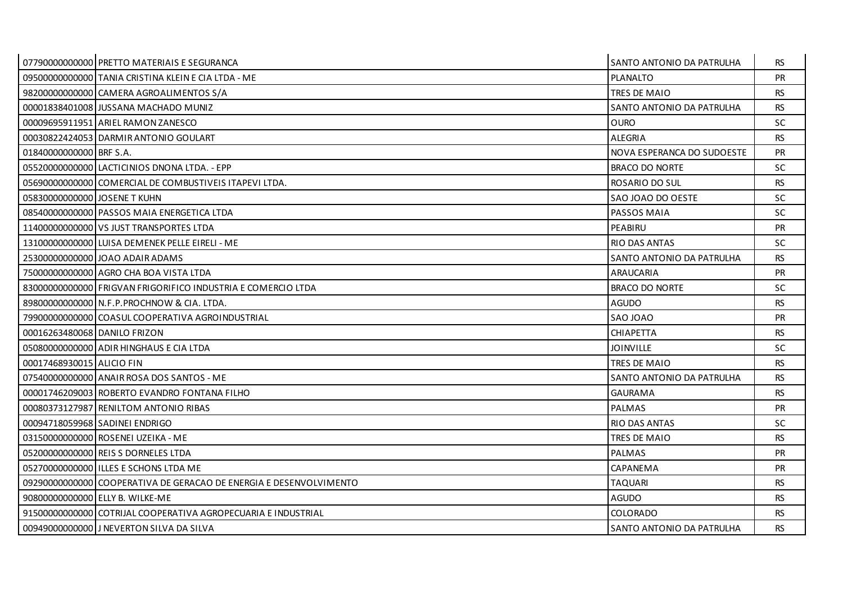|                              | 07790000000000 PRETTO MATERIAIS E SEGURANCA                        | SANTO ANTONIO DA PATRULHA        | RS.       |
|------------------------------|--------------------------------------------------------------------|----------------------------------|-----------|
|                              | 09500000000000 TANIA CRISTINA KLEIN E CIA LTDA - ME                | PLANALTO                         | <b>PR</b> |
|                              | 98200000000000 CAMERA AGROALIMENTOS S/A                            | TRES DE MAIO                     | <b>RS</b> |
|                              | 00001838401008 JUSSANA MACHADO MUNIZ                               | SANTO ANTONIO DA PATRULHA        | <b>RS</b> |
|                              | 00009695911951 ARIEL RAMON ZANESCO                                 | <b>OURO</b>                      | <b>SC</b> |
|                              | 00030822424053 DARMIR ANTONIO GOULART                              | <b>ALEGRIA</b>                   | <b>RS</b> |
| 01840000000000 BRF S.A.      |                                                                    | NOVA ESPERANCA DO SUDOESTE       | <b>PR</b> |
|                              | 05520000000000 LACTICINIOS DNONA LTDA. - EPP                       | <b>BRACO DO NORTE</b>            | SC        |
|                              | 05690000000000 COMERCIAL DE COMBUSTIVEIS ITAPEVI LTDA.             | ROSARIO DO SUL                   | <b>RS</b> |
| 05830000000000 JOSENE T KUHN |                                                                    | SAO JOAO DO OESTE                | SC        |
|                              | 08540000000000 PASSOS MAIA ENERGETICA LTDA                         | PASSOS MAIA                      | <b>SC</b> |
|                              | 11400000000000 VS JUST TRANSPORTES LTDA                            | PEABIRU                          | <b>PR</b> |
|                              | 13100000000000 LUISA DEMENEK PELLE EIRELI - ME                     | <b>RIO DAS ANTAS</b>             | SC        |
|                              | 25300000000000 JOAO ADAIR ADAMS                                    | <b>SANTO ANTONIO DA PATRULHA</b> | <b>RS</b> |
|                              | 750000000000000 AGRO CHA BOA VISTA LTDA                            | ARAUCARIA                        | <b>PR</b> |
|                              | 83000000000000 FRIGVAN FRIGORIFICO INDUSTRIA E COMERCIO LTDA       | <b>BRACO DO NORTE</b>            | SC        |
|                              | 89800000000000 N.F.P.PROCHNOW & CIA. LTDA.                         | <b>AGUDO</b>                     | <b>RS</b> |
|                              | 79900000000000 COASUL COOPERATIVA AGROINDUSTRIAL                   | SAO JOAO                         | <b>PR</b> |
| 000162634800681DANILO FRIZON |                                                                    | <b>CHIAPETTA</b>                 | <b>RS</b> |
|                              | 05080000000000 ADIR HINGHAUS E CIA LTDA                            | <b>JOINVILLE</b>                 | SC.       |
| 00017468930015 ALICIO FIN    |                                                                    | TRES DE MAIO                     | <b>RS</b> |
|                              | 07540000000000 ANAIR ROSA DOS SANTOS - ME                          | SANTO ANTONIO DA PATRULHA        | <b>RS</b> |
|                              | 00001746209003 ROBERTO EVANDRO FONTANA FILHO                       | <b>GAURAMA</b>                   | <b>RS</b> |
|                              | 00080373127987 RENILTOM ANTONIO RIBAS                              | <b>PALMAS</b>                    | <b>PR</b> |
|                              | 00094718059968 SADINEI ENDRIGO                                     | <b>RIO DAS ANTAS</b>             | <b>SC</b> |
|                              | 03150000000000 ROSENEI UZEIKA - ME                                 | <b>TRES DE MAIO</b>              | <b>RS</b> |
|                              | 05200000000000 REIS S DORNELES LTDA                                | <b>PALMAS</b>                    | <b>PR</b> |
|                              | 052700000000000 I ILLES E SCHONS LTDA ME                           | CAPANEMA                         | <b>PR</b> |
|                              | 09290000000000 COOPERATIVA DE GERACAO DE ENERGIA E DESENVOLVIMENTO | <b>TAQUARI</b>                   | <b>RS</b> |
|                              | 90800000000000 ELLY B. WILKE-ME                                    | <b>AGUDO</b>                     | <b>RS</b> |
|                              | 91500000000000 COTRIJAL COOPERATIVA AGROPECUARIA E INDUSTRIAL      | <b>COLORADO</b>                  | <b>RS</b> |
|                              | 00949000000000 J NEVERTON SILVA DA SILVA                           | SANTO ANTONIO DA PATRULHA        | <b>RS</b> |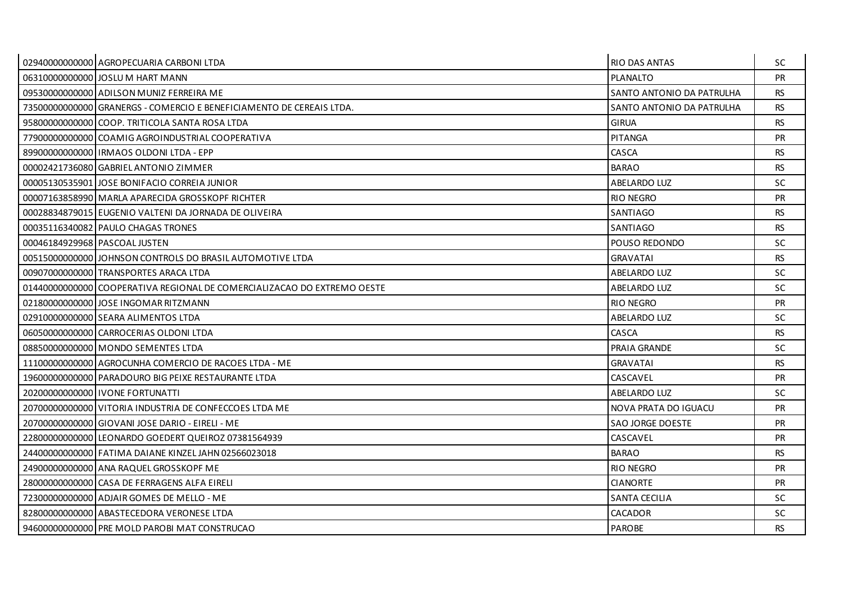| 029400000000000 AGROPECUARIA CARBONI LTDA                               | <b>RIO DAS ANTAS</b>      | SC.       |
|-------------------------------------------------------------------------|---------------------------|-----------|
| 06310000000000 JOSLU M HART MANN                                        | PLANALTO                  | PR        |
| 09530000000000 ADILSON MUNIZ FERREIRA ME                                | SANTO ANTONIO DA PATRULHA | <b>RS</b> |
| 73500000000000 GRANERGS - COMERCIO E BENEFICIAMENTO DE CEREAIS LTDA.    | SANTO ANTONIO DA PATRULHA | <b>RS</b> |
| 95800000000000 COOP. TRITICOLA SANTA ROSA LTDA                          | <b>GIRUA</b>              | <b>RS</b> |
| 77900000000000 COAMIG AGROINDUSTRIAL COOPERATIVA                        | <b>PITANGA</b>            | <b>PR</b> |
| 8990000000000001IRMAOS OLDONI LTDA - EPP                                | CASCA                     | <b>RS</b> |
| 00002421736080 GABRIEL ANTONIO ZIMMER                                   | <b>BARAO</b>              | <b>RS</b> |
| 00005130535901 JOSE BONIFACIO CORREIA JUNIOR                            | ABELARDO LUZ              | SC.       |
| 00007163858990 MARLA APARECIDA GROSSKOPF RICHTER                        | <b>RIO NEGRO</b>          | <b>PR</b> |
| 00028834879015 EUGENIO VALTENI DA JORNADA DE OLIVEIRA                   | SANTIAGO                  | <b>RS</b> |
| 00035116340082 PAULO CHAGAS TRONES                                      | SANTIAGO                  | <b>RS</b> |
| 00046184929968 PASCOAL JUSTEN                                           | POUSO REDONDO             | SC.       |
| 00515000000000 JOHNSON CONTROLS DO BRASIL AUTOMOTIVE LTDA               | <b>GRAVATAI</b>           | <b>RS</b> |
| 00907000000000 TRANSPORTES ARACA LTDA                                   | ABELARDO LUZ              | SC.       |
| 01440000000000 COOPERATIVA REGIONAL DE COMERCIALIZACAO DO EXTREMO OESTE | <b>ABELARDO LUZ</b>       | SC.       |
| 02180000000000 JOSE INGOMAR RITZMANN                                    | RIO NEGRO                 | PR        |
| 029100000000000 SEARA ALIMENTOS LTDA                                    | <b>ABELARDO LUZ</b>       | SC.       |
| 060500000000000 CARROCERIAS OLDONI LTDA                                 | CASCA                     | <b>RS</b> |
| 08850000000000   MONDO SEMENTES LTDA                                    | PRAIA GRANDE              | <b>SC</b> |
| 11100000000000 AGROCUNHA COMERCIO DE RACOES LTDA - ME                   | <b>GRAVATAI</b>           | <b>RS</b> |
| 19600000000000 PARADOURO BIG PEIXE RESTAURANTE LTDA                     | CASCAVEL                  | <b>PR</b> |
| 20200000000000 I IVONE FORTUNATTI                                       | <b>ABELARDO LUZ</b>       | <b>SC</b> |
| 20700000000000 VITORIA INDUSTRIA DE CONFECCOES LTDA ME                  | NOVA PRATA DO IGUACU      | <b>PR</b> |
| 20700000000000 GIOVANI JOSE DARIO - EIRELI - ME                         | <b>SAO JORGE DOESTE</b>   | <b>PR</b> |
| 22800000000000 LEONARDO GOEDERT QUEIROZ 07381564939                     | CASCAVEL                  | PR        |
| 24400000000000 FATIMA DAIANE KINZEL JAHN 02566023018                    | <b>BARAO</b>              | <b>RS</b> |
| 249000000000000 ANA RAQUEL GROSSKOPF ME                                 | <b>RIO NEGRO</b>          | <b>PR</b> |
| 28000000000000 CASA DE FERRAGENS ALFA EIRELI                            | <b>CIANORTE</b>           | PR        |
| 72300000000000 ADJAIR GOMES DE MELLO - ME                               | SANTA CECILIA             | SC.       |
| 828000000000000 ABASTECEDORA VERONESE LTDA                              | CACADOR                   | <b>SC</b> |
| 94600000000000 PRE MOLD PAROBI MAT CONSTRUCAO                           | <b>PAROBE</b>             | <b>RS</b> |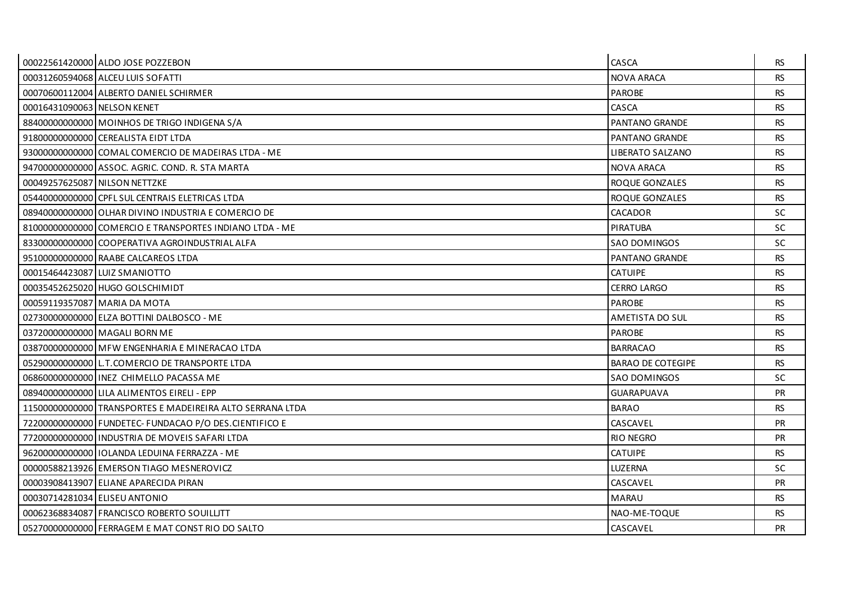|                             | 00022561420000 ALDO JOSE POZZEBON                         | CASCA                    | <b>RS</b> |
|-----------------------------|-----------------------------------------------------------|--------------------------|-----------|
|                             | 00031260594068 ALCEU LUIS SOFATTI                         | <b>NOVA ARACA</b>        | <b>RS</b> |
|                             | 00070600112004 ALBERTO DANIEL SCHIRMER                    | <b>PAROBE</b>            | <b>RS</b> |
| 00016431090063 NELSON KENET |                                                           | CASCA                    | <b>RS</b> |
|                             | 88400000000000 MOINHOS DE TRIGO INDIGENA S/A              | PANTANO GRANDE           | <b>RS</b> |
|                             | 91800000000000 CEREALISTA EIDT LTDA                       | PANTANO GRANDE           | <b>RS</b> |
|                             | 93000000000000 COMAL COMERCIO DE MADEIRAS LTDA - ME       | LIBERATO SALZANO         | <b>RS</b> |
|                             | 94700000000000 ASSOC. AGRIC. COND. R. STA MARTA           | <b>NOVA ARACA</b>        | <b>RS</b> |
|                             | 00049257625087 NILSON NETTZKE                             | ROQUE GONZALES           | <b>RS</b> |
|                             | 054400000000000 CPFL SUL CENTRAIS ELETRICAS LTDA          | ROQUE GONZALES           | <b>RS</b> |
|                             | 08940000000000 OLHAR DIVINO INDUSTRIA E COMERCIO DE       | <b>CACADOR</b>           | <b>SC</b> |
|                             | 81000000000000 COMERCIO E TRANSPORTES INDIANO LTDA - ME   | PIRATUBA                 | <b>SC</b> |
|                             | 833000000000000 COOPERATIVA AGROINDUSTRIAL ALFA           | <b>SAO DOMINGOS</b>      | SC.       |
|                             | 95100000000000 RAABE CALCAREOS LTDA                       | <b>PANTANO GRANDE</b>    | <b>RS</b> |
|                             | 00015464423087 LUIZ SMANIOTTO                             | <b>CATUIPE</b>           | <b>RS</b> |
|                             | 00035452625020 HUGO GOLSCHIMIDT                           | <b>CERRO LARGO</b>       | <b>RS</b> |
|                             | 00059119357087 MARIA DA MOTA                              | <b>PAROBE</b>            | <b>RS</b> |
|                             | 02730000000000 ELZA BOTTINI DALBOSCO - ME                 | AMETISTA DO SUL          | <b>RS</b> |
|                             | 03720000000000 MAGALI BORN ME                             | <b>PAROBE</b>            | <b>RS</b> |
|                             | 03870000000000 MFW ENGENHARIA E MINERACAO LTDA            | <b>BARRACAO</b>          | <b>RS</b> |
|                             | 052900000000000 L.T.COMERCIO DE TRANSPORTE LTDA           | <b>BARAO DE COTEGIPE</b> | <b>RS</b> |
|                             | 068600000000000 INEZ CHIMELLO PACASSA ME                  | <b>SAO DOMINGOS</b>      | <b>SC</b> |
|                             | 08940000000000 LILA ALIMENTOS EIRELI - EPP                | <b>GUARAPUAVA</b>        | PR        |
|                             | 11500000000000 TRANSPORTES E MADEIREIRA ALTO SERRANA LTDA | <b>BARAO</b>             | <b>RS</b> |
|                             | 72200000000000 FUNDETEC- FUNDACAO P/O DES.CIENTIFICO E    | CASCAVEL                 | <b>PR</b> |
|                             | 77200000000000 INDUSTRIA DE MOVEIS SAFARI LTDA            | RIO NEGRO                | PR        |
|                             | 96200000000000   IOLANDA LEDUINA FERRAZZA - ME            | <b>CATUIPE</b>           | <b>RS</b> |
|                             | 00000588213926 EMERSON TIAGO MESNEROVICZ                  | <b>LUZERNA</b>           | SC.       |
|                             | 00003908413907 ELIANE APARECIDA PIRAN                     | CASCAVEL                 | PR        |
|                             | 00030714281034 ELISEU ANTONIO                             | <b>MARAU</b>             | <b>RS</b> |
|                             | 00062368834087 FRANCISCO ROBERTO SOUILLITT                | NAO-ME-TOQUE             | RS.       |
|                             | 05270000000000 FERRAGEM E MAT CONST RIO DO SALTO          | CASCAVEL                 | <b>PR</b> |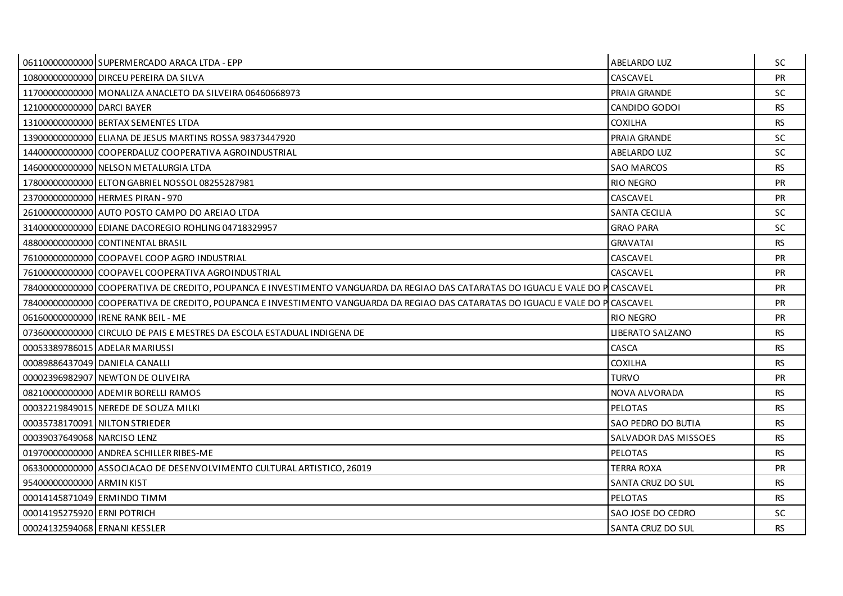|                               | 06110000000000 SUPERMERCADO ARACA LTDA - EPP                                                                                    | ABELARDO LUZ                | <b>SC</b> |
|-------------------------------|---------------------------------------------------------------------------------------------------------------------------------|-----------------------------|-----------|
|                               | 10800000000000 DIRCEU PEREIRA DA SILVA                                                                                          | CASCAVEL                    | <b>PR</b> |
|                               | 11700000000000 MONALIZA ANACLETO DA SILVEIRA 06460668973                                                                        | PRAIA GRANDE                | SC.       |
| 12100000000000 DARCI BAYER    |                                                                                                                                 | CANDIDO GODOI               | <b>RS</b> |
|                               | 13100000000000 BERTAX SEMENTES LTDA                                                                                             | <b>COXILHA</b>              | <b>RS</b> |
|                               | 13900000000000 ELIANA DE JESUS MARTINS ROSSA 98373447920                                                                        | PRAIA GRANDE                | <b>SC</b> |
|                               | 14400000000000 COOPERDALUZ COOPERATIVA AGROINDUSTRIAL                                                                           | <b>ABELARDO LUZ</b>         | <b>SC</b> |
|                               | 14600000000000 NELSON METALURGIA LTDA                                                                                           | <b>SAO MARCOS</b>           | <b>RS</b> |
|                               | 17800000000000 ELTON GABRIEL NOSSOL 08255287981                                                                                 | <b>RIO NEGRO</b>            | <b>PR</b> |
|                               | 23700000000000 HERMES PIRAN - 970                                                                                               | CASCAVEL                    | <b>PR</b> |
|                               | 26100000000000 AUTO POSTO CAMPO DO AREIAO LTDA                                                                                  | <b>SANTA CECILIA</b>        | <b>SC</b> |
|                               | 31400000000000 EDIANE DACOREGIO ROHLING 04718329957                                                                             | <b>GRAO PARA</b>            | <b>SC</b> |
|                               | 488000000000000 CONTINENTAL BRASIL                                                                                              | <b>GRAVATAI</b>             | <b>RS</b> |
|                               | 76100000000000 COOPAVEL COOP AGRO INDUSTRIAL                                                                                    | CASCAVEL                    | <b>PR</b> |
|                               | 76100000000000 COOPAVEL COOPERATIVA AGROINDUSTRIAL                                                                              | CASCAVEL                    | <b>PR</b> |
|                               | 78400000000000 COOPERATIVA DE CREDITO, POUPANCA E INVESTIMENTO VANGUARDA DA REGIAO DAS CATARATAS DO IGUACU E VALE DO P CASCAVEL |                             | <b>PR</b> |
|                               | 78400000000000 COOPERATIVA DE CREDITO, POUPANCA E INVESTIMENTO VANGUARDA DA REGIAO DAS CATARATAS DO IGUACU E VALE DO P CASCAVEL |                             | <b>PR</b> |
|                               | 06160000000000 I IRENE RANK BEIL - ME                                                                                           | <b>RIO NEGRO</b>            | <b>PR</b> |
|                               | 07360000000000 CIRCULO DE PAIS E MESTRES DA ESCOLA ESTADUAL INDIGENA DE                                                         | LIBERATO SALZANO            | <b>RS</b> |
|                               | 00053389786015 ADELAR MARIUSSI                                                                                                  | CASCA                       | <b>RS</b> |
|                               | 00089886437049 DANIELA CANALLI                                                                                                  | <b>COXILHA</b>              | <b>RS</b> |
|                               | 00002396982907 NEWTON DE OLIVEIRA                                                                                               | <b>TURVO</b>                | <b>PR</b> |
|                               | 08210000000000 ADEMIR BORELLI RAMOS                                                                                             | NOVA ALVORADA               | <b>RS</b> |
|                               | 00032219849015 NEREDE DE SOUZA MILKI                                                                                            | <b>PELOTAS</b>              | <b>RS</b> |
|                               | 00035738170091 NILTON STRIEDER                                                                                                  | SAO PEDRO DO BUTIA          | RS.       |
| 00039037649068 NARCISO LENZ   |                                                                                                                                 | <b>SALVADOR DAS MISSOES</b> | <b>RS</b> |
|                               | 01970000000000 ANDREA SCHILLER RIBES-ME                                                                                         | <b>PELOTAS</b>              | <b>RS</b> |
|                               | 06330000000000 ASSOCIACAO DE DESENVOLVIMENTO CULTURAL ARTISTICO, 26019                                                          | <b>TERRA ROXA</b>           | <b>PR</b> |
| 95400000000000 ARMIN KIST     |                                                                                                                                 | <b>SANTA CRUZ DO SUL</b>    | <b>RS</b> |
| 00014145871049 ERMINDO TIMM   |                                                                                                                                 | <b>PELOTAS</b>              | <b>RS</b> |
| 00014195275920 ERNI POTRICH   |                                                                                                                                 | SAO JOSE DO CEDRO           | <b>SC</b> |
| 00024132594068 ERNANI KESSLER |                                                                                                                                 | <b>SANTA CRUZ DO SUL</b>    | <b>RS</b> |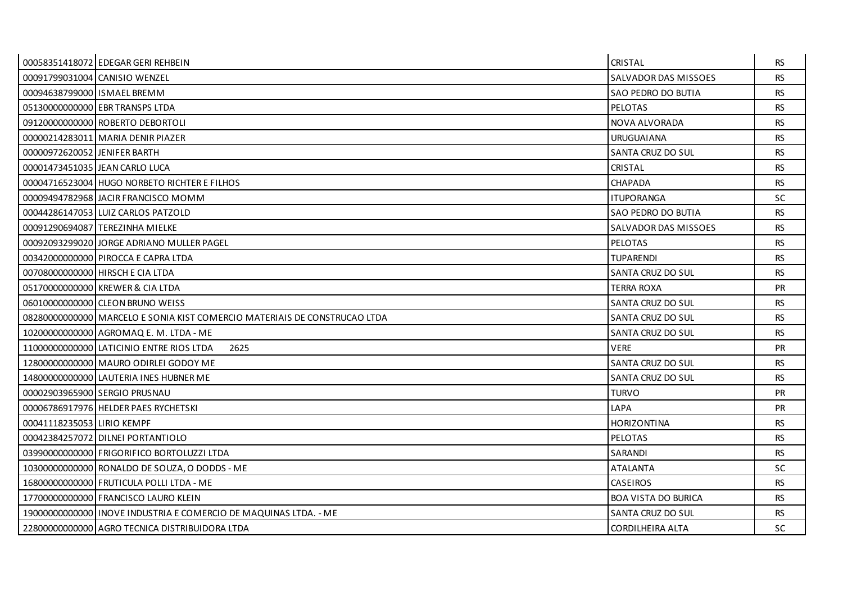|                              | 00058351418072 EDEGAR GERI REHBEIN                                        | <b>CRISTAL</b>             | <b>RS</b> |
|------------------------------|---------------------------------------------------------------------------|----------------------------|-----------|
|                              | 00091799031004 CANISIO WENZEL                                             | SALVADOR DAS MISSOES       | <b>RS</b> |
| 00094638799000 ISMAEL BREMM  |                                                                           | SAO PEDRO DO BUTIA         | <b>RS</b> |
|                              | 05130000000000 EBR TRANSPS LTDA                                           | <b>PELOTAS</b>             | <b>RS</b> |
|                              | 09120000000000 ROBERTO DEBORTOLI                                          | NOVA ALVORADA              | <b>RS</b> |
|                              | 00000214283011 MARIA DENIR PIAZER                                         | <b>URUGUAIANA</b>          | <b>RS</b> |
| 00000972620052 JENIFER BARTH |                                                                           | SANTA CRUZ DO SUL          | <b>RS</b> |
|                              | 00001473451035 JEAN CARLO LUCA                                            | CRISTAL                    | <b>RS</b> |
|                              | 00004716523004 HUGO NORBETO RICHTER E FILHOS                              | <b>CHAPADA</b>             | <b>RS</b> |
|                              | 00009494782968 JACIR FRANCISCO MOMM                                       | <b>ITUPORANGA</b>          | SC.       |
|                              | 00044286147053 LUIZ CARLOS PATZOLD                                        | SAO PEDRO DO BUTIA         | <b>RS</b> |
|                              | 00091290694087 TEREZINHA MIELKE                                           | SALVADOR DAS MISSOES       | <b>RS</b> |
|                              | 00092093299020 JORGE ADRIANO MULLER PAGEL                                 | <b>PELOTAS</b>             | <b>RS</b> |
|                              | 00342000000000 PIROCCA E CAPRA LTDA                                       | <b>TUPARENDI</b>           | <b>RS</b> |
|                              | 00708000000000 HIRSCH E CIA LTDA                                          | SANTA CRUZ DO SUL          | <b>RS</b> |
|                              | 05170000000000 KREWER & CIA LTDA                                          | <b>TERRA ROXA</b>          | <b>PR</b> |
|                              | 06010000000000 CLEON BRUNO WEISS                                          | SANTA CRUZ DO SUL          | <b>RS</b> |
|                              | 08280000000000 MARCELO E SONIA KIST COMERCIO MATERIAIS DE CONSTRUCAO LTDA | SANTA CRUZ DO SUL          | <b>RS</b> |
|                              | 10200000000000 AGROMAQ E. M. LTDA - ME                                    | SANTA CRUZ DO SUL          | <b>RS</b> |
|                              | 11000000000000 LATICINIO ENTRE RIOS LTDA<br>2625                          | <b>VERE</b>                | <b>PR</b> |
|                              | 12800000000000 MAURO ODIRLEI GODOY ME                                     | SANTA CRUZ DO SUL          | <b>RS</b> |
|                              | 14800000000000 LAUTERIA INES HUBNER ME                                    | SANTA CRUZ DO SUL          | <b>RS</b> |
|                              | 00002903965900 SERGIO PRUSNAU                                             | <b>TURVO</b>               | <b>PR</b> |
|                              | 00006786917976 HELDER PAES RYCHETSKI                                      | LAPA                       | PR        |
| 00041118235053 LIRIO KEMPF   |                                                                           | <b>HORIZONTINA</b>         | <b>RS</b> |
|                              | 00042384257072 DILNEI PORTANTIOLO                                         | <b>PELOTAS</b>             | <b>RS</b> |
|                              | 03990000000000 FRIGORIFICO BORTOLUZZI LTDA                                | SARANDI                    | <b>RS</b> |
|                              | 10300000000000 RONALDO DE SOUZA, O DODDS - ME                             | ATALANTA                   | <b>SC</b> |
|                              | 16800000000000 FRUTICULA POLLI LTDA - ME                                  | <b>CASEIROS</b>            | <b>RS</b> |
|                              | 17700000000000 FRANCISCO LAURO KLEIN                                      | <b>BOA VISTA DO BURICA</b> | <b>RS</b> |
|                              | 19000000000000 INOVE INDUSTRIA E COMERCIO DE MAQUINAS LTDA. - ME          | SANTA CRUZ DO SUL          | <b>RS</b> |
|                              | 22800000000000 AGRO TECNICA DISTRIBUIDORA LTDA                            | CORDILHEIRA ALTA           | <b>SC</b> |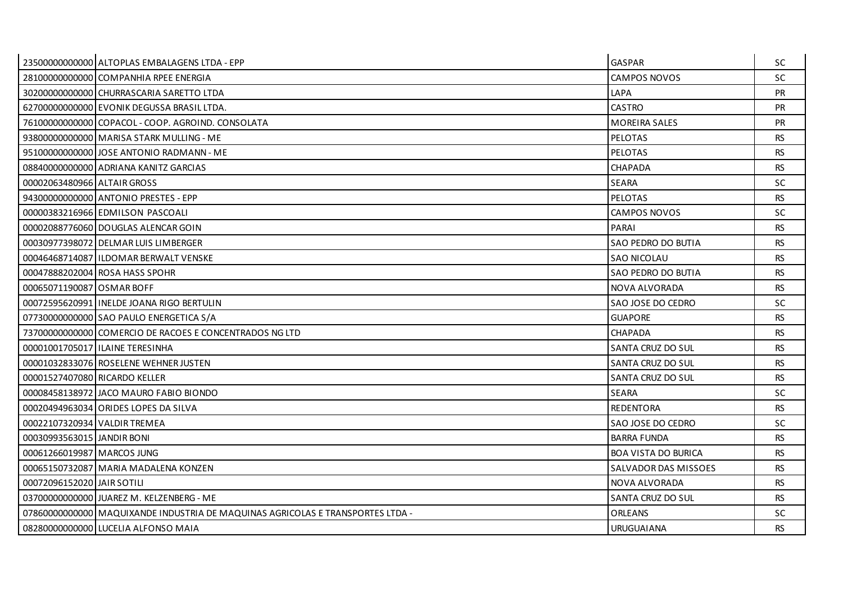|                               | 23500000000000 ALTOPLAS EMBALAGENS LTDA - EPP                                  | <b>GASPAR</b>              | <b>SC</b> |
|-------------------------------|--------------------------------------------------------------------------------|----------------------------|-----------|
|                               | 28100000000000 COMPANHIA RPEE ENERGIA                                          | <b>CAMPOS NOVOS</b>        | SC        |
|                               | 30200000000000 CHURRASCARIA SARETTO LTDA                                       | LAPA                       | <b>PR</b> |
|                               | 627000000000000 EVONIK DEGUSSA BRASIL LTDA.                                    | <b>CASTRO</b>              | <b>PR</b> |
|                               | 76100000000000 COPACOL - COOP. AGROIND. CONSOLATA                              | <b>MOREIRA SALES</b>       | PR        |
|                               | 93800000000000 MARISA STARK MULLING - ME                                       | <b>PELOTAS</b>             | <b>RS</b> |
|                               | 95100000000000 JJOSE ANTONIO RADMANN - ME                                      | <b>PELOTAS</b>             | <b>RS</b> |
|                               | 08840000000000 ADRIANA KANITZ GARCIAS                                          | <b>CHAPADA</b>             | <b>RS</b> |
| 00002063480966 ALTAIR GROSS   |                                                                                | <b>SEARA</b>               | <b>SC</b> |
|                               | 94300000000000 ANTONIO PRESTES - EPP                                           | <b>PELOTAS</b>             | <b>RS</b> |
|                               | 00000383216966 EDMILSON PASCOALI                                               | CAMPOS NOVOS               | SC        |
|                               | 00002088776060 DOUGLAS ALENCAR GOIN                                            | PARAI                      | <b>RS</b> |
|                               | 00030977398072 DELMAR LUIS LIMBERGER                                           | SAO PEDRO DO BUTIA         | <b>RS</b> |
|                               | 000464687140871ILDOMAR BERWALT VENSKE                                          | <b>SAO NICOLAU</b>         | <b>RS</b> |
|                               | 00047888202004 ROSA HASS SPOHR                                                 | SAO PEDRO DO BUTIA         | <b>RS</b> |
| 0006507119008710SMARBOFF      |                                                                                | NOVA ALVORADA              | <b>RS</b> |
|                               | 00072595620991 INELDE JOANA RIGO BERTULIN                                      | SAO JOSE DO CEDRO          | SC        |
|                               | 07730000000000 SAO PAULO ENERGETICA S/A                                        | <b>GUAPORE</b>             | <b>RS</b> |
|                               | 73700000000000 COMERCIO DE RACOES E CONCENTRADOS NG LTD                        | <b>CHAPADA</b>             | <b>RS</b> |
|                               | 00001001705017 ILAINE TERESINHA                                                | SANTA CRUZ DO SUL          | <b>RS</b> |
|                               | 00001032833076 ROSELENE WEHNER JUSTEN                                          | SANTA CRUZ DO SUL          | <b>RS</b> |
| 00001527407080 RICARDO KELLER |                                                                                | SANTA CRUZ DO SUL          | <b>RS</b> |
|                               | 00008458138972 JACO MAURO FABIO BIONDO                                         | <b>SEARA</b>               | SC        |
|                               | 00020494963034 ORIDES LOPES DA SILVA                                           | <b>REDENTORA</b>           | <b>RS</b> |
| 00022107320934 VALDIR TREMEA  |                                                                                | SAO JOSE DO CEDRO          | <b>SC</b> |
| 00030993563015 JANDIR BONI    |                                                                                | <b>BARRA FUNDA</b>         | <b>RS</b> |
| 00061266019987 MARCOS JUNG    |                                                                                | <b>BOA VISTA DO BURICA</b> | <b>RS</b> |
|                               | 00065150732087 MARIA MADALENA KONZEN                                           | SALVADOR DAS MISSOES       | <b>RS</b> |
| 00072096152020 JAIR SOTILI    |                                                                                | NOVA ALVORADA              | <b>RS</b> |
|                               | 03700000000000 JJUAREZ M. KELZENBERG - ME                                      | SANTA CRUZ DO SUL          | <b>RS</b> |
|                               | 07860000000000 MAQUIXANDE INDUSTRIA DE MAQUINAS AGRICOLAS E TRANSPORTES LTDA - | ORLEANS                    | SC.       |
|                               | 08280000000000 LUCELIA ALFONSO MAIA                                            | <b>URUGUAIANA</b>          | <b>RS</b> |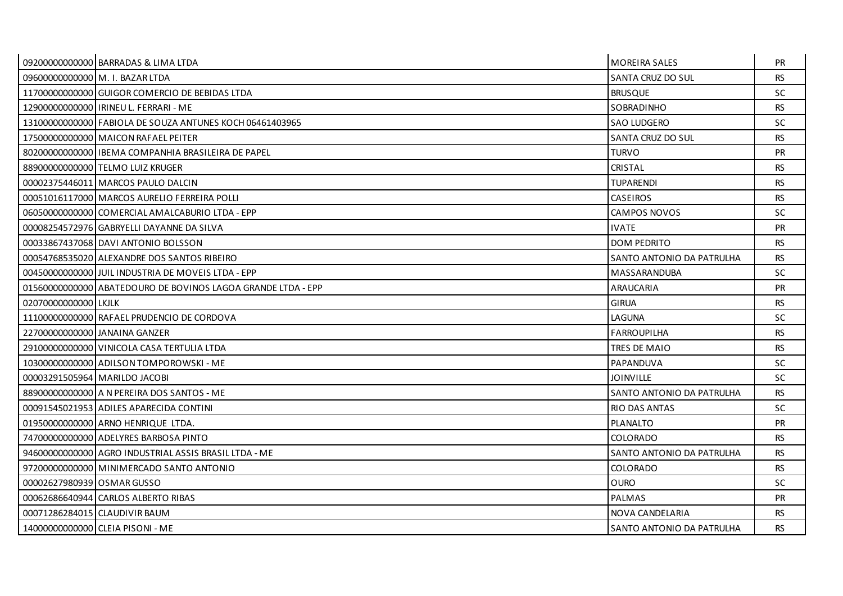|                            | 09200000000000 BARRADAS & LIMA LTDA                          | <b>MOREIRA SALES</b>      | <b>PR</b> |
|----------------------------|--------------------------------------------------------------|---------------------------|-----------|
|                            | 09600000000000 M. I. BAZAR LTDA                              | SANTA CRUZ DO SUL         | <b>RS</b> |
|                            | 11700000000000 GUIGOR COMERCIO DE BEBIDAS LTDA               | <b>BRUSQUE</b>            | SC.       |
|                            | 12900000000000 IRINEU L. FERRARI - ME                        | SOBRADINHO                | <b>RS</b> |
|                            | 13100000000000 FABIOLA DE SOUZA ANTUNES KOCH 06461403965     | <b>SAO LUDGERO</b>        | <b>SC</b> |
|                            | 17500000000000 MAICON RAFAEL PEITER                          | SANTA CRUZ DO SUL         | <b>RS</b> |
|                            | 80200000000000011BEMA COMPANHIA BRASILEIRA DE PAPEL          | <b>TURVO</b>              | <b>PR</b> |
|                            | 88900000000000 TELMO LUIZ KRUGER                             | CRISTAL                   | <b>RS</b> |
|                            | 00002375446011 MARCOS PAULO DALCIN                           | <b>TUPARENDI</b>          | <b>RS</b> |
|                            | 00051016117000 MARCOS AURELIO FERREIRA POLLI                 | <b>CASEIROS</b>           | <b>RS</b> |
|                            | 06050000000000 COMERCIAL AMALCABURIO LTDA - EPP              | CAMPOS NOVOS              | <b>SC</b> |
|                            | 00008254572976 GABRYELLI DAYANNE DA SILVA                    | <b>IVATE</b>              | <b>PR</b> |
|                            | 00033867437068 DAVI ANTONIO BOLSSON                          | <b>DOM PEDRITO</b>        | RS.       |
|                            | 00054768535020 ALEXANDRE DOS SANTOS RIBEIRO                  | SANTO ANTONIO DA PATRULHA | <b>RS</b> |
|                            | 004500000000000 JUIL INDUSTRIA DE MOVEIS LTDA - EPP          | MASSARANDUBA              | SC.       |
|                            | 01560000000000 ABATEDOURO DE BOVINOS LAGOA GRANDE LTDA - EPP | ARAUCARIA                 | <b>PR</b> |
| 02070000000000 LKJLK       |                                                              | <b>GIRUA</b>              | <b>RS</b> |
|                            | 11100000000000 RAFAEL PRUDENCIO DE CORDOVA                   | LAGUNA                    | SC.       |
|                            | 227000000000000 JANAINA GANZER                               | <b>FARROUPILHA</b>        | <b>RS</b> |
|                            | 29100000000000 VINICOLA CASA TERTULIA LTDA                   | TRES DE MAIO              | <b>RS</b> |
|                            | 10300000000000 ADILSON TOMPOROWSKI - ME                      | PAPANDUVA                 | SC.       |
|                            | 00003291505964 MARILDO JACOBI                                | <b>JOINVILLE</b>          | SC.       |
|                            | 88900000000000 A N PEREIRA DOS SANTOS - ME                   | SANTO ANTONIO DA PATRULHA | <b>RS</b> |
|                            | 00091545021953 ADILES APARECIDA CONTINI                      | <b>RIO DAS ANTAS</b>      | SC.       |
|                            | 01950000000000 ARNO HENRIQUE LTDA.                           | <b>PLANALTO</b>           | <b>PR</b> |
|                            | 74700000000000 ADELYRES BARBOSA PINTO                        | COLORADO                  | <b>RS</b> |
|                            | 94600000000000 AGRO INDUSTRIAL ASSIS BRASIL LTDA - ME        | SANTO ANTONIO DA PATRULHA | <b>RS</b> |
|                            | 97200000000000 MINIMERCADO SANTO ANTONIO                     | <b>COLORADO</b>           | <b>RS</b> |
| 00002627980939 OSMAR GUSSO |                                                              | <b>OURO</b>               | <b>SC</b> |
|                            | 00062686640944 CARLOS ALBERTO RIBAS                          | <b>PALMAS</b>             | <b>PR</b> |
|                            | 00071286284015 CLAUDIVIR BAUM                                | NOVA CANDELARIA           | <b>RS</b> |
|                            | 14000000000000 CLEIA PISONI - ME                             | SANTO ANTONIO DA PATRULHA | <b>RS</b> |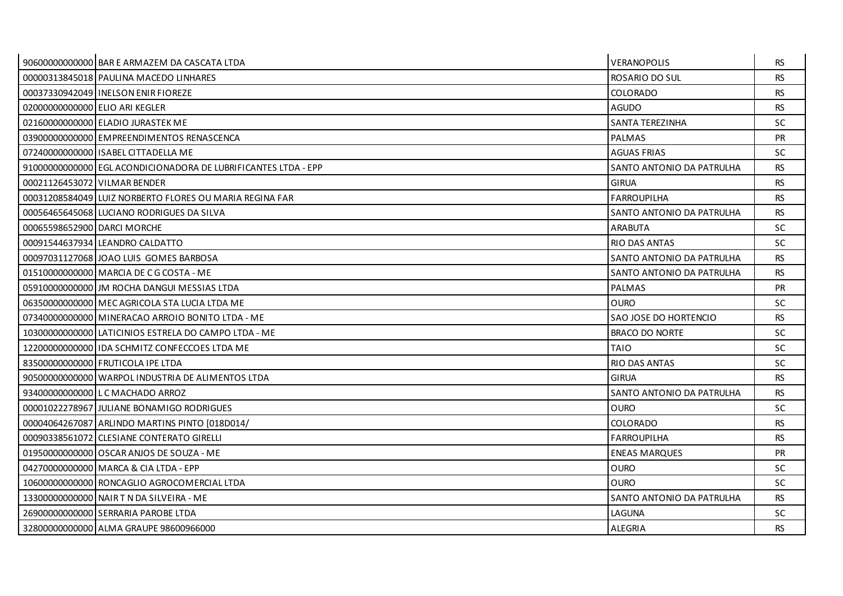|                                | 90600000000000 BAR E ARMAZEM DA CASCATA LTDA                   | <b>VERANOPOLIS</b>        | <b>RS</b> |
|--------------------------------|----------------------------------------------------------------|---------------------------|-----------|
|                                | 00000313845018 PAULINA MACEDO LINHARES                         | <b>ROSARIO DO SUL</b>     | <b>RS</b> |
|                                | 00037330942049 INELSON ENIR FIOREZE                            | COLORADO                  | <b>RS</b> |
| 02000000000000 ELIO ARI KEGLER |                                                                | <b>AGUDO</b>              | <b>RS</b> |
|                                | 02160000000000 ELADIO JURASTEK ME                              | SANTA TEREZINHA           | <b>SC</b> |
|                                | 03900000000000 EMPREENDIMENTOS RENASCENCA                      | PALMAS                    | <b>PR</b> |
|                                | 07240000000000 ISABEL CITTADELLA ME                            | <b>AGUAS FRIAS</b>        | <b>SC</b> |
|                                | 91000000000000 EGL ACONDICIONADORA DE LUBRIFICANTES LTDA - EPP | SANTO ANTONIO DA PATRULHA | <b>RS</b> |
| 00021126453072 VILMAR BENDER   |                                                                | <b>GIRUA</b>              | <b>RS</b> |
|                                | 00031208584049 LUIZ NORBERTO FLORES OU MARIA REGINA FAR        | <b>FARROUPILHA</b>        | <b>RS</b> |
|                                | 00056465645068 LUCIANO RODRIGUES DA SILVA                      | SANTO ANTONIO DA PATRULHA | <b>RS</b> |
| 00065598652900 DARCL MORCHE    |                                                                | <b>ARABUTA</b>            | <b>SC</b> |
|                                | 00091544637934 LEANDRO CALDATTO                                | <b>RIO DAS ANTAS</b>      | <b>SC</b> |
|                                | 00097031127068 JOAO LUIS GOMES BARBOSA                         | SANTO ANTONIO DA PATRULHA | <b>RS</b> |
|                                | 01510000000000 MARCIA DE C G COSTA - ME                        | SANTO ANTONIO DA PATRULHA | <b>RS</b> |
|                                | 05910000000000 JJM ROCHA DANGUI MESSIAS LTDA                   | PALMAS                    | <b>PR</b> |
|                                | 06350000000000 MEC AGRICOLA STA LUCIA LTDA ME                  | <b>OURO</b>               | <b>SC</b> |
|                                | 07340000000000 MINERACAO ARROIO BONITO LTDA - ME               | SAO JOSE DO HORTENCIO     | <b>RS</b> |
|                                | 10300000000000 LATICINIOS ESTRELA DO CAMPO LTDA - ME           | <b>BRACO DO NORTE</b>     | <b>SC</b> |
|                                | 12200000000000 IDA SCHMITZ CONFECCOES LTDA ME                  | <b>TAIO</b>               | <b>SC</b> |
|                                | 83500000000000 FRUTICOLA IPE LTDA                              | RIO DAS ANTAS             | <b>SC</b> |
|                                | 905000000000000 WARPOL INDUSTRIA DE ALIMENTOS LTDA             | <b>GIRUA</b>              | <b>RS</b> |
|                                | 93400000000000 L C MACHADO ARROZ                               | SANTO ANTONIO DA PATRULHA | <b>RS</b> |
|                                | 00001022278967 JULIANE BONAMIGO RODRIGUES                      | OURO                      | SC.       |
|                                | 00004064267087 ARLINDO MARTINS PINTO [018D014/                 | COLORADO                  | <b>RS</b> |
|                                | 00090338561072 CLESIANE CONTERATO GIRELLI                      | <b>FARROUPILHA</b>        | <b>RS</b> |
|                                | 01950000000000 OSCAR ANJOS DE SOUZA - ME                       | <b>ENEAS MARQUES</b>      | <b>PR</b> |
|                                | 042700000000000 MARCA & CIA LTDA - EPP                         | <b>OURO</b>               | SC        |
|                                | 10600000000000 RONCAGLIO AGROCOMERCIAL LTDA                    | <b>OURO</b>               | <b>SC</b> |
|                                | 13300000000000 NAIR T N DA SILVEIRA - ME                       | SANTO ANTONIO DA PATRULHA | <b>RS</b> |
|                                | 26900000000000 SERRARIA PAROBE LTDA                            | LAGUNA                    | <b>SC</b> |
|                                | 32800000000000 ALMA GRAUPE 98600966000                         | <b>ALEGRIA</b>            | <b>RS</b> |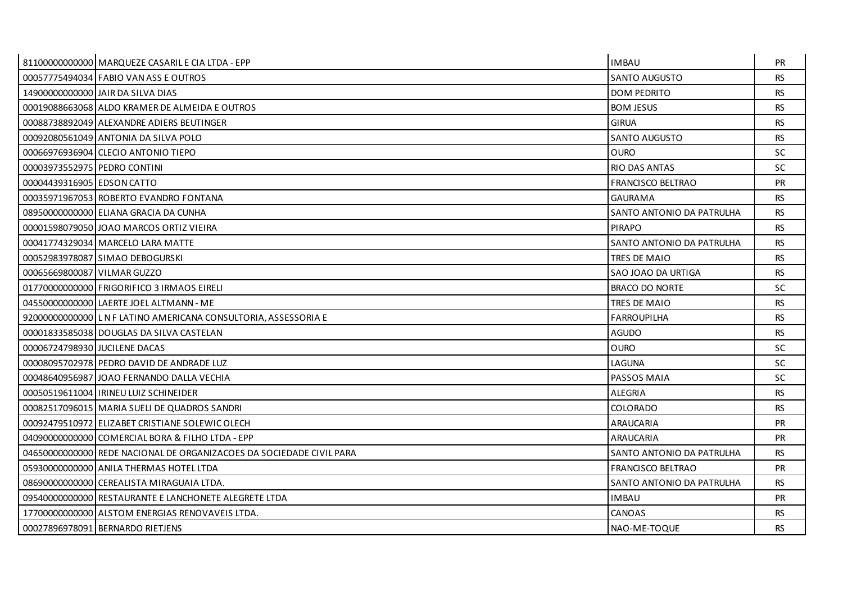|                               | 81100000000000   MARQUEZE CASARIL E CIA LTDA - EPP                   | <b>IMBAU</b>              | <b>PR</b> |
|-------------------------------|----------------------------------------------------------------------|---------------------------|-----------|
|                               | 00057775494034 FABIO VAN ASS E OUTROS                                | SANTO AUGUSTO             | <b>RS</b> |
|                               | 14900000000000 JAIR DA SILVA DIAS                                    | <b>DOM PEDRITO</b>        | <b>RS</b> |
|                               | 00019088663068 ALDO KRAMER DE ALMEIDA E OUTROS                       | <b>BOM JESUS</b>          | <b>RS</b> |
|                               | 00088738892049 ALEXANDRE ADIERS BEUTINGER                            | <b>GIRUA</b>              | <b>RS</b> |
|                               | 00092080561049 ANTONIA DA SILVA POLO                                 | <b>SANTO AUGUSTO</b>      | <b>RS</b> |
|                               | 00066976936904 CLECIO ANTONIO TIEPO                                  | <b>OURO</b>               | SC        |
| 00003973552975 PEDRO CONTINI  |                                                                      | RIO DAS ANTAS             | <b>SC</b> |
| 00004439316905 EDSON CATTO    |                                                                      | <b>FRANCISCO BELTRAO</b>  | <b>PR</b> |
|                               | 00035971967053 ROBERTO EVANDRO FONTANA                               | <b>GAURAMA</b>            | <b>RS</b> |
|                               | 08950000000000 ELIANA GRACIA DA CUNHA                                | SANTO ANTONIO DA PATRULHA | <b>RS</b> |
|                               | 00001598079050 JJOAO MARCOS ORTIZ VIEIRA                             | <b>PIRAPO</b>             | <b>RS</b> |
|                               | 00041774329034 MARCELO LARA MATTE                                    | SANTO ANTONIO DA PATRULHA | <b>RS</b> |
|                               | 00052983978087 SIMAO DEBOGURSKI                                      | TRES DE MAIO              | <b>RS</b> |
| 00065669800087 VILMAR GUZZO   |                                                                      | SAO JOAO DA URTIGA        | <b>RS</b> |
|                               | 01770000000000 FRIGORIFICO 3 IRMAOS EIRELI                           | <b>BRACO DO NORTE</b>     | SC.       |
|                               | 04550000000000 LAERTE JOEL ALTMANN - ME                              | TRES DE MAIO              | <b>RS</b> |
|                               | 92000000000000 LNF LATINO AMERICANA CONSULTORIA, ASSESSORIA E        | <b>FARROUPILHA</b>        | <b>RS</b> |
|                               | 00001833585038 DOUGLAS DA SILVA CASTELAN                             | <b>AGUDO</b>              | <b>RS</b> |
| 00006724798930 JUCILENE DACAS |                                                                      | <b>OURO</b>               | <b>SC</b> |
|                               | 00008095702978 PEDRO DAVID DE ANDRADE LUZ                            | LAGUNA                    | SC.       |
|                               | 00048640956987 JJOAO FERNANDO DALLA VECHIA                           | PASSOS MAIA               | SC.       |
|                               | 00050519611004   IRINEU LUIZ SCHINEIDER                              | <b>ALEGRIA</b>            | <b>RS</b> |
|                               | 00082517096015 MARIA SUELI DE QUADROS SANDRI                         | COLORADO                  | <b>RS</b> |
|                               | 00092479510972 ELIZABET CRISTIANE SOLEWIC OLECH                      | ARAUCARIA                 | <b>PR</b> |
|                               | 04090000000000 COMERCIAL BORA & FILHO LTDA - EPP                     | <b>ARAUCARIA</b>          | PR        |
|                               | 04650000000000 REDE NACIONAL DE ORGANIZACOES DA SOCIEDADE CIVIL PARA | SANTO ANTONIO DA PATRULHA | <b>RS</b> |
|                               | 05930000000000 ANILA THERMAS HOTEL LTDA                              | <b>FRANCISCO BELTRAO</b>  | <b>PR</b> |
|                               | 08690000000000 CEREALISTA MIRAGUAIA LTDA.                            | SANTO ANTONIO DA PATRULHA | <b>RS</b> |
|                               | 09540000000000 RESTAURANTE E LANCHONETE ALEGRETE LTDA                | <b>IMBAU</b>              | <b>PR</b> |
|                               | 17700000000000 ALSTOM ENERGIAS RENOVAVEIS LTDA.                      | CANOAS                    | <b>RS</b> |
|                               | 00027896978091 BERNARDO RIETJENS                                     | NAO-ME-TOQUE              | <b>RS</b> |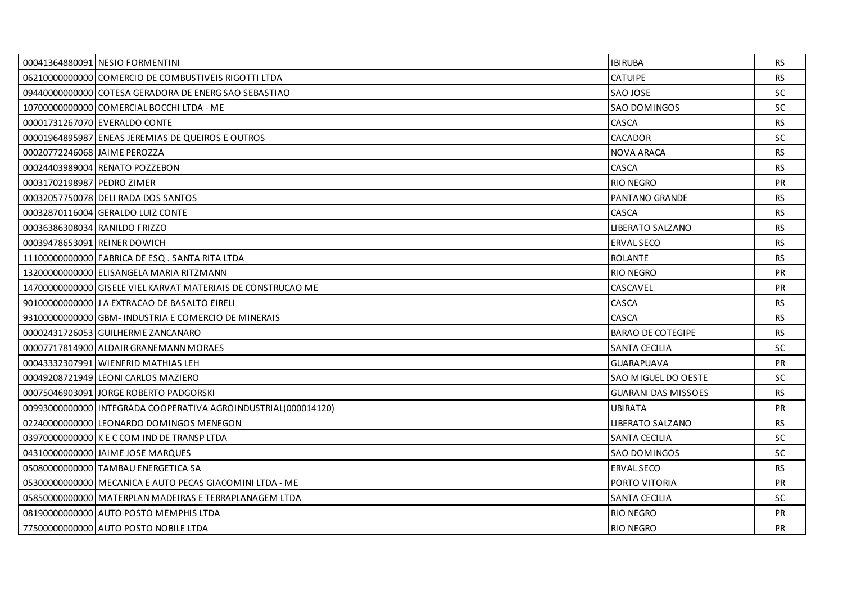|                               | 00041364880091 NESIO FORMENTINI                                | <b>IBIRUBA</b>             | <b>RS</b> |
|-------------------------------|----------------------------------------------------------------|----------------------------|-----------|
|                               | 06210000000000 COMERCIO DE COMBUSTIVEIS RIGOTTI LTDA           | <b>CATUIPE</b>             | <b>RS</b> |
|                               | 09440000000000 COTESA GERADORA DE ENERG SAO SEBASTIAO          | SAO JOSE                   | <b>SC</b> |
|                               | 10700000000000 COMERCIAL BOCCHI LTDA - ME                      | <b>SAO DOMINGOS</b>        | <b>SC</b> |
|                               | 00001731267070 EVERALDO CONTE                                  | CASCA                      | <b>RS</b> |
|                               | 00001964895987 ENEAS JEREMIAS DE QUEIROS E OUTROS              | <b>CACADOR</b>             | <b>SC</b> |
| 00020772246068 JAIME PEROZZA  |                                                                | <b>NOVA ARACA</b>          | <b>RS</b> |
|                               | 00024403989004 RENATO POZZEBON                                 | CASCA                      | <b>RS</b> |
| 00031702198987 PEDRO ZIMER    |                                                                | <b>RIO NEGRO</b>           | <b>PR</b> |
|                               | 00032057750078 DELI RADA DOS SANTOS                            | PANTANO GRANDE             | <b>RS</b> |
|                               | 00032870116004 GERALDO LUIZ CONTE                              | CASCA                      | <b>RS</b> |
| 00036386308034 RANILDO FRIZZO |                                                                | <b>LIBERATO SALZANO</b>    | <b>RS</b> |
| 00039478653091 REINER DOWICH  |                                                                | <b>ERVAL SECO</b>          | <b>RS</b> |
|                               | 11100000000000 FABRICA DE ESQ. SANTA RITA LTDA                 | <b>ROLANTE</b>             | <b>RS</b> |
|                               | 132000000000000 ELISANGELA MARIA RITZMANN                      | RIO NEGRO                  | <b>PR</b> |
|                               | 14700000000000 GISELE VIEL KARVAT MATERIAIS DE CONSTRUCAO ME   | CASCAVEL                   | <b>PR</b> |
|                               | 901000000000000 J A EXTRACAO DE BASALTO EIRELI                 | CASCA                      | <b>RS</b> |
|                               | 93100000000000 GBM-INDUSTRIA E COMERCIO DE MINERAIS            | CASCA                      | <b>RS</b> |
|                               | 00002431726053 GUILHERME ZANCANARO                             | <b>BARAO DE COTEGIPE</b>   | <b>RS</b> |
|                               | 00007717814900 ALDAIR GRANEMANN MORAES                         | <b>SANTA CECILIA</b>       | <b>SC</b> |
|                               | 00043332307991 WIENFRID MATHIAS LEH                            | <b>GUARAPUAVA</b>          | PR        |
|                               | 000492087219491LEONI CARLOS MAZIERO                            | SAO MIGUEL DO OESTE        | <b>SC</b> |
|                               | 00075046903091 JORGE ROBERTO PADGORSKI                         | <b>GUARANI DAS MISSOES</b> | <b>RS</b> |
|                               | 00993000000000 INTEGRADA COOPERATIVA AGROINDUSTRIAL(000014120) | <b>UBIRATA</b>             | PR        |
|                               | 022400000000000 LEONARDO DOMINGOS MENEGON                      | LIBERATO SALZANO           | <b>RS</b> |
|                               | 03970000000000 K E C COM IND DE TRANSP LTDA                    | <b>SANTA CECILIA</b>       | <b>SC</b> |
|                               | 04310000000000 JAIME JOSE MARQUES                              | <b>SAO DOMINGOS</b>        | <b>SC</b> |
|                               | 05080000000000 TAMBAU ENERGETICA SA                            | <b>ERVAL SECO</b>          | <b>RS</b> |
|                               | 05300000000000 MECANICA E AUTO PECAS GIACOMINI LTDA - ME       | PORTO VITORIA              | <b>PR</b> |
|                               | 05850000000000 MATERPLAN MADEIRAS E TERRAPLANAGEM LTDA         | <b>SANTA CECILIA</b>       | <b>SC</b> |
|                               | 08190000000000 AUTO POSTO MEMPHIS LTDA                         | RIO NEGRO                  | <b>PR</b> |
|                               | 77500000000000 AUTO POSTO NOBILE LTDA                          | RIO NEGRO                  | <b>PR</b> |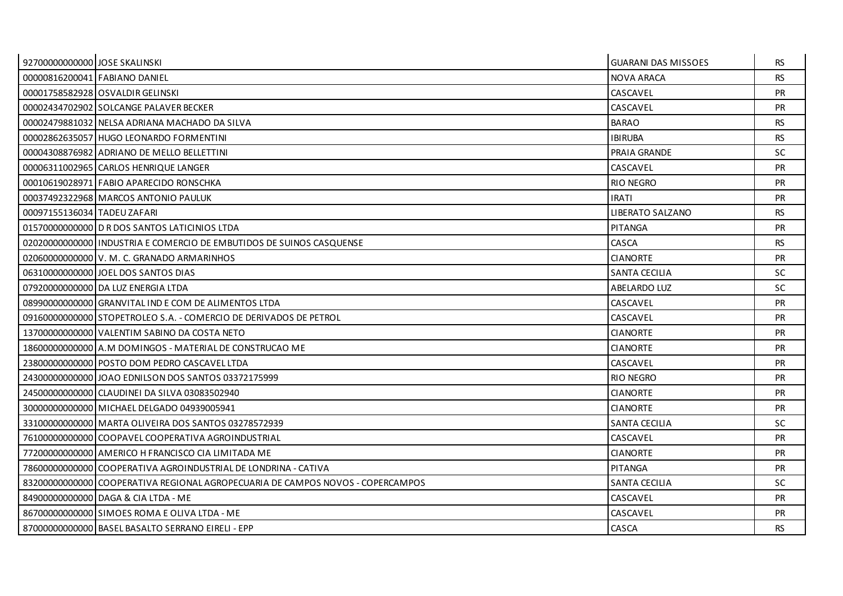| 92700000000000 JOSE SKALINSKI |                                                                                | <b>GUARANI DAS MISSOES</b> | <b>RS</b> |
|-------------------------------|--------------------------------------------------------------------------------|----------------------------|-----------|
|                               | 00000816200041 FABIANO DANIEL                                                  | <b>NOVA ARACA</b>          | <b>RS</b> |
|                               | 00001758582928 OSVALDIR GELINSKI                                               | CASCAVEL                   | <b>PR</b> |
|                               | 00002434702902 SOLCANGE PALAVER BECKER                                         | CASCAVEL                   | PR        |
|                               | 00002479881032 NELSA ADRIANA MACHADO DA SILVA                                  | <b>BARAO</b>               | <b>RS</b> |
|                               | 00002862635057 HUGO LEONARDO FORMENTINI                                        | <b>IBIRUBA</b>             | <b>RS</b> |
|                               | 00004308876982 ADRIANO DE MELLO BELLETTINI                                     | PRAIA GRANDE               | SC        |
|                               | 00006311002965 CARLOS HENRIQUE LANGER                                          | CASCAVEL                   | <b>PR</b> |
|                               | 00010619028971 FABIO APARECIDO RONSCHKA                                        | <b>RIO NEGRO</b>           | <b>PR</b> |
|                               | 00037492322968   MARCOS ANTONIO PAULUK                                         | <b>IRATI</b>               | <b>PR</b> |
| 00097155136034 TADEU ZAFARI   |                                                                                | <b>LIBERATO SALZANO</b>    | <b>RS</b> |
|                               | 01570000000000 D R DOS SANTOS LATICINIOS LTDA                                  | <b>PITANGA</b>             | <b>PR</b> |
|                               | 02020000000000 INDUSTRIA E COMERCIO DE EMBUTIDOS DE SUINOS CASQUENSE           | CASCA                      | <b>RS</b> |
|                               | 02060000000000 V. M. C. GRANADO ARMARINHOS                                     | <b>CIANORTE</b>            | PR        |
|                               | 06310000000000 JOEL DOS SANTOS DIAS                                            | SANTA CECILIA              | SC.       |
|                               | 07920000000000 DA LUZ ENERGIA LTDA                                             | <b>ABELARDO LUZ</b>        | SC.       |
|                               | 08990000000000 GRANVITAL IND E COM DE ALIMENTOS LTDA                           | CASCAVEL                   | <b>PR</b> |
|                               | 09160000000000 STOPETROLEO S.A. - COMERCIO DE DERIVADOS DE PETROL              | CASCAVEL                   | <b>PR</b> |
|                               | 13700000000000 VALENTIM SABINO DA COSTA NETO                                   | <b>CIANORTE</b>            | <b>PR</b> |
|                               | 18600000000000 A.M DOMINGOS - MATERIAL DE CONSTRUCAO ME                        | <b>CIANORTE</b>            | PR        |
|                               | 23800000000000 POSTO DOM PEDRO CASCAVEL LTDA                                   | CASCAVEL                   | <b>PR</b> |
|                               | 24300000000000 JOAO EDNILSON DOS SANTOS 03372175999                            | <b>RIO NEGRO</b>           | <b>PR</b> |
|                               | 24500000000000 CLAUDINEI DA SILVA 03083502940                                  | <b>CIANORTE</b>            | <b>PR</b> |
|                               | 300000000000000 MICHAEL DELGADO 04939005941                                    | <b>CIANORTE</b>            | <b>PR</b> |
|                               | 33100000000000 MARTA OLIVEIRA DOS SANTOS 03278572939                           | SANTA CECILIA              | SC.       |
|                               | 76100000000000 COOPAVEL COOPERATIVA AGROINDUSTRIAL                             | CASCAVEL                   | <b>PR</b> |
|                               | 77200000000000 AMERICO H FRANCISCO CIA LIMITADA ME                             | <b>CIANORTE</b>            | <b>PR</b> |
|                               | 78600000000000 COOPERATIVA AGROINDUSTRIAL DE LONDRINA - CATIVA                 | <b>PITANGA</b>             | <b>PR</b> |
|                               | 83200000000000 COOPERATIVA REGIONAL AGROPECUARIA DE CAMPOS NOVOS - COPERCAMPOS | <b>SANTA CECILIA</b>       | <b>SC</b> |
|                               | 84900000000000 DAGA & CIA LTDA - ME                                            | CASCAVEL                   | <b>PR</b> |
|                               | 86700000000000 SIMOES ROMA E OLIVA LTDA - ME                                   | CASCAVEL                   | <b>PR</b> |
|                               | 87000000000000 BASEL BASALTO SERRANO EIRELI - EPP                              | CASCA                      | <b>RS</b> |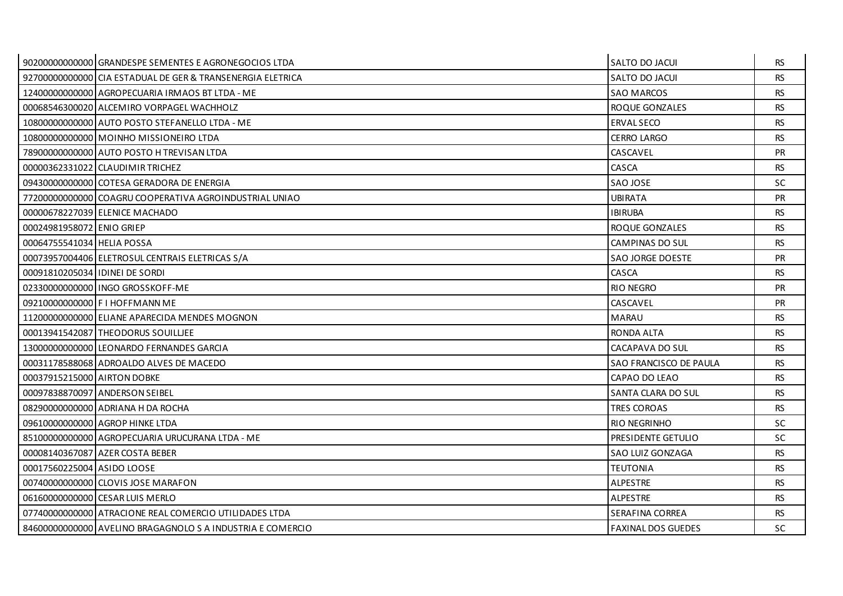|                                | 90200000000000 GRANDESPE SEMENTES E AGRONEGOCIOS LTDA      | SALTO DO JACUI            | <b>RS</b> |
|--------------------------------|------------------------------------------------------------|---------------------------|-----------|
|                                | 92700000000000 CIA ESTADUAL DE GER & TRANSENERGIA ELETRICA | SALTO DO JACUI            | <b>RS</b> |
|                                | 12400000000000 AGROPECUARIA IRMAOS BT LTDA - ME            | <b>SAO MARCOS</b>         | <b>RS</b> |
|                                | 00068546300020 ALCEMIRO VORPAGEL WACHHOLZ                  | ROQUE GONZALES            | <b>RS</b> |
|                                | 10800000000000 AUTO POSTO STEFANELLO LTDA - ME             | <b>ERVAL SECO</b>         | <b>RS</b> |
|                                | 10800000000000 MOINHO MISSIONEIRO LTDA                     | <b>CERRO LARGO</b>        | <b>RS</b> |
|                                | 78900000000000 AUTO POSTO H TREVISAN LTDA                  | CASCAVEL                  | <b>PR</b> |
|                                | 00000362331022 CLAUDIMIR TRICHEZ                           | CASCA                     | <b>RS</b> |
|                                | 09430000000000 COTESA GERADORA DE ENERGIA                  | SAO JOSE                  | <b>SC</b> |
|                                | 77200000000000 COAGRU COOPERATIVA AGROINDUSTRIAL UNIAO     | <b>UBIRATA</b>            | <b>PR</b> |
|                                | 00000678227039 ELENICE MACHADO                             | <b>IBIRUBA</b>            | <b>RS</b> |
| 00024981958072 ENIO GRIEP      |                                                            | ROQUE GONZALES            | <b>RS</b> |
| 00064755541034 HELIA POSSA     |                                                            | CAMPINAS DO SUL           | <b>RS</b> |
|                                | 00073957004406 ELETROSUL CENTRAIS ELETRICAS S/A            | SAO JORGE DOESTE          | <b>PR</b> |
| 00091810205034 IDINEI DE SORDI |                                                            | CASCA                     | <b>RS</b> |
|                                | 023300000000001INGO GROSSKOFF-ME                           | <b>RIO NEGRO</b>          | <b>PR</b> |
|                                | 09210000000000 F I HOFFMANN ME                             | CASCAVEL                  | <b>PR</b> |
|                                | 11200000000000 ELIANE APARECIDA MENDES MOGNON              | <b>MARAU</b>              | <b>RS</b> |
|                                | 00013941542087 THEODORUS SOUILLIEE                         | RONDA ALTA                | <b>RS</b> |
|                                | 13000000000000 LEONARDO FERNANDES GARCIA                   | CACAPAVA DO SUL           | <b>RS</b> |
|                                | 00031178588068 ADROALDO ALVES DE MACEDO                    | SAO FRANCISCO DE PAULA    | <b>RS</b> |
| 00037915215000 AIRTON DOBKE    |                                                            | CAPAO DO LEAO             | <b>RS</b> |
|                                | 000978388700971ANDERSON SEIBEL                             | SANTA CLARA DO SUL        | <b>RS</b> |
|                                | 082900000000000 ADRIANA H DA ROCHA                         | TRES COROAS               | <b>RS</b> |
|                                | 09610000000000 AGROP HINKE LTDA                            | RIO NEGRINHO              | <b>SC</b> |
|                                | 85100000000000 AGROPECUARIA URUCURANA LTDA - ME            | PRESIDENTE GETULIO        | <b>SC</b> |
|                                | 00008140367087 AZER COSTA BEBER                            | SAO LUIZ GONZAGA          | <b>RS</b> |
| 00017560225004 ASIDO LOOSE     |                                                            | <b>TEUTONIA</b>           | RS.       |
|                                | 00740000000000 CLOVIS JOSE MARAFON                         | <b>ALPESTRE</b>           | <b>RS</b> |
|                                | 06160000000000 CESAR LUIS MERLO                            | <b>ALPESTRE</b>           | <b>RS</b> |
|                                | 07740000000000 ATRACIONE REAL COMERCIO UTILIDADES LTDA     | SERAFINA CORREA           | <b>RS</b> |
|                                | 84600000000000 AVELINO BRAGAGNOLO S A INDUSTRIA E COMERCIO | <b>FAXINAL DOS GUEDES</b> | <b>SC</b> |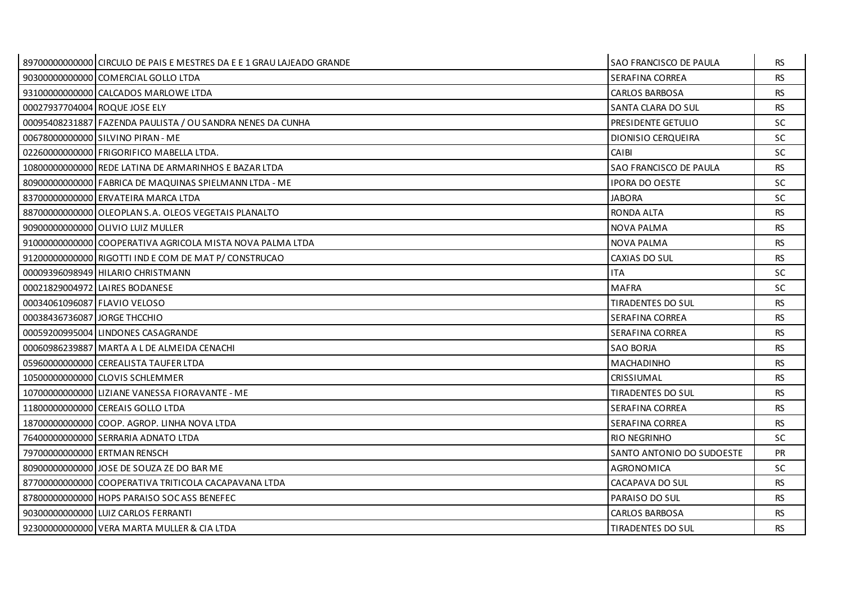|                               | 89700000000000 CIRCULO DE PAIS E MESTRES DA E E 1 GRAU LAJEADO GRANDE | <b>SAO FRANCISCO DE PAULA</b> | RS.       |
|-------------------------------|-----------------------------------------------------------------------|-------------------------------|-----------|
|                               | 90300000000000 COMERCIAL GOLLO LTDA                                   | SERAFINA CORREA               | <b>RS</b> |
|                               | 93100000000000 CALCADOS MARLOWE LTDA                                  | <b>CARLOS BARBOSA</b>         | <b>RS</b> |
| 00027937704004 ROQUE JOSE ELY |                                                                       | SANTA CLARA DO SUL            | <b>RS</b> |
|                               | 00095408231887 FAZENDA PAULISTA / OU SANDRA NENES DA CUNHA            | PRESIDENTE GETULIO            | <b>SC</b> |
|                               | 00678000000000 SILVINO PIRAN - ME                                     | DIONISIO CERQUEIRA            | <b>SC</b> |
|                               | 02260000000000 FRIGORIFICO MABELLA LTDA.                              | <b>CAIBI</b>                  | <b>SC</b> |
|                               | 10800000000000 REDE LATINA DE ARMARINHOS E BAZAR LTDA                 | SAO FRANCISCO DE PAULA        | <b>RS</b> |
|                               | 80900000000000 FABRICA DE MAQUINAS SPIELMANN LTDA - ME                | <b>IPORA DO OESTE</b>         | SC.       |
|                               | 83700000000000 ERVATEIRA MARCA LTDA                                   | <b>JABORA</b>                 | <b>SC</b> |
|                               | 88700000000000 OLEOPLAN S.A. OLEOS VEGETAIS PLANALTO                  | RONDA ALTA                    | <b>RS</b> |
|                               | 90900000000000 OLIVIO LUIZ MULLER                                     | <b>NOVA PALMA</b>             | <b>RS</b> |
|                               | 91000000000000 COOPERATIVA AGRICOLA MISTA NOVA PALMA LTDA             | <b>NOVA PALMA</b>             | <b>RS</b> |
|                               | 91200000000000 RIGOTTI IND E COM DE MAT P/ CONSTRUCAO                 | CAXIAS DO SUL                 | <b>RS</b> |
|                               | 00009396098949 HILARIO CHRISTMANN                                     | <b>ITA</b>                    | <b>SC</b> |
|                               | 00021829004972 LAIRES BODANESE                                        | <b>MAFRA</b>                  | <b>SC</b> |
| 00034061096087 FLAVIO VELOSO  |                                                                       | TIRADENTES DO SUL             | <b>RS</b> |
| 00038436736087 JORGE THCCHIO  |                                                                       | SERAFINA CORREA               | <b>RS</b> |
|                               | 00059200995004 LINDONES CASAGRANDE                                    | SERAFINA CORREA               | <b>RS</b> |
|                               | 00060986239887 MARTA A L DE ALMEIDA CENACHI                           | <b>SAO BORJA</b>              | <b>RS</b> |
|                               | 059600000000000 CEREALISTA TAUFER LTDA                                | <b>MACHADINHO</b>             | <b>RS</b> |
|                               | 10500000000000 CLOVIS SCHLEMMER                                       | <b>CRISSIUMAL</b>             | <b>RS</b> |
|                               | 10700000000000 LIZIANE VANESSA FIORAVANTE - ME                        | TIRADENTES DO SUL             | <b>RS</b> |
|                               | 11800000000000 CEREAIS GOLLO LTDA                                     | SERAFINA CORREA               | <b>RS</b> |
|                               | 18700000000000 COOP. AGROP. LINHA NOVA LTDA                           | SERAFINA CORREA               | <b>RS</b> |
|                               | 76400000000000 SERRARIA ADNATO LTDA                                   | RIO NEGRINHO                  | <b>SC</b> |
|                               | 797000000000000 ERTMAN RENSCH                                         | SANTO ANTONIO DO SUDOESTE     | <b>PR</b> |
|                               | 809000000000000 JOSE DE SOUZA ZE DO BAR ME                            | AGRONOMICA                    | <b>SC</b> |
|                               | 87700000000000 COOPERATIVA TRITICOLA CACAPAVANA LTDA                  | CACAPAVA DO SUL               | <b>RS</b> |
|                               | 87800000000000 HOPS PARAISO SOC ASS BENEFEC                           | PARAISO DO SUL                | <b>RS</b> |
|                               | 903000000000000 LUIZ CARLOS FERRANTI                                  | <b>CARLOS BARBOSA</b>         | <b>RS</b> |
|                               | 92300000000000 VERA MARTA MULLER & CIA LTDA                           | <b>TIRADENTES DO SUL</b>      | <b>RS</b> |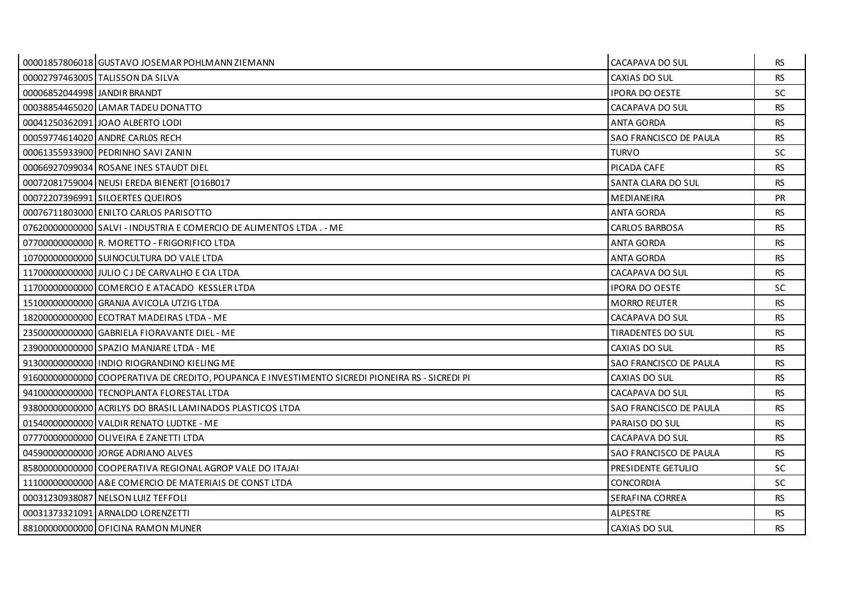|                              | 00001857806018 GUSTAVO JOSEMAR POHLMANN ZIEMANN                                                | CACAPAVA DO SUL        | RS.       |
|------------------------------|------------------------------------------------------------------------------------------------|------------------------|-----------|
|                              | 00002797463005 TALISSON DA SILVA                                                               | CAXIAS DO SUL          | <b>RS</b> |
| 00006852044998 JANDIR BRANDT |                                                                                                | <b>IPORA DO OESTE</b>  | <b>SC</b> |
|                              | 00038854465020 LAMAR TADEU DONATTO                                                             | CACAPAVA DO SUL        | <b>RS</b> |
|                              | 00041250362091 JOAO ALBERTO LODI                                                               | <b>ANTA GORDA</b>      | <b>RS</b> |
|                              | 00059774614020 ANDRE CARLOS RECH                                                               | SAO FRANCISCO DE PAULA | <b>RS</b> |
|                              | 00061355933900 PEDRINHO SAVI ZANIN                                                             | <b>TURVO</b>           | <b>SC</b> |
|                              | 00066927099034 ROSANE INES STAUDT DIEL                                                         | PICADA CAFE            | <b>RS</b> |
|                              | 00072081759004 NEUSI EREDA BIENERT [O16B017                                                    | SANTA CLARA DO SUL     | <b>RS</b> |
|                              | 00072207396991 SILOERTES QUEIROS                                                               | <b>MEDIANEIRA</b>      | <b>PR</b> |
|                              | 00076711803000 ENILTO CARLOS PARISOTTO                                                         | <b>ANTA GORDA</b>      | <b>RS</b> |
|                              | 07620000000000 SALVI - INDUSTRIA E COMERCIO DE ALIMENTOS LTDA. - ME                            | <b>CARLOS BARBOSA</b>  | <b>RS</b> |
|                              | 07700000000000 R. MORETTO - FRIGORIFICO LTDA                                                   | <b>ANTA GORDA</b>      | <b>RS</b> |
|                              | 10700000000000 SUINOCULTURA DO VALE LTDA                                                       | <b>ANTA GORDA</b>      | <b>RS</b> |
|                              | 11700000000000 JULIO CJ DE CARVALHO E CIA LTDA                                                 | CACAPAVA DO SUL        | <b>RS</b> |
|                              | 11700000000000 COMERCIO E ATACADO KESSLER LTDA                                                 | <b>IPORA DO OESTE</b>  | <b>SC</b> |
|                              | 15100000000000 GRANJA AVICOLA UTZIG LTDA                                                       | <b>MORRO REUTER</b>    | <b>RS</b> |
|                              | 18200000000000 ECOTRAT MADEIRAS LTDA - ME                                                      | CACAPAVA DO SUL        | <b>RS</b> |
|                              | 23500000000000 GABRIELA FIORAVANTE DIEL - ME                                                   | TIRADENTES DO SUL      | <b>RS</b> |
|                              | 23900000000000 SPAZIO MANJARE LTDA - ME                                                        | CAXIAS DO SUL          | <b>RS</b> |
|                              | 91300000000000 INDIO RIOGRANDINO KIELING ME                                                    | SAO FRANCISCO DE PAULA | <b>RS</b> |
|                              | 9160000000000 COOPERATIVA DE CREDITO, POUPANCA E INVESTIMENTO SICREDI PIONEIRA RS - SICREDI PI | CAXIAS DO SUL          | <b>RS</b> |
|                              | 94100000000000 TECNOPLANTA FLORESTAL LTDA                                                      | CACAPAVA DO SUL        | <b>RS</b> |
|                              | 93800000000000 ACRILYS DO BRASIL LAMINADOS PLASTICOS LTDA                                      | SAO FRANCISCO DE PAULA | <b>RS</b> |
|                              | 01540000000000 VALDIR RENATO LUDTKE - ME                                                       | PARAISO DO SUL         | <b>RS</b> |
|                              | 07770000000000 OLIVEIRA E ZANETTI LTDA                                                         | CACAPAVA DO SUL        | <b>RS</b> |
|                              | 045900000000000 JORGE ADRIANO ALVES                                                            | SAO FRANCISCO DE PAULA | <b>RS</b> |
|                              | 85800000000000 COOPERATIVA REGIONAL AGROP VALE DO ITAJAI                                       | PRESIDENTE GETULIO     | <b>SC</b> |
|                              | 11100000000000 A&E COMERCIO DE MATERIAIS DE CONST LTDA                                         | <b>CONCORDIA</b>       | <b>SC</b> |
|                              | 00031230938087 NELSON LUIZ TEFFOLI                                                             | SERAFINA CORREA        | <b>RS</b> |
|                              | 00031373321091 ARNALDO LORENZETTI                                                              | ALPESTRE               | <b>RS</b> |
|                              | 88100000000000 OFICINA RAMON MUNER                                                             | CAXIAS DO SUL          | <b>RS</b> |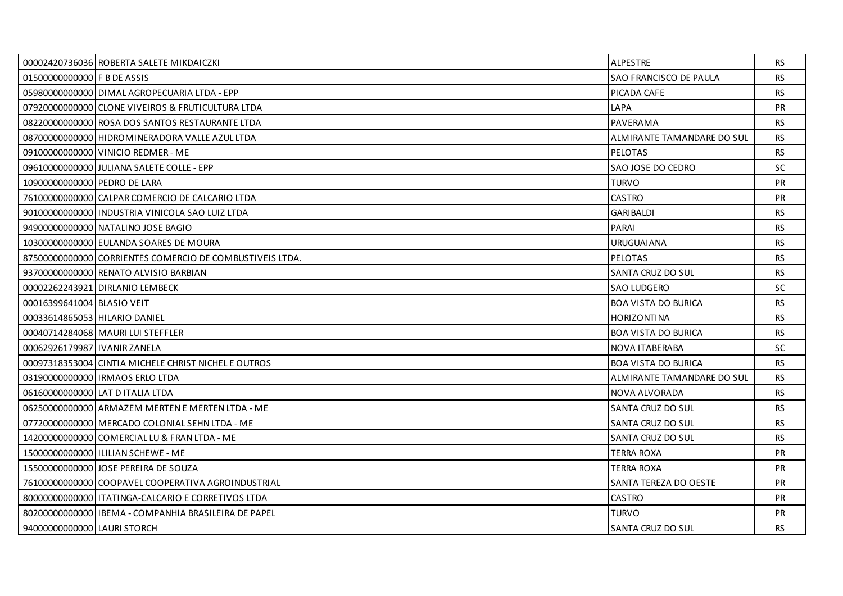|                                | 00002420736036 ROBERTA SALETE MIKDAICZKI                 | <b>ALPESTRE</b>               | RS.       |
|--------------------------------|----------------------------------------------------------|-------------------------------|-----------|
| 01500000000000 F B DE ASSIS    |                                                          | <b>SAO FRANCISCO DE PAULA</b> | <b>RS</b> |
|                                | 05980000000000 DIMAL AGROPECUARIA LTDA - EPP             | PICADA CAFE                   | <b>RS</b> |
|                                | 079200000000000 CLONE VIVEIROS & FRUTICULTURA LTDA       | LAPA                          | <b>PR</b> |
|                                | 082200000000000 ROSA DOS SANTOS RESTAURANTE LTDA         | PAVERAMA                      | <b>RS</b> |
|                                | 087000000000000 HIDROMINERADORA VALLE AZUL LTDA          | ALMIRANTE TAMANDARE DO SUL    | <b>RS</b> |
|                                | 09100000000000 VINICIO REDMER - ME                       | <b>PELOTAS</b>                | <b>RS</b> |
|                                | 09610000000000 JULIANA SALETE COLLE - EPP                | SAO JOSE DO CEDRO             | <b>SC</b> |
| 10900000000000 PEDRO DE LARA   |                                                          | <b>TURVO</b>                  | <b>PR</b> |
|                                | 76100000000000 CALPAR COMERCIO DE CALCARIO LTDA          | <b>CASTRO</b>                 | <b>PR</b> |
|                                | 90100000000000 INDUSTRIA VINICOLA SAO LUIZ LTDA          | <b>GARIBALDI</b>              | <b>RS</b> |
|                                | 94900000000000 NATALINO JOSE BAGIO                       | PARAI                         | <b>RS</b> |
|                                | 10300000000000 EULANDA SOARES DE MOURA                   | <b>URUGUAIANA</b>             | <b>RS</b> |
|                                | 87500000000000 CORRIENTES COMERCIO DE COMBUSTIVEIS LTDA. | <b>PELOTAS</b>                | <b>RS</b> |
|                                | 937000000000000 RENATO ALVISIO BARBIAN                   | SANTA CRUZ DO SUL             | <b>RS</b> |
|                                | 00002262243921 DIRLANIO LEMBECK                          | <b>SAO LUDGERO</b>            | SC.       |
| 00016399641004 BLASIO VEIT     |                                                          | <b>BOA VISTA DO BURICA</b>    | <b>RS</b> |
| 00033614865053 HILARIO DANIEL  |                                                          | HORIZONTINA                   | <b>RS</b> |
|                                | 00040714284068   MAURI LUI STEFFLER                      | <b>BOA VISTA DO BURICA</b>    | <b>RS</b> |
| 00062926179987   IVANIR ZANELA |                                                          | NOVA ITABERABA                | <b>SC</b> |
|                                | 00097318353004 CINTIA MICHELE CHRIST NICHEL E OUTROS     | <b>BOA VISTA DO BURICA</b>    | <b>RS</b> |
|                                | 03190000000000 IRMAOS ERLO LTDA                          | ALMIRANTE TAMANDARE DO SUL    | RS.       |
|                                | 06160000000000 LAT D ITALIA LTDA                         | NOVA ALVORADA                 | <b>RS</b> |
|                                | 06250000000000 ARMAZEM MERTEN E MERTEN LTDA - ME         | SANTA CRUZ DO SUL             | <b>RS</b> |
|                                | 07720000000000 MERCADO COLONIAL SEHN LTDA - ME           | SANTA CRUZ DO SUL             | <b>RS</b> |
|                                | 142000000000000 COMERCIAL LU & FRAN LTDA - ME            | <b>SANTA CRUZ DO SUL</b>      | <b>RS</b> |
|                                | 15000000000000   ILILIAN SCHEWE - ME                     | <b>TERRA ROXA</b>             | <b>PR</b> |
|                                | 155000000000000 JOSE PEREIRA DE SOUZA                    | <b>TERRA ROXA</b>             | <b>PR</b> |
|                                | 76100000000000 COOPAVEL COOPERATIVA AGROINDUSTRIAL       | <b>SANTA TEREZA DO OESTE</b>  | <b>PR</b> |
|                                | 80000000000000   ITATINGA-CALCARIO E CORRETIVOS LTDA     | <b>CASTRO</b>                 | <b>PR</b> |
|                                | 80200000000000 I IBEMA - COMPANHIA BRASILEIRA DE PAPEL   | <b>TURVO</b>                  | <b>PR</b> |
| 94000000000000 LAURI STORCH    |                                                          | <b>SANTA CRUZ DO SUL</b>      | <b>RS</b> |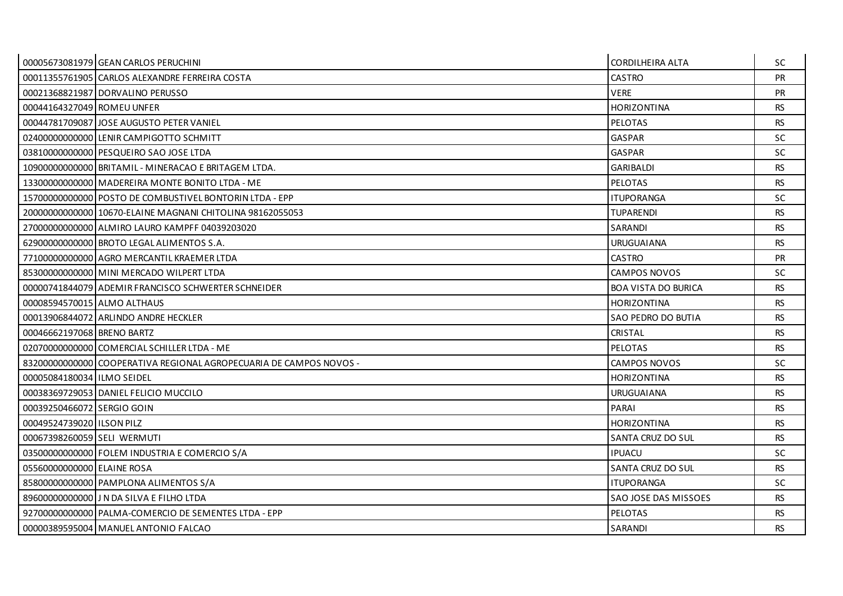|                             | 00005673081979 GEAN CARLOS PERUCHINI                               | CORDILHEIRA ALTA           | SC.       |
|-----------------------------|--------------------------------------------------------------------|----------------------------|-----------|
|                             | 00011355761905 CARLOS ALEXANDRE FERREIRA COSTA                     | <b>CASTRO</b>              | <b>PR</b> |
|                             | 00021368821987 DORVALINO PERUSSO                                   | <b>VERE</b>                | <b>PR</b> |
| 00044164327049 ROMEU UNFER  |                                                                    | <b>HORIZONTINA</b>         | <b>RS</b> |
|                             | 00044781709087 JOSE AUGUSTO PETER VANIEL                           | <b>PELOTAS</b>             | <b>RS</b> |
|                             | 02400000000000 LENIR CAMPIGOTTO SCHMITT                            | <b>GASPAR</b>              | <b>SC</b> |
|                             | 03810000000000 PESQUEIRO SAO JOSE LTDA                             | <b>GASPAR</b>              | SC.       |
|                             | 10900000000000 BRITAMIL - MINERACAO E BRITAGEM LTDA.               | <b>GARIBALDI</b>           | <b>RS</b> |
|                             | 13300000000000 MADEREIRA MONTE BONITO LTDA - ME                    | <b>PELOTAS</b>             | <b>RS</b> |
|                             | 15700000000000 POSTO DE COMBUSTIVEL BONTORIN LTDA - EPP            | <b>ITUPORANGA</b>          | <b>SC</b> |
|                             | 20000000000000 10670-ELAINE MAGNANI CHITOLINA 98162055053          | <b>TUPARENDI</b>           | <b>RS</b> |
|                             | 270000000000000 ALMIRO LAURO KAMPFF 04039203020                    | SARANDI                    | <b>RS</b> |
|                             | 629000000000000 BROTO LEGAL ALIMENTOS S.A.                         | <b>URUGUAIANA</b>          | <b>RS</b> |
|                             | 77100000000000 AGRO MERCANTIL KRAEMER LTDA                         | <b>CASTRO</b>              | <b>PR</b> |
|                             | 85300000000000 MINI MERCADO WILPERT LTDA                           | <b>CAMPOS NOVOS</b>        | <b>SC</b> |
|                             | 00000741844079 ADEMIR FRANCISCO SCHWERTER SCHNEIDER                | <b>BOA VISTA DO BURICA</b> | <b>RS</b> |
| 00008594570015 ALMO ALTHAUS |                                                                    | <b>HORIZONTINA</b>         | <b>RS</b> |
|                             | 00013906844072 ARLINDO ANDRE HECKLER                               | SAO PEDRO DO BUTIA         | <b>RS</b> |
| 00046662197068 BRENO BARTZ  |                                                                    | <b>CRISTAL</b>             | <b>RS</b> |
|                             | 02070000000000 COMERCIAL SCHILLER LTDA - ME                        | <b>PELOTAS</b>             | <b>RS</b> |
|                             | 83200000000000 COOPERATIVA REGIONAL AGROPECUARIA DE CAMPOS NOVOS - | <b>CAMPOS NOVOS</b>        | <b>SC</b> |
| 00005084180034 ILMO SEIDEL  |                                                                    | <b>HORIZONTINA</b>         | <b>RS</b> |
|                             | 00038369729053 DANIEL FELICIO MUCCILO                              | <b>URUGUAIANA</b>          | <b>RS</b> |
| 00039250466072 SERGIO GOIN  |                                                                    | PARAI                      | <b>RS</b> |
| 00049524739020 I ILSON PILZ |                                                                    | <b>HORIZONTINA</b>         | <b>RS</b> |
| 00067398260059 SELI WERMUTI |                                                                    | SANTA CRUZ DO SUL          | <b>RS</b> |
|                             | 03500000000000 FOLEM INDUSTRIA E COMERCIO S/A                      | <b>IPUACU</b>              | <b>SC</b> |
| 05560000000000 ELAINE ROSA  |                                                                    | SANTA CRUZ DO SUL          | <b>RS</b> |
|                             | 85800000000000 PAMPLONA ALIMENTOS S/A                              | <b>ITUPORANGA</b>          | SC.       |
|                             | 89600000000000 J N DA SILVA E FILHO LTDA                           | SAO JOSE DAS MISSOES       | <b>RS</b> |
|                             | 92700000000000 PALMA-COMERCIO DE SEMENTES LTDA - EPP               | <b>PELOTAS</b>             | <b>RS</b> |
|                             | 00000389595004 MANUEL ANTONIO FALCAO                               | SARANDI                    | <b>RS</b> |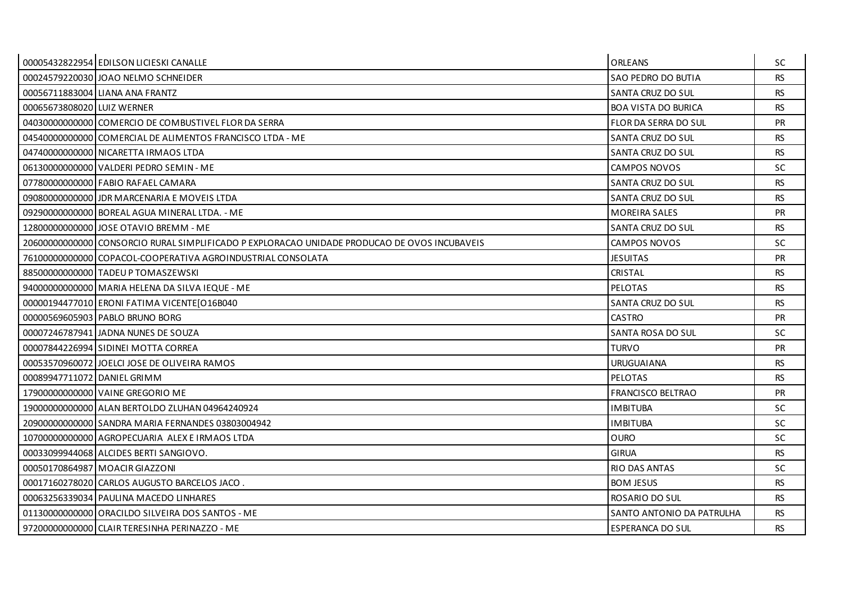|                             | 00005432822954 EDILSON LICIESKI CANALLE                                                      | <b>ORLEANS</b>              | SC.       |
|-----------------------------|----------------------------------------------------------------------------------------------|-----------------------------|-----------|
|                             | 00024579220030 JOAO NELMO SCHNEIDER                                                          | SAO PEDRO DO BUTIA          | <b>RS</b> |
|                             | 00056711883004 LIANA ANA FRANTZ                                                              | SANTA CRUZ DO SUL           | <b>RS</b> |
| 00065673808020 LUIZ WERNER  |                                                                                              | <b>BOA VISTA DO BURICA</b>  | <b>RS</b> |
|                             | 04030000000000 COMERCIO DE COMBUSTIVEL FLOR DA SERRA                                         | <b>FLOR DA SERRA DO SUL</b> | <b>PR</b> |
|                             | 04540000000000 COMERCIAL DE ALIMENTOS FRANCISCO LTDA - ME                                    | SANTA CRUZ DO SUL           | <b>RS</b> |
|                             | 047400000000000 NICARETTA IRMAOS LTDA                                                        | SANTA CRUZ DO SUL           | <b>RS</b> |
|                             | 06130000000000 VALDERI PEDRO SEMIN - ME                                                      | <b>CAMPOS NOVOS</b>         | SC        |
|                             | 07780000000000 FABIO RAFAEL CAMARA                                                           | SANTA CRUZ DO SUL           | <b>RS</b> |
|                             | 090800000000000 JDR MARCENARIA E MOVEIS LTDA                                                 | SANTA CRUZ DO SUL           | <b>RS</b> |
|                             | 092900000000000 BOREAL AGUA MINERAL LTDA. - ME                                               | <b>MOREIRA SALES</b>        | <b>PR</b> |
|                             | 12800000000000 JOSE OTAVIO BREMM - ME                                                        | SANTA CRUZ DO SUL           | <b>RS</b> |
|                             | 20600000000000 CONSORCIO RURAL SIMPLIFICADO P EXPLORACAO UNIDADE PRODUCAO DE OVOS INCUBAVEIS | <b>CAMPOS NOVOS</b>         | SC.       |
|                             | 76100000000000 COPACOL-COOPERATIVA AGROINDUSTRIAL CONSOLATA                                  | <b>JESUITAS</b>             | <b>PR</b> |
|                             | 88500000000000 TADEU P TOMASZEWSKI                                                           | <b>CRISTAL</b>              | <b>RS</b> |
|                             | 940000000000000 MARIA HELENA DA SILVA IEQUE - ME                                             | <b>PELOTAS</b>              | <b>RS</b> |
|                             | 00000194477010 ERONI FATIMA VICENTE [O16B040                                                 | SANTA CRUZ DO SUL           | <b>RS</b> |
|                             | 00000569605903 PABLO BRUNO BORG                                                              | <b>CASTRO</b>               | <b>PR</b> |
|                             | 00007246787941 JADNA NUNES DE SOUZA                                                          | SANTA ROSA DO SUL           | <b>SC</b> |
|                             | 00007844226994 SIDINEI MOTTA CORREA                                                          | <b>TURVO</b>                | <b>PR</b> |
|                             | 00053570960072 JOELCLOSE DE OLIVEIRA RAMOS                                                   | <b>URUGUAIANA</b>           | <b>RS</b> |
| 00089947711072 DANIEL GRIMM |                                                                                              | <b>PELOTAS</b>              | RS.       |
|                             | 17900000000000 VAINE GREGORIO ME                                                             | <b>FRANCISCO BELTRAO</b>    | <b>PR</b> |
|                             | 19000000000000 ALAN BERTOLDO ZLUHAN 04964240924                                              | <b>IMBITUBA</b>             | <b>SC</b> |
|                             | 209000000000000 SANDRA MARIA FERNANDES 03803004942                                           | <b>IMBITUBA</b>             | <b>SC</b> |
|                             | 10700000000000 AGROPECUARIA ALEX E IRMAOS LTDA                                               | <b>OURO</b>                 | SC        |
|                             | 00033099944068 ALCIDES BERTI SANGIOVO.                                                       | <b>GIRUA</b>                | <b>RS</b> |
|                             | 00050170864987 MOACIR GIAZZONI                                                               | <b>RIO DAS ANTAS</b>        | <b>SC</b> |
|                             | 00017160278020 CARLOS AUGUSTO BARCELOS JACO.                                                 | <b>BOM JESUS</b>            | <b>RS</b> |
|                             | 00063256339034 PAULINA MACEDO LINHARES                                                       | ROSARIO DO SUL              | <b>RS</b> |
|                             | 01130000000000 ORACILDO SILVEIRA DOS SANTOS - ME                                             | SANTO ANTONIO DA PATRULHA   | RS.       |
|                             | 97200000000000 CLAIR TERESINHA PERINAZZO - ME                                                | <b>ESPERANCA DO SUL</b>     | <b>RS</b> |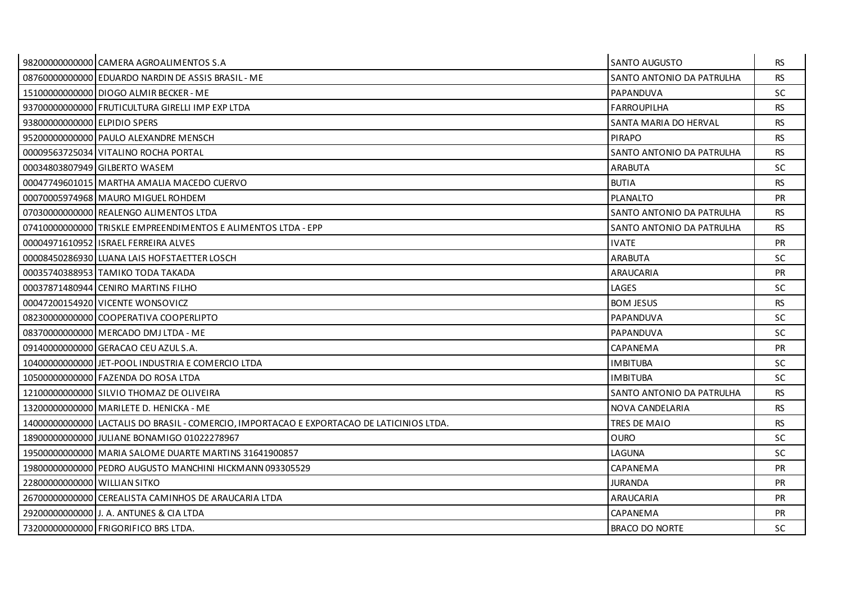|                              | 98200000000000 CAMERA AGROALIMENTOS S.A                                                  | SANTO AUGUSTO             | <b>RS</b> |
|------------------------------|------------------------------------------------------------------------------------------|---------------------------|-----------|
|                              | 08760000000000 EDUARDO NARDIN DE ASSIS BRASIL - ME                                       | SANTO ANTONIO DA PATRULHA | <b>RS</b> |
|                              | 15100000000000 DIOGO ALMIR BECKER - ME                                                   | PAPANDUVA                 | <b>SC</b> |
|                              | 937000000000000 FRUTICULTURA GIRELLI IMP EXP LTDA                                        | <b>FARROUPILHA</b>        | <b>RS</b> |
| 93800000000000 ELPIDIO SPERS |                                                                                          | SANTA MARIA DO HERVAL     | <b>RS</b> |
|                              | 95200000000000 PAULO ALEXANDRE MENSCH                                                    | <b>PIRAPO</b>             | <b>RS</b> |
|                              | 00009563725034 VITALINO ROCHA PORTAL                                                     | SANTO ANTONIO DA PATRULHA | <b>RS</b> |
|                              | 00034803807949 GILBERTO WASEM                                                            | <b>ARABUTA</b>            | <b>SC</b> |
|                              | 00047749601015   MARTHA AMALIA MACEDO CUERVO                                             | <b>BUTIA</b>              | <b>RS</b> |
|                              | 00070005974968 MAURO MIGUEL ROHDEM                                                       | <b>PLANALTO</b>           | <b>PR</b> |
|                              | 07030000000000 REALENGO ALIMENTOS LTDA                                                   | SANTO ANTONIO DA PATRULHA | <b>RS</b> |
|                              | 07410000000000 TRISKLE EMPREENDIMENTOS E ALIMENTOS LTDA - EPP                            | SANTO ANTONIO DA PATRULHA | <b>RS</b> |
|                              | 000049716109521ISRAEL FERREIRA ALVES                                                     | <b>IVATE</b>              | <b>PR</b> |
|                              | 00008450286930 LUANA LAIS HOFSTAETTER LOSCH                                              | <b>ARABUTA</b>            | SC.       |
|                              | 00035740388953 TAMIKO TODA TAKADA                                                        | ARAUCARIA                 | <b>PR</b> |
|                              | 00037871480944 CENIRO MARTINS FILHO                                                      | LAGES                     | <b>SC</b> |
|                              | 00047200154920 VICENTE WONSOVICZ                                                         | <b>BOM JESUS</b>          | <b>RS</b> |
|                              | 08230000000000 COOPERATIVA COOPERLIPTO                                                   | PAPANDUVA                 | <b>SC</b> |
|                              | 08370000000000 MERCADO DMJ LTDA - ME                                                     | PAPANDUVA                 | SC.       |
|                              | 09140000000000 GERACAO CEU AZUL S.A.                                                     | CAPANEMA                  | PR        |
|                              | 10400000000000 JET-POOL INDUSTRIA E COMERCIO LTDA                                        | <b>IMBITUBA</b>           | SC.       |
|                              | 10500000000000 FAZENDA DO ROSA LTDA                                                      | <b>IMBITUBA</b>           | SC.       |
|                              | 12100000000000 SILVIO THOMAZ DE OLIVEIRA                                                 | SANTO ANTONIO DA PATRULHA | <b>RS</b> |
|                              | 13200000000000 MARILETE D. HENICKA - ME                                                  | NOVA CANDELARIA           | <b>RS</b> |
|                              | 1400000000000 LACTALIS DO BRASIL - COMERCIO, IMPORTACAO E EXPORTACAO DE LATICINIOS LTDA. | TRES DE MAIO              | <b>RS</b> |
|                              | 18900000000000 JULIANE BONAMIGO 01022278967                                              | <b>OURO</b>               | <b>SC</b> |
|                              | 19500000000000 MARIA SALOME DUARTE MARTINS 31641900857                                   | LAGUNA                    | SC.       |
|                              | 19800000000000 PEDRO AUGUSTO MANCHINI HICKMANN 093305529                                 | CAPANEMA                  | <b>PR</b> |
| 22800000000000 WILLIAN SITKO |                                                                                          | <b>JURANDA</b>            | <b>PR</b> |
|                              | 26700000000000 CEREALISTA CAMINHOS DE ARAUCARIA LTDA                                     | ARAUCARIA                 | <b>PR</b> |
|                              | 292000000000000 J. A. ANTUNES & CIA LTDA                                                 | CAPANEMA                  | <b>PR</b> |
|                              | 73200000000000 FRIGORIFICO BRS LTDA.                                                     | BRACO DO NORTE            | <b>SC</b> |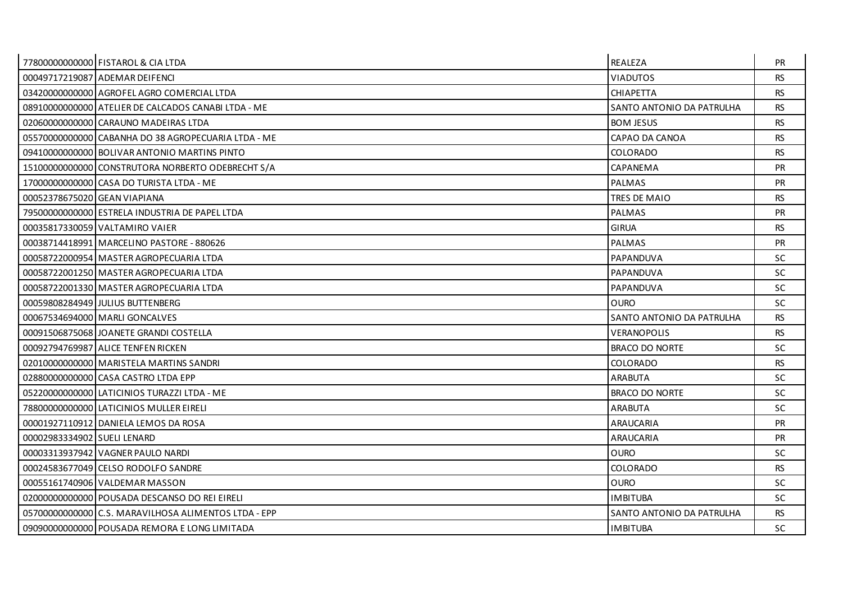|                              | 77800000000000 FISTAROL & CIA LTDA                    | REALEZA                   | <b>PR</b> |
|------------------------------|-------------------------------------------------------|---------------------------|-----------|
|                              | 00049717219087 ADEMAR DEIFENCI                        | <b>VIADUTOS</b>           | <b>RS</b> |
|                              | 034200000000000 AGROFEL AGRO COMERCIAL LTDA           | <b>CHIAPETTA</b>          | <b>RS</b> |
|                              | 08910000000000 ATELIER DE CALCADOS CANABILTDA - ME    | SANTO ANTONIO DA PATRULHA | <b>RS</b> |
|                              | 02060000000000 CARAUNO MADEIRAS LTDA                  | <b>BOM JESUS</b>          | <b>RS</b> |
|                              | 05570000000000 CABANHA DO 38 AGROPECUARIA LTDA - ME   | CAPAO DA CANOA            | <b>RS</b> |
|                              | 09410000000000 BOLIVAR ANTONIO MARTINS PINTO          | <b>COLORADO</b>           | <b>RS</b> |
|                              | 15100000000000 CONSTRUTORA NORBERTO ODEBRECHT S/A     | CAPANEMA                  | <b>PR</b> |
|                              | 17000000000000 CASA DO TURISTA LTDA - ME              | <b>PALMAS</b>             | <b>PR</b> |
| 00052378675020 GEAN VIAPIANA |                                                       | TRES DE MAIO              | <b>RS</b> |
|                              | 79500000000000 ESTRELA INDUSTRIA DE PAPEL LTDA        | <b>PALMAS</b>             | PR        |
|                              | 00035817330059 VALTAMIRO VAIER                        | <b>GIRUA</b>              | <b>RS</b> |
|                              | 00038714418991   MARCELINO PASTORE - 880626           | <b>PALMAS</b>             | <b>PR</b> |
|                              | 00058722000954 MASTER AGROPECUARIA LTDA               | PAPANDUVA                 | <b>SC</b> |
|                              | 00058722001250 MASTER AGROPECUARIA LTDA               | PAPANDUVA                 | <b>SC</b> |
|                              | 00058722001330 MASTER AGROPECUARIA LTDA               | PAPANDUVA                 | <b>SC</b> |
|                              | 00059808284949 JULIUS BUTTENBERG                      | <b>OURO</b>               | <b>SC</b> |
|                              | 00067534694000 MARLI GONCALVES                        | SANTO ANTONIO DA PATRULHA | <b>RS</b> |
|                              | 000915068750681JOANETE GRANDI COSTELLA                | <b>VERANOPOLIS</b>        | <b>RS</b> |
|                              | 00092794769987 ALICE TENFEN RICKEN                    | <b>BRACO DO NORTE</b>     | SC        |
|                              | 02010000000000 MARISTELA MARTINS SANDRI               | <b>COLORADO</b>           | <b>RS</b> |
|                              | 028800000000000 CASA CASTRO LTDA EPP                  | <b>ARABUTA</b>            | <b>SC</b> |
|                              | 05220000000000 LATICINIOS TURAZZI LTDA - ME           | <b>BRACO DO NORTE</b>     | <b>SC</b> |
|                              | 78800000000000 LATICINIOS MULLER EIRELI               | <b>ARABUTA</b>            | <b>SC</b> |
|                              | 00001927110912 DANIELA LEMOS DA ROSA                  | ARAUCARIA                 | <b>PR</b> |
| 00002983334902 SUELI LENARD  |                                                       | ARAUCARIA                 | <b>PR</b> |
|                              | 00003313937942 VAGNER PAULO NARDI                     | <b>OURO</b>               | <b>SC</b> |
|                              | 00024583677049 CELSO RODOLFO SANDRE                   | <b>COLORADO</b>           | <b>RS</b> |
|                              | 00055161740906 VALDEMAR MASSON                        | <b>OURO</b>               | <b>SC</b> |
|                              | 02000000000000 POUSADA DESCANSO DO REI EIRELI         | <b>IMBITUBA</b>           | <b>SC</b> |
|                              | 057000000000000 C.S. MARAVILHOSA ALIMENTOS LTDA - EPP | SANTO ANTONIO DA PATRULHA | <b>RS</b> |
|                              | 09090000000000 POUSADA REMORA E LONG LIMITADA         | <b>IMBITUBA</b>           | <b>SC</b> |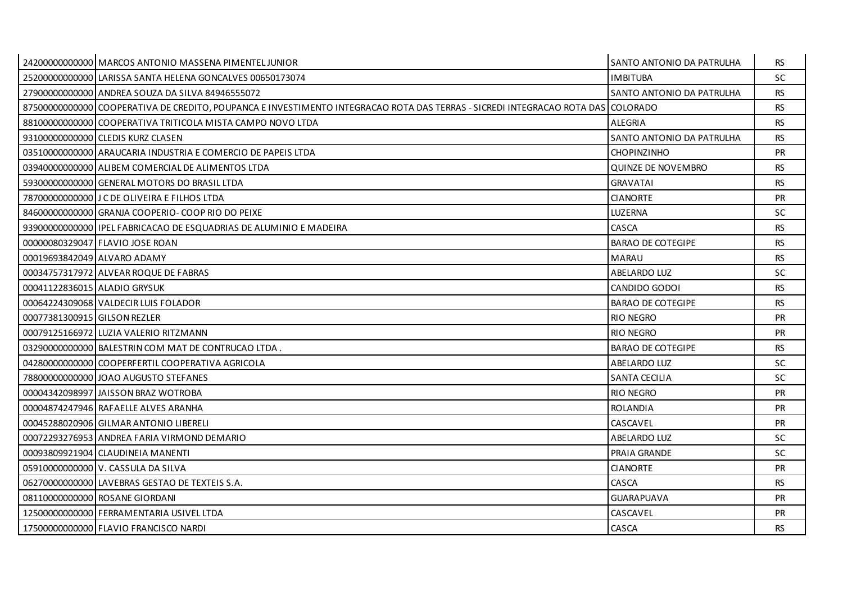|                              | 24200000000000 MARCOS ANTONIO MASSENA PIMENTEL JUNIOR                                                                            | SANTO ANTONIO DA PATRULHA | <b>RS</b> |
|------------------------------|----------------------------------------------------------------------------------------------------------------------------------|---------------------------|-----------|
|                              | 25200000000000 LARISSA SANTA HELENA GONCALVES 00650173074                                                                        | <b>IMBITUBA</b>           | <b>SC</b> |
|                              | 27900000000000 ANDREA SOUZA DA SILVA 84946555072                                                                                 | SANTO ANTONIO DA PATRULHA | <b>RS</b> |
|                              | 87500000000000 COOPERATIVA DE CREDITO, POUPANCA E INVESTIMENTO INTEGRACAO ROTA DAS TERRAS - SICREDI INTEGRACAO ROTA DAS COLORADO |                           | <b>RS</b> |
|                              | 88100000000000 COOPERATIVA TRITICOLA MISTA CAMPO NOVO LTDA                                                                       | ALEGRIA                   | <b>RS</b> |
|                              | 93100000000000 CLEDIS KURZ CLASEN                                                                                                | SANTO ANTONIO DA PATRULHA | <b>RS</b> |
|                              | 03510000000000 ARAUCARIA INDUSTRIA E COMERCIO DE PAPEIS LTDA                                                                     | <b>CHOPINZINHO</b>        | <b>PR</b> |
|                              | 03940000000000 ALIBEM COMERCIAL DE ALIMENTOS LTDA                                                                                | <b>QUINZE DE NOVEMBRO</b> | <b>RS</b> |
|                              | 59300000000000 GENERAL MOTORS DO BRASIL LTDA                                                                                     | <b>GRAVATAI</b>           | <b>RS</b> |
|                              | 78700000000000 J C DE OLIVEIRA E FILHOS LTDA                                                                                     | <b>CIANORTE</b>           | <b>PR</b> |
|                              | 84600000000000 GRANJA COOPERIO-COOP RIO DO PEIXE                                                                                 | LUZERNA                   | <b>SC</b> |
|                              | 93900000000000   IPEL FABRICACAO DE ESQUADRIAS DE ALUMINIO E MADEIRA                                                             | CASCA                     | <b>RS</b> |
|                              | 00000080329047 FLAVIO JOSE ROAN                                                                                                  | <b>BARAO DE COTEGIPE</b>  | <b>RS</b> |
| 00019693842049 ALVARO ADAMY  |                                                                                                                                  | <b>MARAU</b>              | <b>RS</b> |
|                              | 00034757317972 ALVEAR ROQUE DE FABRAS                                                                                            | <b>ABELARDO LUZ</b>       | SC.       |
| 00041122836015 ALADIO GRYSUK |                                                                                                                                  | CANDIDO GODOI             | <b>RS</b> |
|                              | 00064224309068 VALDECIR LUIS FOLADOR                                                                                             | <b>BARAO DE COTEGIPE</b>  | <b>RS</b> |
| 00077381300915 GILSON REZLER |                                                                                                                                  | <b>RIO NEGRO</b>          | <b>PR</b> |
|                              | 00079125166972 LUZIA VALERIO RITZMANN                                                                                            | <b>RIO NEGRO</b>          | <b>PR</b> |
|                              | 03290000000000 BALESTRIN COM MAT DE CONTRUCAO LTDA.                                                                              | <b>BARAO DE COTEGIPE</b>  | <b>RS</b> |
|                              | 04280000000000 COOPERFERTIL COOPERATIVA AGRICOLA                                                                                 | <b>ABELARDO LUZ</b>       | SC.       |
|                              | 78800000000000 JJOAO AUGUSTO STEFANES                                                                                            | SANTA CECILIA             | SC.       |
|                              | 00004342098997 JAISSON BRAZ WOTROBA                                                                                              | <b>RIO NEGRO</b>          | <b>PR</b> |
|                              | 00004874247946 RAFAELLE ALVES ARANHA                                                                                             | <b>ROLANDIA</b>           | PR        |
|                              | 00045288020906 GILMAR ANTONIO LIBERELI                                                                                           | CASCAVEL                  | <b>PR</b> |
|                              | 00072293276953 ANDREA FARIA VIRMOND DEMARIO                                                                                      | ABELARDO LUZ              | SC.       |
|                              | 00093809921904 CLAUDINEIA MANENTI                                                                                                | PRAIA GRANDE              | SC.       |
|                              | 05910000000000 V. CASSULA DA SILVA                                                                                               | <b>CIANORTE</b>           | <b>PR</b> |
|                              | 06270000000000 LAVEBRAS GESTAO DE TEXTEIS S.A.                                                                                   | CASCA                     | <b>RS</b> |
|                              | 08110000000000 ROSANE GIORDANI                                                                                                   | <b>GUARAPUAVA</b>         | <b>PR</b> |
|                              | 12500000000000 FERRAMENTARIA USIVEL LTDA                                                                                         | CASCAVEL                  | <b>PR</b> |
|                              | 17500000000000 FLAVIO FRANCISCO NARDI                                                                                            | CASCA                     | <b>RS</b> |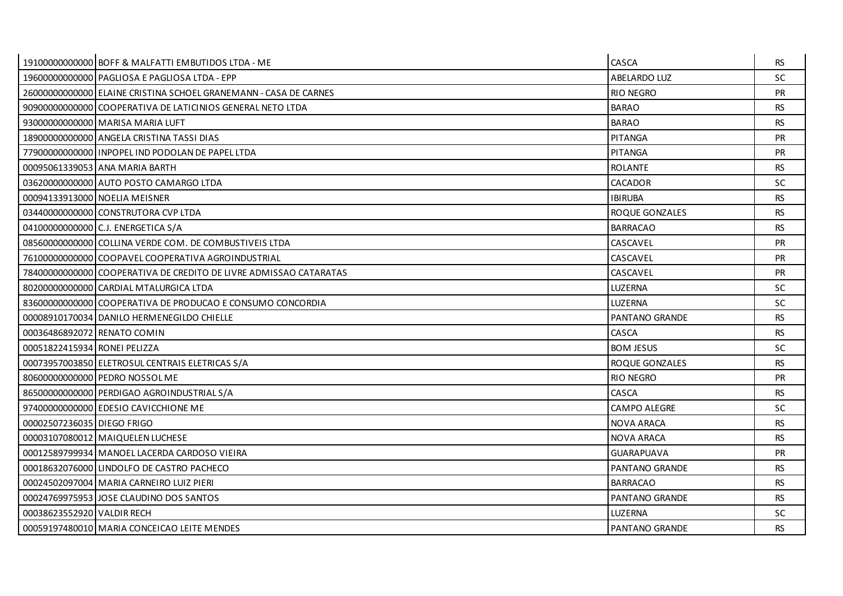|                              | 19100000000000 BOFF & MALFATTI EMBUTIDOS LTDA - ME                | CASCA               | <b>RS</b> |
|------------------------------|-------------------------------------------------------------------|---------------------|-----------|
|                              | 19600000000000 PAGLIOSA E PAGLIOSA LTDA - EPP                     | ABELARDO LUZ        | <b>SC</b> |
|                              | 26000000000000 ELAINE CRISTINA SCHOEL GRANEMANN - CASA DE CARNES  | <b>RIO NEGRO</b>    | <b>PR</b> |
|                              | 90900000000000 COOPERATIVA DE LATICINIOS GENERAL NETO LTDA        | <b>BARAO</b>        | <b>RS</b> |
|                              | 93000000000000 MARISA MARIA LUFT                                  | <b>BARAO</b>        | <b>RS</b> |
|                              | 18900000000000 ANGELA CRISTINA TASSI DIAS                         | <b>PITANGA</b>      | <b>PR</b> |
|                              | 77900000000000 I INPOPEL IND PODOLAN DE PAPEL LTDA                | <b>PITANGA</b>      | <b>PR</b> |
|                              | 00095061339053 ANA MARIA BARTH                                    | <b>ROLANTE</b>      | <b>RS</b> |
|                              | 03620000000000 AUTO POSTO CAMARGO LTDA                            | CACADOR             | SC.       |
|                              | 00094133913000 NOELIA MEISNER                                     | <b>IBIRUBA</b>      | <b>RS</b> |
|                              | 03440000000000 CONSTRUTORA CVP LTDA                               | ROQUE GONZALES      | <b>RS</b> |
|                              | 04100000000000 C.J. ENERGETICA S/A                                | <b>BARRACAO</b>     | <b>RS</b> |
|                              | 08560000000000 COLLINA VERDE COM. DE COMBUSTIVEIS LTDA            | CASCAVEL            | <b>PR</b> |
|                              | 76100000000000 COOPAVEL COOPERATIVA AGROINDUSTRIAL                | CASCAVEL            | PR        |
|                              | 78400000000000 COOPERATIVA DE CREDITO DE LIVRE ADMISSAO CATARATAS | CASCAVEL            | <b>PR</b> |
|                              | 802000000000000 CARDIAL MTALURGICA LTDA                           | <b>LUZERNA</b>      | <b>SC</b> |
|                              | 83600000000000 COOPERATIVA DE PRODUCAO E CONSUMO CONCORDIA        | LUZERNA             | <b>SC</b> |
|                              | 00008910170034 DANILO HERMENEGILDO CHIELLE                        | PANTANO GRANDE      | <b>RS</b> |
| 00036486892072 RENATO COMIN  |                                                                   | CASCA               | <b>RS</b> |
| 00051822415934 RONEI PELIZZA |                                                                   | <b>BOM JESUS</b>    | <b>SC</b> |
|                              | 00073957003850 ELETROSUL CENTRAIS ELETRICAS S/A                   | ROQUE GONZALES      | <b>RS</b> |
|                              | 80600000000000 PEDRO NOSSOL ME                                    | <b>RIO NEGRO</b>    | <b>PR</b> |
|                              | 86500000000000 PERDIGAO AGROINDUSTRIAL S/A                        | CASCA               | <b>RS</b> |
|                              | 97400000000000 EDESIO CAVICCHIONE ME                              | <b>CAMPO ALEGRE</b> | <b>SC</b> |
| 00002507236035 DIEGO FRIGO   |                                                                   | <b>NOVA ARACA</b>   | <b>RS</b> |
|                              | 00003107080012 MAIQUELEN LUCHESE                                  | NOVA ARACA          | <b>RS</b> |
|                              | 00012589799934 MANOEL LACERDA CARDOSO VIEIRA                      | <b>GUARAPUAVA</b>   | <b>PR</b> |
|                              | 00018632076000 LINDOLFO DE CASTRO PACHECO                         | PANTANO GRANDE      | <b>RS</b> |
|                              | 00024502097004 MARIA CARNEIRO LUIZ PIERI                          | <b>BARRACAO</b>     | <b>RS</b> |
|                              | 00024769975953 JOSE CLAUDINO DOS SANTOS                           | PANTANO GRANDE      | <b>RS</b> |
| 00038623552920 VALDIR RECH   |                                                                   | <b>LUZERNA</b>      | <b>SC</b> |
|                              | 00059197480010 MARIA CONCEICAO LEITE MENDES                       | PANTANO GRANDE      | <b>RS</b> |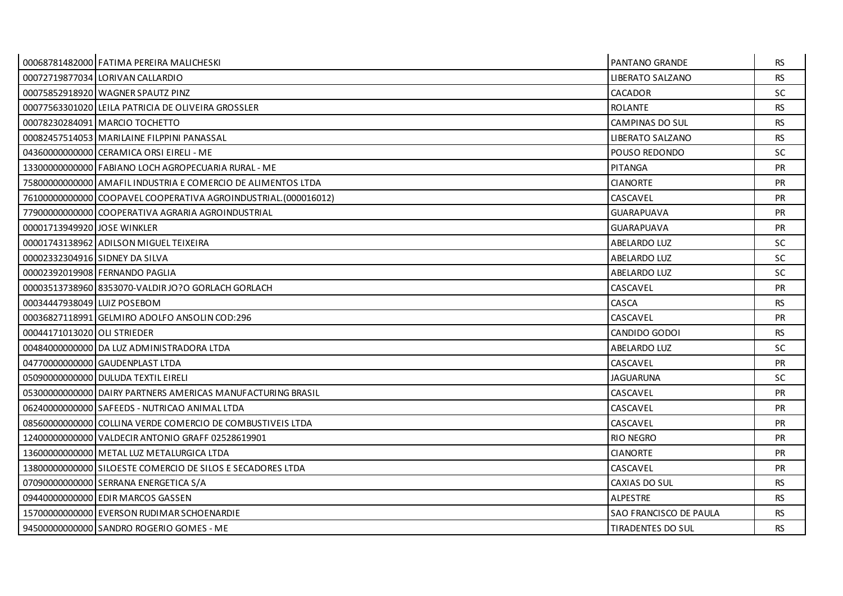|                             | 00068781482000 FATIMA PEREIRA MALICHESKI                        | <b>PANTANO GRANDE</b>    | <b>RS</b> |
|-----------------------------|-----------------------------------------------------------------|--------------------------|-----------|
|                             | 00072719877034 LORIVAN CALLARDIO                                | <b>LIBERATO SALZANO</b>  | <b>RS</b> |
|                             | 00075852918920 WAGNER SPAUTZ PINZ                               | <b>CACADOR</b>           | SC.       |
|                             | 00077563301020 LEILA PATRICIA DE OLIVEIRA GROSSLER              | <b>ROLANTE</b>           | <b>RS</b> |
|                             | 00078230284091 MARCIO TOCHETTO                                  | CAMPINAS DO SUL          | <b>RS</b> |
|                             | 00082457514053 MARILAINE FILPPINI PANASSAL                      | <b>LIBERATO SALZANO</b>  | <b>RS</b> |
|                             | 043600000000000 CERAMICA ORSI EIRELI - ME                       | POUSO REDONDO            | SC.       |
|                             | 13300000000000 FABIANO LOCH AGROPECUARIA RURAL - ME             | PITANGA                  | <b>PR</b> |
|                             | 75800000000000 AMAFIL INDUSTRIA E COMERCIO DE ALIMENTOS LTDA    | <b>CIANORTE</b>          | <b>PR</b> |
|                             | 76100000000000 COOPAVEL COOPERATIVA AGROINDUSTRIAL. (000016012) | CASCAVEL                 | <b>PR</b> |
|                             | 77900000000000 COOPERATIVA AGRARIA AGROINDUSTRIAL               | <b>GUARAPUAVA</b>        | PR        |
| 00001713949920 JOSE WINKLER |                                                                 | <b>GUARAPUAVA</b>        | <b>PR</b> |
|                             | 00001743138962 ADILSON MIGUEL TEIXEIRA                          | ABELARDO LUZ             | SC.       |
|                             | 00002332304916 SIDNEY DA SILVA                                  | <b>ABELARDO LUZ</b>      | <b>SC</b> |
|                             | 00002392019908 FERNANDO PAGLIA                                  | <b>ABELARDO LUZ</b>      | <b>SC</b> |
|                             | 0000351373896018353070-VALDIRJO?O GORLACH GORLACH               | CASCAVEL                 | <b>PR</b> |
| 00034447938049 LUIZ POSEBOM |                                                                 | CASCA                    | <b>RS</b> |
|                             | 00036827118991 GELMIRO ADOLFO ANSOLIN COD:296                   | CASCAVEL                 | <b>PR</b> |
| 00044171013020 OLI STRIEDER |                                                                 | CANDIDO GODOI            | RS.       |
|                             | 00484000000000 DA LUZ ADMINISTRADORA LTDA                       | <b>ABELARDO LUZ</b>      | <b>SC</b> |
|                             | 04770000000000 GAUDENPLAST LTDA                                 | CASCAVEL                 | <b>PR</b> |
|                             | 050900000000000 DULUDA TEXTIL EIRELI                            | <b>JAGUARUNA</b>         | SC.       |
|                             | 05300000000000 DAIRY PARTNERS AMERICAS MANUFACTURING BRASIL     | CASCAVEL                 | PR        |
|                             | 062400000000000 SAFEEDS - NUTRICAO ANIMAL LTDA                  | CASCAVEL                 | <b>PR</b> |
|                             | 08560000000000 COLLINA VERDE COMERCIO DE COMBUSTIVEIS LTDA      | CASCAVEL                 | <b>PR</b> |
|                             | 12400000000000 VALDECIR ANTONIO GRAFF 02528619901               | RIO NEGRO                | <b>PR</b> |
|                             | 13600000000000 METAL LUZ METALURGICA LTDA                       | <b>CIANORTE</b>          | <b>PR</b> |
|                             | 13800000000000 SILOESTE COMERCIO DE SILOS E SECADORES LTDA      | CASCAVEL                 | <b>PR</b> |
|                             | 07090000000000 SERRANA ENERGETICA S/A                           | CAXIAS DO SUL            | <b>RS</b> |
|                             | 09440000000000 EDIR MARCOS GASSEN                               | <b>ALPESTRE</b>          | <b>RS</b> |
|                             | 15700000000000 EVERSON RUDIMAR SCHOENARDIE                      | SAO FRANCISCO DE PAULA   | <b>RS</b> |
|                             | 94500000000000 SANDRO ROGERIO GOMES - ME                        | <b>TIRADENTES DO SUL</b> | <b>RS</b> |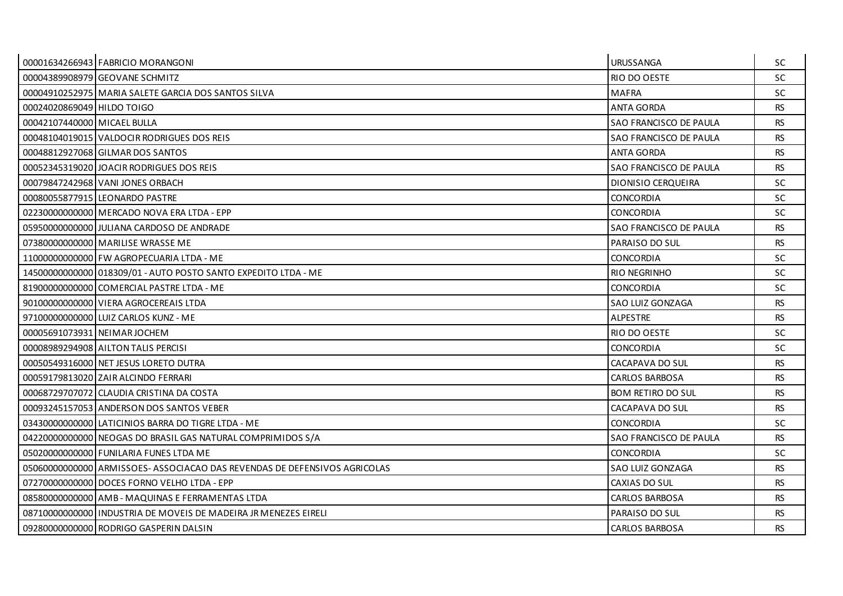|                             | 00001634266943 FABRICIO MORANGONI                                         | <b>URUSSANGA</b>         | SC.       |
|-----------------------------|---------------------------------------------------------------------------|--------------------------|-----------|
|                             | 00004389908979 GEOVANE SCHMITZ                                            | RIO DO OESTE             | <b>SC</b> |
|                             | 00004910252975 MARIA SALETE GARCIA DOS SANTOS SILVA                       | <b>MAFRA</b>             | <b>SC</b> |
| 00024020869049 HILDO TOIGO  |                                                                           | <b>ANTA GORDA</b>        | <b>RS</b> |
| 00042107440000 MICAEL BULLA |                                                                           | SAO FRANCISCO DE PAULA   | <b>RS</b> |
|                             | 00048104019015 VALDOCIR RODRIGUES DOS REIS                                | SAO FRANCISCO DE PAULA   | <b>RS</b> |
|                             | 00048812927068 GILMAR DOS SANTOS                                          | <b>ANTA GORDA</b>        | <b>RS</b> |
|                             | 00052345319020 JOACIR RODRIGUES DOS REIS                                  | SAO FRANCISCO DE PAULA   | <b>RS</b> |
|                             | 00079847242968 VANI JONES ORBACH                                          | DIONISIO CERQUEIRA       | <b>SC</b> |
|                             | 00080055877915 LEONARDO PASTRE                                            | <b>CONCORDIA</b>         | SC.       |
|                             | 02230000000000 MERCADO NOVA ERA LTDA - EPP                                | <b>CONCORDIA</b>         | <b>SC</b> |
|                             | 059500000000000 JULIANA CARDOSO DE ANDRADE                                | SAO FRANCISCO DE PAULA   | <b>RS</b> |
|                             | 07380000000000   MARILISE WRASSE ME                                       | PARAISO DO SUL           | <b>RS</b> |
|                             | 11000000000000 FW AGROPECUARIA LTDA - ME                                  | <b>CONCORDIA</b>         | <b>SC</b> |
|                             | 14500000000000 018309/01 - AUTO POSTO SANTO EXPEDITO LTDA - ME            | <b>RIO NEGRINHO</b>      | <b>SC</b> |
|                             | 81900000000000 COMERCIAL PASTRE LTDA - ME                                 | <b>CONCORDIA</b>         | <b>SC</b> |
|                             | 90100000000000 VIERA AGROCEREAIS LTDA                                     | SAO LUIZ GONZAGA         | <b>RS</b> |
|                             | 97100000000000 LUIZ CARLOS KUNZ - ME                                      | ALPESTRE                 | <b>RS</b> |
|                             | 00005691073931 NEIMAR JOCHEM                                              | RIO DO OESTE             | <b>SC</b> |
|                             | 00008989294908 AILTON TALIS PERCISI                                       | <b>CONCORDIA</b>         | <b>SC</b> |
|                             | 00050549316000 NET JESUS LORETO DUTRA                                     | CACAPAVA DO SUL          | <b>RS</b> |
|                             | 00059179813020 ZAIR ALCINDO FERRARI                                       | <b>CARLOS BARBOSA</b>    | <b>RS</b> |
|                             | 00068729707072 CLAUDIA CRISTINA DA COSTA                                  | <b>BOM RETIRO DO SUL</b> | <b>RS</b> |
|                             | 00093245157053 ANDERSON DOS SANTOS VEBER                                  | CACAPAVA DO SUL          | <b>RS</b> |
|                             | 03430000000000 LATICINIOS BARRA DO TIGRE LTDA - ME                        | <b>CONCORDIA</b>         | <b>SC</b> |
|                             | 04220000000000 NEOGAS DO BRASIL GAS NATURAL COMPRIMIDOS S/A               | SAO FRANCISCO DE PAULA   | <b>RS</b> |
|                             | 050200000000000 FUNILARIA FUNES LTDA ME                                   | <b>CONCORDIA</b>         | <b>SC</b> |
|                             | 050600000000000 ARMISSOES-ASSOCIACAO DAS REVENDAS DE DEFENSIVOS AGRICOLAS | SAO LUIZ GONZAGA         | <b>RS</b> |
|                             | 07270000000000 DOCES FORNO VELHO LTDA - EPP                               | CAXIAS DO SUL            | <b>RS</b> |
|                             | 08580000000000 AMB - MAQUINAS E FERRAMENTAS LTDA                          | <b>CARLOS BARBOSA</b>    | <b>RS</b> |
|                             | 0871000000000011NDUSTRIA DE MOVEIS DE MADEIRA JR MENEZES EIRELI           | PARAISO DO SUL           | <b>RS</b> |
|                             | 09280000000000 RODRIGO GASPERIN DALSIN                                    | <b>CARLOS BARBOSA</b>    | <b>RS</b> |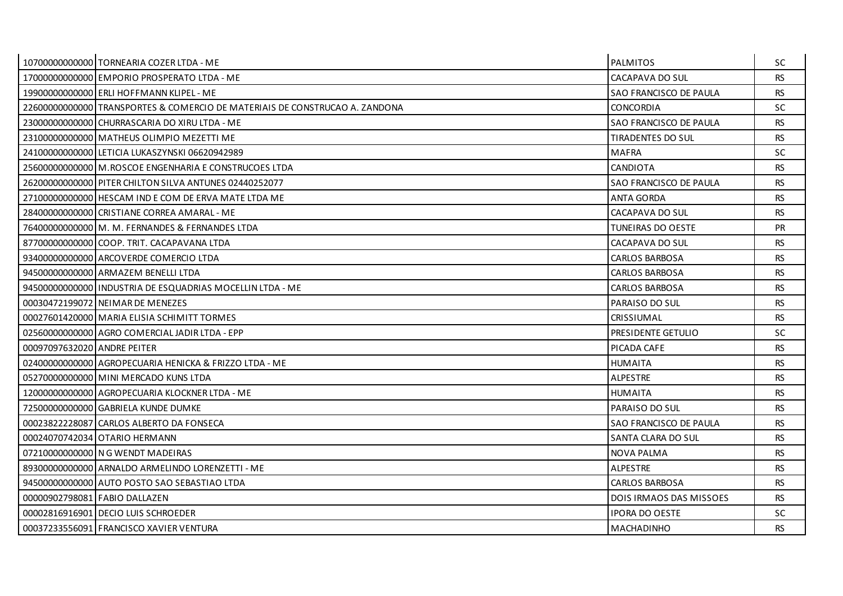|                             | 10700000000000 TORNEARIA COZER LTDA - ME                                    | <b>PALMITOS</b>                | SC        |
|-----------------------------|-----------------------------------------------------------------------------|--------------------------------|-----------|
|                             | 17000000000000 EMPORIO PROSPERATO LTDA - ME                                 | CACAPAVA DO SUL                | <b>RS</b> |
|                             | 19900000000000 ERLI HOFFMANN KLIPEL - ME                                    | SAO FRANCISCO DE PAULA         | <b>RS</b> |
|                             | 22600000000000 TRANSPORTES & COMERCIO DE MATERIAIS DE CONSTRUCAO A. ZANDONA | <b>CONCORDIA</b>               | SC.       |
|                             | 230000000000000 CHURRASCARIA DO XIRU LTDA - ME                              | SAO FRANCISCO DE PAULA         | <b>RS</b> |
|                             | 23100000000000 MATHEUS OLIMPIO MEZETTI ME                                   | TIRADENTES DO SUL              | <b>RS</b> |
|                             | 24100000000000 LETICIA LUKASZYNSKI 06620942989                              | <b>MAFRA</b>                   | <b>SC</b> |
|                             | 25600000000000 M.ROSCOE ENGENHARIA E CONSTRUCOES LTDA                       | <b>CANDIOTA</b>                | <b>RS</b> |
|                             | 26200000000000 PITER CHILTON SILVA ANTUNES 02440252077                      | SAO FRANCISCO DE PAULA         | <b>RS</b> |
|                             | 27100000000000 HESCAM IND E COM DE ERVA MATE LTDA ME                        | ANTA GORDA                     | RS.       |
|                             | 28400000000000 CRISTIANE CORREA AMARAL - ME                                 | CACAPAVA DO SUL                | <b>RS</b> |
|                             | 76400000000000 M. M. FERNANDES & FERNANDES LTDA                             | TUNEIRAS DO OESTE              | <b>PR</b> |
|                             | 877000000000000 COOP. TRIT. CACAPAVANA LTDA                                 | CACAPAVA DO SUL                | RS.       |
|                             | 93400000000000 ARCOVERDE COMERCIO LTDA                                      | CARLOS BARBOSA                 | <b>RS</b> |
|                             | 94500000000000 ARMAZEM BENELLI LTDA                                         | <b>CARLOS BARBOSA</b>          | <b>RS</b> |
|                             | 94500000000000 INDUSTRIA DE ESQUADRIAS MOCELLIN LTDA - ME                   | <b>CARLOS BARBOSA</b>          | <b>RS</b> |
|                             | 00030472199072 NEIMAR DE MENEZES                                            | PARAISO DO SUL                 | <b>RS</b> |
|                             | 00027601420000 MARIA ELISIA SCHIMITT TORMES                                 | <b>CRISSIUMAL</b>              | <b>RS</b> |
|                             | 02560000000000 AGRO COMERCIAL JADIR LTDA - EPP                              | PRESIDENTE GETULIO             | <b>SC</b> |
| 00097097632020 ANDRE PEITER |                                                                             | PICADA CAFE                    | <b>RS</b> |
|                             | 02400000000000 AGROPECUARIA HENICKA & FRIZZO LTDA - ME                      | <b>HUMAITA</b>                 | <b>RS</b> |
|                             | 05270000000000 MINI MERCADO KUNS LTDA                                       | <b>ALPESTRE</b>                | <b>RS</b> |
|                             | 12000000000000 AGROPECUARIA KLOCKNER LTDA - ME                              | <b>HUMAITA</b>                 | <b>RS</b> |
|                             | 72500000000000 GABRIELA KUNDE DUMKE                                         | PARAISO DO SUL                 | <b>RS</b> |
|                             | 00023822228087 CARLOS ALBERTO DA FONSECA                                    | SAO FRANCISCO DE PAULA         | <b>RS</b> |
|                             | 00024070742034 OTARIO HERMANN                                               | SANTA CLARA DO SUL             | <b>RS</b> |
|                             | 07210000000000 N G WENDT MADEIRAS                                           | NOVA PALMA                     | RS.       |
|                             | 89300000000000 ARNALDO ARMELINDO LORENZETTI - ME                            | <b>ALPESTRE</b>                | <b>RS</b> |
|                             | 94500000000000 AUTO POSTO SAO SEBASTIAO LTDA                                | <b>CARLOS BARBOSA</b>          | <b>RS</b> |
|                             | 00000902798081 FABIO DALLAZEN                                               | <b>DOIS IRMAOS DAS MISSOES</b> | <b>RS</b> |
|                             | 00002816916901 DECIO LUIS SCHROEDER                                         | <b>IPORA DO OESTE</b>          | SC.       |
|                             | 00037233556091 FRANCISCO XAVIER VENTURA                                     | MACHADINHO                     | <b>RS</b> |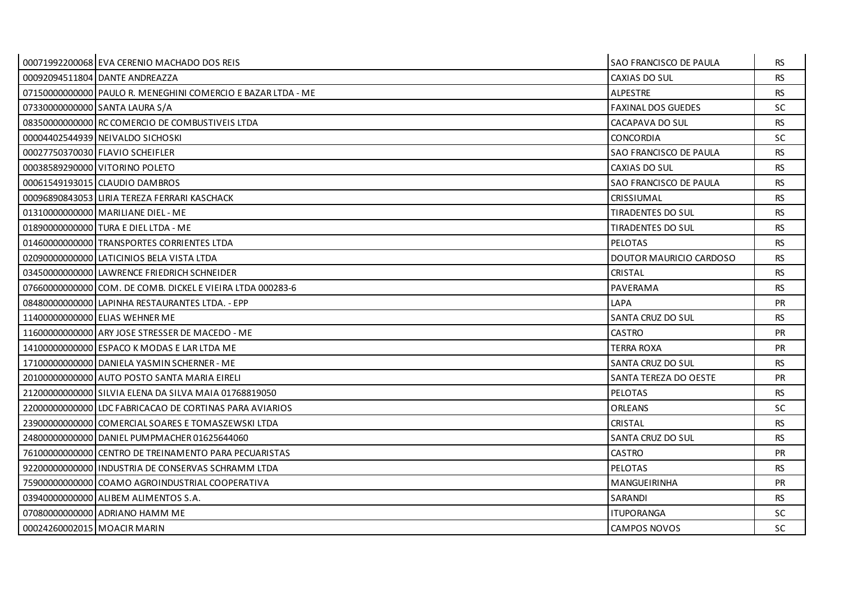|                             | 00071992200068 EVA CERENIO MACHADO DOS REIS                  | <b>SAO FRANCISCO DE PAULA</b> | RS.       |
|-----------------------------|--------------------------------------------------------------|-------------------------------|-----------|
|                             | 00092094511804 DANTE ANDREAZZA                               | CAXIAS DO SUL                 | <b>RS</b> |
|                             | 07150000000000 PAULO R. MENEGHINI COMERCIO E BAZAR LTDA - ME | <b>ALPESTRE</b>               | <b>RS</b> |
|                             | 07330000000000 SANTA LAURA S/A                               | <b>FAXINAL DOS GUEDES</b>     | SC.       |
|                             | 08350000000000 RC COMERCIO DE COMBUSTIVEIS LTDA              | CACAPAVA DO SUL               | <b>RS</b> |
|                             | 00004402544939 NEIVALDO SICHOSKI                             | <b>CONCORDIA</b>              | SC.       |
|                             | 00027750370030 FLAVIO SCHEIFLER                              | SAO FRANCISCO DE PAULA        | RS.       |
|                             | 00038589290000 VITORINO POLETO                               | CAXIAS DO SUL                 | <b>RS</b> |
|                             | 00061549193015 CLAUDIO DAMBROS                               | SAO FRANCISCO DE PAULA        | <b>RS</b> |
|                             | 00096890843053 LIRIA TEREZA FERRARI KASCHACK                 | <b>CRISSIUMAL</b>             | <b>RS</b> |
|                             | 01310000000000 MARILIANE DIEL - ME                           | <b>TIRADENTES DO SUL</b>      | <b>RS</b> |
|                             | 01890000000000 TURA E DIEL LTDA - ME                         | <b>TIRADENTES DO SUL</b>      | <b>RS</b> |
|                             | 01460000000000 TRANSPORTES CORRIENTES LTDA                   | <b>PELOTAS</b>                | RS.       |
|                             | 02090000000000 LATICINIOS BELA VISTA LTDA                    | DOUTOR MAURICIO CARDOSO       | <b>RS</b> |
|                             | 03450000000000 LAWRENCE FRIEDRICH SCHNEIDER                  | <b>CRISTAL</b>                | <b>RS</b> |
|                             | 07660000000000 COM, DE COMB, DICKEL E VIEIRA LTDA 000283-6   | PAVERAMA                      | RS.       |
|                             | 084800000000000 LAPINHA RESTAURANTES LTDA. - EPP             | LAPA                          | <b>PR</b> |
|                             | 11400000000000 ELIAS WEHNER ME                               | SANTA CRUZ DO SUL             | <b>RS</b> |
|                             | 11600000000000 ARY JOSE STRESSER DE MACEDO - ME              | <b>CASTRO</b>                 | <b>PR</b> |
|                             | 14100000000000 ESPACO K MODAS E LAR LTDA ME                  | <b>TERRA ROXA</b>             | <b>PR</b> |
|                             | 17100000000000 DANIELA YASMIN SCHERNER - ME                  | SANTA CRUZ DO SUL             | <b>RS</b> |
|                             | 20100000000000 AUTO POSTO SANTA MARIA EIRELI                 | SANTA TEREZA DO OESTE         | <b>PR</b> |
|                             | 21200000000000 SILVIA ELENA DA SILVA MAIA 01768819050        | PELOTAS                       | <b>RS</b> |
|                             | 22000000000000 LDC FABRICACAO DE CORTINAS PARA AVIARIOS      | <b>ORLEANS</b>                | <b>SC</b> |
|                             | 23900000000000 COMERCIAL SOARES E TOMASZEWSKI LTDA           | <b>CRISTAL</b>                | <b>RS</b> |
|                             | 24800000000000 DANIEL PUMPMACHER 01625644060                 | SANTA CRUZ DO SUL             | <b>RS</b> |
|                             | 76100000000000 CENTRO DE TREINAMENTO PARA PECUARISTAS        | CASTRO                        | <b>PR</b> |
|                             | 922000000000000 I INDUSTRIA DE CONSERVAS SCHRAMM LTDA        | <b>PELOTAS</b>                | RS.       |
|                             | 75900000000000 COAMO AGROINDUSTRIAL COOPERATIVA              | MANGUEIRINHA                  | <b>PR</b> |
|                             | 039400000000000 ALIBEM ALIMENTOS S.A.                        | <b>SARANDI</b>                | <b>RS</b> |
|                             | 07080000000000 ADRIANO HAMM ME                               | <b>ITUPORANGA</b>             | SC.       |
| 00024260002015 MOACIR MARIN |                                                              | CAMPOS NOVOS                  | SC        |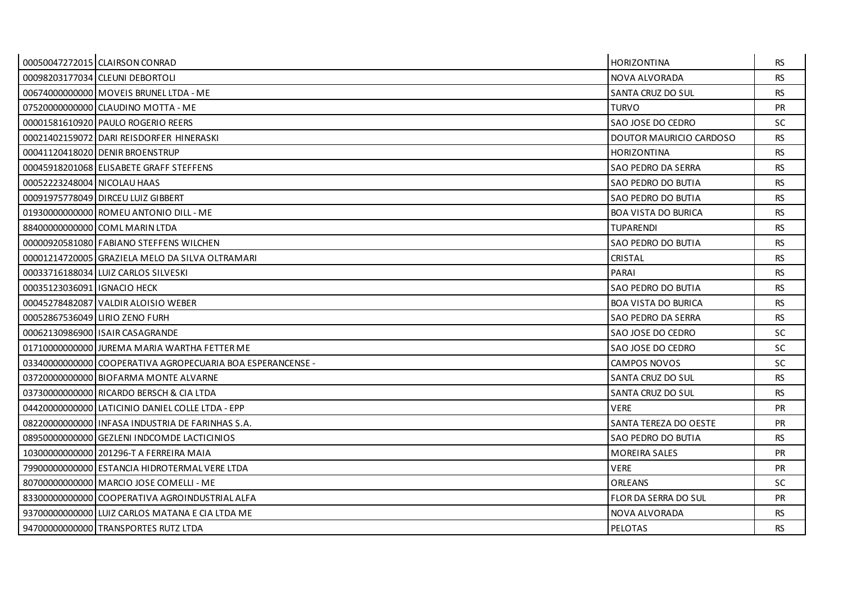|                               | 00050047272015 CLAIRSON CONRAD                             | <b>HORIZONTINA</b>         | <b>RS</b> |
|-------------------------------|------------------------------------------------------------|----------------------------|-----------|
|                               | 00098203177034 CLEUNI DEBORTOLI                            | NOVA ALVORADA              | <b>RS</b> |
|                               | 00674000000000   MOVEIS BRUNEL LTDA - ME                   | SANTA CRUZ DO SUL          | <b>RS</b> |
|                               | 07520000000000 CLAUDINO MOTTA - ME                         | <b>TURVO</b>               | <b>PR</b> |
|                               | 00001581610920 PAULO ROGERIO REERS                         | SAO JOSE DO CEDRO          | <b>SC</b> |
|                               | 00021402159072 DARI REISDORFER HINERASKI                   | DOUTOR MAURICIO CARDOSO    | <b>RS</b> |
|                               | 00041120418020 DENIR BROENSTRUP                            | <b>HORIZONTINA</b>         | <b>RS</b> |
|                               | 00045918201068 ELISABETE GRAFF STEFFENS                    | SAO PEDRO DA SERRA         | <b>RS</b> |
| 00052223248004 NICOLAU HAAS   |                                                            | SAO PEDRO DO BUTIA         | <b>RS</b> |
|                               | 00091975778049 DIRCEU LUIZ GIBBERT                         | SAO PEDRO DO BUTIA         | <b>RS</b> |
|                               | 01930000000000 ROMEU ANTONIO DILL - ME                     | <b>BOA VISTA DO BURICA</b> | <b>RS</b> |
|                               | 884000000000000 COML MARIN LTDA                            | <b>TUPARENDI</b>           | <b>RS</b> |
|                               | 00000920581080 FABIANO STEFFENS WILCHEN                    | SAO PEDRO DO BUTIA         | <b>RS</b> |
|                               | 00001214720005 GRAZIELA MELO DA SILVA OLTRAMARI            | CRISTAL                    | <b>RS</b> |
|                               | 00033716188034 LUIZ CARLOS SILVESKI                        | PARAI                      | <b>RS</b> |
| 00035123036091 I IGNACIO HECK |                                                            | SAO PEDRO DO BUTIA         | <b>RS</b> |
|                               | 00045278482087 VALDIR ALOISIO WEBER                        | <b>BOA VISTA DO BURICA</b> | <b>RS</b> |
|                               | 00052867536049 LIRIO ZENO FURH                             | SAO PEDRO DA SERRA         | <b>RS</b> |
|                               | 00062130986900 ISAIR CASAGRANDE                            | SAO JOSE DO CEDRO          | SC.       |
|                               | 01710000000000 JUREMA MARIA WARTHA FETTER ME               | SAO JOSE DO CEDRO          | SC.       |
|                               | 03340000000000 COOPERATIVA AGROPECUARIA BOA ESPERANCENSE - | <b>CAMPOS NOVOS</b>        | <b>SC</b> |
|                               | 03720000000000 BIOFARMA MONTE ALVARNE                      | SANTA CRUZ DO SUL          | <b>RS</b> |
|                               | 03730000000000 RICARDO BERSCH & CIA LTDA                   | <b>SANTA CRUZ DO SUL</b>   | <b>RS</b> |
|                               | 04420000000000 LATICINIO DANIEL COLLE LTDA - EPP           | VERE                       | <b>PR</b> |
|                               | 08220000000000 INFASA INDUSTRIA DE FARINHAS S.A.           | SANTA TEREZA DO OESTE      | <b>PR</b> |
|                               | 08950000000000 GEZLENI INDCOMDE LACTICINIOS                | SAO PEDRO DO BUTIA         | <b>RS</b> |
|                               | 10300000000000 201296-T A FERREIRA MAIA                    | <b>MOREIRA SALES</b>       | <b>PR</b> |
|                               | 799000000000000 ESTANCIA HIDROTERMAL VERE LTDA             | <b>VERE</b>                | <b>PR</b> |
|                               | 80700000000000 MARCIO JOSE COMELLI - ME                    | <b>ORLEANS</b>             | SC.       |
|                               | 83300000000000 COOPERATIVA AGROINDUSTRIAL ALFA             | FLOR DA SERRA DO SUL       | <b>PR</b> |
|                               | 93700000000000 LUIZ CARLOS MATANA E CIA LTDA ME            | NOVA ALVORADA              | <b>RS</b> |
|                               | 94700000000000 TRANSPORTES RUTZ LTDA                       | PELOTAS                    | <b>RS</b> |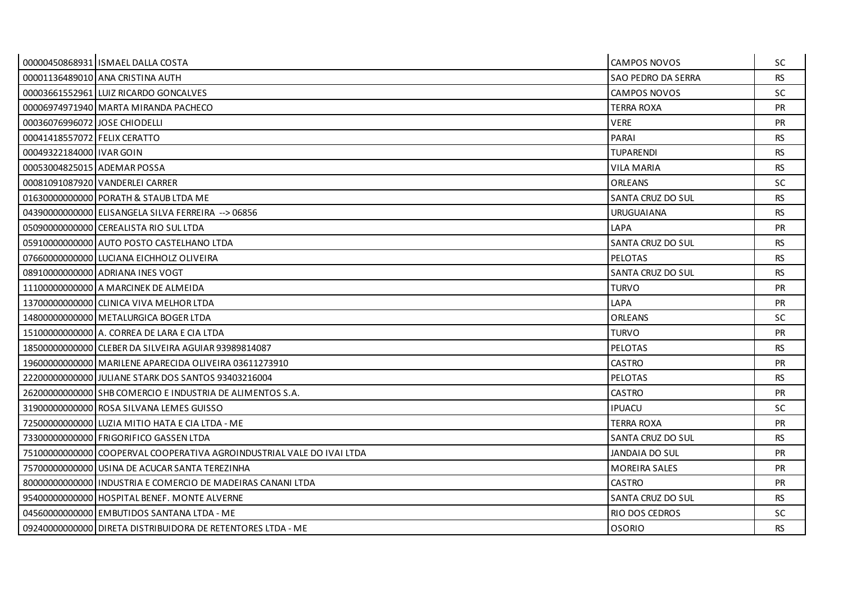|                               | 00000450868931 ISMAEL DALLA COSTA                                     | <b>CAMPOS NOVOS</b>       | SC        |
|-------------------------------|-----------------------------------------------------------------------|---------------------------|-----------|
|                               | 00001136489010 ANA CRISTINA AUTH                                      | <b>SAO PEDRO DA SERRA</b> | <b>RS</b> |
|                               | 00003661552961 LUIZ RICARDO GONCALVES                                 | <b>CAMPOS NOVOS</b>       | SC.       |
|                               | 00006974971940   MARTA MIRANDA PACHECO                                | TERRA ROXA                | <b>PR</b> |
| 00036076996072 JOSE CHIODELLI |                                                                       | <b>VERE</b>               | <b>PR</b> |
| 00041418557072 FELIX CERATTO  |                                                                       | PARAI                     | <b>RS</b> |
| 00049322184000 IVAR GOIN      |                                                                       | <b>TUPARENDI</b>          | RS.       |
| 00053004825015 ADEMAR POSSA   |                                                                       | <b>VILA MARIA</b>         | <b>RS</b> |
|                               | 00081091087920 VANDERLEI CARRER                                       | <b>ORLEANS</b>            | SC.       |
|                               | 016300000000000 PORATH & STAUB LTDA ME                                | SANTA CRUZ DO SUL         | <b>RS</b> |
|                               | 043900000000000 ELISANGELA SILVA FERREIRA --> 06856                   | <b>URUGUAIANA</b>         | <b>RS</b> |
|                               | 050900000000000 CEREALISTA RIO SUL LTDA                               | LAPA                      | <b>PR</b> |
|                               | 05910000000000 AUTO POSTO CASTELHANO LTDA                             | SANTA CRUZ DO SUL         | <b>RS</b> |
|                               | 076600000000000 LUCIANA EICHHOLZ OLIVEIRA                             | PELOTAS                   | <b>RS</b> |
|                               | 08910000000000 ADRIANA INES VOGT                                      | SANTA CRUZ DO SUL         | <b>RS</b> |
|                               | 11100000000000 A MARCINEK DE ALMEIDA                                  | <b>TURVO</b>              | <b>PR</b> |
|                               |                                                                       |                           |           |
|                               | 13700000000000 CLINICA VIVA MELHOR LTDA                               | LAPA                      | <b>PR</b> |
|                               | 148000000000000 METALURGICA BOGER LTDA                                | ORLEANS                   | SC.       |
|                               | 15100000000000 A. CORREA DE LARA E CIA LTDA                           | <b>TURVO</b>              | <b>PR</b> |
|                               | 18500000000000 CLEBER DA SILVEIRA AGUIAR 93989814087                  | <b>PELOTAS</b>            | <b>RS</b> |
|                               | 19600000000000 MARILENE APARECIDA OLIVEIRA 03611273910                | <b>CASTRO</b>             | <b>PR</b> |
|                               | 22200000000000 JULIANE STARK DOS SANTOS 93403216004                   | <b>PELOTAS</b>            | <b>RS</b> |
|                               | 26200000000000 SHB COMERCIO E INDUSTRIA DE ALIMENTOS S.A.             | <b>CASTRO</b>             | <b>PR</b> |
|                               | 31900000000000 ROSA SILVANA LEMES GUISSO                              | <b>IPUACU</b>             | <b>SC</b> |
|                               | 72500000000000 LUZIA MITIO HATA E CIA LTDA - ME                       | <b>TERRA ROXA</b>         | <b>PR</b> |
|                               | 73300000000000 FRIGORIFICO GASSEN LTDA                                | SANTA CRUZ DO SUL         | <b>RS</b> |
|                               | 75100000000000 COOPERVAL COOPERATIVA AGROINDUSTRIAL VALE DO IVAI LTDA | <b>JANDAIA DO SUL</b>     | <b>PR</b> |
|                               | 75700000000000 USINA DE ACUCAR SANTA TEREZINHA                        | <b>MOREIRA SALES</b>      | <b>PR</b> |
|                               |                                                                       | <b>CASTRO</b>             | <b>PR</b> |
|                               | 95400000000000 HOSPITAL BENEF, MONTE ALVERNE                          | SANTA CRUZ DO SUL         | <b>RS</b> |
|                               | 04560000000000 EMBUTIDOS SANTANA LTDA - ME                            | RIO DOS CEDROS            | SC.       |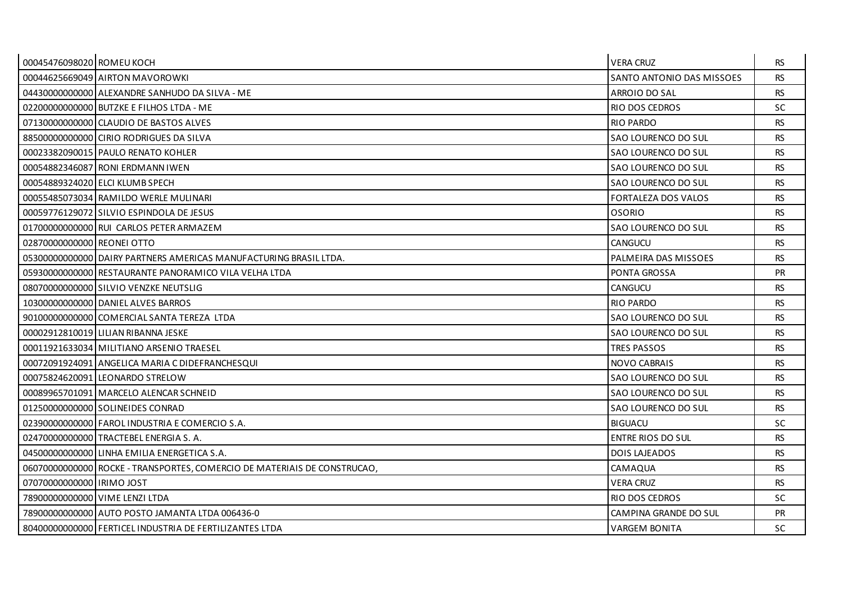| 00045476098020 ROMEU KOCH  |                                                                          | <b>VERA CRUZ</b>           | <b>RS</b> |
|----------------------------|--------------------------------------------------------------------------|----------------------------|-----------|
|                            | 00044625669049 AIRTON MAVOROWKI                                          | SANTO ANTONIO DAS MISSOES  | <b>RS</b> |
|                            | 04430000000000 ALEXANDRE SANHUDO DA SILVA - ME                           | ARROIO DO SAL              | <b>RS</b> |
|                            | 02200000000000 BUTZKE E FILHOS LTDA - ME                                 | <b>RIO DOS CEDROS</b>      | <b>SC</b> |
|                            | 07130000000000 CLAUDIO DE BASTOS ALVES                                   | <b>RIO PARDO</b>           | <b>RS</b> |
|                            | 88500000000000 CIRIO RODRIGUES DA SILVA                                  | SAO LOURENCO DO SUL        | <b>RS</b> |
|                            | 00023382090015 PAULO RENATO KOHLER                                       | SAO LOURENCO DO SUL        | RS.       |
|                            | 00054882346087 RONI ERDMANN IWEN                                         | SAO LOURENCO DO SUL        | <b>RS</b> |
|                            | 00054889324020 ELCI KLUMB SPECH                                          | SAO LOURENCO DO SUL        | <b>RS</b> |
|                            | 00055485073034 RAMILDO WERLE MULINARI                                    | <b>FORTALEZA DOS VALOS</b> | <b>RS</b> |
|                            | 00059776129072 SILVIO ESPINDOLA DE JESUS                                 | <b>OSORIO</b>              | <b>RS</b> |
|                            | 017000000000000 RUI CARLOS PETER ARMAZEM                                 | SAO LOURENCO DO SUL        | <b>RS</b> |
| 02870000000000 REONEI OTTO |                                                                          | <b>CANGUCU</b>             | <b>RS</b> |
|                            | 05300000000000 DAIRY PARTNERS AMERICAS MANUFACTURING BRASIL LTDA.        | PALMEIRA DAS MISSOES       | <b>RS</b> |
|                            | 05930000000000 RESTAURANTE PANORAMICO VILA VELHA LTDA                    | PONTA GROSSA               | <b>PR</b> |
|                            | 08070000000000 SILVIO VENZKE NEUTSLIG                                    | <b>CANGUCU</b>             | <b>RS</b> |
|                            | 10300000000000 DANIEL ALVES BARROS                                       | <b>RIO PARDO</b>           | <b>RS</b> |
|                            | 901000000000000 COMERCIAL SANTA TEREZA LTDA                              | SAO LOURENCO DO SUL        | <b>RS</b> |
|                            | 00002912810019 LILIAN RIBANNA JESKE                                      | SAO LOURENCO DO SUL        | <b>RS</b> |
|                            | 00011921633034 MILITIANO ARSENIO TRAESEL                                 | <b>TRES PASSOS</b>         | <b>RS</b> |
|                            | 00072091924091   ANGELICA MARIA C DIDEFRANCHESQUI                        | NOVO CABRAIS               | <b>RS</b> |
|                            | 00075824620091 LEONARDO STRELOW                                          | <b>SAO LOURENCO DO SUL</b> | <b>RS</b> |
|                            | 00089965701091 MARCELO ALENCAR SCHNEID                                   | <b>SAO LOURENCO DO SUL</b> | <b>RS</b> |
|                            | 01250000000000 SOLINEIDES CONRAD                                         | SAO LOURENCO DO SUL        | <b>RS</b> |
|                            | 02390000000000 FAROL INDUSTRIA E COMERCIO S.A.                           | <b>BIGUACU</b>             | SC.       |
|                            | 02470000000000 TRACTEBEL ENERGIA S. A.                                   | <b>ENTRE RIOS DO SUL</b>   | <b>RS</b> |
|                            | 04500000000000 LINHA EMILIA ENERGETICA S.A.                              | <b>DOIS LAJEADOS</b>       | <b>RS</b> |
|                            | 06070000000000 ROCKE - TRANSPORTES, COMERCIO DE MATERIAIS DE CONSTRUCAO, | CAMAQUA                    | <b>RS</b> |
| 07070000000000 IRIMO JOST  |                                                                          | <b>VERA CRUZ</b>           | <b>RS</b> |
|                            | 78900000000000 VIME LENZI LTDA                                           | RIO DOS CEDROS             | <b>SC</b> |
|                            | 78900000000000 AUTO POSTO JAMANTA LTDA 006436-0                          | CAMPINA GRANDE DO SUL      | <b>PR</b> |
|                            | 80400000000000 FERTICEL INDUSTRIA DE FERTILIZANTES LTDA                  | <b>VARGEM BONITA</b>       | <b>SC</b> |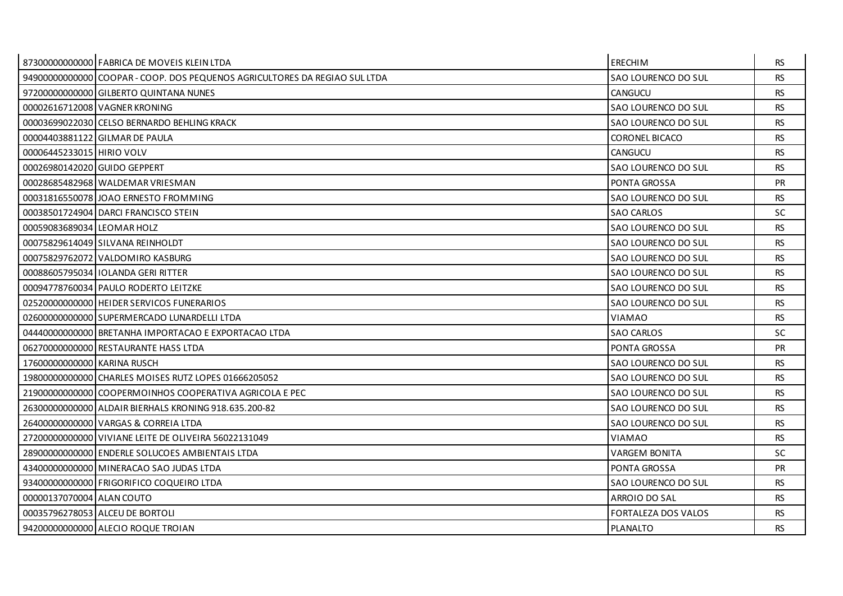|                              | 87300000000000 FABRICA DE MOVEIS KLEIN LTDA                                | <b>ERECHIM</b>        | RS.       |
|------------------------------|----------------------------------------------------------------------------|-----------------------|-----------|
|                              | 94900000000000 COOPAR - COOP. DOS PEQUENOS AGRICULTORES DA REGIAO SUL LTDA | SAO LOURENCO DO SUL   | <b>RS</b> |
|                              | 97200000000000 GILBERTO QUINTANA NUNES                                     | <b>CANGUCU</b>        | <b>RS</b> |
|                              | 00002616712008 VAGNER KRONING                                              | SAO LOURENCO DO SUL   | <b>RS</b> |
|                              | 00003699022030 CELSO BERNARDO BEHLING KRACK                                | SAO LOURENCO DO SUL   | <b>RS</b> |
|                              | 00004403881122 GILMAR DE PAULA                                             | <b>CORONEL BICACO</b> | <b>RS</b> |
| 00006445233015 HIRIO VOLV    |                                                                            | <b>CANGUCU</b>        | <b>RS</b> |
| 00026980142020 GUIDO GEPPERT |                                                                            | SAO LOURENCO DO SUL   | <b>RS</b> |
|                              | 000286854829681WALDEMAR VRIESMAN                                           | PONTA GROSSA          | <b>PR</b> |
|                              | 00031816550078 JOAO ERNESTO FROMMING                                       | SAO LOURENCO DO SUL   | <b>RS</b> |
|                              | 00038501724904 DARCI FRANCISCO STEIN                                       | <b>SAO CARLOS</b>     | <b>SC</b> |
| 00059083689034 LEOMAR HOLZ   |                                                                            | SAO LOURENCO DO SUL   | <b>RS</b> |
|                              | 00075829614049 SILVANA REINHOLDT                                           | SAO LOURENCO DO SUL   | <b>RS</b> |
|                              | 00075829762072 VALDOMIRO KASBURG                                           | SAO LOURENCO DO SUL   | <b>RS</b> |
|                              | 00088605795034 I IOLANDA GERI RITTER                                       | SAO LOURENCO DO SUL   | <b>RS</b> |
|                              | 00094778760034 PAULO RODERTO LEITZKE                                       | SAO LOURENCO DO SUL   | <b>RS</b> |
|                              | 02520000000000 HEIDER SERVICOS FUNERARIOS                                  | SAO LOURENCO DO SUL   | <b>RS</b> |
|                              | 02600000000000 SUPERMERCADO LUNARDELLI LTDA                                | <b>VIAMAO</b>         | <b>RS</b> |
|                              | 04440000000000 BRETANHA IMPORTACAO E EXPORTACAO LTDA                       | <b>SAO CARLOS</b>     | <b>SC</b> |
|                              | 06270000000000 RESTAURANTE HASS LTDA                                       | PONTA GROSSA          | <b>PR</b> |
| 17600000000000 KARINA RUSCH  |                                                                            | SAO LOURENCO DO SUL   | <b>RS</b> |
|                              | 19800000000000 CHARLES MOISES RUTZ LOPES 01666205052                       | SAO LOURENCO DO SUL   | <b>RS</b> |
|                              | 21900000000000 COOPERMOINHOS COOPERATIVA AGRICOLA E PEC                    | SAO LOURENCO DO SUL   | <b>RS</b> |
|                              | 26300000000000 ALDAIR BIERHALS KRONING 918.635.200-82                      | SAO LOURENCO DO SUL   | <b>RS</b> |
|                              | 264000000000000 VARGAS & CORREIA LTDA                                      | SAO LOURENCO DO SUL   | <b>RS</b> |
|                              | 27200000000000 VIVIANE LEITE DE OLIVEIRA 56022131049                       | <b>VIAMAO</b>         | <b>RS</b> |
|                              | 28900000000000 ENDERLE SOLUCOES AMBIENTAIS LTDA                            | <b>VARGEM BONITA</b>  | <b>SC</b> |
|                              | 43400000000000 MINERACAO SAO JUDAS LTDA                                    | PONTA GROSSA          | <b>PR</b> |
|                              | 93400000000000 FRIGORIFICO COQUEIRO LTDA                                   | SAO LOURENCO DO SUL   | <b>RS</b> |
| 00000137070004 ALAN COUTO    |                                                                            | ARROIO DO SAL         | <b>RS</b> |
|                              | 00035796278053 ALCEU DE BORTOLI                                            | FORTALEZA DOS VALOS   | <b>RS</b> |
|                              | 94200000000000 ALECIO ROQUE TROIAN                                         | <b>PLANALTO</b>       | <b>RS</b> |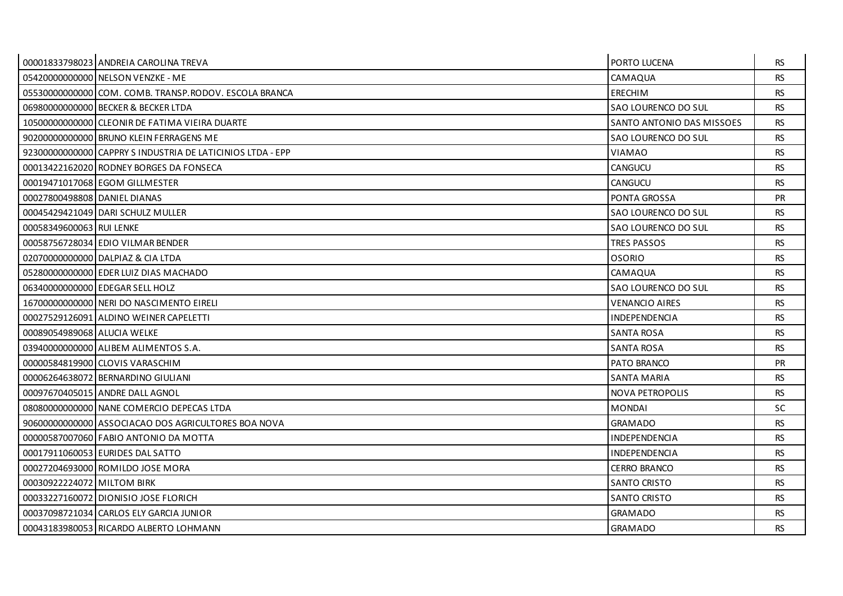|                              | 00001833798023 ANDREIA CAROLINA TREVA                     | PORTO LUCENA              | RS.       |
|------------------------------|-----------------------------------------------------------|---------------------------|-----------|
|                              | 05420000000000 NELSON VENZKE - ME                         | CAMAQUA                   | <b>RS</b> |
|                              | 05530000000000 COM. COMB. TRANSP. RODOV. ESCOLA BRANCA    | <b>ERECHIM</b>            | <b>RS</b> |
|                              | 069800000000000 BECKER & BECKER LTDA                      | SAO LOURENCO DO SUL       | <b>RS</b> |
|                              | 10500000000000 CLEONIR DE FATIMA VIEIRA DUARTE            | SANTO ANTONIO DAS MISSOES | <b>RS</b> |
|                              | 902000000000000 BRUNO KLEIN FERRAGENS ME                  | SAO LOURENCO DO SUL       | <b>RS</b> |
|                              | 92300000000000 CAPPRY SINDUSTRIA DE LATICINIOS LTDA - EPP | VIAMAO                    | RS.       |
|                              | 00013422162020 RODNEY BORGES DA FONSECA                   | CANGUCU                   | <b>RS</b> |
|                              | 00019471017068 EGOM GILLMESTER                            | <b>CANGUCU</b>            | <b>RS</b> |
| 00027800498808 DANIEL DIANAS |                                                           | PONTA GROSSA              | <b>PR</b> |
|                              | 00045429421049 DARI SCHULZ MULLER                         | SAO LOURENCO DO SUL       | <b>RS</b> |
| 00058349600063 RUI LENKE     |                                                           | SAO LOURENCO DO SUL       | <b>RS</b> |
|                              | 00058756728034 EDIO VILMAR BENDER                         | <b>TRES PASSOS</b>        | <b>RS</b> |
|                              | 02070000000000 DALPIAZ & CIA LTDA                         | <b>OSORIO</b>             | <b>RS</b> |
|                              | 05280000000000 EDER LUIZ DIAS MACHADO                     | CAMAQUA                   | RS.       |
|                              | 06340000000000 EDEGAR SELL HOLZ                           | SAO LOURENCO DO SUL       | <b>RS</b> |
|                              | 16700000000000 NERI DO NASCIMENTO EIRELI                  | <b>VENANCIO AIRES</b>     | <b>RS</b> |
|                              | 00027529126091 ALDINO WEINER CAPELETTI                    | <b>INDEPENDENCIA</b>      | <b>RS</b> |
| 00089054989068 ALUCIA WELKE  |                                                           | <b>SANTA ROSA</b>         | <b>RS</b> |
|                              | 03940000000000 ALIBEM ALIMENTOS S.A.                      | <b>SANTA ROSA</b>         | <b>RS</b> |
|                              | 00000584819900 CLOVIS VARASCHIM                           | PATO BRANCO               | <b>PR</b> |
|                              | 00006264638072 BERNARDINO GIULIANI                        | <b>SANTA MARIA</b>        | <b>RS</b> |
|                              | 00097670405015 ANDRE DALL AGNOL                           | <b>NOVA PETROPOLIS</b>    | <b>RS</b> |
|                              | 08080000000000 NANE COMERCIO DEPECAS LTDA                 | <b>MONDAI</b>             | SC.       |
|                              | 90600000000000 ASSOCIACAO DOS AGRICULTORES BOA NOVA       | <b>GRAMADO</b>            | <b>RS</b> |
|                              | 00000587007060 FABIO ANTONIO DA MOTTA                     | INDEPENDENCIA             | <b>RS</b> |
|                              | 000179110600531EURIDES DAL SATTO                          | <b>INDEPENDENCIA</b>      | <b>RS</b> |
|                              | 00027204693000 ROMILDO JOSE MORA                          | <b>CERRO BRANCO</b>       | <b>RS</b> |
| 00030922224072 MILTOM BIRK   |                                                           | <b>SANTO CRISTO</b>       | <b>RS</b> |
|                              | 00033227160072 DIONISIO JOSE FLORICH                      | <b>SANTO CRISTO</b>       | <b>RS</b> |
|                              | 00037098721034 CARLOS ELY GARCIA JUNIOR                   | <b>GRAMADO</b>            | RS.       |
|                              | 00043183980053 RICARDO ALBERTO LOHMANN                    | <b>GRAMADO</b>            | <b>RS</b> |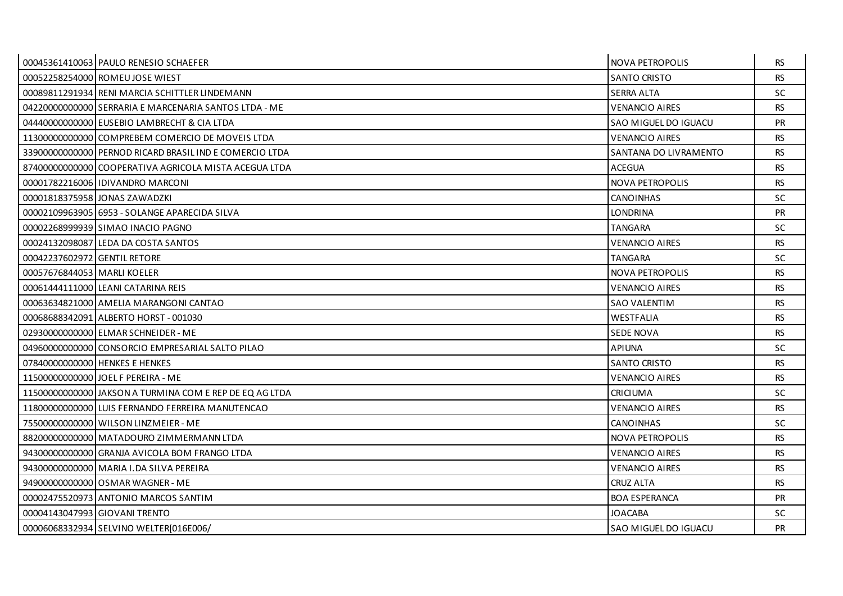|                              | 00045361410063 PAULO RENESIO SCHAEFER                   | <b>NOVA PETROPOLIS</b> | RS.       |
|------------------------------|---------------------------------------------------------|------------------------|-----------|
|                              | 00052258254000 ROMEU JOSE WIEST                         | <b>SANTO CRISTO</b>    | <b>RS</b> |
|                              | 00089811291934 RENI MARCIA SCHITTLER LINDEMANN          | <b>SERRA ALTA</b>      | SC.       |
|                              | 04220000000000 SERRARIA E MARCENARIA SANTOS LTDA - ME   | <b>VENANCIO AIRES</b>  | <b>RS</b> |
|                              | 04440000000000 EUSEBIO LAMBRECHT & CIA LTDA             | SAO MIGUEL DO IGUACU   | <b>PR</b> |
|                              | 11300000000000 COMPREBEM COMERCIO DE MOVEIS LTDA        | <b>VENANCIO AIRES</b>  | <b>RS</b> |
|                              | 33900000000000 PERNOD RICARD BRASIL IND E COMERCIO LTDA | SANTANA DO LIVRAMENTO  | RS.       |
|                              | 87400000000000 COOPERATIVA AGRICOLA MISTA ACEGUA LTDA   | <b>ACEGUA</b>          | <b>RS</b> |
|                              | 00001782216006 IDIVANDRO MARCONI                        | <b>NOVA PETROPOLIS</b> | <b>RS</b> |
|                              | 00001818375958 JONAS ZAWADZKI                           | <b>CANOINHAS</b>       | <b>SC</b> |
|                              | 00002109963905 6953 - SOLANGE APARECIDA SILVA           | <b>LONDRINA</b>        | <b>PR</b> |
|                              | 000022689999391SIMAO INACIO PAGNO                       | <b>TANGARA</b>         | <b>SC</b> |
|                              | 00024132098087 LEDA DA COSTA SANTOS                     | <b>VENANCIO AIRES</b>  | RS.       |
| 00042237602972 GENTIL RETORE |                                                         | <b>TANGARA</b>         | SC        |
| 00057676844053 MARLI KOELER  |                                                         | <b>NOVA PETROPOLIS</b> | <b>RS</b> |
|                              | 00061444111000 LEANI CATARINA REIS                      | <b>VENANCIO AIRES</b>  | <b>RS</b> |
|                              | 00063634821000 AMELIA MARANGONI CANTAO                  | <b>SAO VALENTIM</b>    | <b>RS</b> |
|                              | 00068688342091 ALBERTO HORST - 001030                   | <b>WESTFALIA</b>       | <b>RS</b> |
|                              | 02930000000000 ELMAR SCHNEIDER - ME                     | <b>SEDE NOVA</b>       | RS.       |
|                              | 04960000000000 CONSORCIO EMPRESARIAL SALTO PILAO        | <b>APIUNA</b>          | SC        |
|                              | 07840000000000 HENKES E HENKES                          | <b>SANTO CRISTO</b>    | <b>RS</b> |
|                              | 11500000000000 JOEL F PEREIRA - ME                      | <b>VENANCIO AIRES</b>  | <b>RS</b> |
|                              | 11500000000000 JAKSON A TURMINA COM E REP DE EQ AG LTDA | <b>CRICIUMA</b>        | SC        |
|                              | 11800000000000 LUIS FERNANDO FERREIRA MANUTENCAO        | <b>VENANCIO AIRES</b>  | <b>RS</b> |
|                              | 75500000000000 WILSON LINZMEIER - ME                    | <b>CANOINHAS</b>       | <b>SC</b> |
|                              | 88200000000000 MATADOURO ZIMMERMANN LTDA                | NOVA PETROPOLIS        | <b>RS</b> |
|                              | 94300000000000 GRANJA AVICOLA BOM FRANGO LTDA           | <b>VENANCIO AIRES</b>  | <b>RS</b> |
|                              | 94300000000000 MARIA I.DA SILVA PEREIRA                 | <b>VENANCIO AIRES</b>  | <b>RS</b> |
|                              | 94900000000000 OSMAR WAGNER - ME                        | CRUZ ALTA              | <b>RS</b> |
|                              | 00002475520973 ANTONIO MARCOS SANTIM                    | <b>BOA ESPERANCA</b>   | <b>PR</b> |
|                              | 00004143047993 GIOVANI TRENTO                           | <b>JOACABA</b>         | <b>SC</b> |
|                              | 00006068332934 SELVINO WELTER[016E006/                  | SAO MIGUEL DO IGUACU   | <b>PR</b> |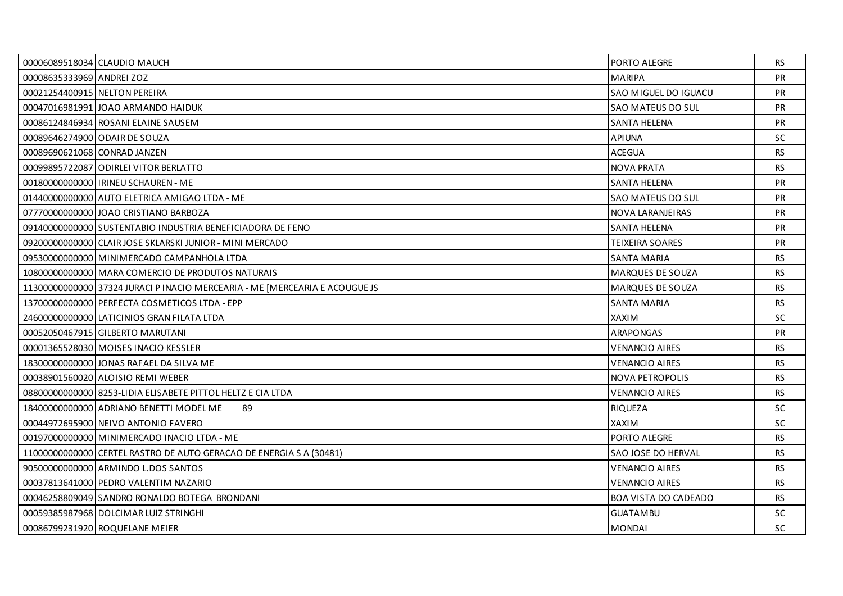|                               | 00006089518034 CLAUDIO MAUCH                                               | PORTO ALEGRE                | <b>RS</b> |
|-------------------------------|----------------------------------------------------------------------------|-----------------------------|-----------|
| 00008635333969 ANDREI ZOZ     |                                                                            | <b>MARIPA</b>               | <b>PR</b> |
| 00021254400915 NELTON PEREIRA |                                                                            | SAO MIGUEL DO IGUACU        | <b>PR</b> |
|                               | 00047016981991 JOAO ARMANDO HAIDUK                                         | SAO MATEUS DO SUL           | <b>PR</b> |
|                               | 00086124846934 ROSANI ELAINE SAUSEM                                        | <b>SANTA HELENA</b>         | PR        |
|                               | 00089646274900 ODAIR DE SOUZA                                              | <b>APIUNA</b>               | <b>SC</b> |
| 00089690621068 CONRAD JANZEN  |                                                                            | <b>ACEGUA</b>               | <b>RS</b> |
|                               | 00099895722087 ODIRLEI VITOR BERLATTO                                      | <b>NOVA PRATA</b>           | <b>RS</b> |
|                               | 00180000000000 IRINEU SCHAUREN - ME                                        | <b>SANTA HELENA</b>         | <b>PR</b> |
|                               | 014400000000000 AUTO ELETRICA AMIGAO LTDA - ME                             | SAO MATEUS DO SUL           | <b>PR</b> |
|                               | 07770000000000 JOAO CRISTIANO BARBOZA                                      | NOVA LARANJEIRAS            | <b>PR</b> |
|                               | 09140000000000 SUSTENTABIO INDUSTRIA BENEFICIADORA DE FENO                 | <b>SANTA HELENA</b>         | <b>PR</b> |
|                               | 09200000000000 CLAIR JOSE SKLARSKI JUNIOR - MINI MERCADO                   | <b>TEIXEIRA SOARES</b>      | <b>PR</b> |
|                               | 09530000000000 MINIMERCADO CAMPANHOLA LTDA                                 | <b>SANTA MARIA</b>          | <b>RS</b> |
|                               | 10800000000000 MARA COMERCIO DE PRODUTOS NATURAIS                          | <b>MARQUES DE SOUZA</b>     | <b>RS</b> |
|                               | 1130000000000 37324 JURACI P INACIO MERCEARIA - ME [MERCEARIA E ACOUGUE JS | <b>MARQUES DE SOUZA</b>     | <b>RS</b> |
|                               | 13700000000000 PERFECTA COSMETICOS LTDA - EPP                              | <b>SANTA MARIA</b>          | <b>RS</b> |
|                               | 24600000000000 LATICINIOS GRAN FILATA LTDA                                 | <b>XAXIM</b>                | <b>SC</b> |
|                               | 00052050467915 GILBERTO MARUTANI                                           | ARAPONGAS                   | <b>PR</b> |
|                               | 00001365528030 MOISES INACIO KESSLER                                       | <b>VENANCIO AIRES</b>       | <b>RS</b> |
|                               | 18300000000000 JONAS RAFAEL DA SILVA ME                                    | <b>VENANCIO AIRES</b>       | <b>RS</b> |
|                               | 00038901560020 ALOISIO REMI WEBER                                          | <b>NOVA PETROPOLIS</b>      | <b>RS</b> |
|                               | 08800000000000 8253-LIDIA ELISABETE PITTOL HELTZ E CIA LTDA                | <b>VENANCIO AIRES</b>       | <b>RS</b> |
|                               | 18400000000000 ADRIANO BENETTI MODEL ME<br>89                              | <b>RIQUEZA</b>              | <b>SC</b> |
|                               | 00044972695900 NEIVO ANTONIO FAVERO                                        | <b>XAXIM</b>                | <b>SC</b> |
|                               | 00197000000000 MINIMERCADO INACIO LTDA - ME                                | PORTO ALEGRE                | <b>RS</b> |
|                               | 11000000000000 CERTEL RASTRO DE AUTO GERACAO DE ENERGIA S A (30481)        | SAO JOSE DO HERVAL          | <b>RS</b> |
|                               | 90500000000000 ARMINDO L.DOS SANTOS                                        | <b>VENANCIO AIRES</b>       | <b>RS</b> |
|                               | 00037813641000 PEDRO VALENTIM NAZARIO                                      | <b>VENANCIO AIRES</b>       | <b>RS</b> |
|                               | 00046258809049 SANDRO RONALDO BOTEGA BRONDANI                              | <b>BOA VISTA DO CADEADO</b> | <b>RS</b> |
|                               | 00059385987968 DOLCIMAR LUIZ STRINGHI                                      | <b>GUATAMBU</b>             | SC.       |
|                               | 00086799231920 ROQUELANE MEIER                                             | <b>MONDAI</b>               | <b>SC</b> |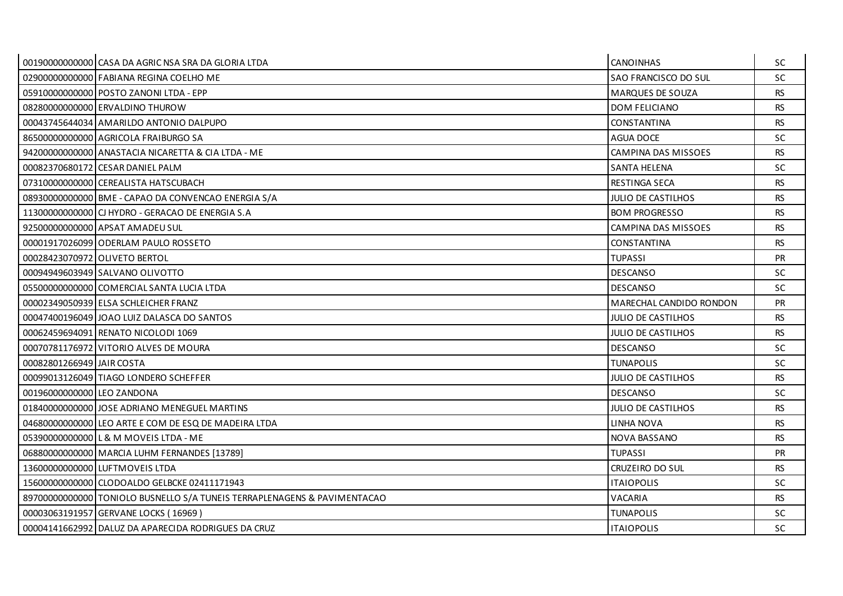|                               | 00190000000000 CASA DA AGRIC NSA SRA DA GLORIA LTDA                      | <b>CANOINHAS</b>          | <b>SC</b> |
|-------------------------------|--------------------------------------------------------------------------|---------------------------|-----------|
|                               | 02900000000000 FABIANA REGINA COELHO ME                                  | SAO FRANCISCO DO SUL      | <b>SC</b> |
|                               | 05910000000000 POSTO ZANONI LTDA - EPP                                   | <b>MARQUES DE SOUZA</b>   | <b>RS</b> |
|                               | 08280000000000 ERVALDINO THUROW                                          | <b>DOM FELICIANO</b>      | <b>RS</b> |
|                               | 00043745644034 AMARILDO ANTONIO DALPUPO                                  | CONSTANTINA               | <b>RS</b> |
|                               | 86500000000000 AGRICOLA FRAIBURGO SA                                     | <b>AGUA DOCE</b>          | <b>SC</b> |
|                               | 942000000000000 ANASTACIA NICARETTA & CIA LTDA - ME                      | CAMPINA DAS MISSOES       | <b>RS</b> |
|                               | 00082370680172 CESAR DANIEL PALM                                         | <b>SANTA HELENA</b>       | <b>SC</b> |
|                               | 07310000000000 CEREALISTA HATSCUBACH                                     | <b>RESTINGA SECA</b>      | <b>RS</b> |
|                               | 08930000000000 BME - CAPAO DA CONVENCAO ENERGIA S/A                      | <b>JULIO DE CASTILHOS</b> | <b>RS</b> |
|                               | 11300000000000 CJ HYDRO - GERACAO DE ENERGIA S.A                         | <b>BOM PROGRESSO</b>      | <b>RS</b> |
|                               | 92500000000000 APSAT AMADEU SUL                                          | CAMPINA DAS MISSOES       | <b>RS</b> |
|                               | 00001917026099 ODERLAM PAULO ROSSETO                                     | CONSTANTINA               | <b>RS</b> |
| 00028423070972 OLIVETO BERTOL |                                                                          | <b>TUPASSI</b>            | <b>PR</b> |
|                               | 00094949603949 SALVANO OLIVOTTO                                          | <b>DESCANSO</b>           | <b>SC</b> |
|                               | 05500000000000 COMERCIAL SANTA LUCIA LTDA                                | <b>DESCANSO</b>           | <b>SC</b> |
|                               | 00002349050939 ELSA SCHLEICHER FRANZ                                     | MARECHAL CANDIDO RONDON   | PR        |
|                               | 00047400196049 JOAO LUIZ DALASCA DO SANTOS                               | JULIO DE CASTILHOS        | <b>RS</b> |
|                               | 00062459694091 RENATO NICOLODI 1069                                      | JULIO DE CASTILHOS        | <b>RS</b> |
|                               | 00070781176972 VITORIO ALVES DE MOURA                                    | <b>DESCANSO</b>           | <b>SC</b> |
| 00082801266949 JAIR COSTA     |                                                                          | <b>TUNAPOLIS</b>          | <b>SC</b> |
|                               | 00099013126049 TIAGO LONDERO SCHEFFER                                    | JULIO DE CASTILHOS        | <b>RS</b> |
| 00196000000000 LEO ZANDONA    |                                                                          | <b>DESCANSO</b>           | <b>SC</b> |
|                               | 01840000000000 JOSE ADRIANO MENEGUEL MARTINS                             | <b>JULIO DE CASTILHOS</b> | <b>RS</b> |
|                               | 04680000000000 LEO ARTE E COM DE ESQ DE MADEIRA LTDA                     | LINHA NOVA                | <b>RS</b> |
|                               | 05390000000000 L & M MOVEIS LTDA - ME                                    | NOVA BASSANO              | <b>RS</b> |
|                               | 06880000000000   MARCIA LUHM FERNANDES [13789]                           | <b>TUPASSI</b>            | <b>PR</b> |
|                               | 13600000000000 LUFTMOVEIS LTDA                                           | CRUZEIRO DO SUL           | <b>RS</b> |
|                               | 15600000000000 CLODOALDO GELBCKE 02411171943                             | <b>ITAIOPOLIS</b>         | <b>SC</b> |
|                               | 89700000000000 TONIOLO BUSNELLO S/A TUNEIS TERRAPLENAGENS & PAVIMENTACAO | VACARIA                   | <b>RS</b> |
|                               | 00003063191957 GERVANE LOCKS (16969)                                     | <b>TUNAPOLIS</b>          | <b>SC</b> |
|                               | 00004141662992 DALUZ DA APARECIDA RODRIGUES DA CRUZ                      | <b>ITAIOPOLIS</b>         | <b>SC</b> |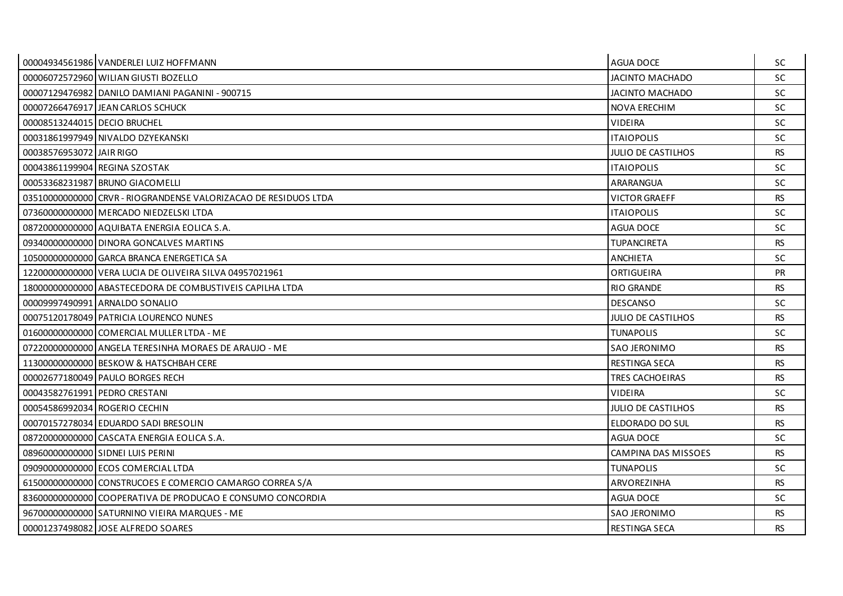|                               | 00004934561986 VANDERLEI LUIZ HOFFMANN                          | AGUA DOCE                 | <b>SC</b> |
|-------------------------------|-----------------------------------------------------------------|---------------------------|-----------|
|                               | 00006072572960 WILIAN GIUSTI BOZELLO                            | <b>JACINTO MACHADO</b>    | <b>SC</b> |
|                               | 00007129476982 DANILO DAMIANI PAGANINI - 900715                 | <b>JACINTO MACHADO</b>    | <b>SC</b> |
|                               | 00007266476917 JEAN CARLOS SCHUCK                               | <b>NOVA ERECHIM</b>       | <b>SC</b> |
| 00008513244015 DECIO BRUCHEL  |                                                                 | <b>VIDEIRA</b>            | SC        |
|                               | 00031861997949 NIVALDO DZYEKANSKI                               | <b>ITAIOPOLIS</b>         | <b>SC</b> |
| 00038576953072 JJAIR RIGO     |                                                                 | <b>JULIO DE CASTILHOS</b> | <b>RS</b> |
|                               | 00043861199904 REGINA SZOSTAK                                   | <b>ITAIOPOLIS</b>         | <b>SC</b> |
|                               | 00053368231987 BRUNO GIACOMELLI                                 | ARARANGUA                 | <b>SC</b> |
|                               | 03510000000000 CRVR - RIOGRANDENSE VALORIZACAO DE RESIDUOS LTDA | <b>VICTOR GRAEFF</b>      | <b>RS</b> |
|                               | 07360000000000 MERCADO NIEDZELSKI LTDA                          | <b>ITAIOPOLIS</b>         | <b>SC</b> |
|                               | 08720000000000 AQUIBATA ENERGIA EOLICA S.A.                     | AGUA DOCE                 | <b>SC</b> |
|                               | 09340000000000 DINORA GONCALVES MARTINS                         | <b>TUPANCIRETA</b>        | <b>RS</b> |
|                               | 105000000000000 GARCA BRANCA ENERGETICA SA                      | <b>ANCHIETA</b>           | <b>SC</b> |
|                               | 12200000000000 VERA LUCIA DE OLIVEIRA SILVA 04957021961         | ORTIGUEIRA                | <b>PR</b> |
|                               | 18000000000000 ABASTECEDORA DE COMBUSTIVEIS CAPILHA LTDA        | <b>RIO GRANDE</b>         | <b>RS</b> |
|                               | 00009997490991 ARNALDO SONALIO                                  | <b>DESCANSO</b>           | <b>SC</b> |
|                               | 00075120178049 PATRICIA LOURENCO NUNES                          | <b>JULIO DE CASTILHOS</b> | <b>RS</b> |
|                               | 01600000000000 COMERCIAL MULLER LTDA - ME                       | <b>TUNAPOLIS</b>          | <b>SC</b> |
|                               | 07220000000000 ANGELA TERESINHA MORAES DE ARAUJO - ME           | <b>SAO JERONIMO</b>       | <b>RS</b> |
|                               | 11300000000000 BESKOW & HATSCHBAH CERE                          | <b>RESTINGA SECA</b>      | <b>RS</b> |
|                               | 00002677180049 PAULO BORGES RECH                                | TRES CACHOEIRAS           | <b>RS</b> |
| 00043582761991 PEDRO CRESTANI |                                                                 | <b>VIDEIRA</b>            | <b>SC</b> |
|                               | 00054586992034 ROGERIO CECHIN                                   | JULIO DE CASTILHOS        | <b>RS</b> |
|                               | 00070157278034 EDUARDO SADI BRESOLIN                            | ELDORADO DO SUL           | <b>RS</b> |
|                               | 08720000000000 CASCATA ENERGIA EOLICA S.A.                      | <b>AGUA DOCE</b>          | <b>SC</b> |
|                               | 08960000000000 SIDNEI LUIS PERINI                               | CAMPINA DAS MISSOES       | <b>RS</b> |
|                               | 090900000000000 ECOS COMERCIAL LTDA                             | <b>TUNAPOLIS</b>          | <b>SC</b> |
|                               | 61500000000000 CONSTRUCOES E COMERCIO CAMARGO CORREA S/A        | ARVOREZINHA               | <b>RS</b> |
|                               | 83600000000000 COOPERATIVA DE PRODUCAO E CONSUMO CONCORDIA      | <b>AGUA DOCE</b>          | <b>SC</b> |
|                               | 967000000000000 SATURNINO VIEIRA MARQUES - ME                   | <b>SAO JERONIMO</b>       | <b>RS</b> |
|                               | 00001237498082 JOSE ALFREDO SOARES                              | <b>RESTINGA SECA</b>      | <b>RS</b> |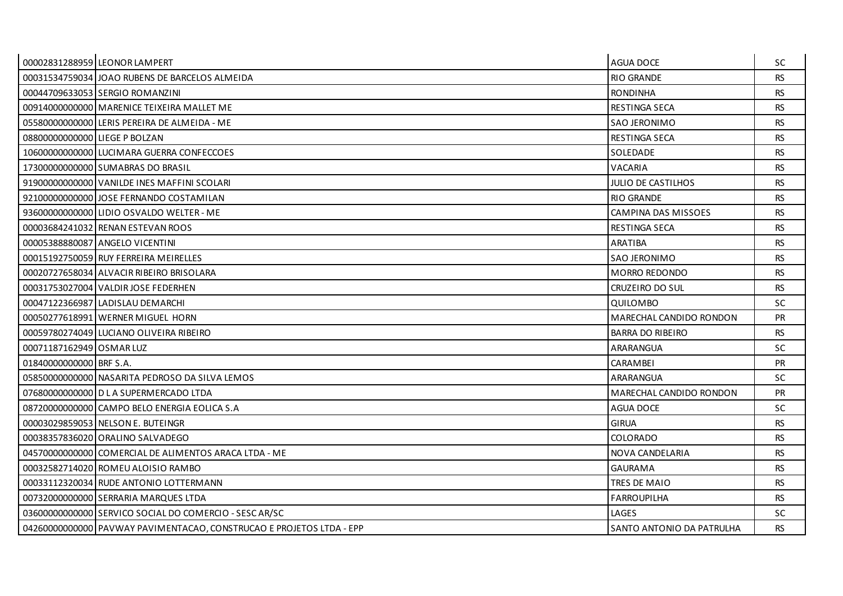|                               | 00002831288959 LEONOR LAMPERT                                        | <b>AGUA DOCE</b>               | SC.       |
|-------------------------------|----------------------------------------------------------------------|--------------------------------|-----------|
|                               | 00031534759034 JOAO RUBENS DE BARCELOS ALMEIDA                       | <b>RIO GRANDE</b>              | <b>RS</b> |
|                               | 00044709633053 SERGIO ROMANZINI                                      | <b>RONDINHA</b>                | <b>RS</b> |
|                               | 00914000000000 MARENICE TEIXEIRA MALLET ME                           | <b>RESTINGA SECA</b>           | <b>RS</b> |
|                               | 05580000000000 LERIS PEREIRA DE ALMEIDA - ME                         | <b>SAO JERONIMO</b>            | <b>RS</b> |
| 08800000000000 LIEGE P BOLZAN |                                                                      | RESTINGA SECA                  | <b>RS</b> |
|                               | 106000000000000 LUCIMARA GUERRA CONFECCOES                           | SOLEDADE                       | <b>RS</b> |
|                               | 17300000000000 SUMABRAS DO BRASIL                                    | VACARIA                        | <b>RS</b> |
|                               | 91900000000000 VANILDE INES MAFFINI SCOLARI                          | <b>JULIO DE CASTILHOS</b>      | <b>RS</b> |
|                               | 92100000000000 JJOSE FERNANDO COSTAMILAN                             | <b>RIO GRANDE</b>              | <b>RS</b> |
|                               | 93600000000000 LIDIO OSVALDO WELTER - ME                             | CAMPINA DAS MISSOES            | <b>RS</b> |
|                               | 00003684241032 RENAN ESTEVAN ROOS                                    | RESTINGA SECA                  | <b>RS</b> |
|                               | 00005388880087 ANGELO VICENTINI                                      | <b>ARATIBA</b>                 | <b>RS</b> |
|                               | 00015192750059 RUY FERREIRA MEIRELLES                                | <b>SAO JERONIMO</b>            | <b>RS</b> |
|                               | 00020727658034 ALVACIR RIBEIRO BRISOLARA                             | <b>MORRO REDONDO</b>           | <b>RS</b> |
|                               | 00031753027004 VALDIR JOSE FEDERHEN                                  | CRUZEIRO DO SUL                | <b>RS</b> |
|                               | 00047122366987 LADISLAU DEMARCHI                                     | QUILOMBO                       | <b>SC</b> |
|                               | 00050277618991 WERNER MIGUEL HORN                                    | <b>MARECHAL CANDIDO RONDON</b> | <b>PR</b> |
|                               | 00059780274049 LUCIANO OLIVEIRA RIBEIRO                              | <b>BARRA DO RIBEIRO</b>        | <b>RS</b> |
| 00071187162949 OSMAR LUZ      |                                                                      | ARARANGUA                      | SC.       |
| 01840000000000 BRF S.A.       |                                                                      | <b>CARAMBEI</b>                | <b>PR</b> |
|                               | 05850000000000 NASARITA PEDROSO DA SILVA LEMOS                       | ARARANGUA                      | SC.       |
|                               | 076800000000000 D L A SUPERMERCADO LTDA                              | MARECHAL CANDIDO RONDON        | <b>PR</b> |
|                               | 087200000000000 CAMPO BELO ENERGIA EOLICA S.A                        | <b>AGUA DOCE</b>               | <b>SC</b> |
|                               | 00003029859053 NELSON E. BUTEINGR                                    | <b>GIRUA</b>                   | <b>RS</b> |
|                               | 00038357836020 ORALINO SALVADEGO                                     | COLORADO                       | <b>RS</b> |
|                               | 04570000000000 COMERCIAL DE ALIMENTOS ARACA LTDA - ME                | NOVA CANDELARIA                | <b>RS</b> |
|                               | 00032582714020 ROMEU ALOISIO RAMBO                                   | <b>GAURAMA</b>                 | <b>RS</b> |
|                               | 00033112320034 RUDE ANTONIO LOTTERMANN                               | TRES DE MAIO                   | <b>RS</b> |
|                               | 00732000000000 SERRARIA MARQUES LTDA                                 | <b>FARROUPILHA</b>             | <b>RS</b> |
|                               | 03600000000000 SERVICO SOCIAL DO COMERCIO - SESCAR/SC                | LAGES                          | SC.       |
|                               | 04260000000000 PAVWAY PAVIMENTACAO, CONSTRUCAO E PROJETOS LTDA - EPP | SANTO ANTONIO DA PATRULHA      | <b>RS</b> |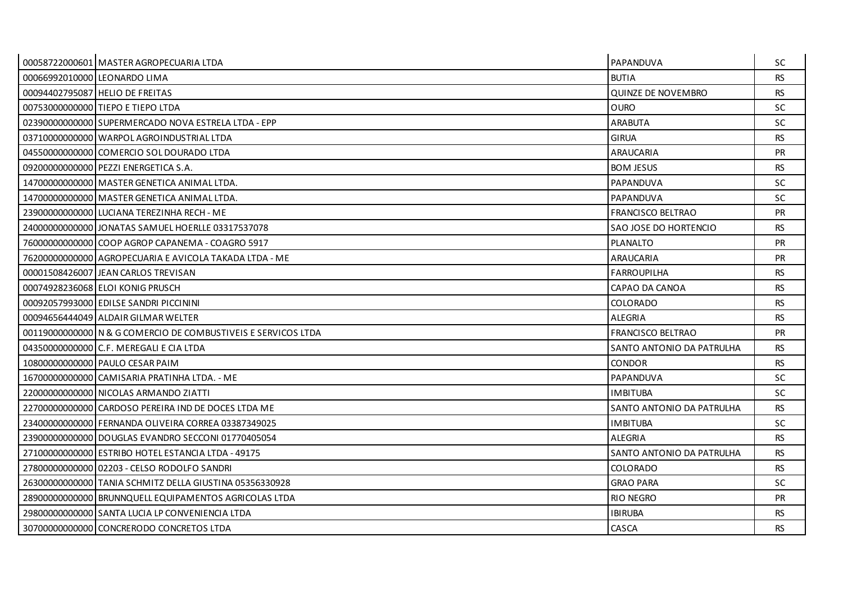|                              | 00058722000601 MASTER AGROPECUARIA LTDA                       | PAPANDUVA                 | SC.       |
|------------------------------|---------------------------------------------------------------|---------------------------|-----------|
| 00066992010000 LEONARDO LIMA |                                                               | <b>BUTIA</b>              | <b>RS</b> |
|                              | 00094402795087 HELIO DE FREITAS                               | <b>QUINZE DE NOVEMBRO</b> | <b>RS</b> |
|                              | 00753000000000 TIEPO E TIEPO LTDA                             | <b>OURO</b>               | SC.       |
|                              | 02390000000000 SUPERMERCADO NOVA ESTRELA LTDA - EPP           | <b>ARABUTA</b>            | <b>SC</b> |
|                              | 03710000000000 WARPOL AGROINDUSTRIAL LTDA                     | <b>GIRUA</b>              | <b>RS</b> |
|                              | 045500000000000 COMERCIO SOL DOURADO LTDA                     | ARAUCARIA                 | <b>PR</b> |
|                              | 09200000000000 PEZZI ENERGETICA S.A.                          | <b>BOM JESUS</b>          | <b>RS</b> |
|                              | 14700000000000 MASTER GENETICA ANIMAL LTDA.                   | PAPANDUVA                 | SC.       |
|                              | 14700000000000 MASTER GENETICA ANIMAL LTDA.                   | PAPANDUVA                 | SC.       |
|                              | 23900000000000 LUCIANA TEREZINHA RECH - ME                    | <b>FRANCISCO BELTRAO</b>  | PR        |
|                              | 240000000000000 JJONATAS SAMUEL HOERLLE 03317537078           | SAO JOSE DO HORTENCIO     | <b>RS</b> |
|                              | 76000000000000 COOP AGROP CAPANEMA - COAGRO 5917              | <b>PLANALTO</b>           | <b>PR</b> |
|                              | 76200000000000 AGROPECUARIA E AVICOLA TAKADA LTDA - ME        | ARAUCARIA                 | PR        |
|                              | 00001508426007 JEAN CARLOS TREVISAN                           | <b>FARROUPILHA</b>        | <b>RS</b> |
|                              | 00074928236068 ELOI KONIG PRUSCH                              | CAPAO DA CANOA            | <b>RS</b> |
|                              | 00092057993000 EDILSE SANDRI PICCININI                        | COLORADO                  | <b>RS</b> |
|                              | 00094656444049 ALDAIR GILMAR WELTER                           | ALEGRIA                   | <b>RS</b> |
|                              | 00119000000000 N & G COMERCIO DE COMBUSTIVEIS E SERVICOS LTDA | FRANCISCO BELTRAO         | <b>PR</b> |
|                              | 04350000000000 C.F. MEREGALI E CIA LTDA                       | SANTO ANTONIO DA PATRULHA | <b>RS</b> |
|                              | 10800000000000 PAULO CESAR PAIM                               | <b>CONDOR</b>             | <b>RS</b> |
|                              | 16700000000000 CAMISARIA PRATINHA LTDA. - ME                  | PAPANDUVA                 | <b>SC</b> |
|                              | 22000000000000 NICOLAS ARMANDO ZIATTI                         | <b>IMBITUBA</b>           | <b>SC</b> |
|                              | 22700000000000 CARDOSO PEREIRA IND DE DOCES LTDA ME           | SANTO ANTONIO DA PATRULHA | <b>RS</b> |
|                              | 23400000000000 FERNANDA OLIVEIRA CORREA 03387349025           | <b>IMBITUBA</b>           | SC.       |
|                              | 23900000000000 DOUGLAS EVANDRO SECCONI 01770405054            | <b>ALEGRIA</b>            | <b>RS</b> |
|                              | 27100000000000 ESTRIBO HOTEL ESTANCIA LTDA - 49175            | SANTO ANTONIO DA PATRULHA | <b>RS</b> |
|                              | 27800000000000 02203 - CELSO RODOLFO SANDRI                   | <b>COLORADO</b>           | <b>RS</b> |
|                              | 26300000000000 TANIA SCHMITZ DELLA GIUSTINA 05356330928       | <b>GRAO PARA</b>          | <b>SC</b> |
|                              | 28900000000000 BRUNNQUELL EQUIPAMENTOS AGRICOLAS LTDA         | <b>RIO NEGRO</b>          | <b>PR</b> |
|                              | 29800000000000 SANTA LUCIA LP CONVENIENCIA LTDA               | <b>IBIRUBA</b>            | <b>RS</b> |
|                              | 30700000000000 CONCRERODO CONCRETOS LTDA                      | CASCA                     | <b>RS</b> |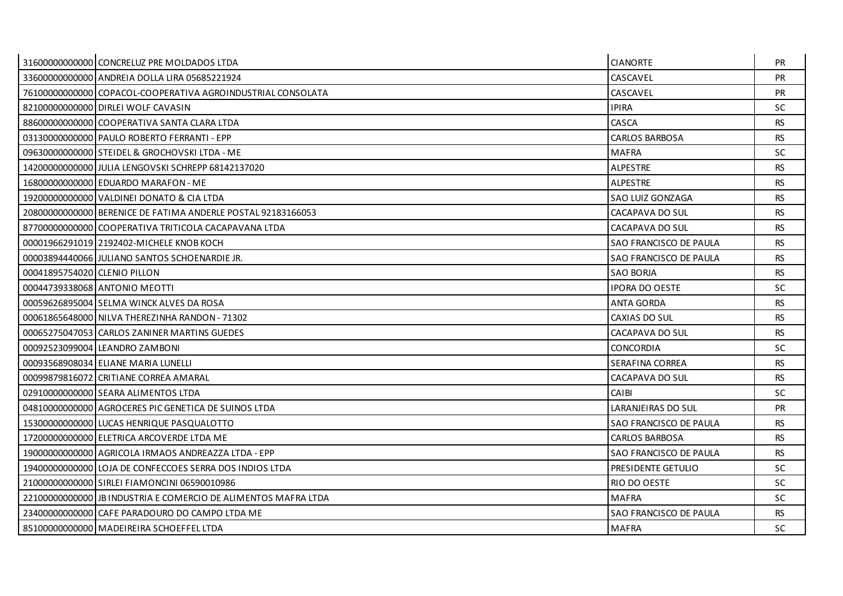|                              | 31600000000000 CONCRELUZ PRE MOLDADOS LTDA                     | <b>CIANORTE</b>        | <b>PR</b> |
|------------------------------|----------------------------------------------------------------|------------------------|-----------|
|                              | 33600000000000 ANDREIA DOLLA LIRA 05685221924                  | CASCAVEL               | <b>PR</b> |
|                              | 76100000000000 COPACOL-COOPERATIVA AGROINDUSTRIAL CONSOLATA    | CASCAVEL               | <b>PR</b> |
|                              | 821000000000000 DIRLEI WOLF CAVASIN                            | <b>IPIRA</b>           | <b>SC</b> |
|                              | 88600000000000 COOPERATIVA SANTA CLARA LTDA                    | CASCA                  | <b>RS</b> |
|                              | 03130000000000 PAULO ROBERTO FERRANTI - EPP                    | <b>CARLOS BARBOSA</b>  | <b>RS</b> |
|                              | 09630000000000 STEIDEL & GROCHOVSKI LTDA - ME                  | <b>MAFRA</b>           | <b>SC</b> |
|                              | 14200000000000 JULIA LENGOVSKI SCHREPP 68142137020             | <b>ALPESTRE</b>        | <b>RS</b> |
|                              | 168000000000000 EDUARDO MARAFON - ME                           | ALPESTRE               | RS.       |
|                              | 19200000000000 VALDINEI DONATO & CIA LTDA                      | SAO LUIZ GONZAGA       | <b>RS</b> |
|                              | 20800000000000 BERENICE DE FATIMA ANDERLE POSTAL 92183166053   | CACAPAVA DO SUL        | <b>RS</b> |
|                              | 87700000000000 COOPERATIVA TRITICOLA CACAPAVANA LTDA           | CACAPAVA DO SUL        | <b>RS</b> |
|                              | 00001966291019 2192402-MICHELE KNOB KOCH                       | SAO FRANCISCO DE PAULA | <b>RS</b> |
|                              | 00003894440066 JULIANO SANTOS SCHOENARDIE JR.                  | SAO FRANCISCO DE PAULA | <b>RS</b> |
| 00041895754020 CLENIO PILLON |                                                                | <b>SAO BORJA</b>       | <b>RS</b> |
|                              | 000447393380681ANTONIO MEOTTI                                  | <b>IPORA DO OESTE</b>  | <b>SC</b> |
|                              | 00059626895004 SELMA WINCK ALVES DA ROSA                       | <b>ANTA GORDA</b>      | <b>RS</b> |
|                              | 00061865648000 NILVA THEREZINHA RANDON - 71302                 | CAXIAS DO SUL          | <b>RS</b> |
|                              | 00065275047053 CARLOS ZANINER MARTINS GUEDES                   | CACAPAVA DO SUL        | <b>RS</b> |
|                              | 00092523099004 LEANDRO ZAMBONI                                 | <b>CONCORDIA</b>       | <b>SC</b> |
|                              | 00093568908034 ELIANE MARIA LUNELLI                            | SERAFINA CORREA        | <b>RS</b> |
|                              | 00099879816072 CRITIANE CORREA AMARAL                          | CACAPAVA DO SUL        | <b>RS</b> |
|                              | 02910000000000 SEARA ALIMENTOS LTDA                            | CAIBI                  | <b>SC</b> |
|                              | 04810000000000 AGROCERES PIC GENETICA DE SUINOS LTDA           | LARANJEIRAS DO SUL     | <b>PR</b> |
|                              | 15300000000000 LUCAS HENRIQUE PASQUALOTTO                      | SAO FRANCISCO DE PAULA | <b>RS</b> |
|                              | 17200000000000 ELETRICA ARCOVERDE LTDA ME                      | <b>CARLOS BARBOSA</b>  | <b>RS</b> |
|                              | 19000000000000 AGRICOLA IRMAOS ANDREAZZA LTDA - EPP            | SAO FRANCISCO DE PAULA | <b>RS</b> |
|                              | 19400000000000 LOJA DE CONFECCOES SERRA DOS INDIOS LTDA        | PRESIDENTE GETULIO     | <b>SC</b> |
|                              | 21000000000000 SIRLEI FIAMONCINI 06590010986                   | RIO DO OESTE           | <b>SC</b> |
|                              | 22100000000000 JB INDUSTRIA E COMERCIO DE ALIMENTOS MAFRA LTDA | <b>MAFRA</b>           | <b>SC</b> |
|                              | 23400000000000 CAFE PARADOURO DO CAMPO LTDA ME                 | SAO FRANCISCO DE PAULA | <b>RS</b> |
|                              | 85100000000000 MADEIREIRA SCHOEFFEL LTDA                       | <b>MAFRA</b>           | <b>SC</b> |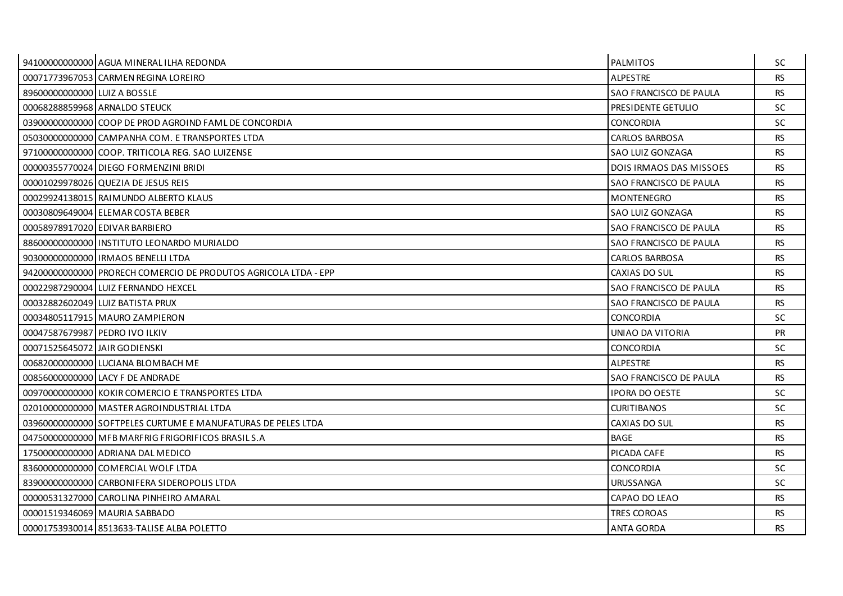|                                | 94100000000000 AGUA MINERAL ILHA REDONDA                        | <b>PALMITOS</b>                | SC.       |
|--------------------------------|-----------------------------------------------------------------|--------------------------------|-----------|
|                                | 00071773967053 CARMEN REGINA LOREIRO                            | <b>ALPESTRE</b>                | <b>RS</b> |
| 89600000000000 LUIZ A BOSSLE   |                                                                 | SAO FRANCISCO DE PAULA         | <b>RS</b> |
|                                | 00068288859968 ARNALDO STEUCK                                   | PRESIDENTE GETULIO             | <b>SC</b> |
|                                | 03900000000000 COOP DE PROD AGROIND FAML DE CONCORDIA           | <b>CONCORDIA</b>               | SC.       |
|                                | 050300000000000 CAMPANHA COM. E TRANSPORTES LTDA                | <b>CARLOS BARBOSA</b>          | <b>RS</b> |
|                                | 97100000000000 COOP. TRITICOLA REG. SAO LUIZENSE                | SAO LUIZ GONZAGA               | <b>RS</b> |
|                                | 00000355770024 DIEGO FORMENZINI BRIDI                           | <b>DOIS IRMAOS DAS MISSOES</b> | <b>RS</b> |
|                                | 00001029978026 QUEZIA DE JESUS REIS                             | SAO FRANCISCO DE PAULA         | RS.       |
|                                | 00029924138015 RAIMUNDO ALBERTO KLAUS                           | <b>MONTENEGRO</b>              | <b>RS</b> |
|                                | 00030809649004 ELEMAR COSTA BEBER                               | SAO LUIZ GONZAGA               | <b>RS</b> |
|                                | 00058978917020 EDIVAR BARBIERO                                  | SAO FRANCISCO DE PAULA         | <b>RS</b> |
|                                | 88600000000000 IINSTITUTO LEONARDO MURIALDO                     | SAO FRANCISCO DE PAULA         | RS.       |
|                                | 90300000000000 IRMAOS BENELLI LTDA                              | <b>CARLOS BARBOSA</b>          | <b>RS</b> |
|                                | 94200000000000 PRORECH COMERCIO DE PRODUTOS AGRICOLA LTDA - EPP | CAXIAS DO SUL                  | <b>RS</b> |
|                                | 00022987290004 LUIZ FERNANDO HEXCEL                             | SAO FRANCISCO DE PAULA         | <b>RS</b> |
|                                | 00032882602049 LUIZ BATISTA PRUX                                | SAO FRANCISCO DE PAULA         | <b>RS</b> |
|                                | 00034805117915 MAURO ZAMPIERON                                  | <b>CONCORDIA</b>               | SC.       |
| 00047587679987 PEDRO IVO ILKIV |                                                                 | UNIAO DA VITORIA               | <b>PR</b> |
| 00071525645072 JAIR GODIENSKI  |                                                                 | <b>CONCORDIA</b>               | <b>SC</b> |
|                                | 00682000000000 LUCIANA BLOMBACH ME                              | <b>ALPESTRE</b>                | <b>RS</b> |
|                                | 00856000000000 LACY F DE ANDRADE                                | SAO FRANCISCO DE PAULA         | <b>RS</b> |
|                                | 009700000000000 KOKIR COMERCIO E TRANSPORTES LTDA               | <b>IPORA DO OESTE</b>          | SC.       |
|                                | 02010000000000 MASTER AGROINDUSTRIAL LTDA                       | <b>CURITIBANOS</b>             | SC.       |
|                                | 03960000000000 SOFTPELES CURTUME E MANUFATURAS DE PELES LTDA    | CAXIAS DO SUL                  | <b>RS</b> |
|                                | 04750000000000 MFB MARFRIG FRIGORIFICOS BRASIL S.A              | <b>BAGE</b>                    | <b>RS</b> |
|                                | 17500000000000 ADRIANA DAL MEDICO                               | PICADA CAFE                    | <b>RS</b> |
|                                | 836000000000000 COMERCIAL WOLF LTDA                             | <b>CONCORDIA</b>               | <b>SC</b> |
|                                | 83900000000000 CARBONIFERA SIDEROPOLIS LTDA                     | URUSSANGA                      | <b>SC</b> |
|                                | 00000531327000 CAROLINA PINHEIRO AMARAL                         | CAPAO DO LEAO                  | <b>RS</b> |
|                                | 00001519346069 MAURIA SABBADO                                   | <b>TRES COROAS</b>             | <b>RS</b> |
|                                | 00001753930014 8513633-TALISE ALBA POLETTO                      | <b>ANTA GORDA</b>              | <b>RS</b> |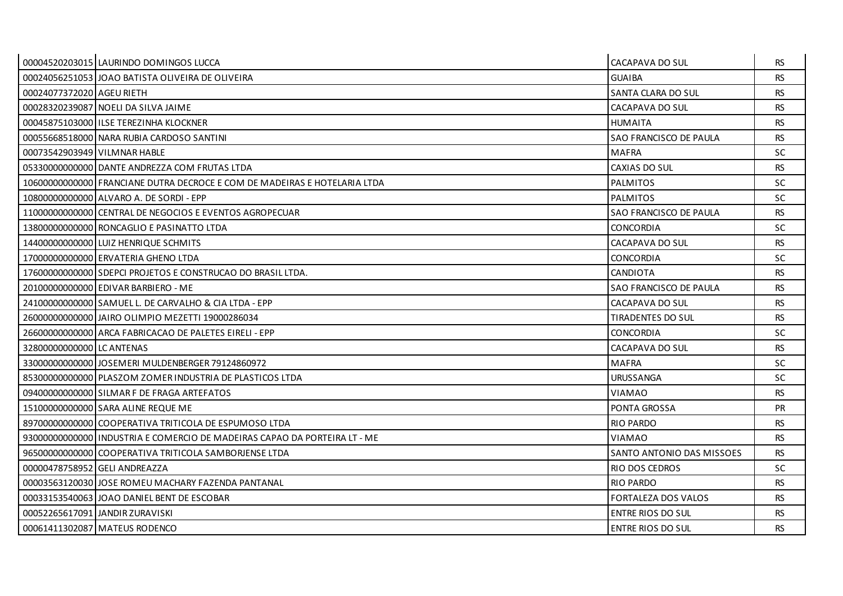|                               | 00004520203015 LAURINDO DOMINGOS LUCCA                                      | CACAPAVA DO SUL            | RS.       |
|-------------------------------|-----------------------------------------------------------------------------|----------------------------|-----------|
|                               | 00024056251053 JOAO BATISTA OLIVEIRA DE OLIVEIRA                            | <b>GUAIBA</b>              | <b>RS</b> |
| 00024077372020 AGEU RIETH     |                                                                             | SANTA CLARA DO SUL         | <b>RS</b> |
|                               | 00028320239087 NOELI DA SILVA JAIME                                         | CACAPAVA DO SUL            | <b>RS</b> |
|                               | 00045875103000 ILSE TEREZINHA KLOCKNER                                      | <b>HUMAITA</b>             | <b>RS</b> |
|                               | 00055668518000 NARA RUBIA CARDOSO SANTINI                                   | SAO FRANCISCO DE PAULA     | <b>RS</b> |
| 00073542903949 VILMNAR HABLE  |                                                                             | <b>MAFRA</b>               | SC.       |
|                               | 05330000000000 DANTE ANDREZZA COM FRUTAS LTDA                               | CAXIAS DO SUL              | <b>RS</b> |
|                               | 10600000000000 FRANCIANE DUTRA DECROCE E COM DE MADEIRAS E HOTELARIA LTDA   | <b>PALMITOS</b>            | <b>SC</b> |
|                               | 10800000000000 ALVARO A. DE SORDI - EPP                                     | <b>PALMITOS</b>            | <b>SC</b> |
|                               | 11000000000000 CENTRAL DE NEGOCIOS E EVENTOS AGROPECUAR                     | SAO FRANCISCO DE PAULA     | <b>RS</b> |
|                               | 13800000000000 RONCAGLIO E PASINATTO LTDA                                   | <b>CONCORDIA</b>           | SC.       |
|                               | 14400000000000 LUIZ HENRIQUE SCHMITS                                        | CACAPAVA DO SUL            | RS.       |
|                               | 17000000000000 ERVATERIA GHENO LTDA                                         | <b>CONCORDIA</b>           | <b>SC</b> |
|                               | 17600000000000 SDEPCI PROJETOS E CONSTRUCAO DO BRASIL LTDA.                 | <b>CANDIOTA</b>            | <b>RS</b> |
|                               | 201000000000000 EDIVAR BARBIERO - ME                                        | SAO FRANCISCO DE PAULA     | <b>RS</b> |
|                               | 24100000000000 SAMUEL L. DE CARVALHO & CIA LTDA - EPP                       | CACAPAVA DO SUL            | <b>RS</b> |
|                               | 26000000000000 JAIRO OLIMPIO MEZETTI 19000286034                            | <b>TIRADENTES DO SUL</b>   | <b>RS</b> |
|                               | 26600000000000 ARCA FABRICACAO DE PALETES EIRELI - EPP                      | <b>CONCORDIA</b>           | <b>SC</b> |
| 32800000000000 LC ANTENAS     |                                                                             | CACAPAVA DO SUL            | <b>RS</b> |
|                               | 33000000000000 JOSEMERI MULDENBERGER 79124860972                            | <b>MAFRA</b>               | SC.       |
|                               | 85300000000000 PLASZOM ZOMER INDUSTRIA DE PLASTICOS LTDA                    | <b>URUSSANGA</b>           | <b>SC</b> |
|                               | 09400000000000 SILMAR F DE FRAGA ARTEFATOS                                  | <b>VIAMAO</b>              | <b>RS</b> |
|                               | 151000000000000 SARA ALINE REQUE ME                                         | PONTA GROSSA               | <b>PR</b> |
|                               | 89700000000000 COOPERATIVA TRITICOLA DE ESPUMOSO LTDA                       | <b>RIO PARDO</b>           | <b>RS</b> |
|                               | 93000000000000   INDUSTRIA E COMERCIO DE MADEIRAS CAPAO DA PORTEIRA LT - ME | <b>VIAMAO</b>              | <b>RS</b> |
|                               | 96500000000000 COOPERATIVA TRITICOLA SAMBORJENSE LTDA                       | SANTO ANTONIO DAS MISSOES  | <b>RS</b> |
| 00000478758952 GELI ANDREAZZA |                                                                             | RIO DOS CEDROS             | <b>SC</b> |
|                               | 00003563120030 JOSE ROMEU MACHARY FAZENDA PANTANAL                          | <b>RIO PARDO</b>           | <b>RS</b> |
|                               | 00033153540063 JJOAO DANIEL BENT DE ESCOBAR                                 | <b>FORTALEZA DOS VALOS</b> | <b>RS</b> |
|                               | 00052265617091 JANDIR ZURAVISKI                                             | ENTRE RIOS DO SUL          | <b>RS</b> |
|                               | 00061411302087 MATEUS RODENCO                                               | <b>ENTRE RIOS DO SUL</b>   | <b>RS</b> |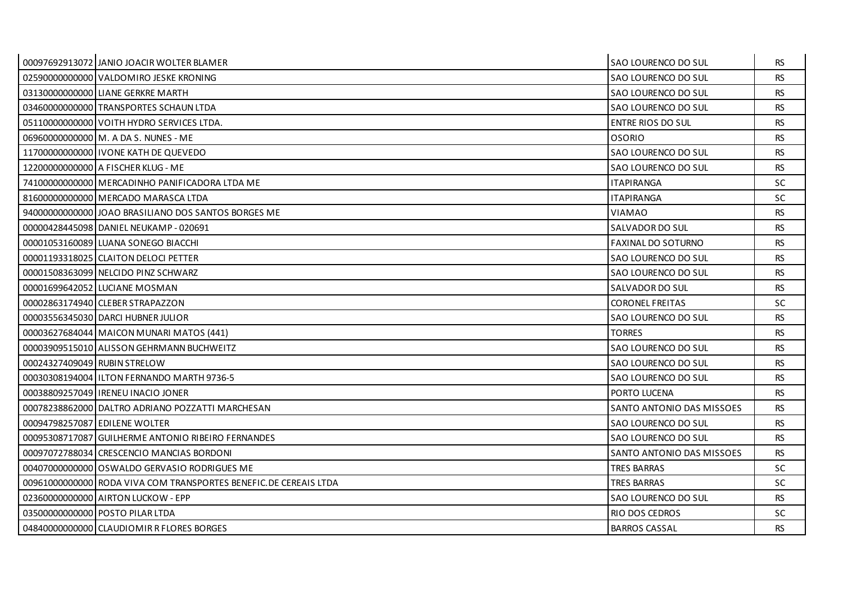|                              | 00097692913072 JANIO JOACIR WOLTER BLAMER                         | <b>SAO LOURENCO DO SUL</b> | RS.       |
|------------------------------|-------------------------------------------------------------------|----------------------------|-----------|
|                              | 02590000000000 VALDOMIRO JESKE KRONING                            | SAO LOURENCO DO SUL        | <b>RS</b> |
|                              | 03130000000000 LIANE GERKRE MARTH                                 | SAO LOURENCO DO SUL        | <b>RS</b> |
|                              | 034600000000000 TRANSPORTES SCHAUN LTDA                           | SAO LOURENCO DO SUL        | <b>RS</b> |
|                              | 05110000000000 VOITH HYDRO SERVICES LTDA.                         | <b>ENTRE RIOS DO SUL</b>   | <b>RS</b> |
|                              | 069600000000000 M. A DA S. NUNES - ME                             | <b>OSORIO</b>              | <b>RS</b> |
|                              | 11700000000000   IVONE KATH DE QUEVEDO                            | SAO LOURENCO DO SUL        | RS.       |
|                              | 12200000000000 A FISCHER KLUG - ME                                | SAO LOURENCO DO SUL        | <b>RS</b> |
|                              | 74100000000000 MERCADINHO PANIFICADORA LTDA ME                    | <b>ITAPIRANGA</b>          | <b>SC</b> |
|                              | 81600000000000 MERCADO MARASCA LTDA                               | <b>ITAPIRANGA</b>          | <b>SC</b> |
|                              | 94000000000000 JOAO BRASILIANO DOS SANTOS BORGES ME               | <b>VIAMAO</b>              | <b>RS</b> |
|                              | 00000428445098 DANIEL NEUKAMP - 020691                            | SALVADOR DO SUL            | <b>RS</b> |
|                              | 00001053160089 LUANA SONEGO BIACCHI                               | <b>FAXINAL DO SOTURNO</b>  | RS.       |
|                              | 00001193318025 CLAITON DELOCI PETTER                              | SAO LOURENCO DO SUL        | <b>RS</b> |
|                              | 00001508363099 NELCIDO PINZ SCHWARZ                               | SAO LOURENCO DO SUL        | <b>RS</b> |
|                              | 00001699642052 LUCIANE MOSMAN                                     | SALVADOR DO SUL            | RS.       |
|                              | 00002863174940 CLEBER STRAPAZZON                                  | <b>CORONEL FREITAS</b>     | SC        |
|                              | 00003556345030 DARCL HUBNER JULIOR                                | SAO LOURENCO DO SUL        | <b>RS</b> |
|                              | 00003627684044   MAICON MUNARI MATOS (441)                        | <b>TORRES</b>              | <b>RS</b> |
|                              | 00003909515010 ALISSON GEHRMANN BUCHWEITZ                         | SAO LOURENCO DO SUL        | <b>RS</b> |
| 00024327409049 RUBIN STRELOW |                                                                   | SAO LOURENCO DO SUL        | <b>RS</b> |
|                              | 00030308194004 I ILTON FERNANDO MARTH 9736-5                      | SAO LOURENCO DO SUL        | RS.       |
|                              | 00038809257049   IRENEU INACIO JONER                              | PORTO LUCENA               | <b>RS</b> |
|                              | 00078238862000 DALTRO ADRIANO POZZATTI MARCHESAN                  | SANTO ANTONIO DAS MISSOES  | <b>RS</b> |
|                              | 00094798257087 EDILENE WOLTER                                     | SAO LOURENCO DO SUL        | <b>RS</b> |
|                              | 00095308717087 GUILHERME ANTONIO RIBEIRO FERNANDES                | SAO LOURENCO DO SUL        | <b>RS</b> |
|                              | 00097072788034 CRESCENCIO MANCIAS BORDONI                         | SANTO ANTONIO DAS MISSOES  | <b>RS</b> |
|                              | 004070000000000 OSWALDO GERVASIO RODRIGUES ME                     | <b>TRES BARRAS</b>         | <b>SC</b> |
|                              | 00961000000000 RODA VIVA COM TRANSPORTES BENEFIC. DE CEREAIS LTDA | <b>TRES BARRAS</b>         | <b>SC</b> |
|                              | 02360000000000 AIRTON LUCKOW - EPP                                | SAO LOURENCO DO SUL        | <b>RS</b> |
|                              | 03500000000000 POSTO PILAR LTDA                                   | RIO DOS CEDROS             | <b>SC</b> |
|                              | 04840000000000 CLAUDIOMIR R FLORES BORGES                         | <b>BARROS CASSAL</b>       | <b>RS</b> |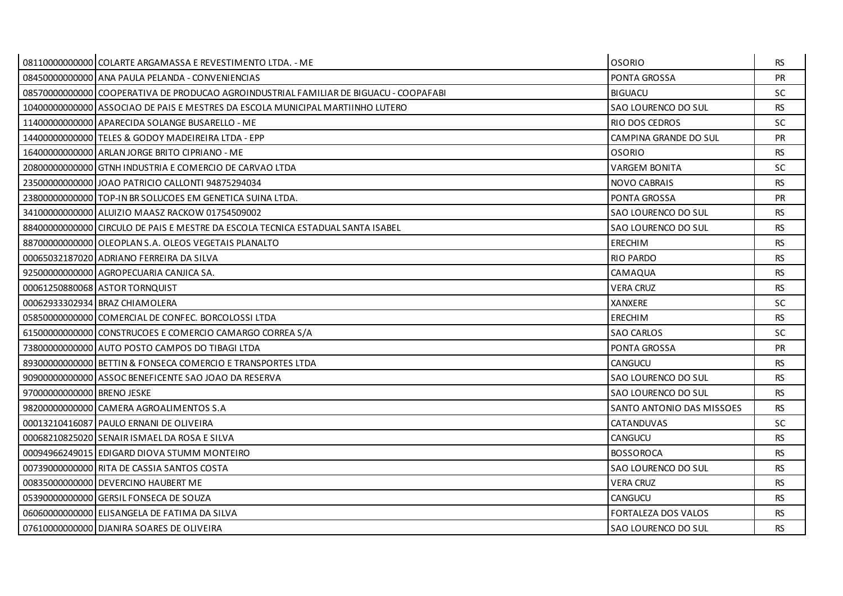|                            | 08110000000000 COLARTE ARGAMASSA E REVESTIMENTO LTDA. - ME                            | <b>OSORIO</b>             | RS.       |
|----------------------------|---------------------------------------------------------------------------------------|---------------------------|-----------|
|                            | 08450000000000 ANA PAULA PELANDA - CONVENIENCIAS                                      | PONTA GROSSA              | PR        |
|                            | 08570000000000 COOPERATIVA DE PRODUCAO AGROINDUSTRIAL FAMILIAR DE BIGUACU - COOPAFABI | <b>BIGUACU</b>            | <b>SC</b> |
|                            | 104000000000000 ASSOCIAO DE PAIS E MESTRES DA ESCOLA MUNICIPAL MARTIINHO LUTERO       | SAO LOURENCO DO SUL       | <b>RS</b> |
|                            | 11400000000000 APARECIDA SOLANGE BUSARELLO - ME                                       | RIO DOS CEDROS            | <b>SC</b> |
|                            | 14400000000000 TELES & GODOY MADEIREIRA LTDA - EPP                                    | CAMPINA GRANDE DO SUL     | <b>PR</b> |
|                            | 16400000000000 ARLAN JORGE BRITO CIPRIANO - ME                                        | <b>OSORIO</b>             | RS.       |
|                            | 20800000000000 GTNH INDUSTRIA E COMERCIO DE CARVAO LTDA                               | <b>VARGEM BONITA</b>      | <b>SC</b> |
|                            | 23500000000000 JOAO PATRICIO CALLONTI 94875294034                                     | <b>NOVO CABRAIS</b>       | <b>RS</b> |
|                            | 23800000000000 TOP-IN BR SOLUCOES EM GENETICA SUINA LTDA.                             | PONTA GROSSA              | <b>PR</b> |
|                            | 34100000000000 ALUIZIO MAASZ RACKOW 01754509002                                       | SAO LOURENCO DO SUL       | <b>RS</b> |
|                            | 88400000000000 CIRCULO DE PAIS E MESTRE DA ESCOLA TECNICA ESTADUAL SANTA ISABEL       | SAO LOURENCO DO SUL       | <b>RS</b> |
|                            | 88700000000000 OLEOPLAN S.A. OLEOS VEGETAIS PLANALTO                                  | <b>ERECHIM</b>            | <b>RS</b> |
|                            | 00065032187020 ADRIANO FERREIRA DA SILVA                                              | <b>RIO PARDO</b>          | <b>RS</b> |
|                            | 925000000000000 AGROPECUARIA CANJICA SA.                                              | CAMAQUA                   | <b>RS</b> |
|                            | 00061250880068 ASTOR TORNQUIST                                                        | <b>VERA CRUZ</b>          | <b>RS</b> |
|                            | 00062933302934 BRAZ CHIAMOLERA                                                        | XANXERE                   | <b>SC</b> |
|                            | 05850000000000 COMERCIAL DE CONFEC. BORCOLOSSI LTDA                                   | <b>ERECHIM</b>            | <b>RS</b> |
|                            | 61500000000000 CONSTRUCOES E COMERCIO CAMARGO CORREA S/A                              | <b>SAO CARLOS</b>         | <b>SC</b> |
|                            | 73800000000000 AUTO POSTO CAMPOS DO TIBAGI LTDA                                       | PONTA GROSSA              | <b>PR</b> |
|                            | 89300000000000 BETTIN & FONSECA COMERCIO E TRANSPORTES LTDA                           | <b>CANGUCU</b>            | <b>RS</b> |
|                            | 90900000000000 ASSOC BENEFICENTE SAO JOAO DA RESERVA                                  | SAO LOURENCO DO SUL       | <b>RS</b> |
| 97000000000000 BRENO JESKE |                                                                                       | SAO LOURENCO DO SUL       | <b>RS</b> |
|                            | 98200000000000 CAMERA AGROALIMENTOS S.A                                               | SANTO ANTONIO DAS MISSOES | RS.       |
|                            | 00013210416087 PAULO ERNANI DE OLIVEIRA                                               | <b>CATANDUVAS</b>         | <b>SC</b> |
|                            | 00068210825020 SENAIR ISMAEL DA ROSA E SILVA                                          | CANGUCU                   | <b>RS</b> |
|                            | 00094966249015 EDIGARD DIOVA STUMM MONTEIRO                                           | <b>BOSSOROCA</b>          | <b>RS</b> |
|                            | 00739000000000 RITA DE CASSIA SANTOS COSTA                                            | SAO LOURENCO DO SUL       | <b>RS</b> |
|                            | 00835000000000 DEVERCINO HAUBERT ME                                                   | <b>VERA CRUZ</b>          | <b>RS</b> |
|                            | 05390000000000 GERSIL FONSECA DE SOUZA                                                | CANGUCU                   | <b>RS</b> |
|                            | 060600000000000 ELISANGELA DE FATIMA DA SILVA                                         | FORTALEZA DOS VALOS       | <b>RS</b> |
|                            | 07610000000000 DJANIRA SOARES DE OLIVEIRA                                             | SAO LOURENCO DO SUL       | <b>RS</b> |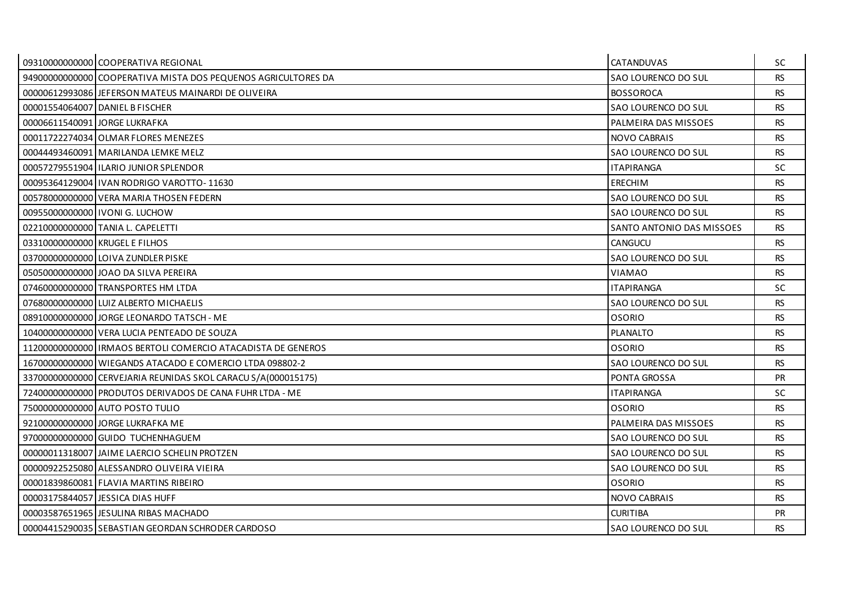|                                | 09310000000000 COOPERATIVA REGIONAL                           | <b>CATANDUVAS</b>         | SC.       |
|--------------------------------|---------------------------------------------------------------|---------------------------|-----------|
|                                | 94900000000000 COOPERATIVA MISTA DOS PEQUENOS AGRICULTORES DA | SAO LOURENCO DO SUL       | <b>RS</b> |
|                                | 00000612993086 JEFERSON MATEUS MAINARDI DE OLIVEIRA           | <b>BOSSOROCA</b>          | <b>RS</b> |
|                                | 00001554064007 DANIEL B FISCHER                               | SAO LOURENCO DO SUL       | <b>RS</b> |
| 00006611540091 JORGE LUKRAFKA  |                                                               | PALMEIRA DAS MISSOES      | <b>RS</b> |
|                                | 00011722274034 OLMAR FLORES MENEZES                           | <b>NOVO CABRAIS</b>       | <b>RS</b> |
|                                | 00044493460091 MARILANDA LEMKE MELZ                           | SAO LOURENCO DO SUL       | <b>RS</b> |
|                                | 00057279551904   ILARIO JUNIOR SPLENDOR                       | <b>ITAPIRANGA</b>         | <b>SC</b> |
|                                | 00095364129004 IVAN RODRIGO VAROTTO-11630                     | ERECHIM                   | <b>RS</b> |
|                                | 00578000000000 VERA MARIA THOSEN FEDERN                       | SAO LOURENCO DO SUL       | <b>RS</b> |
|                                | 00955000000000   IVONI G. LUCHOW                              | SAO LOURENCO DO SUL       | <b>RS</b> |
|                                | 02210000000000 TANIA L. CAPELETTI                             | SANTO ANTONIO DAS MISSOES | <b>RS</b> |
| 03310000000000 KRUGEL E FILHOS |                                                               | <b>CANGUCU</b>            | <b>RS</b> |
|                                | 03700000000000 LOIVA ZUNDLER PISKE                            | SAO LOURENCO DO SUL       | <b>RS</b> |
|                                | 050500000000000 JOAO DA SILVA PEREIRA                         | <b>VIAMAO</b>             | <b>RS</b> |
|                                | 07460000000000 TRANSPORTES HM LTDA                            | <b>ITAPIRANGA</b>         | <b>SC</b> |
|                                | 07680000000000 LUIZ ALBERTO MICHAELIS                         | SAO LOURENCO DO SUL       | <b>RS</b> |
|                                | 08910000000000 JORGE LEONARDO TATSCH - ME                     | <b>OSORIO</b>             | <b>RS</b> |
|                                | 10400000000000 VERA LUCIA PENTEADO DE SOUZA                   | <b>PLANALTO</b>           | <b>RS</b> |
|                                | 11200000000000 IRMAOS BERTOLI COMERCIO ATACADISTA DE GENEROS  | <b>OSORIO</b>             | <b>RS</b> |
|                                | 16700000000000 WIEGANDS ATACADO E COMERCIO LTDA 098802-2      | SAO LOURENCO DO SUL       | <b>RS</b> |
|                                | 33700000000000 CERVEJARIA REUNIDAS SKOL CARACU S/A(000015175) | PONTA GROSSA              | <b>PR</b> |
|                                | 72400000000000 PRODUTOS DERIVADOS DE CANA FUHR LTDA - ME      | <b>ITAPIRANGA</b>         | <b>SC</b> |
|                                | 75000000000000 AUTO POSTO TULIO                               | OSORIO                    | <b>RS</b> |
|                                | 92100000000000 JORGE LUKRAFKA ME                              | PALMEIRA DAS MISSOES      | <b>RS</b> |
|                                | 97000000000000 GUIDO TUCHENHAGUEM                             | SAO LOURENCO DO SUL       | <b>RS</b> |
|                                | 00000011318007 JJAIME LAERCIO SCHELIN PROTZEN                 | SAO LOURENCO DO SUL       | <b>RS</b> |
|                                | 00000922525080 ALESSANDRO OLIVEIRA VIEIRA                     | SAO LOURENCO DO SUL       | <b>RS</b> |
|                                | 00001839860081 FLAVIA MARTINS RIBEIRO                         | <b>OSORIO</b>             | <b>RS</b> |
|                                | 00003175844057 JESSICA DIAS HUFF                              | <b>NOVO CABRAIS</b>       | <b>RS</b> |
|                                | 00003587651965 JJESULINA RIBAS MACHADO                        | <b>CURITIBA</b>           | <b>PR</b> |
|                                | 00004415290035 SEBASTIAN GEORDAN SCHRODER CARDOSO             | SAO LOURENCO DO SUL       | <b>RS</b> |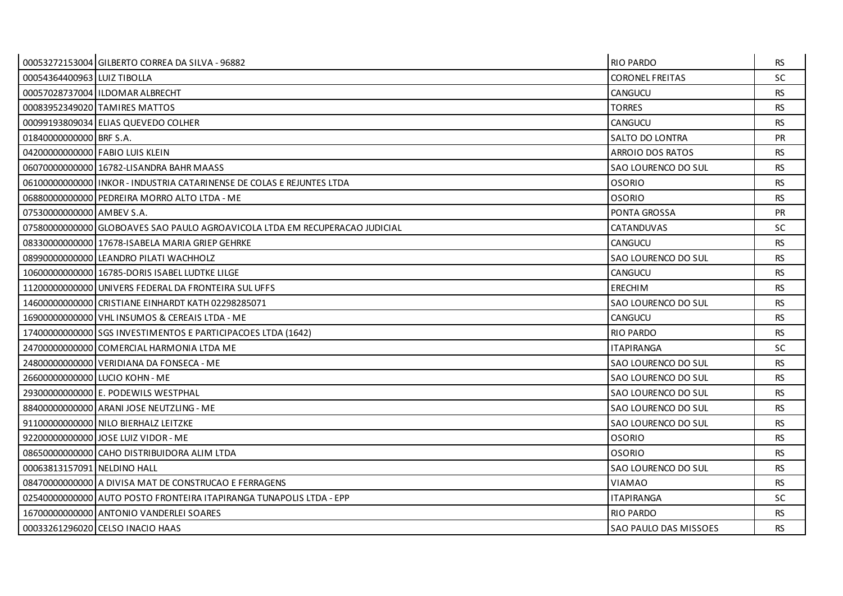|                             | 00053272153004 GILBERTO CORREA DA SILVA - 96882                             | <b>RIO PARDO</b>       | <b>RS</b> |
|-----------------------------|-----------------------------------------------------------------------------|------------------------|-----------|
| 00054364400963 LUIZ TIBOLLA |                                                                             | <b>CORONEL FREITAS</b> | <b>SC</b> |
|                             | 00057028737004 I ILDOMAR ALBRECHT                                           | <b>CANGUCU</b>         | <b>RS</b> |
|                             | 00083952349020 TAMIRES MATTOS                                               | <b>TORRES</b>          | <b>RS</b> |
|                             | 00099193809034 ELIAS QUEVEDO COLHER                                         | CANGUCU                | <b>RS</b> |
| 01840000000000 BRF S.A.     |                                                                             | SALTO DO LONTRA        | <b>PR</b> |
|                             | 042000000000000 FABIO LUIS KLEIN                                            | ARROIO DOS RATOS       | RS.       |
|                             | 06070000000000 16782-LISANDRA BAHR MAASS                                    | SAO LOURENCO DO SUL    | <b>RS</b> |
|                             | 061000000000001INKOR - INDUSTRIA CATARINENSE DE COLAS E REJUNTES LTDA       | <b>OSORIO</b>          | <b>RS</b> |
|                             | 068800000000000 PEDREIRA MORRO ALTO LTDA - ME                               | <b>OSORIO</b>          | <b>RS</b> |
| 07530000000000 AMBEV S.A.   |                                                                             | PONTA GROSSA           | PR        |
|                             | 07580000000000 GLOBOAVES SAO PAULO AGROAVICOLA LTDA EM RECUPERACAO JUDICIAL | <b>CATANDUVAS</b>      | SC.       |
|                             | 08330000000000 17678-ISABELA MARIA GRIEP GEHRKE                             | <b>CANGUCU</b>         | <b>RS</b> |
|                             | 08990000000000 LEANDRO PILATI WACHHOLZ                                      | SAO LOURENCO DO SUL    | <b>RS</b> |
|                             | 10600000000000 16785-DORIS ISABEL LUDTKE LILGE                              | <b>CANGUCU</b>         | <b>RS</b> |
|                             | 11200000000000 UNIVERS FEDERAL DA FRONTEIRA SUL UFFS                        | <b>ERECHIM</b>         | <b>RS</b> |
|                             | 14600000000000 CRISTIANE EINHARDT KATH 02298285071                          | SAO LOURENCO DO SUL    | <b>RS</b> |
|                             | 16900000000000   VHL INSUMOS & CEREAIS LTDA - ME                            | <b>CANGUCU</b>         | <b>RS</b> |
|                             | 17400000000000 SGS INVESTIMENTOS E PARTICIPACOES LTDA (1642)                | <b>RIO PARDO</b>       | <b>RS</b> |
|                             | 24700000000000 COMERCIAL HARMONIA LTDA ME                                   | <b>ITAPIRANGA</b>      | <b>SC</b> |
|                             | 24800000000000 VERIDIANA DA FONSECA - ME                                    | SAO LOURENCO DO SUL    | <b>RS</b> |
|                             | 26600000000000 LUCIO KOHN - ME                                              | SAO LOURENCO DO SUL    | <b>RS</b> |
|                             | 29300000000000 E. PODEWILS WESTPHAL                                         | SAO LOURENCO DO SUL    | <b>RS</b> |
|                             | 884000000000000 ARANI JOSE NEUTZLING - ME                                   | SAO LOURENCO DO SUL    | <b>RS</b> |
|                             | 91100000000000 NILO BIERHALZ LEITZKE                                        | SAO LOURENCO DO SUL    | <b>RS</b> |
|                             | 92200000000000 JOSE LUIZ VIDOR - ME                                         | <b>OSORIO</b>          | <b>RS</b> |
|                             | 08650000000000 CAHO DISTRIBUIDORA ALIM LTDA                                 | <b>OSORIO</b>          | <b>RS</b> |
| 00063813157091 NELDINO HALL |                                                                             | SAO LOURENCO DO SUL    | <b>RS</b> |
|                             | 08470000000000 A DIVISA MAT DE CONSTRUCAO E FERRAGENS                       | VIAMAO                 | <b>RS</b> |
|                             | 02540000000000 AUTO POSTO FRONTEIRA ITAPIRANGA TUNAPOLIS LTDA - EPP         | <b>ITAPIRANGA</b>      | SC.       |
|                             | 16700000000000 ANTONIO VANDERLEI SOARES                                     | <b>RIO PARDO</b>       | <b>RS</b> |
|                             | 00033261296020 CELSO INACIO HAAS                                            | SAO PAULO DAS MISSOES  | <b>RS</b> |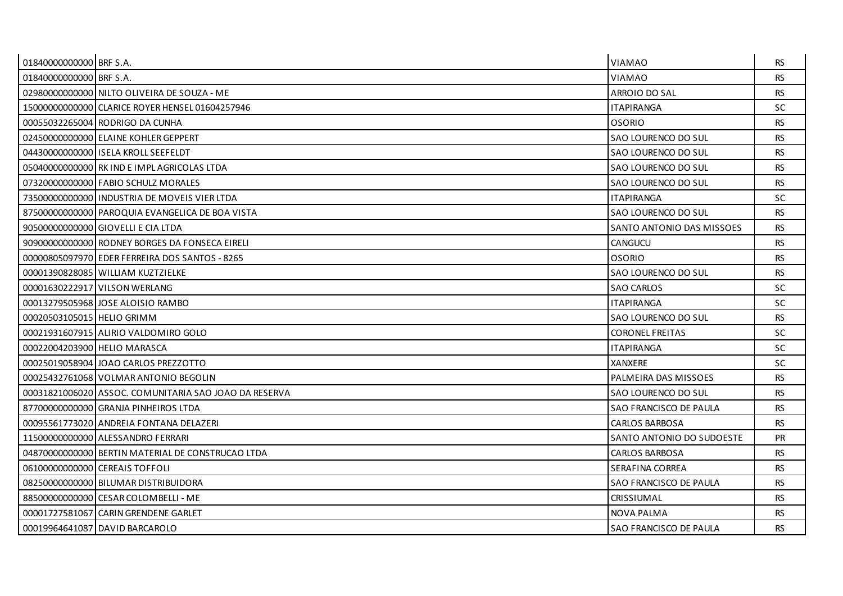| 01840000000000 BRF S.A.      |                                                       | <b>VIAMAO</b>             | RS.       |
|------------------------------|-------------------------------------------------------|---------------------------|-----------|
| 01840000000000 BRF S.A.      |                                                       | <b>VIAMAO</b>             | <b>RS</b> |
|                              | 02980000000000 NILTO OLIVEIRA DE SOUZA - ME           | ARROIO DO SAL             | <b>RS</b> |
|                              | 15000000000000 CLARICE ROYER HENSEL 01604257946       | <b>ITAPIRANGA</b>         | <b>SC</b> |
|                              | 00055032265004 RODRIGO DA CUNHA                       | <b>OSORIO</b>             | <b>RS</b> |
|                              | 02450000000000 ELAINE KOHLER GEPPERT                  | SAO LOURENCO DO SUL       | <b>RS</b> |
|                              | 04430000000000 ISELA KROLL SEEFELDT                   | SAO LOURENCO DO SUL       | <b>RS</b> |
|                              | 05040000000000 RK IND E IMPLAGRICOLAS LTDA            | SAO LOURENCO DO SUL       | <b>RS</b> |
|                              | 07320000000000 FABIO SCHULZ MORALES                   | SAO LOURENCO DO SUL       | <b>RS</b> |
|                              | 73500000000000 INDUSTRIA DE MOVEIS VIER LTDA          | <b>ITAPIRANGA</b>         | SC.       |
|                              | 87500000000000 PAROQUIA EVANGELICA DE BOA VISTA       | SAO LOURENCO DO SUL       | <b>RS</b> |
|                              | 90500000000000 GIOVELLI E CIA LTDA                    | SANTO ANTONIO DAS MISSOES | <b>RS</b> |
|                              | 90900000000000 RODNEY BORGES DA FONSECA EIRELI        | <b>CANGUCU</b>            | RS.       |
|                              | 00000805097970 EDER FERREIRA DOS SANTOS - 8265        | <b>OSORIO</b>             | <b>RS</b> |
|                              | 00001390828085 WILLIAM KUZTZIELKE                     | SAO LOURENCO DO SUL       | <b>RS</b> |
|                              | 00001630222917 VILSON WERLANG                         | <b>SAO CARLOS</b>         | SC.       |
|                              | 00013279505968 JOSE ALOISIO RAMBO                     | <b>ITAPIRANGA</b>         | <b>SC</b> |
| 00020503105015 HELIO GRIMM   |                                                       | SAO LOURENCO DO SUL       | <b>RS</b> |
|                              | 00021931607915 ALIRIO VALDOMIRO GOLO                  | <b>CORONEL FREITAS</b>    | <b>SC</b> |
| 00022004203900 HELIO MARASCA |                                                       | <b>ITAPIRANGA</b>         | <b>SC</b> |
|                              | 00025019058904 JOAO CARLOS PREZZOTTO                  | <b>XANXERE</b>            | SC.       |
|                              | 00025432761068 VOLMAR ANTONIO BEGOLIN                 | PALMEIRA DAS MISSOES      | <b>RS</b> |
|                              | 00031821006020 ASSOC. COMUNITARIA SAO JOAO DA RESERVA | SAO LOURENCO DO SUL       | <b>RS</b> |
|                              | 877000000000000 GRANJA PINHEIROS LTDA                 | SAO FRANCISCO DE PAULA    | <b>RS</b> |
|                              | 00095561773020 ANDREIA FONTANA DELAZERI               | <b>CARLOS BARBOSA</b>     | RS.       |
|                              | 11500000000000 ALESSANDRO FERRARI                     | SANTO ANTONIO DO SUDOESTE | <b>PR</b> |
|                              | 04870000000000 BERTIN MATERIAL DE CONSTRUCAO LTDA     | <b>CARLOS BARBOSA</b>     | <b>RS</b> |
|                              | 06100000000000 CEREAIS TOFFOLI                        | SERAFINA CORREA           | <b>RS</b> |
|                              | 08250000000000 BILUMAR DISTRIBUIDORA                  | SAO FRANCISCO DE PAULA    | <b>RS</b> |
|                              | 885000000000000 CESAR COLOMBELLI - ME                 | <b>CRISSIUMAL</b>         | <b>RS</b> |
|                              | 00001727581067 CARIN GRENDENE GARLET                  | NOVA PALMA                | RS.       |
|                              | 00019964641087 DAVID BARCAROLO                        | SAO FRANCISCO DE PAULA    | <b>RS</b> |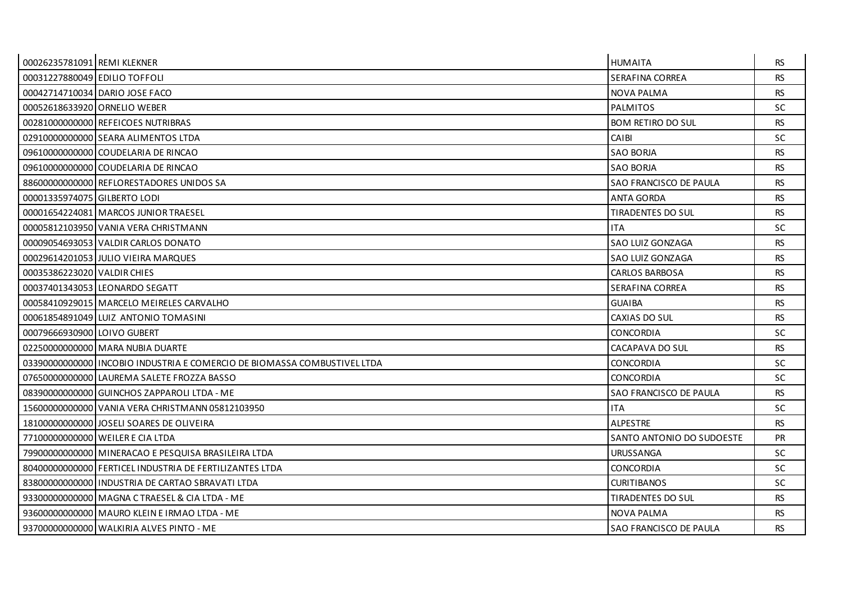| 00026235781091 REMI KLEKNER   |                                                                          | <b>HUMAITA</b>                | <b>RS</b> |
|-------------------------------|--------------------------------------------------------------------------|-------------------------------|-----------|
| 00031227880049 EDILIO TOFFOLI |                                                                          | SERAFINA CORREA               | <b>RS</b> |
|                               | 00042714710034 DARIO JOSE FACO                                           | <b>NOVA PALMA</b>             | <b>RS</b> |
|                               | 000526186339201ORNELIO WEBER                                             | <b>PALMITOS</b>               | <b>SC</b> |
|                               | 00281000000000 REFEICOES NUTRIBRAS                                       | <b>BOM RETIRO DO SUL</b>      | <b>RS</b> |
|                               | 02910000000000 SEARA ALIMENTOS LTDA                                      | CAIBI                         | <b>SC</b> |
|                               | 09610000000000 COUDELARIA DE RINCAO                                      | <b>SAO BORJA</b>              | <b>RS</b> |
|                               | 09610000000000 COUDELARIA DE RINCAO                                      | SAO BORJA                     | <b>RS</b> |
|                               | 88600000000000 REFLORESTADORES UNIDOS SA                                 | SAO FRANCISCO DE PAULA        | <b>RS</b> |
| 00001335974075 GILBERTO LODI  |                                                                          | <b>ANTA GORDA</b>             | <b>RS</b> |
|                               | 00001654224081 MARCOS JUNIOR TRAESEL                                     | <b>TIRADENTES DO SUL</b>      | <b>RS</b> |
|                               | 00005812103950 VANIA VERA CHRISTMANN                                     | <b>ITA</b>                    | <b>SC</b> |
|                               | 00009054693053 VALDIR CARLOS DONATO                                      | SAO LUIZ GONZAGA              | <b>RS</b> |
|                               | 00029614201053 JULIO VIEIRA MARQUES                                      | SAO LUIZ GONZAGA              | <b>RS</b> |
| 00035386223020 VALDIR CHIES   |                                                                          | <b>CARLOS BARBOSA</b>         | <b>RS</b> |
|                               | 00037401343053 LEONARDO SEGATT                                           | SERAFINA CORREA               | <b>RS</b> |
|                               | 00058410929015 MARCELO MEIRELES CARVALHO                                 | <b>GUAIBA</b>                 | <b>RS</b> |
|                               | 00061854891049 LUIZ ANTONIO TOMASINI                                     | CAXIAS DO SUL                 | <b>RS</b> |
| 00079666930900 LOIVO GUBERT   |                                                                          | <b>CONCORDIA</b>              | <b>SC</b> |
|                               | 02250000000000 MARA NUBIA DUARTE                                         | CACAPAVA DO SUL               | <b>RS</b> |
|                               | 0339000000000011NCOBIO INDUSTRIA E COMERCIO DE BIOMASSA COMBUSTIVEL LTDA | <b>CONCORDIA</b>              | SC.       |
|                               | 07650000000000 LAUREMA SALETE FROZZA BASSO                               | <b>CONCORDIA</b>              | <b>SC</b> |
|                               | 08390000000000 GUINCHOS ZAPPAROLI LTDA - ME                              | <b>SAO FRANCISCO DE PAULA</b> | <b>RS</b> |
|                               | 15600000000000 VANIA VERA CHRISTMANN 05812103950                         | <b>ITA</b>                    | SC.       |
|                               | 18100000000000 JOSELI SOARES DE OLIVEIRA                                 | <b>ALPESTRE</b>               | RS.       |
|                               | 77100000000000 WEILER E CIA LTDA                                         | SANTO ANTONIO DO SUDOESTE     | PR        |
|                               | 79900000000000 MINERACAO E PESQUISA BRASILEIRA LTDA                      | <b>URUSSANGA</b>              | SC.       |
|                               | 80400000000000 FERTICEL INDUSTRIA DE FERTILIZANTES LTDA                  | <b>CONCORDIA</b>              | SC.       |
|                               | 83800000000000 INDUSTRIA DE CARTAO SBRAVATI LTDA                         | <b>CURITIBANOS</b>            | <b>SC</b> |
|                               | 93300000000000 MAGNA CTRAESEL & CIA LTDA - ME                            | TIRADENTES DO SUL             | <b>RS</b> |
|                               | 93600000000000   MAURO KLEIN E IRMAO LTDA - ME                           | NOVA PALMA                    | <b>RS</b> |
|                               | 93700000000000 WALKIRIA ALVES PINTO - ME                                 | SAO FRANCISCO DE PAULA        | <b>RS</b> |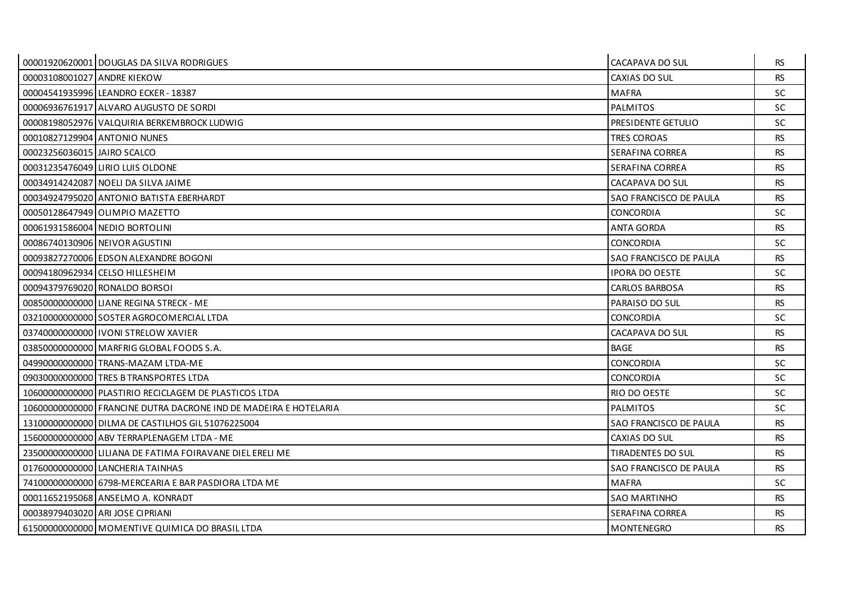|                             | 00001920620001 DOUGLAS DA SILVA RODRIGUES                        | CACAPAVA DO SUL        | RS.       |
|-----------------------------|------------------------------------------------------------------|------------------------|-----------|
| 00003108001027 ANDRE KIEKOW |                                                                  | CAXIAS DO SUL          | <b>RS</b> |
|                             | 00004541935996 LEANDRO ECKER - 18387                             | <b>MAFRA</b>           | <b>SC</b> |
|                             | 00006936761917 ALVARO AUGUSTO DE SORDI                           | <b>PALMITOS</b>        | SC.       |
|                             | 00008198052976 VALQUIRIA BERKEMBROCK LUDWIG                      | PRESIDENTE GETULIO     | <b>SC</b> |
|                             | 00010827129904 ANTONIO NUNES                                     | <b>TRES COROAS</b>     | <b>RS</b> |
| 00023256036015 JAIRO SCALCO |                                                                  | SERAFINA CORREA        | RS.       |
|                             | 00031235476049 LIRIO LUIS OLDONE                                 | SERAFINA CORREA        | <b>RS</b> |
|                             | 00034914242087 NOELI DA SILVA JAIME                              | CACAPAVA DO SUL        | <b>RS</b> |
|                             | 00034924795020 ANTONIO BATISTA EBERHARDT                         | SAO FRANCISCO DE PAULA | RS.       |
|                             | 00050128647949 OLIMPIO MAZETTO                                   | <b>CONCORDIA</b>       | <b>SC</b> |
|                             | 00061931586004 NEDIO BORTOLINI                                   | <b>ANTA GORDA</b>      | <b>RS</b> |
|                             | 00086740130906 NEIVOR AGUSTINI                                   | <b>CONCORDIA</b>       | SC.       |
|                             | 00093827270006 EDSON ALEXANDRE BOGONI                            | SAO FRANCISCO DE PAULA | <b>RS</b> |
|                             | 00094180962934 CELSO HILLESHEIM                                  | <b>IPORA DO OESTE</b>  | SC.       |
|                             | 00094379769020 RONALDO BORSOI                                    | <b>CARLOS BARBOSA</b>  | <b>RS</b> |
|                             | 00850000000000 LIANE REGINA STRECK - ME                          | PARAISO DO SUL         | <b>RS</b> |
|                             | 03210000000000 SOSTER AGROCOMERCIAL LTDA                         | <b>CONCORDIA</b>       | SC.       |
|                             | 037400000000000 I IVONI STRELOW XAVIER                           | CACAPAVA DO SUL        | RS.       |
|                             | 03850000000000 MARFRIG GLOBAL FOODS S.A.                         | BAGE                   | <b>RS</b> |
|                             | 049900000000000 TRANS-MAZAM LTDA-ME                              | <b>CONCORDIA</b>       | <b>SC</b> |
|                             | 09030000000000 TRES B TRANSPORTES LTDA                           | <b>CONCORDIA</b>       | SC.       |
|                             | 10600000000000 PLASTIRIO RECICLAGEM DE PLASTICOS LTDA            | RIO DO OESTE           | <b>SC</b> |
|                             | 10600000000000 FRANCINE DUTRA DACRONE IND DE MADEIRA E HOTELARIA | <b>PALMITOS</b>        | <b>SC</b> |
|                             | 13100000000000 DILMA DE CASTILHOS GIL 51076225004                | SAO FRANCISCO DE PAULA | <b>RS</b> |
|                             | 15600000000000 ABV TERRAPLENAGEM LTDA - ME                       | CAXIAS DO SUL          | <b>RS</b> |
|                             | 23500000000000 LILIANA DE FATIMA FOIRAVANE DIEL ERELI ME         | TIRADENTES DO SUL      | <b>RS</b> |
|                             | 01760000000000 LANCHERIA TAINHAS                                 | SAO FRANCISCO DE PAULA | RS.       |
|                             | 74100000000000 6798-MERCEARIA E BAR PASDIORA LTDA ME             | <b>MAFRA</b>           | <b>SC</b> |
|                             | 00011652195068 ANSELMO A. KONRADT                                | <b>SAO MARTINHO</b>    | <b>RS</b> |
|                             | 00038979403020 ARI JOSE CIPRIANI                                 | SERAFINA CORREA        | <b>RS</b> |
|                             | 61500000000000 MOMENTIVE QUIMICA DO BRASIL LTDA                  | <b>MONTENEGRO</b>      | <b>RS</b> |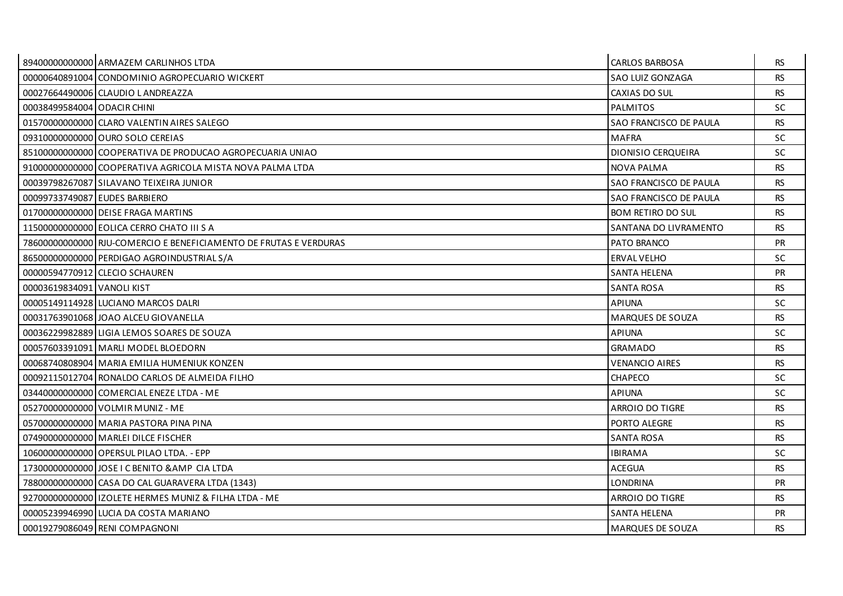|                               | 89400000000000 ARMAZEM CARLINHOS LTDA                             | <b>CARLOS BARBOSA</b>    | <b>RS</b> |
|-------------------------------|-------------------------------------------------------------------|--------------------------|-----------|
|                               | 00000640891004 CONDOMINIO AGROPECUARIO WICKERT                    | SAO LUIZ GONZAGA         | <b>RS</b> |
|                               | 00027664490006 CLAUDIO LANDREAZZA                                 | CAXIAS DO SUL            | <b>RS</b> |
| 00038499584004   ODACIR CHINI |                                                                   | <b>PALMITOS</b>          | SC.       |
|                               | 01570000000000 CLARO VALENTIN AIRES SALEGO                        | SAO FRANCISCO DE PAULA   | <b>RS</b> |
|                               | 09310000000000 OURO SOLO CEREIAS                                  | <b>MAFRA</b>             | <b>SC</b> |
|                               | 85100000000000 COOPERATIVA DE PRODUCAO AGROPECUARIA UNIAO         | DIONISIO CERQUEIRA       | SC.       |
|                               | 91000000000000 COOPERATIVA AGRICOLA MISTA NOVA PALMA LTDA         | <b>NOVA PALMA</b>        | <b>RS</b> |
|                               | 00039798267087 SILAVANO TEIXEIRA JUNIOR                           | SAO FRANCISCO DE PAULA   | <b>RS</b> |
| 00099733749087 EUDES BARBIERO |                                                                   | SAO FRANCISCO DE PAULA   | <b>RS</b> |
|                               | 01700000000000 DEISE FRAGA MARTINS                                | <b>BOM RETIRO DO SUL</b> | <b>RS</b> |
|                               | 11500000000000 EOLICA CERRO CHATO III S A                         | SANTANA DO LIVRAMENTO    | <b>RS</b> |
|                               | 78600000000000 RJU-COMERCIO E BENEFICIAMENTO DE FRUTAS E VERDURAS | PATO BRANCO              | <b>PR</b> |
|                               | 86500000000000 PERDIGAO AGROINDUSTRIAL S/A                        | <b>ERVAL VELHO</b>       | <b>SC</b> |
|                               | 00000594770912 CLECIO SCHAUREN                                    | <b>SANTA HELENA</b>      | <b>PR</b> |
| 00003619834091 VANOLI KIST    |                                                                   | <b>SANTA ROSA</b>        | <b>RS</b> |
|                               | 00005149114928 LUCIANO MARCOS DALRI                               | <b>APIUNA</b>            | <b>SC</b> |
|                               | 00031763901068 JOAO ALCEU GIOVANELLA                              | MARQUES DE SOUZA         | <b>RS</b> |
|                               | 00036229982889 LIGIA LEMOS SOARES DE SOUZA                        | APIUNA                   | SC.       |
|                               | 00057603391091 MARLI MODEL BLOEDORN                               | <b>GRAMADO</b>           | <b>RS</b> |
|                               | 00068740808904 MARIA EMILIA HUMENIUK KONZEN                       | <b>VENANCIO AIRES</b>    | <b>RS</b> |
|                               | 00092115012704 RONALDO CARLOS DE ALMEIDA FILHO                    | CHAPECO                  | <b>SC</b> |
|                               | 03440000000000 COMERCIAL ENEZE LTDA - ME                          | <b>APIUNA</b>            | <b>SC</b> |
|                               | 05270000000000 VOLMIR MUNIZ - ME                                  | <b>ARROIO DO TIGRE</b>   | <b>RS</b> |
|                               | 057000000000000 MARIA PASTORA PINA PINA                           | PORTO ALEGRE             | <b>RS</b> |
|                               | 07490000000000 MARLEI DILCE FISCHER                               | <b>SANTA ROSA</b>        | <b>RS</b> |
|                               | 10600000000000 OPERSUL PILAO LTDA. - EPP                          | <b>IBIRAMA</b>           | <b>SC</b> |
|                               | 17300000000000 JOSE I C BENITO & AMP CIA LTDA                     | <b>ACEGUA</b>            | <b>RS</b> |
|                               | 78800000000000 CASA DO CAL GUARAVERA LTDA (1343)                  | <b>LONDRINA</b>          | PR        |
|                               | 92700000000000 IZOLETE HERMES MUNIZ & FILHA LTDA - ME             | ARROIO DO TIGRE          | <b>RS</b> |
|                               | 00005239946990 LUCIA DA COSTA MARIANO                             | SANTA HELENA             | <b>PR</b> |
|                               | 00019279086049 RENI COMPAGNONI                                    | MARQUES DE SOUZA         | <b>RS</b> |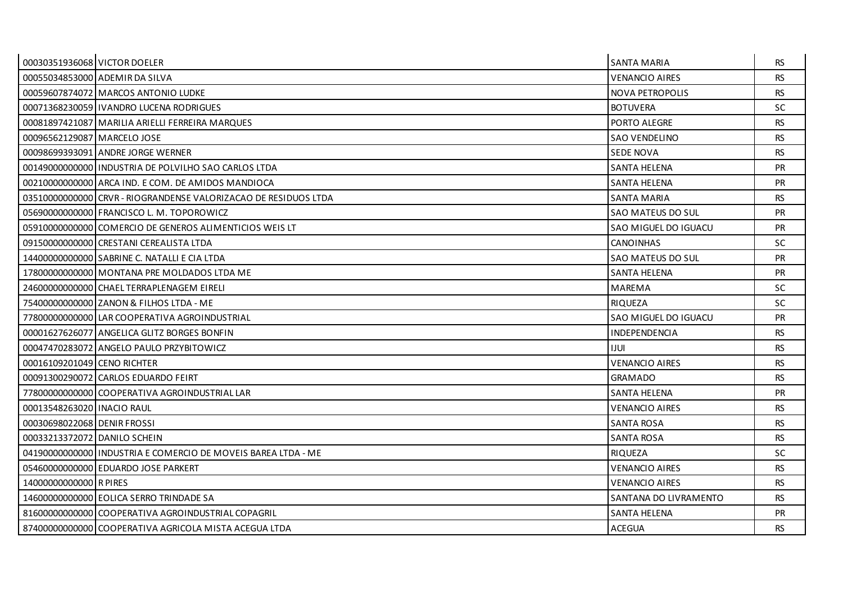| 00030351936068 VICTOR DOELER |                                                                 | <b>SANTA MARIA</b>       | <b>RS</b> |
|------------------------------|-----------------------------------------------------------------|--------------------------|-----------|
|                              | 00055034853000 ADEMIR DA SILVA                                  | <b>VENANCIO AIRES</b>    | <b>RS</b> |
|                              | 00059607874072 MARCOS ANTONIO LUDKE                             | <b>NOVA PETROPOLIS</b>   | <b>RS</b> |
|                              | 00071368230059   IVANDRO LUCENA RODRIGUES                       | <b>BOTUVERA</b>          | <b>SC</b> |
|                              | 00081897421087 MARILIA ARIELLI FERREIRA MARQUES                 | PORTO ALEGRE             | <b>RS</b> |
| 00096562129087 MARCELO JOSE  |                                                                 | SAO VENDELINO            | <b>RS</b> |
|                              | 00098699393091 ANDRE JORGE WERNER                               | <b>SEDE NOVA</b>         | <b>RS</b> |
|                              |                                                                 | <b>SANTA HELENA</b>      | <b>PR</b> |
|                              | 00210000000000 ARCA IND. E COM. DE AMIDOS MANDIOCA              | <b>SANTA HELENA</b>      | <b>PR</b> |
|                              | 03510000000000 CRVR - RIOGRANDENSE VALORIZACAO DE RESIDUOS LTDA | SANTA MARIA              | <b>RS</b> |
|                              | 05690000000000 FRANCISCO L. M. TOPOROWICZ                       | <b>SAO MATEUS DO SUL</b> | <b>PR</b> |
|                              | 05910000000000 COMERCIO DE GENEROS ALIMENTICIOS WEIS LT         | SAO MIGUEL DO IGUACU     | PR        |
|                              | 091500000000000 CRESTANI CEREALISTA LTDA                        | <b>CANOINHAS</b>         | SC.       |
|                              | 14400000000000 SABRINE C. NATALLI E CIA LTDA                    | SAO MATEUS DO SUL        | <b>PR</b> |
|                              | 17800000000000 MONTANA PRE MOLDADOS LTDA ME                     | <b>SANTA HELENA</b>      | <b>PR</b> |
|                              | 246000000000000 CHAEL TERRAPLENAGEM EIRELI                      | <b>MAREMA</b>            | SC.       |
|                              | 75400000000000 ZANON & FILHOS LTDA - ME                         | <b>RIQUEZA</b>           | <b>SC</b> |
|                              | 77800000000000 LAR COOPERATIVA AGROINDUSTRIAL                   | SAO MIGUEL DO IGUACU     | <b>PR</b> |
|                              | 00001627626077 ANGELICA GLITZ BORGES BONFIN                     | <b>INDEPENDENCIA</b>     | RS.       |
|                              | 00047470283072 ANGELO PAULO PRZYBITOWICZ                        | <b>IJUI</b>              | <b>RS</b> |
| 00016109201049 CENO RICHTER  |                                                                 | <b>VENANCIO AIRES</b>    | <b>RS</b> |
|                              | 00091300290072 CARLOS EDUARDO FEIRT                             | <b>GRAMADO</b>           | <b>RS</b> |
|                              | 77800000000000 COOPERATIVA AGROINDUSTRIAL LAR                   | <b>SANTA HELENA</b>      | <b>PR</b> |
| 00013548263020 INACIO RAUL   |                                                                 | <b>VENANCIO AIRES</b>    | <b>RS</b> |
| 00030698022068 DENIR FROSSI  |                                                                 | SANTA ROSA               | <b>RS</b> |
| 00033213372072 DANILO SCHEIN |                                                                 |                          |           |
|                              |                                                                 | <b>SANTA ROSA</b>        | <b>RS</b> |
|                              | 04190000000000 I INDUSTRIA E COMERCIO DE MOVEIS BAREA LTDA - ME | <b>RIQUEZA</b>           | SC.       |
|                              | 05460000000000 EDUARDO JOSE PARKERT                             | <b>VENANCIO AIRES</b>    | <b>RS</b> |
| 14000000000000 R PIRES       |                                                                 | <b>VENANCIO AIRES</b>    | <b>RS</b> |
|                              | 14600000000000 EOLICA SERRO TRINDADE SA                         | SANTANA DO LIVRAMENTO    | <b>RS</b> |
|                              | 81600000000000 COOPERATIVA AGROINDUSTRIAL COPAGRIL              | SANTA HELENA             | <b>PR</b> |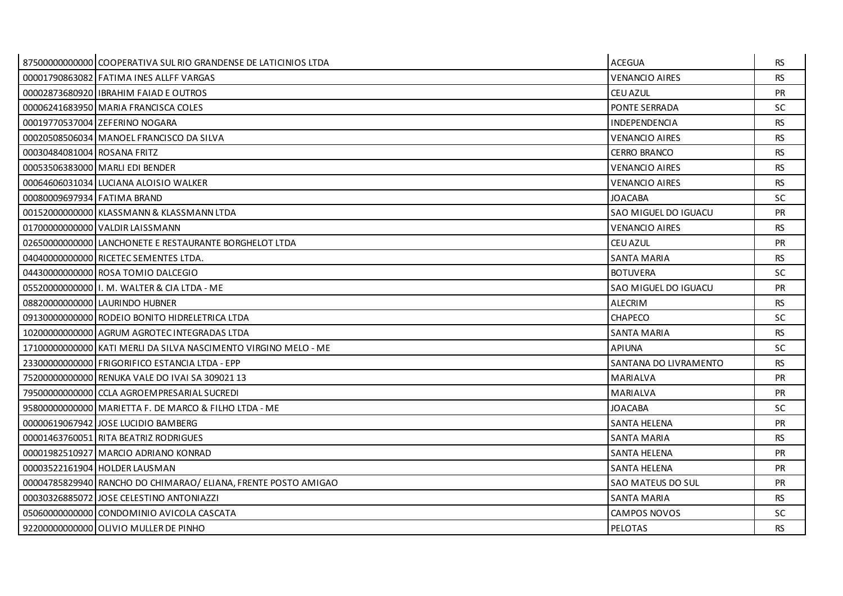|                             | 87500000000000 COOPERATIVA SUL RIO GRANDENSE DE LATICINIOS LTDA | <b>ACEGUA</b>         | RS.       |
|-----------------------------|-----------------------------------------------------------------|-----------------------|-----------|
|                             | 00001790863082 FATIMA INES ALLFF VARGAS                         | <b>VENANCIO AIRES</b> | <b>RS</b> |
|                             | 00002873680920 IBRAHIM FAIAD E OUTROS                           | <b>CEU AZUL</b>       | <b>PR</b> |
|                             | 00006241683950 MARIA FRANCISCA COLES                            | PONTE SERRADA         | SC.       |
|                             | 00019770537004 ZEFERINO NOGARA                                  | INDEPENDENCIA         | <b>RS</b> |
|                             | 00020508506034 MANOEL FRANCISCO DA SILVA                        | <b>VENANCIO AIRES</b> | <b>RS</b> |
| 00030484081004 ROSANA FRITZ |                                                                 | <b>CERRO BRANCO</b>   | <b>RS</b> |
|                             | 00053506383000 MARLI EDI BENDER                                 | <b>VENANCIO AIRES</b> | <b>RS</b> |
|                             | 00064606031034 LUCIANA ALOISIO WALKER                           | <b>VENANCIO AIRES</b> | <b>RS</b> |
| 00080009697934 FATIMA BRAND |                                                                 | JOACABA               | SC        |
|                             | 00152000000000 KLASSMANN & KLASSMANN LTDA                       | SAO MIGUEL DO IGUACU  | <b>PR</b> |
|                             | 01700000000000 VALDIR LAISSMANN                                 | <b>VENANCIO AIRES</b> | <b>RS</b> |
|                             | 02650000000000 LANCHONETE E RESTAURANTE BORGHELOT LTDA          | <b>CEU AZUL</b>       | <b>PR</b> |
|                             | 04040000000000 RICETEC SEMENTES LTDA.                           | <b>SANTA MARIA</b>    | <b>RS</b> |
|                             | 04430000000000 ROSA TOMIO DALCEGIO                              | <b>BOTUVERA</b>       | <b>SC</b> |
|                             | 05520000000000 I I. M. WALTER & CIA LTDA - ME                   | SAO MIGUEL DO IGUACU  | <b>PR</b> |
|                             | 08820000000000 LAURINDO HUBNER                                  | <b>ALECRIM</b>        | <b>RS</b> |
|                             | 09130000000000 RODEIO BONITO HIDRELETRICA LTDA                  | <b>CHAPECO</b>        | SC        |
|                             | 10200000000000 AGRUM AGROTEC INTEGRADAS LTDA                    | <b>SANTA MARIA</b>    | <b>RS</b> |
|                             | 17100000000000 KATI MERLI DA SILVA NASCIMENTO VIRGINO MELO - ME | <b>APIUNA</b>         | <b>SC</b> |
|                             | 23300000000000 FRIGORIFICO ESTANCIA LTDA - EPP                  | SANTANA DO LIVRAMENTO | <b>RS</b> |
|                             | 75200000000000 RENUKA VALE DO IVAI SA 309021 13                 | MARIALVA              | <b>PR</b> |
|                             | 79500000000000 CCLA AGROEMPRESARIAL SUCREDI                     | <b>MARIALVA</b>       | <b>PR</b> |
|                             | 95800000000000 MARIETTA F. DE MARCO & FILHO LTDA - ME           | <b>JOACABA</b>        | SC.       |
|                             | 00000619067942 JOSE LUCIDIO BAMBERG                             | SANTA HELENA          | <b>PR</b> |
|                             | 00001463760051 RITA BEATRIZ RODRIGUES                           | <b>SANTA MARIA</b>    | <b>RS</b> |
|                             | 00001982510927 MARCIO ADRIANO KONRAD                            | <b>SANTA HELENA</b>   | <b>PR</b> |
|                             | 00003522161904 HOLDER LAUSMAN                                   | <b>SANTA HELENA</b>   | <b>PR</b> |
|                             | 00004785829940 RANCHO DO CHIMARAO/ ELIANA, FRENTE POSTO AMIGAO  | SAO MATEUS DO SUL     | <b>PR</b> |
|                             | 00030326885072 JJOSE CELESTINO ANTONIAZZI                       | <b>SANTA MARIA</b>    | <b>RS</b> |
|                             | 05060000000000 CONDOMINIO AVICOLA CASCATA                       | CAMPOS NOVOS          | SC.       |
|                             | 92200000000000 OLIVIO MULLER DE PINHO                           | PELOTAS               | <b>RS</b> |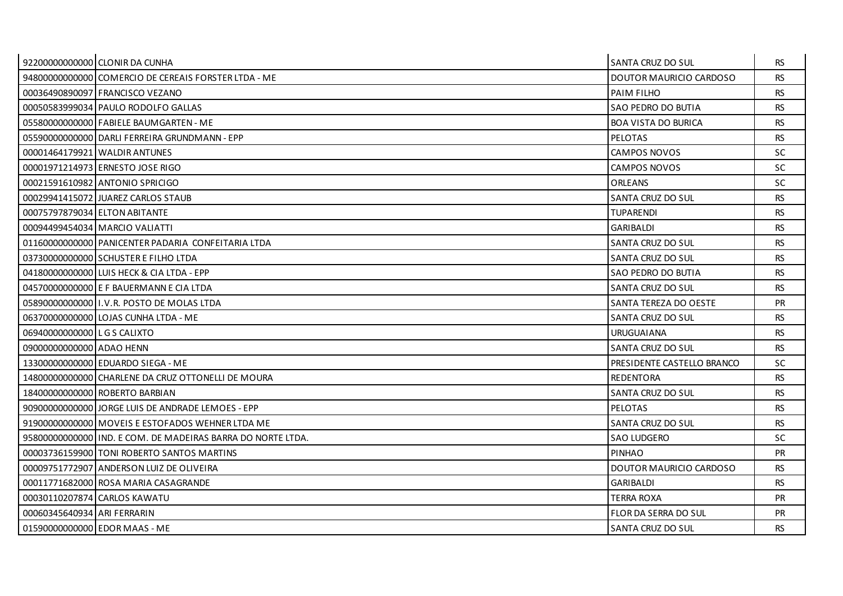|                               | 92200000000000 CLONIR DA CUNHA                              | SANTA CRUZ DO SUL          | RS.       |
|-------------------------------|-------------------------------------------------------------|----------------------------|-----------|
|                               | 94800000000000 COMERCIO DE CEREAIS FORSTER LTDA - ME        | DOUTOR MAURICIO CARDOSO    | <b>RS</b> |
|                               | 00036490890097 FRANCISCO VEZANO                             | PAIM FILHO                 | <b>RS</b> |
|                               | 00050583999034 PAULO RODOLFO GALLAS                         | SAO PEDRO DO BUTIA         | <b>RS</b> |
|                               | 05580000000000 FABIELE BAUMGARTEN - ME                      | <b>BOA VISTA DO BURICA</b> | <b>RS</b> |
|                               | 055900000000000 DARLI FERREIRA GRUNDMANN - EPP              | <b>PELOTAS</b>             | <b>RS</b> |
|                               | 00001464179921 WALDIR ANTUNES                               | <b>CAMPOS NOVOS</b>        | <b>SC</b> |
|                               | 00001971214973 ERNESTO JOSE RIGO                            | CAMPOS NOVOS               | <b>SC</b> |
|                               | 00021591610982 ANTONIO SPRICIGO                             | <b>ORLEANS</b>             | <b>SC</b> |
|                               | 00029941415072 JJUAREZ CARLOS STAUB                         | SANTA CRUZ DO SUL          | <b>RS</b> |
| 00075797879034 ELTON ABITANTE |                                                             | <b>TUPARENDI</b>           | <b>RS</b> |
|                               | 00094499454034 MARCIO VALIATTI                              | <b>GARIBALDI</b>           | <b>RS</b> |
|                               | 01160000000000 PANICENTER PADARIA CONFEITARIA LTDA          | SANTA CRUZ DO SUL          | <b>RS</b> |
|                               | 03730000000000 SCHUSTER E FILHO LTDA                        | SANTA CRUZ DO SUL          | <b>RS</b> |
|                               | 041800000000001LUIS HECK & CIA LTDA - EPP                   | SAO PEDRO DO BUTIA         | RS.       |
|                               | 045700000000000 E F BAUERMANN E CIA LTDA                    | SANTA CRUZ DO SUL          | <b>RS</b> |
|                               | 05890000000000 I.V.R. POSTO DE MOLAS LTDA                   | SANTA TEREZA DO OESTE      | <b>PR</b> |
|                               | 06370000000000 LOJAS CUNHA LTDA - ME                        | SANTA CRUZ DO SUL          | <b>RS</b> |
| 06940000000000 LGS CALIXTO    |                                                             | <b>URUGUAIANA</b>          | <b>RS</b> |
| 09000000000000 ADAO HENN      |                                                             | SANTA CRUZ DO SUL          | <b>RS</b> |
|                               | 13300000000000 EDUARDO SIEGA - ME                           | PRESIDENTE CASTELLO BRANCO | SC.       |
|                               | 14800000000000 CHARLENE DA CRUZ OTTONELLI DE MOURA          | <b>REDENTORA</b>           | <b>RS</b> |
|                               | 18400000000000 ROBERTO BARBIAN                              | SANTA CRUZ DO SUL          | <b>RS</b> |
|                               | 909000000000000 JORGE LUIS DE ANDRADE LEMOES - EPP          | <b>PELOTAS</b>             | <b>RS</b> |
|                               | 91900000000000 MOVEIS E ESTOFADOS WEHNER LTDA ME            | SANTA CRUZ DO SUL          | RS.       |
|                               | 95800000000000 IND. E COM. DE MADEIRAS BARRA DO NORTE LTDA. | SAO LUDGERO                | <b>SC</b> |
|                               | 00003736159900 TONI ROBERTO SANTOS MARTINS                  | <b>PINHAO</b>              | <b>PR</b> |
|                               | 00009751772907 ANDERSON LUIZ DE OLIVEIRA                    | DOUTOR MAURICIO CARDOSO    | RS.       |
|                               | 00011771682000 ROSA MARIA CASAGRANDE                        | <b>GARIBALDI</b>           | <b>RS</b> |
|                               | 00030110207874 CARLOS KAWATU                                | <b>TERRA ROXA</b>          | <b>PR</b> |
| 00060345640934 ARI FERRARIN   |                                                             | FLOR DA SERRA DO SUL       | <b>PR</b> |
|                               | 01590000000000 EDOR MAAS - ME                               | SANTA CRUZ DO SUL          | <b>RS</b> |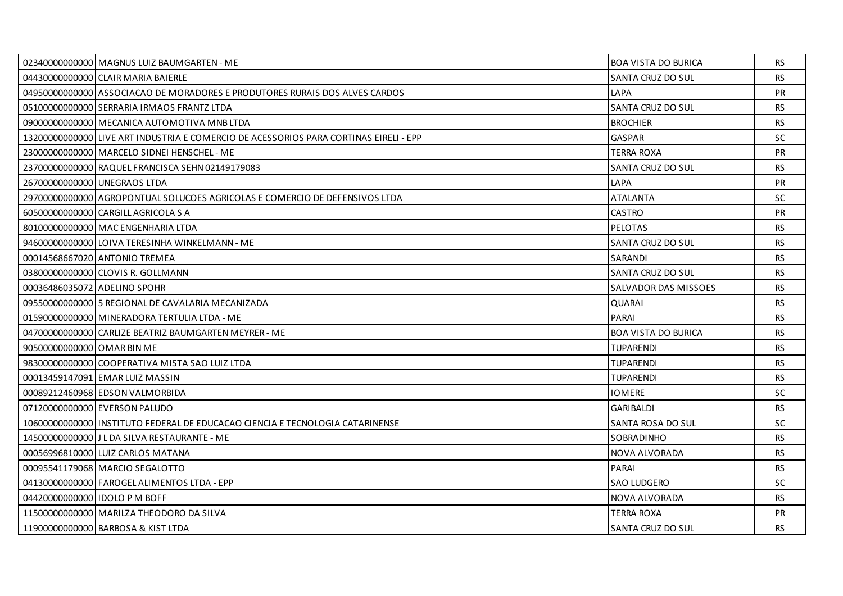|                              | 02340000000000 MAGNUS LUIZ BAUMGARTEN - ME                                            | <b>BOA VISTA DO BURICA</b> | <b>RS</b> |
|------------------------------|---------------------------------------------------------------------------------------|----------------------------|-----------|
|                              | 04430000000000 CLAIR MARIA BAIERLE                                                    | SANTA CRUZ DO SUL          | <b>RS</b> |
|                              | 04950000000000 ASSOCIACAO DE MORADORES E PRODUTORES RURAIS DOS ALVES CARDOS           | LAPA                       | PR        |
|                              | 05100000000000 SERRARIA IRMAOS FRANTZ LTDA                                            | SANTA CRUZ DO SUL          | <b>RS</b> |
|                              | 09000000000000 MECANICA AUTOMOTIVA MNB LTDA                                           | <b>BROCHIER</b>            | <b>RS</b> |
|                              | 13200000000000 LIVE ART INDUSTRIA E COMERCIO DE ACESSORIOS PARA CORTINAS EIRELI - EPP | <b>GASPAR</b>              | <b>SC</b> |
|                              | 23000000000000 MARCELO SIDNEI HENSCHEL - ME                                           | TERRA ROXA                 | <b>PR</b> |
|                              | 23700000000000 RAQUEL FRANCISCA SEHN 02149179083                                      | SANTA CRUZ DO SUL          | <b>RS</b> |
|                              | 26700000000000 UNEGRAOS LTDA                                                          | LAPA                       | PR        |
|                              | 29700000000000 AGROPONTUAL SOLUCOES AGRICOLAS E COMERCIO DE DEFENSIVOS LTDA           | <b>ATALANTA</b>            | <b>SC</b> |
|                              | 60500000000000 CARGILL AGRICOLA S A                                                   | CASTRO                     | PR        |
|                              | 80100000000000 MAC ENGENHARIA LTDA                                                    | <b>PELOTAS</b>             | <b>RS</b> |
|                              | 94600000000000 LOIVA TERESINHA WINKELMANN - ME                                        | SANTA CRUZ DO SUL          | <b>RS</b> |
|                              | 00014568667020 ANTONIO TREMEA                                                         | SARANDI                    | <b>RS</b> |
|                              | 03800000000000 CLOVIS R. GOLLMANN                                                     | SANTA CRUZ DO SUL          | <b>RS</b> |
| 00036486035072 ADELINO SPOHR |                                                                                       | SALVADOR DAS MISSOES       | <b>RS</b> |
|                              | 09550000000000 5 REGIONAL DE CAVALARIA MECANIZADA                                     | <b>QUARAI</b>              | <b>RS</b> |
|                              | 01590000000000 MINERADORA TERTULIA LTDA - ME                                          | PARAI                      | <b>RS</b> |
|                              | 04700000000000 CARLIZE BEATRIZ BAUMGARTEN MEYRER - ME                                 | <b>BOA VISTA DO BURICA</b> | <b>RS</b> |
| 90500000000000 OMAR BIN ME   |                                                                                       | <b>TUPARENDI</b>           | <b>RS</b> |
|                              | 98300000000000 COOPERATIVA MISTA SAO LUIZ LTDA                                        | <b>TUPARENDI</b>           | <b>RS</b> |
|                              | 00013459147091 EMAR LUIZ MASSIN                                                       | <b>TUPARENDI</b>           | <b>RS</b> |
|                              | 00089212460968 EDSON VALMORBIDA                                                       | <b>IOMERE</b>              | SC.       |
|                              | 07120000000000 EVERSON PALUDO                                                         | <b>GARIBALDI</b>           | <b>RS</b> |
|                              | 10600000000000 I INSTITUTO FEDERAL DE EDUCACAO CIENCIA E TECNOLOGIA CATARINENSE       | SANTA ROSA DO SUL          | SC.       |
|                              | 145000000000000 J L DA SILVA RESTAURANTE - ME                                         | SOBRADINHO                 | <b>RS</b> |
|                              | 00056996810000 LUIZ CARLOS MATANA                                                     | NOVA ALVORADA              | <b>RS</b> |
|                              | 00095541179068 MARCIO SEGALOTTO                                                       | PARAI                      | <b>RS</b> |
|                              | 04130000000000 FAROGEL ALIMENTOS LTDA - EPP                                           | <b>SAO LUDGERO</b>         | <b>SC</b> |
| 04420000000000 IDOLO PM BOFF |                                                                                       | NOVA ALVORADA              | <b>RS</b> |
|                              | 11500000000000   MARILZA THEODORO DA SILVA                                            | TERRA ROXA                 | PR        |
|                              | 11900000000000 BARBOSA & KIST LTDA                                                    | SANTA CRUZ DO SUL          | <b>RS</b> |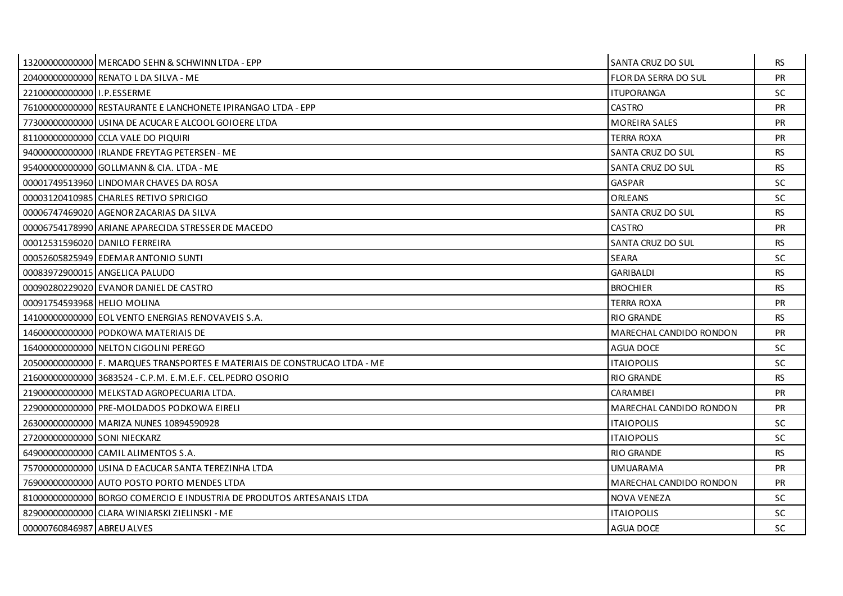|                              | 13200000000000 MERCADO SEHN & SCHWINN LTDA - EPP                          | SANTA CRUZ DO SUL       | <b>RS</b> |
|------------------------------|---------------------------------------------------------------------------|-------------------------|-----------|
|                              | 20400000000000 RENATO L DA SILVA - ME                                     | FLOR DA SERRA DO SUL    | PR        |
| 2210000000000011.P.ESSERME   |                                                                           | <b>ITUPORANGA</b>       | SC.       |
|                              | 76100000000000 RESTAURANTE E LANCHONETE IPIRANGAO LTDA - EPP              | CASTRO                  | <b>PR</b> |
|                              | 77300000000000 USINA DE ACUCAR E ALCOOL GOIOERE LTDA                      | <b>MOREIRA SALES</b>    | <b>PR</b> |
|                              | 81100000000000 CCLA VALE DO PIQUIRI                                       | TERRA ROXA              | PR        |
|                              | 940000000000000 IRLANDE FREYTAG PETERSEN - ME                             | SANTA CRUZ DO SUL       | <b>RS</b> |
|                              | 95400000000000 GOLLMANN & CIA. LTDA - ME                                  | SANTA CRUZ DO SUL       | <b>RS</b> |
|                              | 00001749513960 LINDOMAR CHAVES DA ROSA                                    | <b>GASPAR</b>           | SC.       |
|                              | 00003120410985 CHARLES RETIVO SPRICIGO                                    | ORLEANS                 | SC.       |
|                              | 00006747469020 AGENOR ZACARIAS DA SILVA                                   | SANTA CRUZ DO SUL       | <b>RS</b> |
|                              | 00006754178990 ARIANE APARECIDA STRESSER DE MACEDO                        | <b>CASTRO</b>           | PR        |
|                              | 00012531596020 DANILO FERREIRA                                            | SANTA CRUZ DO SUL       | <b>RS</b> |
|                              | 00052605825949 EDEMAR ANTONIO SUNTI                                       | <b>SEARA</b>            | <b>SC</b> |
|                              | 00083972900015 ANGELICA PALUDO                                            | <b>GARIBALDI</b>        | <b>RS</b> |
|                              | 00090280229020 EVANOR DANIEL DE CASTRO                                    | <b>BROCHIER</b>         | <b>RS</b> |
| 00091754593968 HELIO MOLINA  |                                                                           | <b>TERRA ROXA</b>       | <b>PR</b> |
|                              | 14100000000000 EOL VENTO ENERGIAS RENOVAVEIS S.A.                         | <b>RIO GRANDE</b>       | <b>RS</b> |
|                              | 146000000000000 PODKOWA MATERIAIS DE                                      | MARECHAL CANDIDO RONDON | <b>PR</b> |
|                              | 16400000000000 NELTON CIGOLINI PEREGO                                     | <b>AGUA DOCE</b>        | SC.       |
|                              | 20500000000000 F. MARQUES TRANSPORTES E MATERIAIS DE CONSTRUCAO LTDA - ME | <b>ITAIOPOLIS</b>       | <b>SC</b> |
|                              | 21600000000000 3683524 - C.P.M. E.M.E.F. CEL.PEDRO OSORIO                 | <b>RIO GRANDE</b>       | <b>RS</b> |
|                              | 219000000000000 MELKSTAD AGROPECUARIA LTDA.                               | <b>CARAMBEI</b>         | <b>PR</b> |
|                              | 229000000000000 PRE-MOLDADOS PODKOWA EIRELI                               | MARECHAL CANDIDO RONDON | <b>PR</b> |
|                              | 26300000000000 MARIZA NUNES 10894590928                                   | <b>ITAIOPOLIS</b>       | <b>SC</b> |
| 27200000000000 SONI NIECKARZ |                                                                           | <b>ITAIOPOLIS</b>       | <b>SC</b> |
|                              | 64900000000000 CAMIL ALIMENTOS S.A.                                       | <b>RIO GRANDE</b>       | <b>RS</b> |
|                              | 75700000000000 USINA D EACUCAR SANTA TEREZINHA LTDA                       | UMUARAMA                | <b>PR</b> |
|                              | 76900000000000 AUTO POSTO PORTO MENDES LTDA                               | MARECHAL CANDIDO RONDON | <b>PR</b> |
|                              | 81000000000000 BORGO COMERCIO E INDUSTRIA DE PRODUTOS ARTESANAIS LTDA     | NOVA VENEZA             | <b>SC</b> |
|                              | 829000000000000 CLARA WINIARSKI ZIELINSKI - ME                            | <b>ITAIOPOLIS</b>       | <b>SC</b> |
| 00000760846987 ABREU ALVES   |                                                                           | <b>AGUA DOCE</b>        | <b>SC</b> |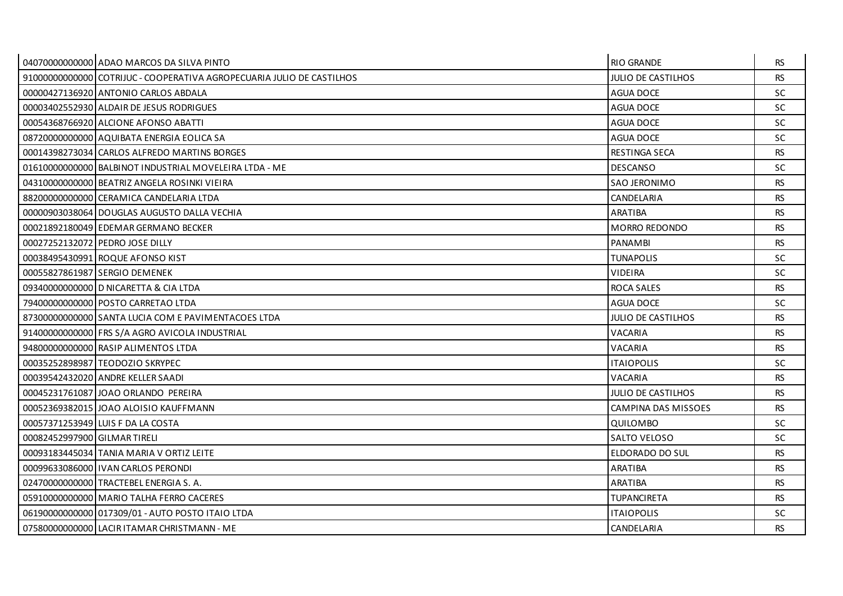|                              | 04070000000000 ADAO MARCOS DA SILVA PINTO                             | <b>RIO GRANDE</b>          | RS.       |
|------------------------------|-----------------------------------------------------------------------|----------------------------|-----------|
|                              | 91000000000000 COTRIJUC - COOPERATIVA AGROPECUARIA JULIO DE CASTILHOS | <b>JULIO DE CASTILHOS</b>  | <b>RS</b> |
|                              | 00000427136920 ANTONIO CARLOS ABDALA                                  | <b>AGUA DOCE</b>           | SC.       |
|                              | 00003402552930 ALDAIR DE JESUS RODRIGUES                              | AGUA DOCE                  | <b>SC</b> |
|                              | 00054368766920 ALCIONE AFONSO ABATTI                                  | <b>AGUA DOCE</b>           | <b>SC</b> |
|                              | 08720000000000 AQUIBATA ENERGIA EOLICA SA                             | <b>AGUA DOCE</b>           | <b>SC</b> |
|                              | 00014398273034 CARLOS ALFREDO MARTINS BORGES                          | <b>RESTINGA SECA</b>       | <b>RS</b> |
|                              | 01610000000000 BALBINOT INDUSTRIAL MOVELEIRA LTDA - ME                | <b>DESCANSO</b>            | <b>SC</b> |
|                              | 04310000000000 BEATRIZ ANGELA ROSINKI VIEIRA                          | SAO JERONIMO               | <b>RS</b> |
|                              | 88200000000000 CERAMICA CANDELARIA LTDA                               | CANDELARIA                 | <b>RS</b> |
|                              | 00000903038064 DOUGLAS AUGUSTO DALLA VECHIA                           | ARATIBA                    | <b>RS</b> |
|                              | 00021892180049 EDEMAR GERMANO BECKER                                  | <b>MORRO REDONDO</b>       | <b>RS</b> |
|                              | 00027252132072 PEDRO JOSE DILLY                                       | <b>PANAMBI</b>             | <b>RS</b> |
|                              | 00038495430991 ROQUE AFONSO KIST                                      | <b>TUNAPOLIS</b>           | <b>SC</b> |
|                              | 00055827861987 SERGIO DEMENEK                                         | <b>VIDEIRA</b>             | <b>SC</b> |
|                              | 09340000000000 D NICARETTA & CIA LTDA                                 | <b>ROCA SALES</b>          | <b>RS</b> |
|                              | 79400000000000 POSTO CARRETAO LTDA                                    | <b>AGUA DOCE</b>           | <b>SC</b> |
|                              | 87300000000000 SANTA LUCIA COM E PAVIMENTACOES LTDA                   | <b>JULIO DE CASTILHOS</b>  | <b>RS</b> |
|                              | 91400000000000 FRS S/A AGRO AVICOLA INDUSTRIAL                        | VACARIA                    | <b>RS</b> |
|                              | 94800000000000 RASIP ALIMENTOS LTDA                                   | VACARIA                    | <b>RS</b> |
|                              | 00035252898987 TEODOZIO SKRYPEC                                       | <b>ITAIOPOLIS</b>          | SC.       |
|                              | 00039542432020 ANDRE KELLER SAADI                                     | VACARIA                    | <b>RS</b> |
|                              | 00045231761087 JOAO ORLANDO PEREIRA                                   | <b>JULIO DE CASTILHOS</b>  | <b>RS</b> |
|                              | 00052369382015 JOAO ALOISIO KAUFFMANN                                 | <b>CAMPINA DAS MISSOES</b> | <b>RS</b> |
|                              | 00057371253949 LUIS F DA LA COSTA                                     | QUILOMBO                   | SC.       |
| 00082452997900 GILMAR TIRELI |                                                                       | SALTO VELOSO               | <b>SC</b> |
|                              | 00093183445034 TANIA MARIA V ORTIZ LEITE                              | ELDORADO DO SUL            | <b>RS</b> |
|                              | 00099633086000 I VAN CARLOS PERONDI                                   | ARATIBA                    | RS.       |
|                              | 02470000000000 TRACTEBEL ENERGIA S. A.                                | <b>ARATIBA</b>             | <b>RS</b> |
|                              | 05910000000000 MARIO TALHA FERRO CACERES                              | <b>TUPANCIRETA</b>         | <b>RS</b> |
|                              | 06190000000000 017309/01 - AUTO POSTO ITAIO LTDA                      | <b>ITAIOPOLIS</b>          | <b>SC</b> |
|                              | 07580000000000 LACIR ITAMAR CHRISTMANN - ME                           | CANDELARIA                 | <b>RS</b> |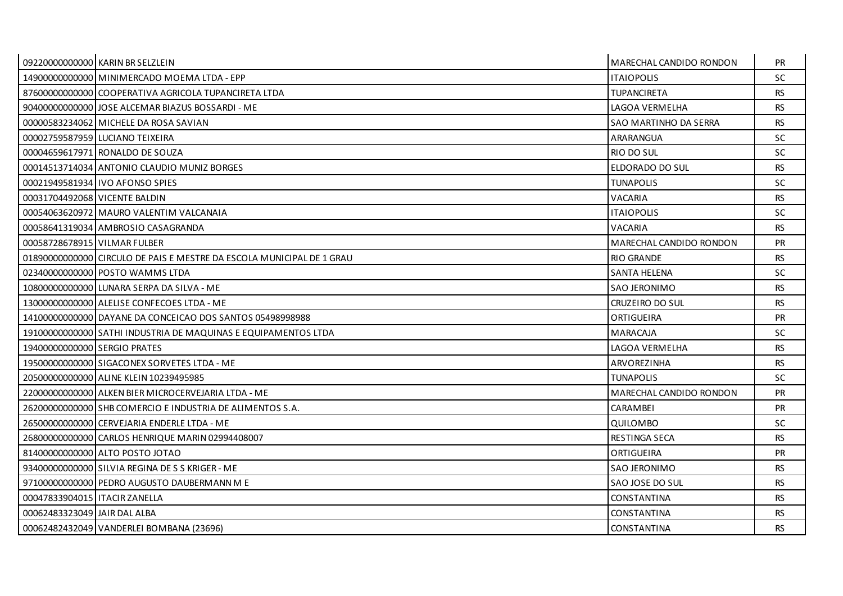|                                 | 09220000000000 KARIN BR SELZLEIN                                      | <b>MARECHAL CANDIDO RONDON</b> | <b>PR</b> |
|---------------------------------|-----------------------------------------------------------------------|--------------------------------|-----------|
|                                 | 14900000000000 MINIMERCADO MOEMA LTDA - EPP                           | <b>ITAIOPOLIS</b>              | <b>SC</b> |
|                                 | 87600000000000 COOPERATIVA AGRICOLA TUPANCIRETA LTDA                  | <b>TUPANCIRETA</b>             | <b>RS</b> |
|                                 | 904000000000000 JOSE ALCEMAR BIAZUS BOSSARDI - ME                     | LAGOA VERMELHA                 | <b>RS</b> |
|                                 | 00000583234062 MICHELE DA ROSA SAVIAN                                 | SAO MARTINHO DA SERRA          | <b>RS</b> |
|                                 | 00002759587959 LUCIANO TEIXEIRA                                       | ARARANGUA                      | <b>SC</b> |
|                                 | 00004659617971 RONALDO DE SOUZA                                       | RIO DO SUL                     | SC.       |
|                                 | 00014513714034 ANTONIO CLAUDIO MUNIZ BORGES                           | ELDORADO DO SUL                | <b>RS</b> |
|                                 | 00021949581934 IVO AFONSO SPIES                                       | <b>TUNAPOLIS</b>               | <b>SC</b> |
| 00031704492068 VICENTE BALDIN   |                                                                       | VACARIA                        | <b>RS</b> |
|                                 | 00054063620972 MAURO VALENTIM VALCANAIA                               | <b>ITAIOPOLIS</b>              | <b>SC</b> |
|                                 | 00058641319034 AMBROSIO CASAGRANDA                                    | VACARIA                        | <b>RS</b> |
| 00058728678915 VILMAR FULBER    |                                                                       | MARECHAL CANDIDO RONDON        | <b>PR</b> |
|                                 | 01890000000000 CIRCULO DE PAIS E MESTRE DA ESCOLA MUNICIPAL DE 1 GRAU | <b>RIO GRANDE</b>              | <b>RS</b> |
|                                 | 02340000000000 POSTO WAMMS LTDA                                       | <b>SANTA HELENA</b>            | SC.       |
|                                 | 108000000000000 LUNARA SERPA DA SILVA - ME                            | SAO JERONIMO                   | <b>RS</b> |
|                                 | 13000000000000 ALELISE CONFECOES LTDA - ME                            | CRUZEIRO DO SUL                | <b>RS</b> |
|                                 | 14100000000000 DAYANE DA CONCEICAO DOS SANTOS 05498998988             | ORTIGUEIRA                     | <b>PR</b> |
|                                 | 19100000000000 SATHI INDUSTRIA DE MAQUINAS E EQUIPAMENTOS LTDA        | <b>MARACAJA</b>                | SC.       |
| 19400000000000 SERGIO PRATES    |                                                                       | LAGOA VERMELHA                 | <b>RS</b> |
|                                 | 19500000000000 SIGACONEX SORVETES LTDA - ME                           | ARVOREZINHA                    | <b>RS</b> |
|                                 | 20500000000000 ALINE KLEIN 10239495985                                | <b>TUNAPOLIS</b>               | SC.       |
|                                 | 22000000000000 ALKEN BIER MICROCERVEJARIA LTDA - ME                   | MARECHAL CANDIDO RONDON        | <b>PR</b> |
|                                 | 26200000000000 SHB COMERCIO E INDUSTRIA DE ALIMENTOS S.A.             | <b>CARAMBEI</b>                | <b>PR</b> |
|                                 | 265000000000000 CERVEJARIA ENDERLE LTDA - ME                          | <b>OUILOMBO</b>                | <b>SC</b> |
|                                 | 26800000000000 CARLOS HENRIQUE MARIN 02994408007                      | <b>RESTINGA SECA</b>           | <b>RS</b> |
|                                 | 81400000000000 ALTO POSTO JOTAO                                       | ORTIGUEIRA                     | <b>PR</b> |
|                                 | 934000000000000 SILVIA REGINA DE S S KRIGER - ME                      | SAO JERONIMO                   | <b>RS</b> |
|                                 | 971000000000000 PEDRO AUGUSTO DAUBERMANN M E                          | <b>SAO JOSE DO SUL</b>         | <b>RS</b> |
| 00047833904015   ITACIR ZANELLA |                                                                       | <b>CONSTANTINA</b>             | <b>RS</b> |
| 00062483323049 JAIR DAL ALBA    |                                                                       | CONSTANTINA                    | <b>RS</b> |
|                                 | 00062482432049 VANDERLEI BOMBANA (23696)                              | CONSTANTINA                    | <b>RS</b> |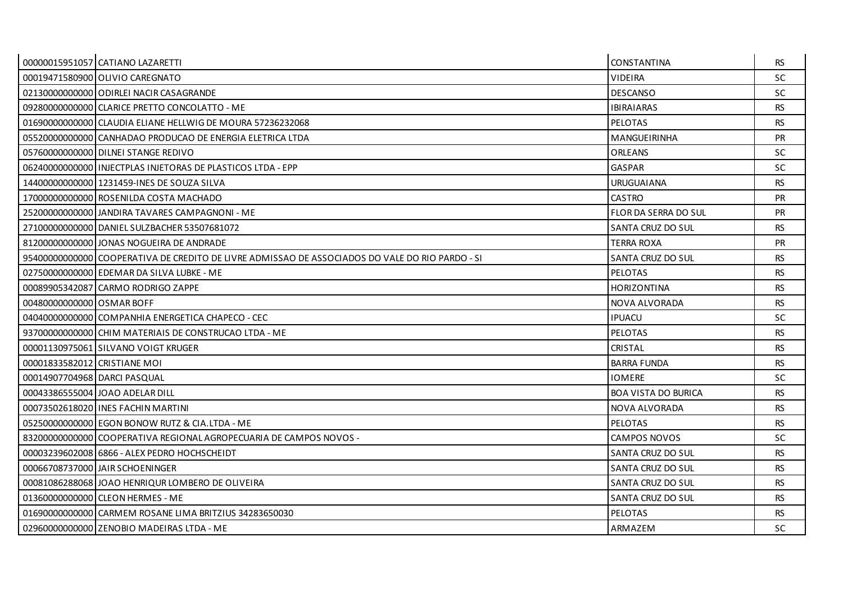|                              | 00000015951057 CATIANO LAZARETTI                                                                | CONSTANTINA                 | RS.       |
|------------------------------|-------------------------------------------------------------------------------------------------|-----------------------------|-----------|
|                              | 00019471580900 OLIVIO CAREGNATO                                                                 | <b>VIDEIRA</b>              | <b>SC</b> |
|                              | 02130000000000 ODIRLEI NACIR CASAGRANDE                                                         | <b>DESCANSO</b>             | <b>SC</b> |
|                              | 09280000000000 CLARICE PRETTO CONCOLATTO - ME                                                   | <b>IBIRAIARAS</b>           | <b>RS</b> |
|                              | 01690000000000 CLAUDIA ELIANE HELLWIG DE MOURA 57236232068                                      | <b>PELOTAS</b>              | <b>RS</b> |
|                              | 05520000000000 CANHADAO PRODUCAO DE ENERGIA ELETRICA LTDA                                       | <b>MANGUEIRINHA</b>         | <b>PR</b> |
|                              | 05760000000000 DILNEI STANGE REDIVO                                                             | <b>ORLEANS</b>              | <b>SC</b> |
|                              | 06240000000000   INJECTPLAS INJETORAS DE PLASTICOS LTDA - EPP                                   | GASPAR                      | <b>SC</b> |
|                              | 14400000000000 1231459-INES DE SOUZA SILVA                                                      | <b>URUGUAIANA</b>           | <b>RS</b> |
|                              | 170000000000000 ROSENILDA COSTA MACHADO                                                         | <b>CASTRO</b>               | <b>PR</b> |
|                              | 25200000000000 JANDIRA TAVARES CAMPAGNONI - ME                                                  | <b>FLOR DA SERRA DO SUL</b> | <b>PR</b> |
|                              | 27100000000000 DANIEL SULZBACHER 53507681072                                                    | SANTA CRUZ DO SUL           | <b>RS</b> |
|                              | 81200000000000 JONAS NOGUEIRA DE ANDRADE                                                        | <b>TERRA ROXA</b>           | <b>PR</b> |
|                              | 95400000000000 COOPERATIVA DE CREDITO DE LIVRE ADMISSAO DE ASSOCIADOS DO VALE DO RIO PARDO - SI | <b>SANTA CRUZ DO SUL</b>    | <b>RS</b> |
|                              | 02750000000000 EDEMAR DA SILVA LUBKE - ME                                                       | PELOTAS                     | <b>RS</b> |
|                              | 00089905342087 CARMO RODRIGO ZAPPE                                                              | HORIZONTINA                 | <b>RS</b> |
| 00480000000000 OSMAR BOFF    |                                                                                                 | NOVA ALVORADA               | <b>RS</b> |
|                              | 040400000000000 COMPANHIA ENERGETICA CHAPECO - CEC                                              | <b>IPUACU</b>               | <b>SC</b> |
|                              | 93700000000000 CHIM MATERIAIS DE CONSTRUCAO LTDA - ME                                           | <b>PELOTAS</b>              | <b>RS</b> |
|                              | 00001130975061 SILVANO VOIGT KRUGER                                                             | CRISTAL                     | <b>RS</b> |
| 00001833582012 CRISTIANE MOI |                                                                                                 | <b>BARRA FUNDA</b>          | <b>RS</b> |
| 00014907704968 DARCI PASQUAL |                                                                                                 | <b>IOMERE</b>               | <b>SC</b> |
|                              | 00043386555004 JOAO ADELAR DILL                                                                 | <b>BOA VISTA DO BURICA</b>  | <b>RS</b> |
|                              | 00073502618020 LINES FACHIN MARTINI                                                             | NOVA ALVORADA               | <b>RS</b> |
|                              | 05250000000000 EGON BONOW RUTZ & CIA.LTDA - ME                                                  | <b>PELOTAS</b>              | <b>RS</b> |
|                              | 83200000000000 COOPERATIVA REGIONAL AGROPECUARIA DE CAMPOS NOVOS -                              | <b>CAMPOS NOVOS</b>         | <b>SC</b> |
|                              | 00003239602008 6866 - ALEX PEDRO HOCHSCHEIDT                                                    | SANTA CRUZ DO SUL           | <b>RS</b> |
|                              | 00066708737000 JAIR SCHOENINGER                                                                 | SANTA CRUZ DO SUL           | <b>RS</b> |
|                              | 00081086288068 JJOAO HENRIQUR LOMBERO DE OLIVEIRA                                               | <b>SANTA CRUZ DO SUL</b>    | <b>RS</b> |
|                              | 01360000000000 CLEON HERMES - ME                                                                | SANTA CRUZ DO SUL           | <b>RS</b> |
|                              | 01690000000000 CARMEM ROSANE LIMA BRITZIUS 34283650030                                          | <b>PELOTAS</b>              | <b>RS</b> |
|                              | 02960000000000 ZENOBIO MADEIRAS LTDA - ME                                                       | ARMAZEM                     | <b>SC</b> |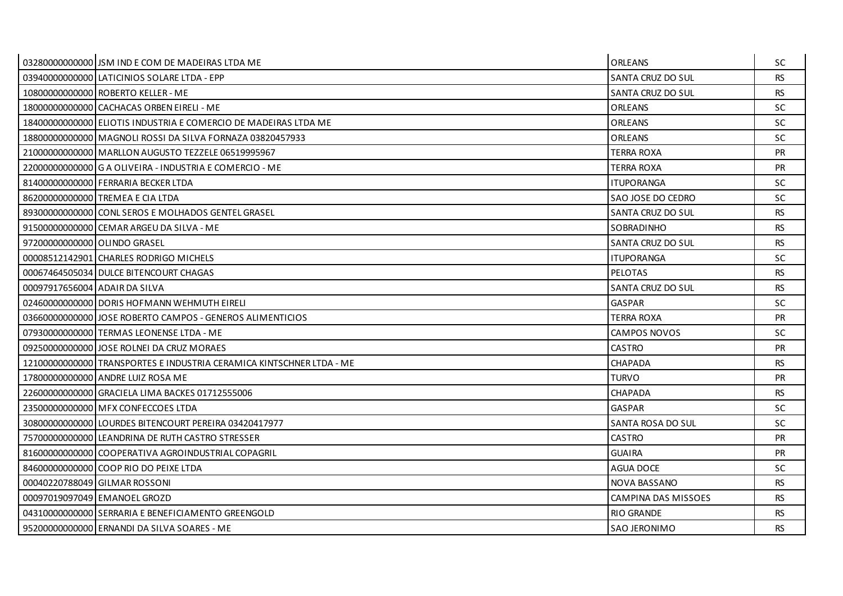|                               | 03280000000000 JSM IND E COM DE MADEIRAS LTDA ME                     | <b>ORLEANS</b>      | SC.       |
|-------------------------------|----------------------------------------------------------------------|---------------------|-----------|
|                               | 03940000000000 LATICINIOS SOLARE LTDA - EPP                          | SANTA CRUZ DO SUL   | <b>RS</b> |
|                               | 10800000000000 ROBERTO KELLER - ME                                   | SANTA CRUZ DO SUL   | <b>RS</b> |
|                               | 18000000000000 CACHACAS ORBEN EIRELI - ME                            | ORLEANS             | <b>SC</b> |
|                               | 18400000000000 ELIOTIS INDUSTRIA E COMERCIO DE MADEIRAS LTDA ME      | ORLEANS             | <b>SC</b> |
|                               | 18800000000000 MAGNOLI ROSSI DA SILVA FORNAZA 03820457933            | ORLEANS             | <b>SC</b> |
|                               | 21000000000000 MARLLON AUGUSTO TEZZELE 06519995967                   | TERRA ROXA          | <b>PR</b> |
|                               | 22000000000000 G A OLIVEIRA - INDUSTRIA E COMERCIO - ME              | terra Roxa          | <b>PR</b> |
|                               | 81400000000000 FERRARIA BECKER LTDA                                  | ITUPORANGA          | SC.       |
|                               | 86200000000000 TREMEA E CIA LTDA                                     | SAO JOSE DO CEDRO   | SC.       |
|                               | 89300000000000 CONL SEROS E MOLHADOS GENTEL GRASEL                   | SANTA CRUZ DO SUL   | <b>RS</b> |
|                               | 91500000000000 CEMAR ARGEU DA SILVA - ME                             | SOBRADINHO          | <b>RS</b> |
| 972000000000000 OLINDO GRASEL |                                                                      | SANTA CRUZ DO SUL   | <b>RS</b> |
|                               | 00008512142901 CHARLES RODRIGO MICHELS                               | <b>ITUPORANGA</b>   | <b>SC</b> |
|                               | 00067464505034 DULCE BITENCOURT CHAGAS                               | <b>PELOTAS</b>      | <b>RS</b> |
| 00097917656004 ADAIR DA SILVA |                                                                      | SANTA CRUZ DO SUL   | <b>RS</b> |
|                               | 024600000000000 DORIS HOFMANN WEHMUTH EIRELI                         | <b>GASPAR</b>       | <b>SC</b> |
|                               | 036600000000001JOSE ROBERTO CAMPOS - GENEROS ALIMENTICIOS            | TERRA ROXA          | PR        |
|                               | 07930000000000 TERMAS LEONENSE LTDA - ME                             | <b>CAMPOS NOVOS</b> | SC.       |
|                               | 09250000000000 JOSE ROLNEI DA CRUZ MORAES                            | <b>CASTRO</b>       | <b>PR</b> |
|                               | 12100000000000 TRANSPORTES E INDUSTRIA CERAMICA KINTSCHNER LTDA - ME | CHAPADA             | <b>RS</b> |
|                               | 17800000000000 ANDRE LUIZ ROSA ME                                    | TURVO               | <b>PR</b> |
|                               | 226000000000000 GRACIELA LIMA BACKES 01712555006                     | <b>CHAPADA</b>      | <b>RS</b> |
|                               | 23500000000000 MFX CONFECCOES LTDA                                   | <b>GASPAR</b>       | <b>SC</b> |
|                               | 30800000000000 LOURDES BITENCOURT PEREIRA 03420417977                | SANTA ROSA DO SUL   | <b>SC</b> |
|                               | 75700000000000 LEANDRINA DE RUTH CASTRO STRESSER                     | <b>CASTRO</b>       | PR        |
|                               | 81600000000000 COOPERATIVA AGROINDUSTRIAL COPAGRIL                   | GUAIRA              | <b>PR</b> |
|                               | 846000000000000 COOP RIO DO PEIXE LTDA                               | <b>AGUA DOCE</b>    | SC.       |
|                               | 00040220788049 GILMAR ROSSONI                                        | NOVA BASSANO        | <b>RS</b> |
|                               | 00097019097049 EMANOEL GROZD                                         | CAMPINA DAS MISSOES | <b>RS</b> |
|                               | 04310000000000 SERRARIA E BENEFICIAMENTO GREENGOLD                   | <b>RIO GRANDE</b>   | <b>RS</b> |
|                               | 95200000000000 ERNANDI DA SILVA SOARES - ME                          | <b>SAO JERONIMO</b> | <b>RS</b> |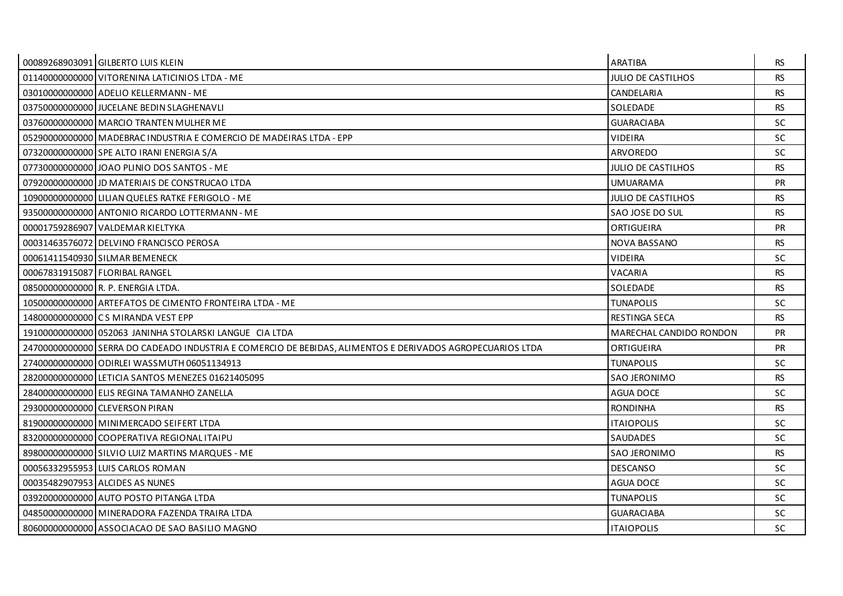| 00089268903091 GILBERTO LUIS KLEIN                                                                        | <b>ARATIBA</b>            | RS.       |
|-----------------------------------------------------------------------------------------------------------|---------------------------|-----------|
| 01140000000000 VITORENINA LATICINIOS LTDA - ME                                                            | <b>JULIO DE CASTILHOS</b> | <b>RS</b> |
| 030100000000000 ADELIO KELLERMANN - ME                                                                    | CANDELARIA                | <b>RS</b> |
| 03750000000000 JJUCELANE BEDIN SLAGHENAVLI                                                                | SOLEDADE                  | <b>RS</b> |
| 03760000000000 MARCIO TRANTEN MULHER ME                                                                   | <b>GUARACIABA</b>         | SC        |
| 05290000000000   MADEBRAC INDUSTRIA E COMERCIO DE MADEIRAS LTDA - EPP                                     | <b>VIDEIRA</b>            | <b>SC</b> |
| 07320000000000 SPE ALTO IRANI ENERGIA S/A                                                                 | ARVOREDO                  | SC.       |
| 07730000000000 JOAO PLINIO DOS SANTOS - ME                                                                | <b>JULIO DE CASTILHOS</b> | <b>RS</b> |
| 07920000000000 JD MATERIAIS DE CONSTRUCAO LTDA                                                            | <b>UMUARAMA</b>           | <b>PR</b> |
| 109000000000000 LILIAN QUELES RATKE FERIGOLO - ME                                                         | <b>JULIO DE CASTILHOS</b> | <b>RS</b> |
| 935000000000000 ANTONIO RICARDO LOTTERMANN - ME                                                           | SAO JOSE DO SUL           | <b>RS</b> |
| 00001759286907 VALDEMAR KIELTYKA                                                                          | ORTIGUEIRA                | <b>PR</b> |
| 00031463576072 DELVINO FRANCISCO PEROSA                                                                   | NOVA BASSANO              | <b>RS</b> |
| 00061411540930 SILMAR BEMENECK                                                                            | <b>VIDEIRA</b>            | <b>SC</b> |
| 00067831915087 FLORIBAL RANGEL                                                                            | VACARIA                   | <b>RS</b> |
| 08500000000000 R. P. ENERGIA LTDA.                                                                        | SOLEDADE                  | <b>RS</b> |
| 10500000000000 ARTEFATOS DE CIMENTO FRONTEIRA LTDA - ME                                                   | <b>TUNAPOLIS</b>          | <b>SC</b> |
| 148000000000000 CS MIRANDA VEST EPP                                                                       | <b>RESTINGA SECA</b>      | <b>RS</b> |
| 19100000000000 052063 JANINHA STOLARSKI LANGUE CIA LTDA                                                   | MARECHAL CANDIDO RONDON   | <b>PR</b> |
| 24700000000000 SERRA DO CADEADO INDUSTRIA E COMERCIO DE BEBIDAS, ALIMENTOS E DERIVADOS AGROPECUARIOS LTDA | ORTIGUEIRA                | <b>PR</b> |
| 274000000000000 ODIRLEI WASSMUTH 06051134913                                                              | <b>TUNAPOLIS</b>          | SC.       |
| 28200000000000 LETICIA SANTOS MENEZES 01621405095                                                         | SAO JERONIMO              | RS.       |
| 284000000000000 ELIS REGINA TAMANHO ZANELLA                                                               | <b>AGUA DOCE</b>          | <b>SC</b> |
| 29300000000000 CLEVERSON PIRAN                                                                            | <b>RONDINHA</b>           | <b>RS</b> |
| 81900000000000 MINIMERCADO SEIFERT LTDA                                                                   | <b>ITAIOPOLIS</b>         | <b>SC</b> |
| 83200000000000 COOPERATIVA REGIONAL ITAIPU                                                                | SAUDADES                  | SC        |
| 898000000000000 SILVIO LUIZ MARTINS MARQUES - ME                                                          | <b>SAO JERONIMO</b>       | <b>RS</b> |
| 00056332955953 LUIS CARLOS ROMAN                                                                          | <b>DESCANSO</b>           | SC.       |
| 00035482907953 ALCIDES AS NUNES                                                                           | <b>AGUA DOCE</b>          | <b>SC</b> |
| 039200000000000 AUTO POSTO PITANGA LTDA                                                                   | <b>TUNAPOLIS</b>          | <b>SC</b> |
| 048500000000000 MINERADORA FAZENDA TRAIRA LTDA                                                            | <b>GUARACIABA</b>         | SC.       |
| 80600000000000 ASSOCIACAO DE SAO BASILIO MAGNO                                                            | <b>ITAIOPOLIS</b>         | SC        |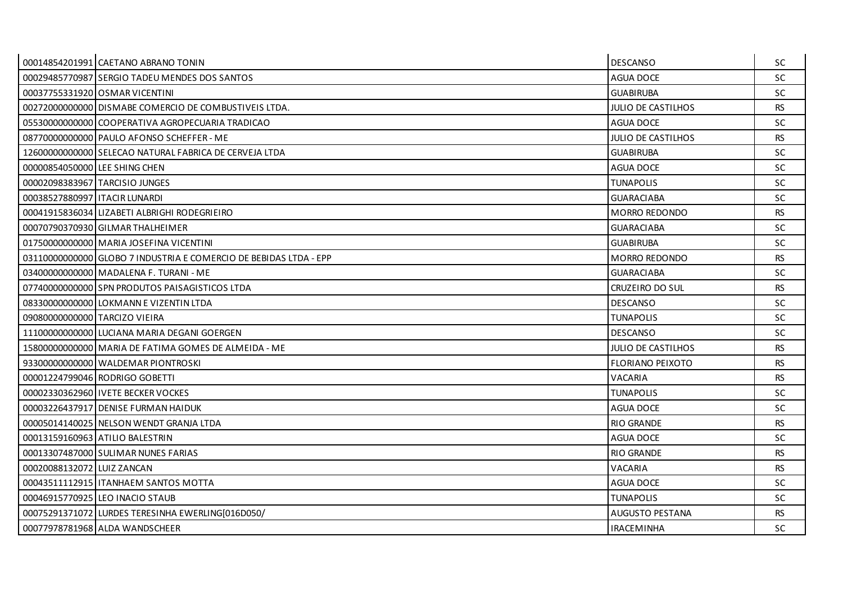|                                | 00014854201991 CAETANO ABRANO TONIN                               | <b>DESCANSO</b>           | SC        |
|--------------------------------|-------------------------------------------------------------------|---------------------------|-----------|
|                                | 00029485770987 SERGIO TADEU MENDES DOS SANTOS                     | <b>AGUA DOCE</b>          | <b>SC</b> |
|                                | 00037755331920 OSMAR VICENTINI                                    | <b>GUABIRUBA</b>          | <b>SC</b> |
|                                | 00272000000000 DISMABE COMERCIO DE COMBUSTIVEIS LTDA.             | <b>JULIO DE CASTILHOS</b> | <b>RS</b> |
|                                | 05530000000000 COOPERATIVA AGROPECUARIA TRADICAO                  | <b>AGUA DOCE</b>          | <b>SC</b> |
|                                | 08770000000000 PAULO AFONSO SCHEFFER - ME                         | <b>JULIO DE CASTILHOS</b> | <b>RS</b> |
|                                | 12600000000000 SELECAO NATURAL FABRICA DE CERVEJA LTDA            | <b>GUABIRUBA</b>          | <b>SC</b> |
| 00000854050000 LEE SHING CHEN  |                                                                   | <b>AGUA DOCE</b>          | <b>SC</b> |
|                                | 00002098383967 TARCISIO JUNGES                                    | <b>TUNAPOLIS</b>          | SC.       |
| 00038527880997 LITACIR LUNARDI |                                                                   | <b>GUARACIABA</b>         | SC.       |
|                                | 00041915836034 LIZABETI ALBRIGHI RODEGRIEIRO                      | MORRO REDONDO             | <b>RS</b> |
|                                | 00070790370930 GILMAR THALHEIMER                                  | <b>GUARACIABA</b>         | <b>SC</b> |
|                                | 01750000000000 MARIA JOSEFINA VICENTINI                           | <b>GUABIRUBA</b>          | <b>SC</b> |
|                                | 03110000000000 GLOBO 7 INDUSTRIA E COMERCIO DE BEBIDAS LTDA - EPP | MORRO REDONDO             | <b>RS</b> |
|                                | 034000000000000 MADALENA F. TURANI - ME                           | <b>GUARACIABA</b>         | <b>SC</b> |
|                                | 07740000000000 SPN PRODUTOS PAISAGISTICOS LTDA                    | CRUZEIRO DO SUL           | <b>RS</b> |
|                                | 083300000000000 LOKMANN E VIZENTIN LTDA                           | <b>DESCANSO</b>           | <b>SC</b> |
| 09080000000000 TARCIZO VIEIRA  |                                                                   | <b>TUNAPOLIS</b>          | <b>SC</b> |
|                                | 11100000000000 LUCIANA MARIA DEGANI GOERGEN                       | <b>DESCANSO</b>           | <b>SC</b> |
|                                | 15800000000000 MARIA DE FATIMA GOMES DE ALMEIDA - ME              | <b>JULIO DE CASTILHOS</b> | <b>RS</b> |
|                                | 933000000000000 WALDEMAR PIONTROSKI                               | <b>FLORIANO PEIXOTO</b>   | <b>RS</b> |
|                                | 00001224799046 RODRIGO GOBETTI                                    | VACARIA                   | <b>RS</b> |
|                                | 00002330362960 IVETE BECKER VOCKES                                | <b>TUNAPOLIS</b>          | <b>SC</b> |
|                                | 00003226437917 DENISE FURMAN HAIDUK                               | <b>AGUA DOCE</b>          | <b>SC</b> |
|                                | 00005014140025 NELSON WENDT GRANJA LTDA                           | <b>RIO GRANDE</b>         | <b>RS</b> |
|                                | 00013159160963 ATILIO BALESTRIN                                   | <b>AGUA DOCE</b>          | <b>SC</b> |
|                                | 00013307487000 SULIMAR NUNES FARIAS                               | <b>RIO GRANDE</b>         | <b>RS</b> |
| 00020088132072 LUIZ ZANCAN     |                                                                   | VACARIA                   | <b>RS</b> |
|                                | 00043511112915 ITANHAEM SANTOS MOTTA                              | <b>AGUA DOCE</b>          | <b>SC</b> |
|                                | 00046915770925 LEO INACIO STAUB                                   | <b>TUNAPOLIS</b>          | <b>SC</b> |
|                                | 00075291371072 LURDES TERESINHA EWERLING[016D050/                 | <b>AUGUSTO PESTANA</b>    | <b>RS</b> |
|                                | 00077978781968 ALDA WANDSCHEER                                    | <b>IRACEMINHA</b>         | <b>SC</b> |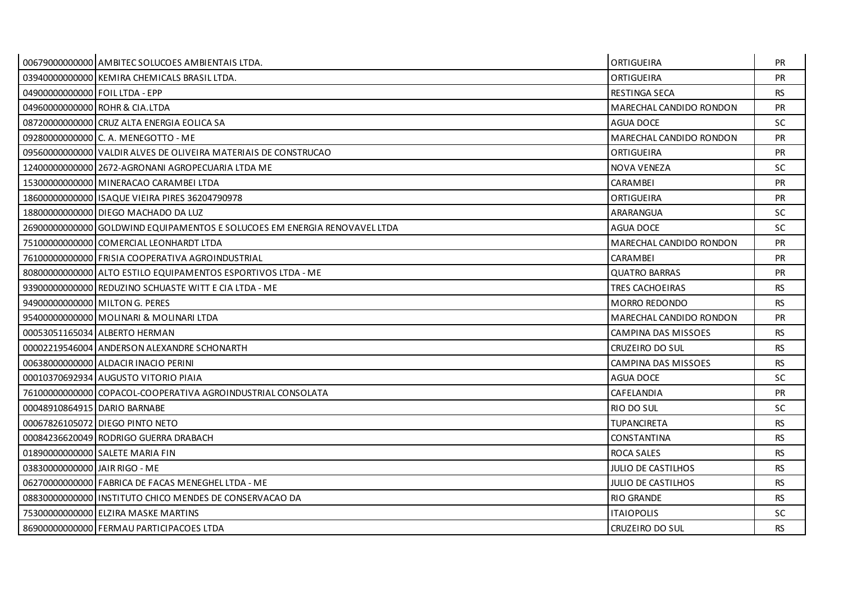|                                 | 00679000000000 AMBITEC SOLUCOES AMBIENTAIS LTDA.                          | <b>ORTIGUEIRA</b>          | <b>PR</b> |
|---------------------------------|---------------------------------------------------------------------------|----------------------------|-----------|
|                                 | 03940000000000 KEMIRA CHEMICALS BRASIL LTDA.                              | <b>ORTIGUEIRA</b>          | PR        |
| 049000000000000 FOIL LTDA - EPP |                                                                           | <b>RESTINGA SECA</b>       | <b>RS</b> |
|                                 | 04960000000000 ROHR & CIA.LTDA                                            | MARECHAL CANDIDO RONDON    | <b>PR</b> |
|                                 | 08720000000000 CRUZ ALTA ENERGIA EOLICA SA                                | <b>AGUA DOCE</b>           | <b>SC</b> |
|                                 | 09280000000000 C. A. MENEGOTTO - ME                                       | MARECHAL CANDIDO RONDON    | <b>PR</b> |
|                                 | 09560000000000 VALDIR ALVES DE OLIVEIRA MATERIAIS DE CONSTRUCAO           | ORTIGUEIRA                 | <b>PR</b> |
|                                 | 12400000000000 2672-AGRONANI AGROPECUARIA LTDA ME                         | <b>NOVA VENEZA</b>         | <b>SC</b> |
|                                 | 15300000000000 MINERACAO CARAMBEI LTDA                                    | <b>CARAMBEI</b>            | <b>PR</b> |
|                                 | 18600000000000 ISAQUE VIEIRA PIRES 36204790978                            | <b>ORTIGUEIRA</b>          | <b>PR</b> |
|                                 | 18800000000000 DIEGO MACHADO DA LUZ                                       | ARARANGUA                  | <b>SC</b> |
|                                 | 26900000000000 GOLDWIND EQUIPAMENTOS E SOLUCOES EM ENERGIA RENOVAVEL LTDA | AGUA DOCE                  | <b>SC</b> |
|                                 | 75100000000000 COMERCIAL LEONHARDT LTDA                                   | MARECHAL CANDIDO RONDON    | <b>PR</b> |
|                                 | 76100000000000 FRISIA COOPERATIVA AGROINDUSTRIAL                          | CARAMBEI                   | PR        |
|                                 | 808000000000000 ALTO ESTILO EQUIPAMENTOS ESPORTIVOS LTDA - ME             | <b>QUATRO BARRAS</b>       | <b>PR</b> |
|                                 | 939000000000000 REDUZINO SCHUASTE WITT E CIA LTDA - ME                    | TRES CACHOEIRAS            | <b>RS</b> |
|                                 | 94900000000000 MILTON G. PERES                                            | MORRO REDONDO              | <b>RS</b> |
|                                 | 95400000000000 MOLINARI & MOLINARI LTDA                                   | MARECHAL CANDIDO RONDON    | <b>PR</b> |
|                                 | 00053051165034 ALBERTO HERMAN                                             | CAMPINA DAS MISSOES        | RS.       |
|                                 | 00002219546004 ANDERSON ALEXANDRE SCHONARTH                               | CRUZEIRO DO SUL            | <b>RS</b> |
|                                 | 00638000000000 ALDACIR INACIO PERINI                                      | <b>CAMPINA DAS MISSOES</b> | <b>RS</b> |
|                                 | 00010370692934 AUGUSTO VITORIO PIAIA                                      | <b>AGUA DOCE</b>           | <b>SC</b> |
|                                 | 76100000000000 COPACOL-COOPERATIVA AGROINDUSTRIAL CONSOLATA               | CAFELANDIA                 | PR        |
| 00048910864915 DARIO BARNABE    |                                                                           | <b>RIO DO SUL</b>          | <b>SC</b> |
|                                 | 00067826105072 DIEGO PINTO NETO                                           | <b>TUPANCIRETA</b>         | <b>RS</b> |
|                                 | 00084236620049 RODRIGO GUERRA DRABACH                                     | CONSTANTINA                | <b>RS</b> |
|                                 | 01890000000000 SALETE MARIA FIN                                           | <b>ROCA SALES</b>          | <b>RS</b> |
| 03830000000000 JAIR RIGO - ME   |                                                                           | JULIO DE CASTILHOS         | <b>RS</b> |
|                                 | 06270000000000 FABRICA DE FACAS MENEGHEL LTDA - ME                        | <b>JULIO DE CASTILHOS</b>  | <b>RS</b> |
|                                 | 08830000000000 LINSTITUTO CHICO MENDES DE CONSERVACAO DA                  | <b>RIO GRANDE</b>          | <b>RS</b> |
|                                 | 75300000000000 ELZIRA MASKE MARTINS                                       | <b>ITAIOPOLIS</b>          | <b>SC</b> |
|                                 | 86900000000000 FERMAU PARTICIPACOES LTDA                                  | CRUZEIRO DO SUL            | <b>RS</b> |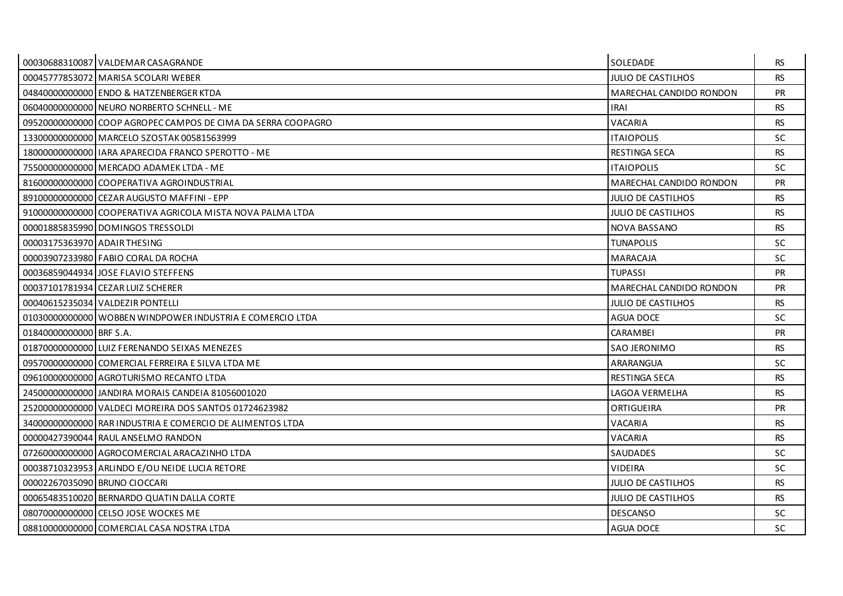|                               | 00030688310087 VALDEMAR CASAGRANDE                           | <b>SOLEDADE</b>           | <b>RS</b> |
|-------------------------------|--------------------------------------------------------------|---------------------------|-----------|
|                               | 00045777853072 MARISA SCOLARI WEBER                          | JULIO DE CASTILHOS        | <b>RS</b> |
|                               | 04840000000000 ENDO & HATZENBERGER KTDA                      | MARECHAL CANDIDO RONDON   | <b>PR</b> |
|                               | 060400000000000 NEURO NORBERTO SCHNELL - ME                  | <b>IRAI</b>               | <b>RS</b> |
|                               | 09520000000000 COOP AGROPEC CAMPOS DE CIMA DA SERRA COOPAGRO | VACARIA                   | <b>RS</b> |
|                               | 13300000000000 MARCELO SZOSTAK 00581563999                   | <b>ITAIOPOLIS</b>         | SC.       |
|                               | 180000000000000 HARA APARECIDA FRANCO SPEROTTO - ME          | RESTINGA SECA             | <b>RS</b> |
|                               | 75500000000000 MERCADO ADAMEK LTDA - ME                      | <b>ITAIOPOLIS</b>         | <b>SC</b> |
|                               | 81600000000000 COOPERATIVA AGROINDUSTRIAL                    | MARECHAL CANDIDO RONDON   | <b>PR</b> |
|                               | 89100000000000 CEZAR AUGUSTO MAFFINI - EPP                   | <b>JULIO DE CASTILHOS</b> | <b>RS</b> |
|                               | 91000000000000 COOPERATIVA AGRICOLA MISTA NOVA PALMA LTDA    | <b>JULIO DE CASTILHOS</b> | <b>RS</b> |
|                               | 000018858359901DOMINGOS TRESSOLDI                            | NOVA BASSANO              | <b>RS</b> |
| 00003175363970 ADAIR THESING  |                                                              | TUNAPOLIS                 | <b>SC</b> |
|                               | 00003907233980 FABIO CORAL DA ROCHA                          | MARACAJA                  | <b>SC</b> |
|                               | 00036859044934 JOSE FLAVIO STEFFENS                          | TUPASSI                   | <b>PR</b> |
|                               | 00037101781934 CEZAR LUIZ SCHERER                            | MARECHAL CANDIDO RONDON   | <b>PR</b> |
|                               | 00040615235034 VALDEZIR PONTELLI                             | <b>JULIO DE CASTILHOS</b> | <b>RS</b> |
|                               | 01030000000000 WOBBEN WINDPOWER INDUSTRIA E COMERCIO LTDA    | AGUA DOCE                 | <b>SC</b> |
| 01840000000000 BRF S.A.       |                                                              | CARAMBEI                  | <b>PR</b> |
|                               | 01870000000000 LUIZ FERENANDO SEIXAS MENEZES                 | SAO JERONIMO              | <b>RS</b> |
|                               | 09570000000000 COMERCIAL FERREIRA E SILVA LTDA ME            | ARARANGUA                 | SC.       |
|                               | 09610000000000 AGROTURISMO RECANTO LTDA                      | <b>RESTINGA SECA</b>      | <b>RS</b> |
|                               | 24500000000000 JANDIRA MORAIS CANDEIA 81056001020            | LAGOA VERMELHA            | <b>RS</b> |
|                               | 25200000000000 VALDECI MOREIRA DOS SANTOS 01724623982        | ORTIGUEIRA                | <b>PR</b> |
|                               | 340000000000000 RAR INDUSTRIA E COMERCIO DE ALIMENTOS LTDA   | VACARIA                   | <b>RS</b> |
|                               | 00000427390044 RAUL ANSELMO RANDON                           | <b>VACARIA</b>            | <b>RS</b> |
|                               | 07260000000000 AGROCOMERCIAL ARACAZINHO LTDA                 | SAUDADES                  | SC.       |
|                               | 00038710323953 ARLINDO E/OU NEIDE LUCIA RETORE               | VIDEIRA                   | SC.       |
| 00002267035090 BRUNO CIOCCARI |                                                              | JULIO DE CASTILHOS        | <b>RS</b> |
|                               | 00065483510020 BERNARDO QUATIN DALLA CORTE                   | JULIO DE CASTILHOS        | <b>RS</b> |
|                               | 080700000000000 CELSO JOSE WOCKES ME                         | <b>DESCANSO</b>           | <b>SC</b> |
|                               | 08810000000000 COMERCIAL CASA NOSTRA LTDA                    | <b>AGUA DOCE</b>          | <b>SC</b> |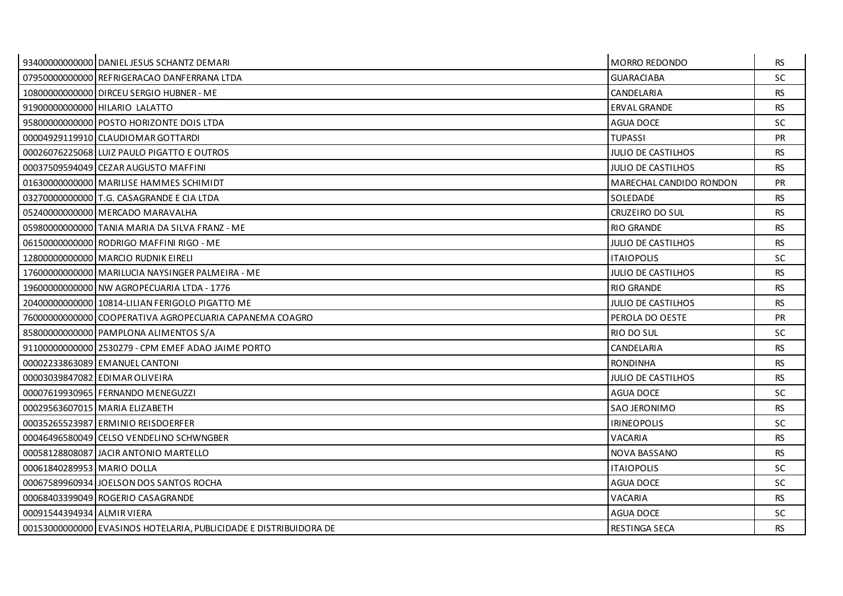|                            | 93400000000000 DANIEL JESUS SCHANTZ DEMARI                        | <b>MORRO REDONDO</b>      | <b>RS</b> |
|----------------------------|-------------------------------------------------------------------|---------------------------|-----------|
|                            | 07950000000000 REFRIGERACAO DANFERRANA LTDA                       | <b>GUARACIABA</b>         | <b>SC</b> |
|                            | 10800000000000 DIRCEU SERGIO HUBNER - ME                          | CANDELARIA                | <b>RS</b> |
|                            | 91900000000000 HILARIO LALATTO                                    | <b>ERVAL GRANDE</b>       | <b>RS</b> |
|                            | 95800000000000 POSTO HORIZONTE DOIS LTDA                          | <b>AGUA DOCE</b>          | <b>SC</b> |
|                            | 00004929119910 CLAUDIOMAR GOTTARDI                                | <b>TUPASSI</b>            | <b>PR</b> |
|                            | 00026076225068 LUIZ PAULO PIGATTO E OUTROS                        | <b>JULIO DE CASTILHOS</b> | <b>RS</b> |
|                            | 00037509594049 CEZAR AUGUSTO MAFFINI                              | <b>JULIO DE CASTILHOS</b> | <b>RS</b> |
|                            | 01630000000000 MARILISE HAMMES SCHIMIDT                           | MARECHAL CANDIDO RONDON   | <b>PR</b> |
|                            | 03270000000000 T.G. CASAGRANDE E CIA LTDA                         | SOLEDADE                  | <b>RS</b> |
|                            | 05240000000000 MERCADO MARAVALHA                                  | CRUZEIRO DO SUL           | <b>RS</b> |
|                            | 05980000000000 TANIA MARIA DA SILVA FRANZ - ME                    | <b>RIO GRANDE</b>         | <b>RS</b> |
|                            | 06150000000000 RODRIGO MAFFINI RIGO - ME                          | JULIO DE CASTILHOS        | <b>RS</b> |
|                            | 12800000000000 MARCIO RUDNIK EIRELI                               | <b>ITAIOPOLIS</b>         | <b>SC</b> |
|                            | 17600000000000 MARILUCIA NAYSINGER PALMEIRA - ME                  | JULIO DE CASTILHOS        | <b>RS</b> |
|                            | 19600000000000 NW AGROPECUARIA LTDA - 1776                        | <b>RIO GRANDE</b>         | <b>RS</b> |
|                            | 20400000000000 10814-LILIAN FERIGOLO PIGATTO ME                   | <b>JULIO DE CASTILHOS</b> | <b>RS</b> |
|                            | 76000000000000 COOPERATIVA AGROPECUARIA CAPANEMA COAGRO           | PEROLA DO OESTE           | <b>PR</b> |
|                            | 85800000000000 PAMPLONA ALIMENTOS S/A                             | <b>RIO DO SUL</b>         | SC.       |
|                            | 91100000000000 2530279 - CPM EMEF ADAO JAIME PORTO                | CANDELARIA                | <b>RS</b> |
|                            | 00002233863089 EMANUEL CANTONI                                    | <b>RONDINHA</b>           | <b>RS</b> |
|                            | 00003039847082 EDIMAR OLIVEIRA                                    | <b>JULIO DE CASTILHOS</b> | <b>RS</b> |
|                            | 00007619930965 FERNANDO MENEGUZZI                                 | AGUA DOCE                 | <b>SC</b> |
|                            | 00029563607015 MARIA ELIZABETH                                    | <b>SAO JERONIMO</b>       | <b>RS</b> |
|                            | 00035265523987 ERMINIO REISDOERFER                                | <b>IRINEOPOLIS</b>        | SC.       |
|                            | 00046496580049 CELSO VENDELINO SCHWNGBER                          | VACARIA                   | <b>RS</b> |
|                            | 00058128808087 JACIR ANTONIO MARTELLO                             | NOVA BASSANO              | <b>RS</b> |
| 00061840289953 MARIO DOLLA |                                                                   | <b>ITAIOPOLIS</b>         | <b>SC</b> |
|                            | 00067589960934 JOELSON DOS SANTOS ROCHA                           | AGUA DOCE                 | <b>SC</b> |
|                            | 00068403399049 ROGERIO CASAGRANDE                                 | VACARIA                   | <b>RS</b> |
| 00091544394934 ALMIR VIERA |                                                                   | <b>AGUA DOCE</b>          | <b>SC</b> |
|                            | 00153000000000 EVASINOS HOTELARIA, PUBLICIDADE E DISTRIBUIDORA DE | <b>RESTINGA SECA</b>      | <b>RS</b> |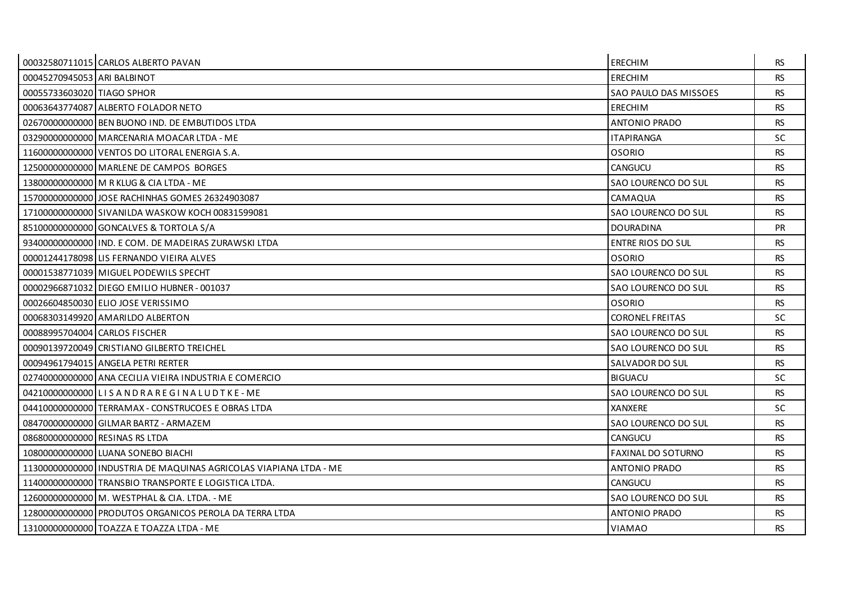|                                | 00032580711015 CARLOS ALBERTO PAVAN                               | <b>ERECHIM</b>            | RS.       |
|--------------------------------|-------------------------------------------------------------------|---------------------------|-----------|
| 00045270945053 ARI BALBINOT    |                                                                   | <b>ERECHIM</b>            | <b>RS</b> |
| 00055733603020 TIAGO SPHOR     |                                                                   | SAO PAULO DAS MISSOES     | <b>RS</b> |
|                                | 00063643774087 ALBERTO FOLADOR NETO                               | <b>ERECHIM</b>            | <b>RS</b> |
|                                | 026700000000000 BEN BUONO IND. DE EMBUTIDOS LTDA                  | <b>ANTONIO PRADO</b>      | <b>RS</b> |
|                                | 03290000000000 MARCENARIA MOACAR LTDA - ME                        | <b>ITAPIRANGA</b>         | <b>SC</b> |
|                                | 11600000000000 VENTOS DO LITORAL ENERGIA S.A.                     | <b>OSORIO</b>             | <b>RS</b> |
|                                | 12500000000000 MARLENE DE CAMPOS BORGES                           | CANGUCU                   | <b>RS</b> |
|                                | 13800000000000 M R KLUG & CIA LTDA - ME                           | SAO LOURENCO DO SUL       | <b>RS</b> |
|                                | 157000000000001JOSE RACHINHAS GOMES 26324903087                   | CAMAQUA                   | <b>RS</b> |
|                                | 17100000000000 SIVANILDA WASKOW KOCH 00831599081                  | SAO LOURENCO DO SUL       | <b>RS</b> |
|                                | 85100000000000 GONCALVES & TORTOLA S/A                            | <b>DOURADINA</b>          | PR        |
|                                | 934000000000000000000 F COM. DE MADEIRAS ZURAWSKI LTDA            | <b>ENTRE RIOS DO SUL</b>  | <b>RS</b> |
|                                | 00001244178098 LIS FERNANDO VIEIRA ALVES                          | <b>OSORIO</b>             | <b>RS</b> |
|                                | 00001538771039 MIGUEL PODEWILS SPECHT                             | SAO LOURENCO DO SUL       | <b>RS</b> |
|                                | 00002966871032 DIEGO EMILIO HUBNER - 001037                       | SAO LOURENCO DO SUL       | <b>RS</b> |
|                                | 00026604850030 ELIO JOSE VERISSIMO                                | <b>OSORIO</b>             | <b>RS</b> |
|                                | 00068303149920 AMARILDO ALBERTON                                  | <b>CORONEL FREITAS</b>    | <b>SC</b> |
| 00088995704004 CARLOS FISCHER  |                                                                   | SAO LOURENCO DO SUL       | <b>RS</b> |
|                                | 00090139720049 CRISTIANO GILBERTO TREICHEL                        | SAO LOURENCO DO SUL       | <b>RS</b> |
|                                | 00094961794015 ANGELA PETRI RERTER                                | SALVADOR DO SUL           | <b>RS</b> |
|                                | 02740000000000 ANA CECILIA VIEIRA INDUSTRIA E COMERCIO            | <b>BIGUACU</b>            | <b>SC</b> |
|                                |                                                                   | SAO LOURENCO DO SUL       | <b>RS</b> |
|                                | 04410000000000 TERRAMAX - CONSTRUCOES E OBRAS LTDA                | XANXERE                   | <b>SC</b> |
|                                | 084700000000000 GILMAR BARTZ - ARMAZEM                            | SAO LOURENCO DO SUL       | <b>RS</b> |
| 08680000000000 RESINAS RS LTDA |                                                                   | CANGUCU                   | <b>RS</b> |
|                                | 10800000000000 LUANA SONEBO BIACHI                                | <b>FAXINAL DO SOTURNO</b> | <b>RS</b> |
|                                | 11300000000000 INDUSTRIA DE MAQUINAS AGRICOLAS VIAPIANA LTDA - ME | <b>ANTONIO PRADO</b>      | <b>RS</b> |
|                                | 11400000000000 TRANSBIO TRANSPORTE E LOGISTICA LTDA.              | <b>CANGUCU</b>            | <b>RS</b> |
|                                | 12600000000000 M. WESTPHAL & CIA. LTDA. - ME                      | SAO LOURENCO DO SUL       | <b>RS</b> |
|                                | 12800000000000 PRODUTOS ORGANICOS PEROLA DA TERRA LTDA            | <b>ANTONIO PRADO</b>      | RS.       |
|                                | 13100000000000 TOAZZA E TOAZZA LTDA - ME                          | <b>VIAMAO</b>             | <b>RS</b> |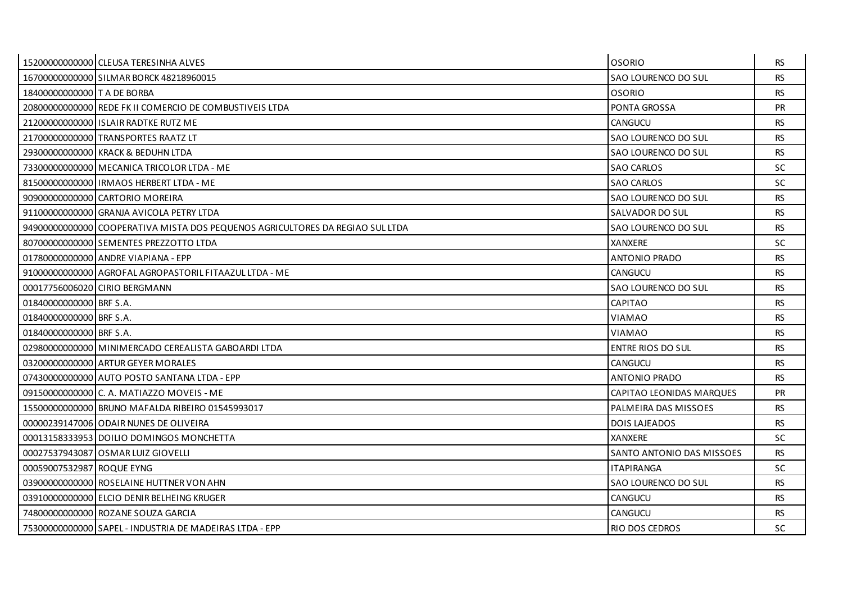|                             | 15200000000000 CLEUSA TERESINHA ALVES                                          | <b>OSORIO</b>             | RS.       |
|-----------------------------|--------------------------------------------------------------------------------|---------------------------|-----------|
|                             | 16700000000000 SILMAR BORCK 48218960015                                        | SAO LOURENCO DO SUL       | <b>RS</b> |
| 18400000000000 T A DE BORBA |                                                                                | <b>OSORIO</b>             | <b>RS</b> |
|                             | 20800000000000 REDE FK II COMERCIO DE COMBUSTIVEIS LTDA                        | PONTA GROSSA              | <b>PR</b> |
|                             | 21200000000000 ISLAIR RADTKE RUTZ ME                                           | CANGUCU                   | <b>RS</b> |
|                             | 21700000000000 TRANSPORTES RAATZ LT                                            | SAO LOURENCO DO SUL       | <b>RS</b> |
|                             | 29300000000000 KRACK & BEDUHN LTDA                                             | SAO LOURENCO DO SUL       | RS.       |
|                             | 73300000000000 MECANICA TRICOLOR LTDA - ME                                     | <b>SAO CARLOS</b>         | <b>SC</b> |
|                             | 81500000000000 IRMAOS HERBERT LTDA - ME                                        | <b>SAO CARLOS</b>         | SC.       |
|                             | 909000000000000 CARTORIO MOREIRA                                               | SAO LOURENCO DO SUL       | <b>RS</b> |
|                             | 91100000000000 GRANJA AVICOLA PETRY LTDA                                       | SALVADOR DO SUL           | <b>RS</b> |
|                             | 949000000000000 COOPERATIVA MISTA DOS PEQUENOS AGRICULTORES DA REGIAO SUL LTDA | SAO LOURENCO DO SUL       | <b>RS</b> |
|                             | 80700000000000 SEMENTES PREZZOTTO LTDA                                         | XANXERE                   | <b>SC</b> |
|                             | 01780000000000 ANDRE VIAPIANA - EPP                                            | <b>ANTONIO PRADO</b>      | <b>RS</b> |
|                             | 910000000000000 AGROFAL AGROPASTORIL FITAAZUL LTDA - ME                        | CANGUCU                   | <b>RS</b> |
|                             | 00017756006020 CIRIO BERGMANN                                                  | SAO LOURENCO DO SUL       | <b>RS</b> |
| 01840000000000 BRF S.A.     |                                                                                | <b>CAPITAO</b>            | <b>RS</b> |
| 01840000000000 BRF S.A.     |                                                                                | <b>VIAMAO</b>             | <b>RS</b> |
| 01840000000000 BRF S.A.     |                                                                                | <b>VIAMAO</b>             | <b>RS</b> |
|                             | 02980000000000 MINIMERCADO CEREALISTA GABOARDI LTDA                            | <b>ENTRE RIOS DO SUL</b>  | <b>RS</b> |
|                             | 03200000000000 ARTUR GEYER MORALES                                             | CANGUCU                   | <b>RS</b> |
|                             | 07430000000000 AUTO POSTO SANTANA LTDA - EPP                                   | <b>ANTONIO PRADO</b>      | <b>RS</b> |
|                             | 09150000000000 C. A. MATIAZZO MOVEIS - ME                                      | CAPITAO LEONIDAS MARQUES  | <b>PR</b> |
|                             | 15500000000000 BRUNO MAFALDA RIBEIRO 01545993017                               | PALMEIRA DAS MISSOES      | <b>RS</b> |
|                             | 00000239147006 ODAIR NUNES DE OLIVEIRA                                         | <b>DOIS LAJEADOS</b>      | <b>RS</b> |
|                             | 000131583339531DOILIO DOMINGOS MONCHETTA                                       | <b>XANXERE</b>            | <b>SC</b> |
|                             | 00027537943087 OSMAR LUIZ GIOVELLI                                             | SANTO ANTONIO DAS MISSOES | <b>RS</b> |
| 00059007532987 ROQUE EYNG   |                                                                                | <b>ITAPIRANGA</b>         | <b>SC</b> |
|                             | 039000000000000 ROSELAINE HUTTNER VON AHN                                      | SAO LOURENCO DO SUL       | <b>RS</b> |
|                             | 03910000000000 ELCIO DENIR BELHEING KRUGER                                     | CANGUCU                   | <b>RS</b> |
|                             | 748000000000000 ROZANE SOUZA GARCIA                                            | CANGUCU                   | RS.       |
|                             | 75300000000000 SAPEL - INDUSTRIA DE MADEIRAS LTDA - EPP                        | RIO DOS CEDROS            | <b>SC</b> |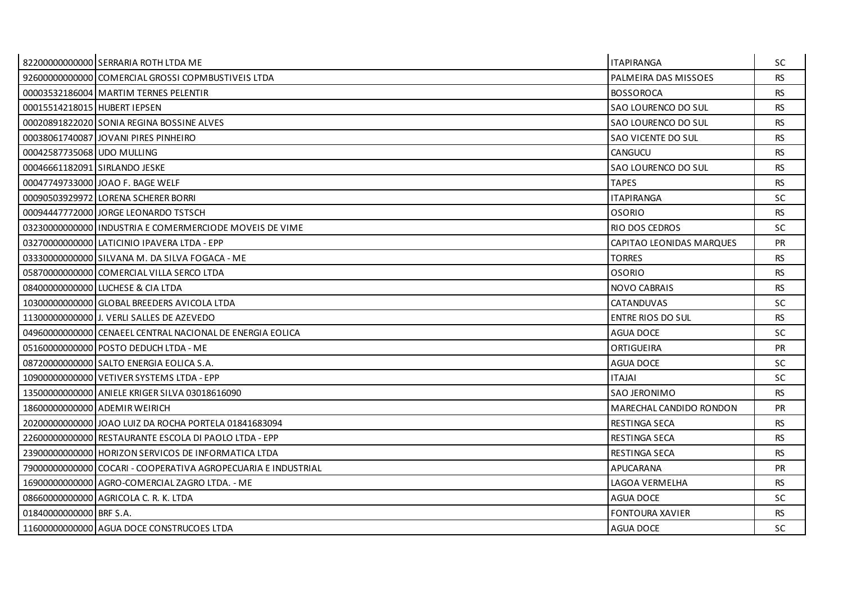|                               | 82200000000000 SERRARIA ROTH LTDA ME                          | <b>ITAPIRANGA</b>               | <b>SC</b> |
|-------------------------------|---------------------------------------------------------------|---------------------------------|-----------|
|                               | 92600000000000 COMERCIAL GROSSI COPMBUSTIVEIS LTDA            | PALMEIRA DAS MISSOES            | <b>RS</b> |
|                               | 00003532186004 MARTIM TERNES PELENTIR                         | <b>BOSSOROCA</b>                | <b>RS</b> |
| 00015514218015 HUBERT IEPSEN  |                                                               | SAO LOURENCO DO SUL             | <b>RS</b> |
|                               | 00020891822020 SONIA REGINA BOSSINE ALVES                     | SAO LOURENCO DO SUL             | <b>RS</b> |
|                               | 00038061740087 JOVANI PIRES PINHEIRO                          | SAO VICENTE DO SUL              | <b>RS</b> |
| 00042587735068 UDO MULLING    |                                                               | <b>CANGUCU</b>                  | RS.       |
| 00046661182091 SIRLANDO JESKE |                                                               | SAO LOURENCO DO SUL             | <b>RS</b> |
|                               | 00047749733000 JOAO F. BAGE WELF                              | <b>TAPES</b>                    | <b>RS</b> |
|                               | 00090503929972 LORENA SCHERER BORRI                           | <b>ITAPIRANGA</b>               | <b>SC</b> |
|                               | 00094447772000 JORGE LEONARDO TSTSCH                          | <b>OSORIO</b>                   | <b>RS</b> |
|                               | 03230000000000 LINDUSTRIA E COMERMERCIODE MOVEIS DE VIME      | RIO DOS CEDROS                  | <b>SC</b> |
|                               | 03270000000000 LATICINIO IPAVERA LTDA - EPP                   | <b>CAPITAO LEONIDAS MARQUES</b> | <b>PR</b> |
|                               | 03330000000000 SILVANA M. DA SILVA FOGACA - ME                | <b>TORRES</b>                   | <b>RS</b> |
|                               | 058700000000000 COMERCIAL VILLA SERCO LTDA                    | <b>OSORIO</b>                   | <b>RS</b> |
|                               | 08400000000000 LUCHESE & CIA LTDA                             | <b>NOVO CABRAIS</b>             | <b>RS</b> |
|                               | 10300000000000 GLOBAL BREEDERS AVICOLA LTDA                   | CATANDUVAS                      | <b>SC</b> |
|                               | 11300000000000 J. VERLI SALLES DE AZEVEDO                     | <b>ENTRE RIOS DO SUL</b>        | <b>RS</b> |
|                               | 04960000000000 CENAEEL CENTRAL NACIONAL DE ENERGIA EOLICA     | <b>AGUA DOCE</b>                | <b>SC</b> |
|                               | 05160000000000 POSTO DEDUCH LTDA - ME                         | <b>ORTIGUEIRA</b>               | PR        |
|                               | 08720000000000 SALTO ENERGIA EOLICA S.A.                      | <b>AGUA DOCE</b>                | SC.       |
|                               | 10900000000000 VETIVER SYSTEMS LTDA - EPP                     | <b>ITAJAI</b>                   | <b>SC</b> |
|                               | 13500000000000 ANIELE KRIGER SILVA 03018616090                | SAO JERONIMO                    | <b>RS</b> |
|                               | 18600000000000 ADEMIR WEIRICH                                 | MARECHAL CANDIDO RONDON         | <b>PR</b> |
|                               | 20200000000000 JOAO LUIZ DA ROCHA PORTELA 01841683094         | <b>RESTINGA SECA</b>            | RS.       |
|                               | 22600000000000 RESTAURANTE ESCOLA DI PAOLO LTDA - EPP         | <b>RESTINGA SECA</b>            | <b>RS</b> |
|                               | 23900000000000 HORIZON SERVICOS DE INFORMATICA LTDA           | <b>RESTINGA SECA</b>            | <b>RS</b> |
|                               | 79000000000000 COCARI - COOPERATIVA AGROPECUARIA E INDUSTRIAL | APUCARANA                       | <b>PR</b> |
|                               | 16900000000000 AGRO-COMERCIAL ZAGRO LTDA. - ME                | LAGOA VERMELHA                  | <b>RS</b> |
|                               | 08660000000000 AGRICOLA C. R. K. LTDA                         | <b>AGUA DOCE</b>                | <b>SC</b> |
| 01840000000000 BRF S.A.       |                                                               | FONTOURA XAVIER                 | <b>RS</b> |
|                               | 11600000000000 AGUA DOCE CONSTRUCOES LTDA                     | <b>AGUA DOCE</b>                | <b>SC</b> |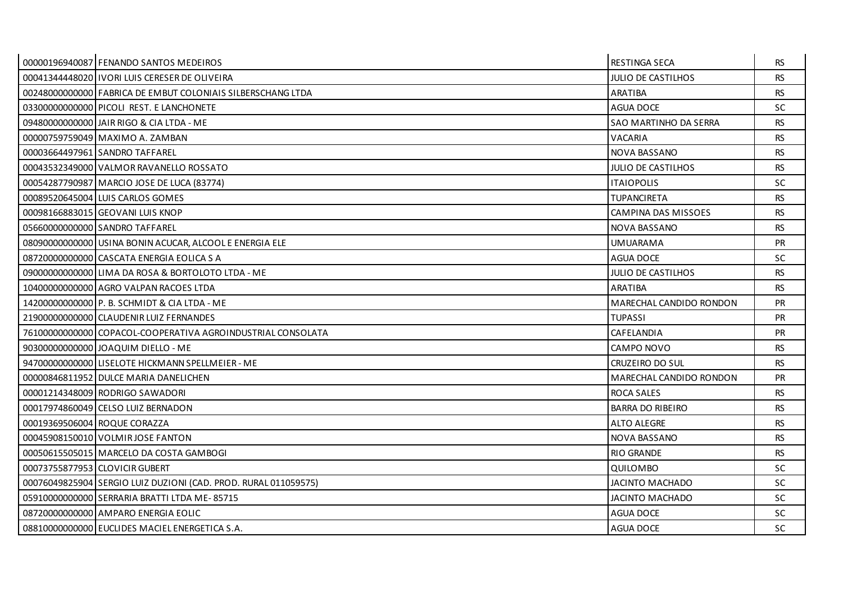| 00000196940087 FENANDO SANTOS MEDEIROS                          | RESTINGA SECA             | <b>RS</b> |
|-----------------------------------------------------------------|---------------------------|-----------|
| 00041344448020 IVORI LUIS CERESER DE OLIVEIRA                   | JULIO DE CASTILHOS        | <b>RS</b> |
| 00248000000000 FABRICA DE EMBUT COLONIAIS SILBERSCHANG LTDA     | <b>ARATIBA</b>            | <b>RS</b> |
| 03300000000000 PICOLI REST. E LANCHONETE                        | AGUA DOCE                 | SC.       |
| 09480000000000 JAIR RIGO & CIA LTDA - ME                        | SAO MARTINHO DA SERRA     | <b>RS</b> |
| 00000759759049 MAXIMO A. ZAMBAN                                 | VACARIA                   | <b>RS</b> |
| 00003664497961 SANDRO TAFFAREL                                  | <b>NOVA BASSANO</b>       | <b>RS</b> |
| 00043532349000 VALMOR RAVANELLO ROSSATO                         | <b>JULIO DE CASTILHOS</b> | <b>RS</b> |
| 00054287790987 MARCIO JOSE DE LUCA (83774)                      | <b>ITAIOPOLIS</b>         | <b>SC</b> |
| 00089520645004 LUIS CARLOS GOMES                                | <b>TUPANCIRETA</b>        | <b>RS</b> |
| 00098166883015 GEOVANI LUIS KNOP                                | CAMPINA DAS MISSOES       | <b>RS</b> |
| 05660000000000 SANDRO TAFFAREL                                  | <b>NOVA BASSANO</b>       | <b>RS</b> |
| 08090000000000 USINA BONIN ACUCAR, ALCOOL E ENERGIA ELE         | <b>UMUARAMA</b>           | <b>PR</b> |
| 08720000000000 CASCATA ENERGIA EOLICA S A                       | <b>AGUA DOCE</b>          | <b>SC</b> |
| 09000000000000 LIMA DA ROSA & BORTOLOTO LTDA - ME               | <b>JULIO DE CASTILHOS</b> | <b>RS</b> |
| 10400000000000 AGRO VALPAN RACOES LTDA                          | ARATIBA                   | <b>RS</b> |
| 14200000000000 P. B. SCHMIDT & CIA LTDA - ME                    | MARECHAL CANDIDO RONDON   | PR        |
| 21900000000000 CLAUDENIR LUIZ FERNANDES                         | <b>TUPASSI</b>            | <b>PR</b> |
| 76100000000000 COPACOL-COOPERATIVA AGROINDUSTRIAL CONSOLATA     | CAFELANDIA                | <b>PR</b> |
| 90300000000000 JOAQUIM DIELLO - ME                              | CAMPO NOVO                | <b>RS</b> |
| 94700000000000 LISELOTE HICKMANN SPELLMEIER - ME                | CRUZEIRO DO SUL           | <b>RS</b> |
| 00000846811952 DULCE MARIA DANELICHEN                           | MARECHAL CANDIDO RONDON   | <b>PR</b> |
| 00001214348009 RODRIGO SAWADORI                                 | <b>ROCA SALES</b>         | <b>RS</b> |
| 00017974860049 CELSO LUIZ BERNADON                              | <b>BARRA DO RIBEIRO</b>   | <b>RS</b> |
| 00019369506004 ROQUE CORAZZA                                    | ALTO ALEGRE               | RS.       |
| 00045908150010 VOLMIR JOSE FANTON                               | NOVA BASSANO              | <b>RS</b> |
| 00050615505015 MARCELO DA COSTA GAMBOGI                         | <b>RIO GRANDE</b>         | <b>RS</b> |
| 00073755877953 CLOVICIR GUBERT                                  | QUILOMBO                  | <b>SC</b> |
| 00076049825904 SERGIO LUIZ DUZIONI (CAD. PROD. RURAL 011059575) | <b>JACINTO MACHADO</b>    | SC        |
| 05910000000000 SERRARIA BRATTI LTDA ME-85715                    | JACINTO MACHADO           | <b>SC</b> |
| 08720000000000 AMPARO ENERGIA EOLIC                             | <b>AGUA DOCE</b>          | <b>SC</b> |
| 08810000000000 EUCLIDES MACIEL ENERGETICA S.A.                  | <b>AGUA DOCE</b>          | SC        |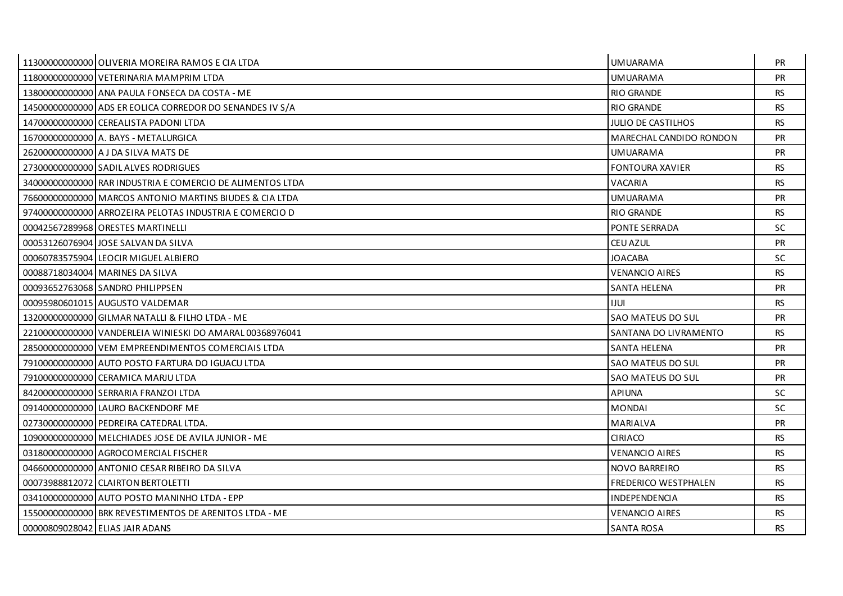| 11300000000000 OLIVERIA MOREIRA RAMOS E CIA LTDA          | <b>UMUARAMA</b>             | <b>PR</b> |
|-----------------------------------------------------------|-----------------------------|-----------|
| 11800000000000 VETERINARIA MAMPRIM LTDA                   | <b>UMUARAMA</b>             | <b>PR</b> |
| 138000000000000 ANA PAULA FONSECA DA COSTA - ME           | <b>RIO GRANDE</b>           | <b>RS</b> |
| 14500000000000 ADS ER EOLICA CORREDOR DO SENANDES IV S/A  | <b>RIO GRANDE</b>           | <b>RS</b> |
| 14700000000000 CEREALISTA PADONI LTDA                     | <b>JULIO DE CASTILHOS</b>   | <b>RS</b> |
| 16700000000000 A. BAYS - METALURGICA                      | MARECHAL CANDIDO RONDON     | <b>PR</b> |
| 262000000000000 A J DA SILVA MATS DE                      | <b>UMUARAMA</b>             | <b>PR</b> |
| 27300000000000 SADIL ALVES RODRIGUES                      | <b>FONTOURA XAVIER</b>      | <b>RS</b> |
| 34000000000000 RAR INDUSTRIA E COMERCIO DE ALIMENTOS LTDA | VACARIA                     | <b>RS</b> |
| 76600000000000 MARCOS ANTONIO MARTINS BIUDES & CIA LTDA   | UMUARAMA                    | <b>PR</b> |
| 97400000000000 ARROZEIRA PELOTAS INDUSTRIA E COMERCIO D   | <b>RIO GRANDE</b>           | <b>RS</b> |
| 000425672899681ORESTES MARTINELLI                         | PONTE SERRADA               | <b>SC</b> |
| 00053126076904 JOSE SALVAN DA SILVA                       | <b>CEU AZUL</b>             | <b>PR</b> |
| 00060783575904 LEOCIR MIGUEL ALBIERO                      | <b>JOACABA</b>              | SC        |
| 00088718034004 MARINES DA SILVA                           | <b>VENANCIO AIRES</b>       | <b>RS</b> |
| 00093652763068 SANDRO PHILIPPSEN                          | <b>SANTA HELENA</b>         | <b>PR</b> |
| 00095980601015 AUGUSTO VALDEMAR                           | <b>IJUL</b>                 | <b>RS</b> |
| 13200000000000 GILMAR NATALLI & FILHO LTDA - ME           | SAO MATEUS DO SUL           | <b>PR</b> |
| 22100000000000 VANDERLEIA WINIESKI DO AMARAL 00368976041  | SANTANA DO LIVRAMENTO       | <b>RS</b> |
| 28500000000000 VEM EMPREENDIMENTOS COMERCIAIS LTDA        | <b>SANTA HELENA</b>         | <b>PR</b> |
| 79100000000000 AUTO POSTO FARTURA DO IGUACU LTDA          | SAO MATEUS DO SUL           | <b>PR</b> |
| 791000000000000 CERAMICA MARJU LTDA                       | SAO MATEUS DO SUL           | <b>PR</b> |
| 84200000000000 SERRARIA FRANZOI LTDA                      | <b>APIUNA</b>               | SC        |
| 091400000000000 LAURO BACKENDORF ME                       | <b>MONDAI</b>               | <b>SC</b> |
| 02730000000000 PEDREIRA CATEDRAL LTDA.                    | MARIALVA                    | <b>PR</b> |
| 10900000000000 MELCHIADES JOSE DE AVILA JUNIOR - ME       | <b>CIRIACO</b>              | <b>RS</b> |
| 03180000000000 AGROCOMERCIAL FISCHER                      | <b>VENANCIO AIRES</b>       | <b>RS</b> |
| 04660000000000 ANTONIO CESAR RIBEIRO DA SILVA             | NOVO BARREIRO               | <b>RS</b> |
| 00073988812072 CLAIRTON BERTOLETTI                        | <b>FREDERICO WESTPHALEN</b> | <b>RS</b> |
| 03410000000000 AUTO POSTO MANINHO LTDA - EPP              | <b>INDEPENDENCIA</b>        | <b>RS</b> |
| 15500000000000 BRK REVESTIMENTOS DE ARENITOS LTDA - ME    | <b>VENANCIO AIRES</b>       | RS.       |
| 00000809028042 ELIAS JAIR ADANS                           | <b>SANTA ROSA</b>           | <b>RS</b> |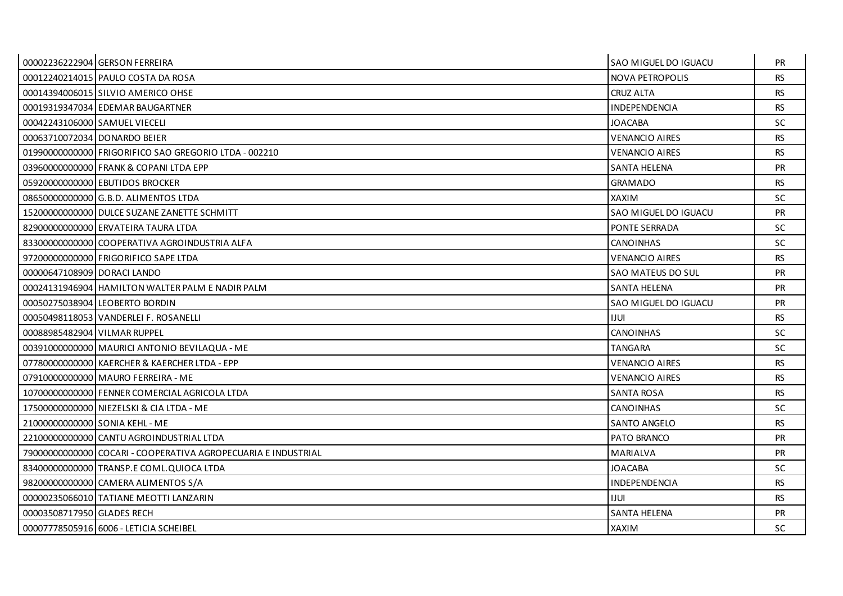|                               | 00002236222904 GERSON FERREIRA                                | <b>SAO MIGUEL DO IGUACU</b> | <b>PR</b> |
|-------------------------------|---------------------------------------------------------------|-----------------------------|-----------|
|                               | 00012240214015 PAULO COSTA DA ROSA                            | NOVA PETROPOLIS             | <b>RS</b> |
|                               | 00014394006015 SILVIO AMERICO OHSE                            | <b>CRUZ ALTA</b>            | <b>RS</b> |
|                               | 00019319347034 EDEMAR BAUGARTNER                              | <b>INDEPENDENCIA</b>        | <b>RS</b> |
| 00042243106000 SAMUEL VIECELI |                                                               | <b>JOACABA</b>              | <b>SC</b> |
| 00063710072034 DONARDO BEIER  |                                                               | <b>VENANCIO AIRES</b>       | <b>RS</b> |
|                               | 01990000000000 FRIGORIFICO SAO GREGORIO LTDA - 002210         | <b>VENANCIO AIRES</b>       | <b>RS</b> |
|                               | 03960000000000 FRANK & COPANI LTDA EPP                        | <b>SANTA HELENA</b>         | PR        |
|                               | 05920000000000 EBUTIDOS BROCKER                               | <b>GRAMADO</b>              | <b>RS</b> |
|                               | 086500000000000 G.B.D. ALIMENTOS LTDA                         | <b>XAXIM</b>                | SC.       |
|                               | 15200000000000 DULCE SUZANE ZANETTE SCHMITT                   | SAO MIGUEL DO IGUACU        | PR        |
|                               | 829000000000000 ERVATEIRA TAURA LTDA                          | PONTE SERRADA               | SC.       |
|                               | 83300000000000 COOPERATIVA AGROINDUSTRIA ALFA                 | <b>CANOINHAS</b>            | <b>SC</b> |
|                               | 97200000000000 FRIGORIFICO SAPE LTDA                          | <b>VENANCIO AIRES</b>       | <b>RS</b> |
| 00000647108909 DORACI LANDO   |                                                               | SAO MATEUS DO SUL           | PR        |
|                               | 00024131946904 HAMILTON WALTER PALM E NADIR PALM              | <b>SANTA HELENA</b>         | <b>PR</b> |
|                               | 00050275038904 LEOBERTO BORDIN                                | SAO MIGUEL DO IGUACU        | PR        |
|                               | 00050498118053 VANDERLEI F. ROSANELLI                         | IJUL                        | <b>RS</b> |
| 00088985482904 VILMAR RUPPEL  |                                                               | <b>CANOINHAS</b>            | SC.       |
|                               | 00391000000000 MAURICI ANTONIO BEVILAQUA - ME                 | <b>TANGARA</b>              | SC.       |
|                               | 07780000000000 KAERCHER & KAERCHER LTDA - EPP                 | <b>VENANCIO AIRES</b>       | <b>RS</b> |
|                               | 07910000000000 MAURO FERREIRA - ME                            | <b>VENANCIO AIRES</b>       | <b>RS</b> |
|                               | 10700000000000 FENNER COMERCIAL AGRICOLA LTDA                 | <b>SANTA ROSA</b>           | <b>RS</b> |
|                               | 17500000000000 NIEZELSKI & CIA LTDA - ME                      | <b>CANOINHAS</b>            | <b>SC</b> |
|                               | 21000000000000 SONIA KEHL - ME                                | <b>SANTO ANGELO</b>         | <b>RS</b> |
|                               | 22100000000000 CANTU AGROINDUSTRIAL LTDA                      | PATO BRANCO                 | <b>PR</b> |
|                               | 79000000000000 COCARI - COOPERATIVA AGROPECUARIA E INDUSTRIAL | MARIALVA                    | <b>PR</b> |
|                               | 83400000000000 TRANSP.E COML.QUIOCA LTDA                      | <b>JOACABA</b>              | <b>SC</b> |
|                               | 98200000000000 CAMERA ALIMENTOS S/A                           | INDEPENDENCIA               | <b>RS</b> |
|                               | 00000235066010 TATIANE MEOTTI LANZARIN                        | <b>IJUL</b>                 | <b>RS</b> |
| 00003508717950 GLADES RECH    |                                                               | SANTA HELENA                | <b>PR</b> |
|                               | 00007778505916 6006 - LETICIA SCHEIBEL                        | <b>XAXIM</b>                | <b>SC</b> |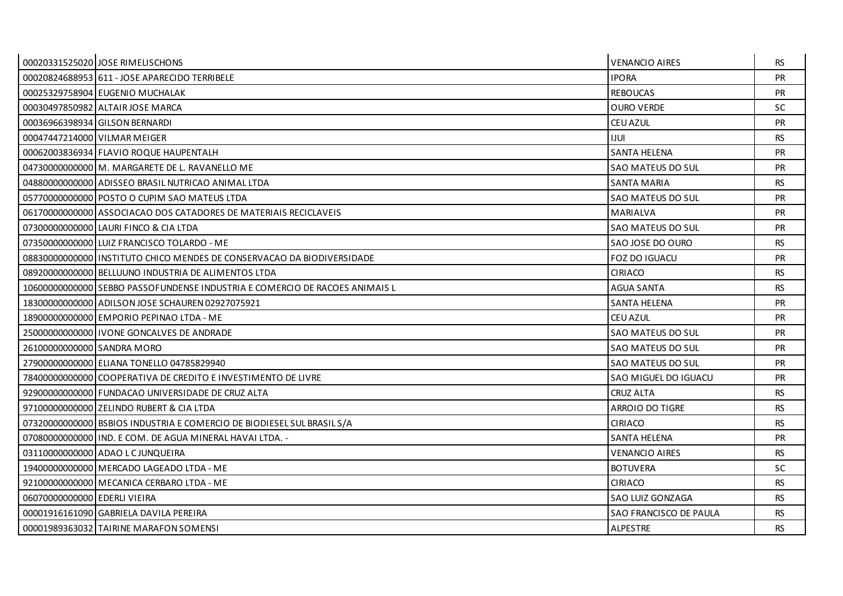|                               | 00020331525020 JOSE RIMELISCHONS                                            | <b>VENANCIO AIRES</b>    | <b>RS</b> |
|-------------------------------|-----------------------------------------------------------------------------|--------------------------|-----------|
|                               | 00020824688953 611 - JOSE APARECIDO TERRIBELE                               | <b>IPORA</b>             | <b>PR</b> |
|                               | 00025329758904 EUGENIO MUCHALAK                                             | <b>REBOUCAS</b>          | PR        |
|                               | 00030497850982 ALTAIR JOSE MARCA                                            | <b>OURO VERDE</b>        | <b>SC</b> |
|                               | 00036966398934 GILSON BERNARDI                                              | <b>CEU AZUL</b>          | <b>PR</b> |
|                               | 00047447214000 VILMAR MEIGER                                                | <b>IJUL</b>              | <b>RS</b> |
|                               | 00062003836934 FLAVIO ROQUE HAUPENTALH                                      | SANTA HELENA             | <b>PR</b> |
|                               | 04730000000000   M. MARGARETE DE L. RAVANELLO ME                            | SAO MATEUS DO SUL        | <b>PR</b> |
|                               | 048800000000000 ADISSEO BRASIL NUTRICAO ANIMAL LTDA                         | <b>SANTA MARIA</b>       | <b>RS</b> |
|                               | 05770000000000 POSTO O CUPIM SAO MATEUS LTDA                                | SAO MATEUS DO SUL        | <b>PR</b> |
|                               | 06170000000000 ASSOCIACAO DOS CATADORES DE MATERIAIS RECICLAVEIS            | <b>MARIALVA</b>          | <b>PR</b> |
|                               | 07300000000000 LAURI FINCO & CIA LTDA                                       | SAO MATEUS DO SUL        | PR        |
|                               | 07350000000000 LUIZ FRANCISCO TOLARDO - ME                                  | SAO JOSE DO OURO         | <b>RS</b> |
|                               | 088300000000001INSTITUTO CHICO MENDES DE CONSERVACAO DA BIODIVERSIDADE      | <b>FOZ DO IGUACU</b>     | <b>PR</b> |
|                               | 08920000000000 BELLUUNO INDUSTRIA DE ALIMENTOS LTDA                         | CIRIACO                  | <b>RS</b> |
|                               | 10600000000000 SEBBO PASSOFUNDENSE INDUSTRIA E COMERCIO DE RACOES ANIMAIS L | <b>AGUA SANTA</b>        | <b>RS</b> |
|                               | 18300000000000 ADILSON JOSE SCHAUREN 02927075921                            | <b>SANTA HELENA</b>      | PR        |
|                               | 18900000000000 EMPORIO PEPINAO LTDA - ME                                    | <b>CEU AZUL</b>          | <b>PR</b> |
|                               | 25000000000000 I VONE GONCALVES DE ANDRADE                                  | SAO MATEUS DO SUL        | <b>PR</b> |
| 26100000000000 SANDRA MORO    |                                                                             | <b>SAO MATEUS DO SUL</b> | PR        |
|                               | 27900000000000 ELIANA TONELLO 04785829940                                   | SAO MATEUS DO SUL        | <b>PR</b> |
|                               | 78400000000000 COOPERATIVA DE CREDITO E INVESTIMENTO DE LIVRE               | SAO MIGUEL DO IGUACU     | <b>PR</b> |
|                               | 92900000000000 FUNDACAO UNIVERSIDADE DE CRUZ ALTA                           | <b>CRUZ ALTA</b>         | <b>RS</b> |
|                               | 97100000000000 ZELINDO RUBERT & CIA LTDA                                    | <b>ARROIO DO TIGRE</b>   | <b>RS</b> |
|                               | 07320000000000 BSBIOS INDUSTRIA E COMERCIO DE BIODIESEL SUL BRASIL S/A      | <b>CIRIACO</b>           | <b>RS</b> |
|                               | 07080000000000   IND. E COM. DE AGUA MINERAL HAVAI LTDA. -                  | <b>SANTA HELENA</b>      | PR        |
|                               | 03110000000000 ADAO LCJUNQUEIRA                                             | <b>VENANCIO AIRES</b>    | <b>RS</b> |
|                               | 19400000000000 MERCADO LAGEADO LTDA - ME                                    | <b>BOTUVERA</b>          | SC.       |
|                               | 92100000000000 MECANICA CERBARO LTDA - ME                                   | <b>CIRIACO</b>           | <b>RS</b> |
| 060700000000000 EDERLI VIEIRA |                                                                             | SAO LUIZ GONZAGA         | <b>RS</b> |
|                               | 00001916161090 GABRIELA DAVILA PEREIRA                                      | SAO FRANCISCO DE PAULA   | RS.       |
|                               | 00001989363032 TAIRINE MARAFON SOMENSI                                      | ALPESTRE                 | <b>RS</b> |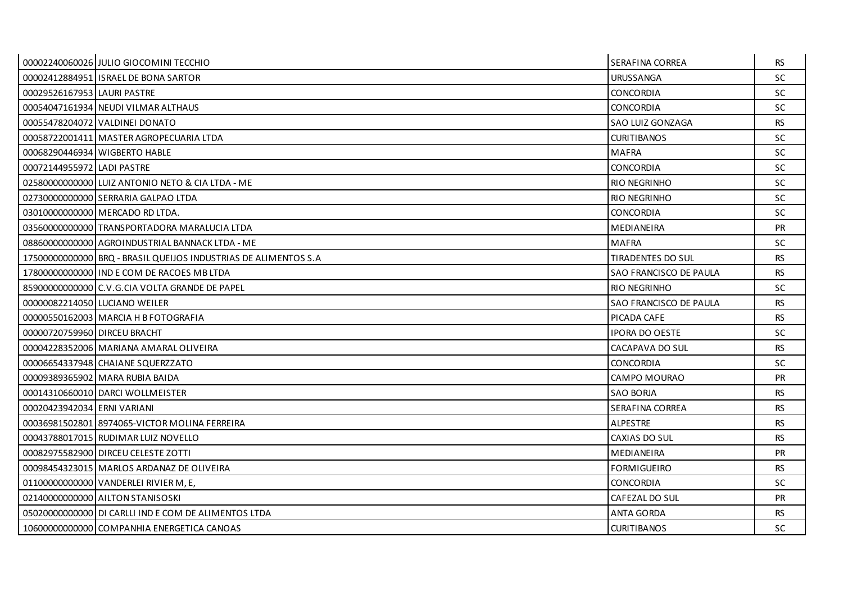|                              | 00002240060026 JULIO GIOCOMINI TECCHIO                          | SERAFINA CORREA          | RS.       |
|------------------------------|-----------------------------------------------------------------|--------------------------|-----------|
|                              | 00002412884951 ISRAEL DE BONA SARTOR                            | URUSSANGA                | <b>SC</b> |
| 00029526167953 LAURI PASTRE  |                                                                 | <b>CONCORDIA</b>         | <b>SC</b> |
|                              | 00054047161934 NEUDI VILMAR ALTHAUS                             | <b>CONCORDIA</b>         | SC.       |
|                              | 00055478204072 VALDINEI DONATO                                  | SAO LUIZ GONZAGA         | <b>RS</b> |
|                              | 00058722001411 MASTER AGROPECUARIA LTDA                         | <b>CURITIBANOS</b>       | <b>SC</b> |
|                              | 00068290446934 WIGBERTO HABLE                                   | <b>MAFRA</b>             | <b>SC</b> |
| 00072144955972 LADI PASTRE   |                                                                 | <b>CONCORDIA</b>         | <b>SC</b> |
|                              | 02580000000000 LUIZ ANTONIO NETO & CIA LTDA - ME                | RIO NEGRINHO             | <b>SC</b> |
|                              | 02730000000000 SERRARIA GALPAO LTDA                             | <b>RIO NEGRINHO</b>      | <b>SC</b> |
|                              | 03010000000000 MERCADO RD LTDA.                                 | <b>CONCORDIA</b>         | <b>SC</b> |
|                              | 03560000000000 TRANSPORTADORA MARALUCIA LTDA                    | MEDIANEIRA               | <b>PR</b> |
|                              | 08860000000000 AGROINDUSTRIAL BANNACK LTDA - ME                 | <b>MAFRA</b>             | <b>SC</b> |
|                              | 17500000000000 BRQ - BRASIL QUEIJOS INDUSTRIAS DE ALIMENTOS S.A | <b>TIRADENTES DO SUL</b> | <b>RS</b> |
|                              | 17800000000000 I IND E COM DE RACOES MB LTDA                    | SAO FRANCISCO DE PAULA   | <b>RS</b> |
|                              | 85900000000000 C.V.G.CIA VOLTA GRANDE DE PAPEL                  | <b>RIO NEGRINHO</b>      | <b>SC</b> |
|                              | 00000082214050 LUCIANO WEILER                                   | SAO FRANCISCO DE PAULA   | <b>RS</b> |
|                              | 00000550162003 MARCIA H B FOTOGRAFIA                            | PICADA CAFE              | <b>RS</b> |
| 00000720759960 DIRCEU BRACHT |                                                                 | <b>IPORA DO OESTE</b>    | <b>SC</b> |
|                              | 00004228352006 MARIANA AMARAL OLIVEIRA                          | CACAPAVA DO SUL          | <b>RS</b> |
|                              | 00006654337948 CHAIANE SQUERZZATO                               | <b>CONCORDIA</b>         | <b>SC</b> |
|                              | 00009389365902 MARA RUBIA BAIDA                                 | CAMPO MOURAO             | <b>PR</b> |
|                              | 00014310660010 DARCI WOLLMEISTER                                | <b>SAO BORJA</b>         | <b>RS</b> |
| 00020423942034 ERNI VARIANI  |                                                                 | SERAFINA CORREA          | <b>RS</b> |
|                              | 00036981502801 8974065-VICTOR MOLINA FERREIRA                   | <b>ALPESTRE</b>          | <b>RS</b> |
|                              | 00043788017015 RUDIMAR LUIZ NOVELLO                             | CAXIAS DO SUL            | <b>RS</b> |
|                              | 00082975582900 DIRCEU CELESTE ZOTTI                             | MEDIANEIRA               | <b>PR</b> |
|                              | 00098454323015 MARLOS ARDANAZ DE OLIVEIRA                       | <b>FORMIGUEIRO</b>       | <b>RS</b> |
|                              | 01100000000000 VANDERLEI RIVIER M, E,                           | <b>CONCORDIA</b>         | <b>SC</b> |
|                              | 02140000000000 AILTON STANISOSKI                                | CAFEZAL DO SUL           | <b>PR</b> |
|                              | 05020000000000 DI CARLLI IND E COM DE ALIMENTOS LTDA            | <b>ANTA GORDA</b>        | <b>RS</b> |
|                              | 10600000000000 COMPANHIA ENERGETICA CANOAS                      | <b>CURITIBANOS</b>       | <b>SC</b> |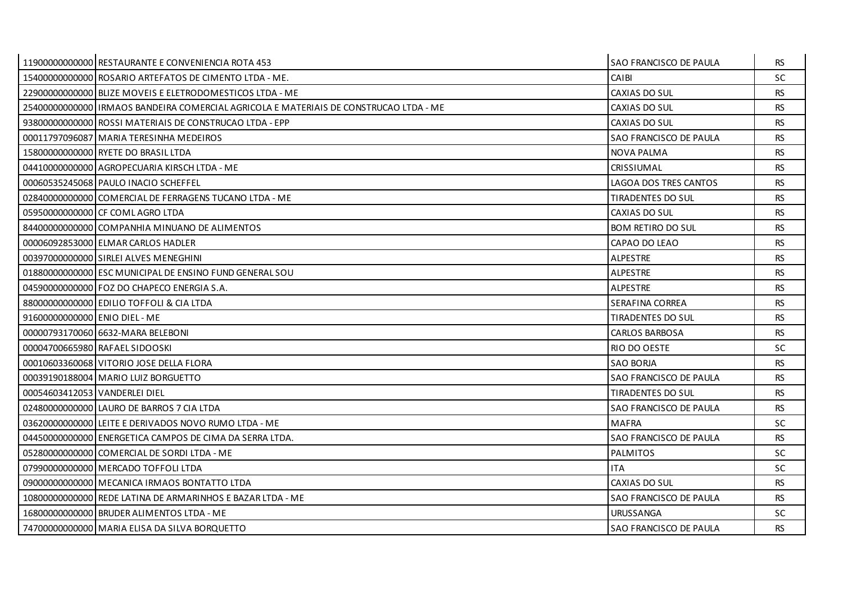|                               | 11900000000000 RESTAURANTE E CONVENIENCIA ROTA 453                                    | <b>SAO FRANCISCO DE PAULA</b> | RS.       |
|-------------------------------|---------------------------------------------------------------------------------------|-------------------------------|-----------|
|                               | 15400000000000 ROSARIO ARTEFATOS DE CIMENTO LTDA - ME.                                | CAIBI                         | SC        |
|                               | 22900000000000 BLIZE MOVEIS E ELETRODOMESTICOS LTDA - ME                              | CAXIAS DO SUL                 | <b>RS</b> |
|                               | 254000000000001IRMAOS BANDEIRA COMERCIAL AGRICOLA E MATERIAIS DE CONSTRUCAO LTDA - ME | CAXIAS DO SUL                 | <b>RS</b> |
|                               | 93800000000000 ROSSI MATERIAIS DE CONSTRUCAO LTDA - EPP                               | CAXIAS DO SUL                 | <b>RS</b> |
|                               | 00011797096087 MARIA TERESINHA MEDEIROS                                               | SAO FRANCISCO DE PAULA        | <b>RS</b> |
|                               | 15800000000000 RYETE DO BRASIL LTDA                                                   | NOVA PALMA                    | RS.       |
|                               | 04410000000000 AGROPECUARIA KIRSCH LTDA - ME                                          | CRISSIUMAL                    | <b>RS</b> |
|                               | 00060535245068 PAULO INACIO SCHEFFEL                                                  | LAGOA DOS TRES CANTOS         | <b>RS</b> |
|                               | 02840000000000 COMERCIAL DE FERRAGENS TUCANO LTDA - ME                                | TIRADENTES DO SUL             | <b>RS</b> |
|                               | 05950000000000 CF COMLAGRO LTDA                                                       | CAXIAS DO SUL                 | <b>RS</b> |
|                               | 84400000000000 COMPANHIA MINUANO DE ALIMENTOS                                         | <b>BOM RETIRO DO SUL</b>      | <b>RS</b> |
|                               | 00006092853000 ELMAR CARLOS HADLER                                                    | CAPAO DO LEAO                 | RS.       |
|                               | 00397000000000 SIRLEI ALVES MENEGHINI                                                 | <b>ALPESTRE</b>               | <b>RS</b> |
|                               | 01880000000000 ESC MUNICIPAL DE ENSINO FUND GENERAL SOU                               | <b>ALPESTRE</b>               | <b>RS</b> |
|                               | 04590000000000 FOZ DO CHAPECO ENERGIA S.A.                                            | <b>ALPESTRE</b>               | RS.       |
|                               | 88000000000000 EDILIO TOFFOLI & CIA LTDA                                              | SERAFINA CORREA               | <b>RS</b> |
| 91600000000000 ENIO DIEL - ME |                                                                                       | TIRADENTES DO SUL             | <b>RS</b> |
|                               | 0000079317006016632-MARA BELEBONI                                                     | <b>CARLOS BARBOSA</b>         | RS.       |
|                               | 00004700665980 RAFAEL SIDOOSKI                                                        | RIO DO OESTE                  | SC        |
|                               | 00010603360068 VITORIO JOSE DELLA FLORA                                               | <b>SAO BORJA</b>              | <b>RS</b> |
|                               | 00039190188004 MARIO LUIZ BORGUETTO                                                   | SAO FRANCISCO DE PAULA        | RS.       |
| 00054603412053 VANDERLEI DIEL |                                                                                       | TIRADENTES DO SUL             | <b>RS</b> |
|                               | 024800000000000 LAURO DE BARROS 7 CIA LTDA                                            | SAO FRANCISCO DE PAULA        | <b>RS</b> |
|                               | 03620000000000 LEITE E DERIVADOS NOVO RUMO LTDA - ME                                  | <b>MAFRA</b>                  | SC.       |
|                               | 04450000000000 ENERGETICA CAMPOS DE CIMA DA SERRA LTDA.                               | SAO FRANCISCO DE PAULA        | <b>RS</b> |
|                               | 05280000000000 COMERCIAL DE SORDI LTDA - ME                                           | <b>PALMITOS</b>               | SC.       |
|                               | 079900000000000 MERCADO TOFFOLI LTDA                                                  | <b>ITA</b>                    | SC.       |
|                               | 090000000000000 MECANICA IRMAOS BONTATTO LTDA                                         | CAXIAS DO SUL                 | <b>RS</b> |
|                               | 10800000000000 REDE LATINA DE ARMARINHOS E BAZAR LTDA - ME                            | SAO FRANCISCO DE PAULA        | <b>RS</b> |
|                               | 168000000000000 BRUDER ALIMENTOS LTDA - ME                                            | <b>URUSSANGA</b>              | SC.       |
|                               | 74700000000000 MARIA ELISA DA SILVA BORQUETTO                                         | SAO FRANCISCO DE PAULA        | <b>RS</b> |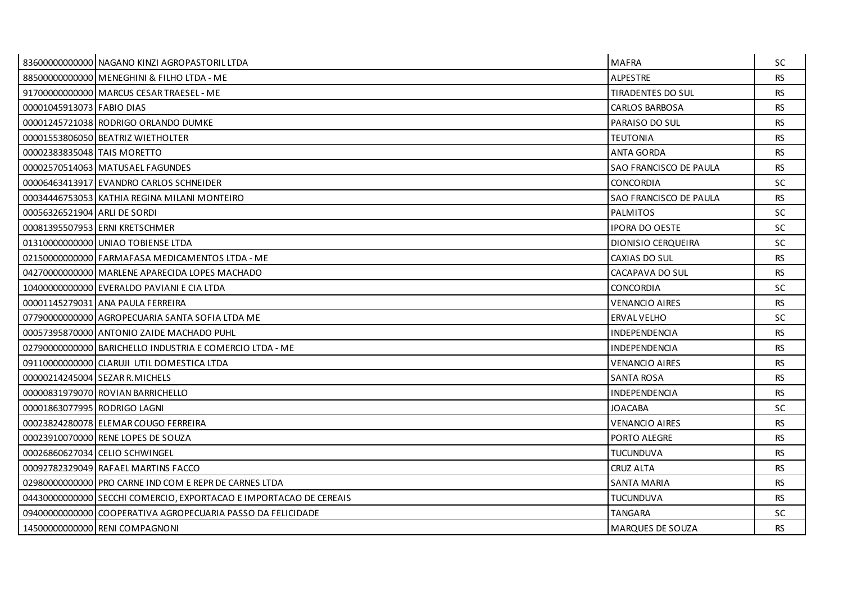|                              | 83600000000000 NAGANO KINZI AGROPASTORIL LTDA                      | <b>MAFRA</b>           | <b>SC</b> |
|------------------------------|--------------------------------------------------------------------|------------------------|-----------|
|                              | 88500000000000 MENEGHINI & FILHO LTDA - ME                         | <b>ALPESTRE</b>        | <b>RS</b> |
|                              | 91700000000000   MARCUS CESAR TRAESEL - ME                         | TIRADENTES DO SUL      | <b>RS</b> |
| 00001045913073 FABIO DIAS    |                                                                    | <b>CARLOS BARBOSA</b>  | <b>RS</b> |
|                              | 00001245721038 RODRIGO ORLANDO DUMKE                               | PARAISO DO SUL         | <b>RS</b> |
|                              | 00001553806050 BEATRIZ WIETHOLTER                                  | <b>TEUTONIA</b>        | <b>RS</b> |
| 00002383835048 TAIS MORETTO  |                                                                    | <b>ANTA GORDA</b>      | <b>RS</b> |
|                              | 00002570514063 MATUSAEL FAGUNDES                                   | SAO FRANCISCO DE PAULA | <b>RS</b> |
|                              | 00006463413917 EVANDRO CARLOS SCHNEIDER                            | CONCORDIA              | <b>SC</b> |
|                              | 00034446753053 KATHIA REGINA MILANI MONTEIRO                       | SAO FRANCISCO DE PAULA | <b>RS</b> |
| 00056326521904 ARLI DE SORDI |                                                                    | <b>PALMITOS</b>        | <b>SC</b> |
|                              | 00081395507953 ERNI KRETSCHMER                                     | <b>IPORA DO OESTE</b>  | <b>SC</b> |
|                              | 01310000000000 UNIAO TOBIENSE LTDA                                 | DIONISIO CERQUEIRA     | SC.       |
|                              | 02150000000000 FARMAFASA MEDICAMENTOS LTDA - ME                    | CAXIAS DO SUL          | <b>RS</b> |
|                              | 042700000000000 MARLENE APARECIDA LOPES MACHADO                    | CACAPAVA DO SUL        | <b>RS</b> |
|                              | 10400000000000 EVERALDO PAVIANI E CIA LTDA                         | <b>CONCORDIA</b>       | <b>SC</b> |
|                              | 00001145279031 ANA PAULA FERREIRA                                  | <b>VENANCIO AIRES</b>  | <b>RS</b> |
|                              | 07790000000000 AGROPECUARIA SANTA SOFIA LTDA ME                    | <b>ERVAL VELHO</b>     | <b>SC</b> |
|                              | 00057395870000 ANTONIO ZAIDE MACHADO PUHL                          | <b>INDEPENDENCIA</b>   | <b>RS</b> |
|                              | 02790000000000 BARICHELLO INDUSTRIA E COMERCIO LTDA - ME           | <b>INDEPENDENCIA</b>   | <b>RS</b> |
|                              | 09110000000000 CLARUJI UTIL DOMESTICA LTDA                         | <b>VENANCIO AIRES</b>  | <b>RS</b> |
|                              | 00000214245004 SEZAR R. MICHELS                                    | <b>SANTA ROSA</b>      | <b>RS</b> |
|                              | 00000831979070 ROVIAN BARRICHELLO                                  | INDEPENDENCIA          | <b>RS</b> |
| 00001863077995 RODRIGO LAGNI |                                                                    | <b>JOACABA</b>         | <b>SC</b> |
|                              | 00023824280078 ELEMAR COUGO FERREIRA                               | <b>VENANCIO AIRES</b>  | <b>RS</b> |
|                              | 00023910070000 RENE LOPES DE SOUZA                                 | PORTO ALEGRE           | <b>RS</b> |
|                              | 00026860627034 CELIO SCHWINGEL                                     | <b>TUCUNDUVA</b>       | <b>RS</b> |
|                              | 00092782329049 RAFAEL MARTINS FACCO                                | <b>CRUZ ALTA</b>       | <b>RS</b> |
|                              | 02980000000000 PRO CARNE IND COM E REPR DE CARNES LTDA             | <b>SANTA MARIA</b>     | <b>RS</b> |
|                              | 04430000000000 SECCHI COMERCIO, EXPORTACAO E IMPORTACAO DE CEREAIS | <b>TUCUNDUVA</b>       | <b>RS</b> |
|                              | 09400000000000 COOPERATIVA AGROPECUARIA PASSO DA FELICIDADE        | TANGARA                | SC.       |
|                              | 14500000000000 RENI COMPAGNONI                                     | MARQUES DE SOUZA       | <b>RS</b> |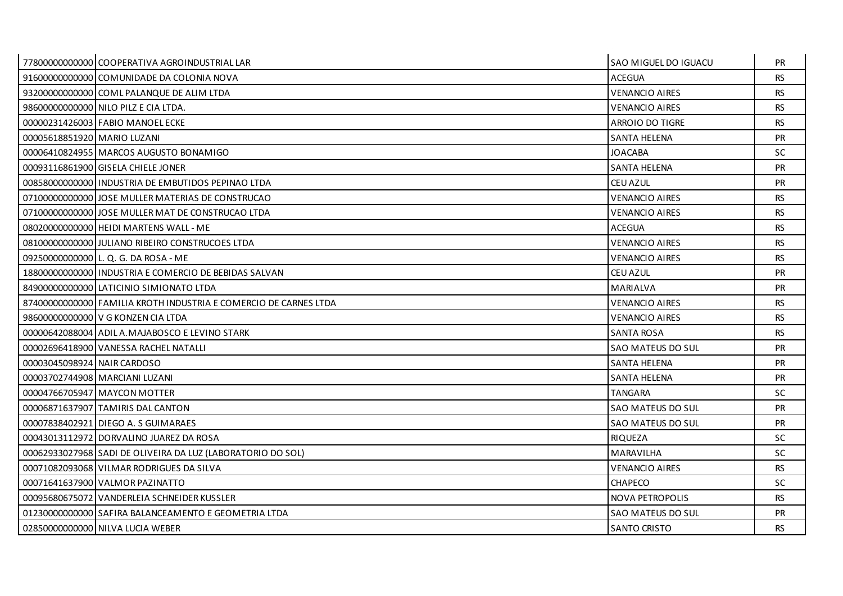|                             | 77800000000000 COOPERATIVA AGROINDUSTRIAL LAR                    | SAO MIGUEL DO IGUACU   | <b>PR</b> |
|-----------------------------|------------------------------------------------------------------|------------------------|-----------|
|                             | 91600000000000 COMUNIDADE DA COLONIA NOVA                        | <b>ACEGUA</b>          | <b>RS</b> |
|                             | 932000000000000 COML PALANQUE DE ALIM LTDA                       | <b>VENANCIO AIRES</b>  | <b>RS</b> |
|                             | 98600000000000 NILO PILZ E CIA LTDA.                             | <b>VENANCIO AIRES</b>  | <b>RS</b> |
|                             | 00000231426003 FABIO MANOEL ECKE                                 | ARROIO DO TIGRE        | <b>RS</b> |
| 00005618851920 MARIO LUZANI |                                                                  | <b>SANTA HELENA</b>    | <b>PR</b> |
|                             | 00006410824955 MARCOS AUGUSTO BONAMIGO                           | JOACABA                | SC.       |
|                             | 00093116861900 GISELA CHIELE JONER                               | <b>SANTA HELENA</b>    | <b>PR</b> |
|                             | 00858000000000 INDUSTRIA DE EMBUTIDOS PEPINAO LTDA               | CEU AZUL               | PR        |
|                             | 07100000000000 JJOSE MULLER MATERIAS DE CONSTRUCAO               | <b>VENANCIO AIRES</b>  | <b>RS</b> |
|                             | 07100000000000 JJOSE MULLER MAT DE CONSTRUCAO LTDA               | <b>VENANCIO AIRES</b>  | <b>RS</b> |
|                             | 08020000000000 HEIDI MARTENS WALL - ME                           | <b>ACEGUA</b>          | <b>RS</b> |
|                             | 08100000000000 JJULIANO RIBEIRO CONSTRUCOES LTDA                 | <b>VENANCIO AIRES</b>  | <b>RS</b> |
|                             | 09250000000000 L. Q. G. DA ROSA - ME                             | <b>VENANCIO AIRES</b>  | <b>RS</b> |
|                             | 18800000000000   INDUSTRIA E COMERCIO DE BEBIDAS SALVAN          | <b>CEU AZUL</b>        | <b>PR</b> |
|                             | 849000000000000 LATICINIO SIMIONATO LTDA                         | MARIALVA               | PR.       |
|                             | 87400000000000 FAMILIA KROTH INDUSTRIA E COMERCIO DE CARNES LTDA | <b>VENANCIO AIRES</b>  | <b>RS</b> |
|                             | 98600000000000 V G KONZEN CIA LTDA                               | <b>VENANCIO AIRES</b>  | <b>RS</b> |
|                             | 00000642088004 ADIL A. MAJABOSCO E LEVINO STARK                  | SANTA ROSA             | <b>RS</b> |
|                             | 00002696418900 VANESSA RACHEL NATALLI                            | SAO MATEUS DO SUL      | <b>PR</b> |
| 00003045098924 NAIR CARDOSO |                                                                  | <b>SANTA HELENA</b>    | <b>PR</b> |
|                             | 00003702744908 MARCIANI LUZANI                                   | <b>SANTA HELENA</b>    | <b>PR</b> |
|                             | 00004766705947 MAYCON MOTTER                                     | <b>TANGARA</b>         | SC.       |
|                             | 00006871637907 TAMIRIS DAL CANTON                                | SAO MATEUS DO SUL      | PR        |
|                             | 00007838402921 DIEGO A. S GUIMARAES                              | SAO MATEUS DO SUL      | <b>PR</b> |
|                             | 00043013112972 DORVALINO JUAREZ DA ROSA                          | <b>RIQUEZA</b>         | SC.       |
|                             | 00062933027968 SADI DE OLIVEIRA DA LUZ (LABORATORIO DO SOL)      | <b>MARAVILHA</b>       | SC.       |
|                             | 00071082093068 VILMAR RODRIGUES DA SILVA                         | <b>VENANCIO AIRES</b>  | <b>RS</b> |
|                             | 00071641637900 VALMOR PAZINATTO                                  | <b>CHAPECO</b>         | SC.       |
|                             | 00095680675072 VANDERLEIA SCHNEIDER KUSSLER                      | <b>NOVA PETROPOLIS</b> | <b>RS</b> |
|                             | 01230000000000 SAFIRA BALANCEAMENTO E GEOMETRIA LTDA             | SAO MATEUS DO SUL      | PR.       |
|                             | 02850000000000 NILVA LUCIA WEBER                                 | <b>SANTO CRISTO</b>    | <b>RS</b> |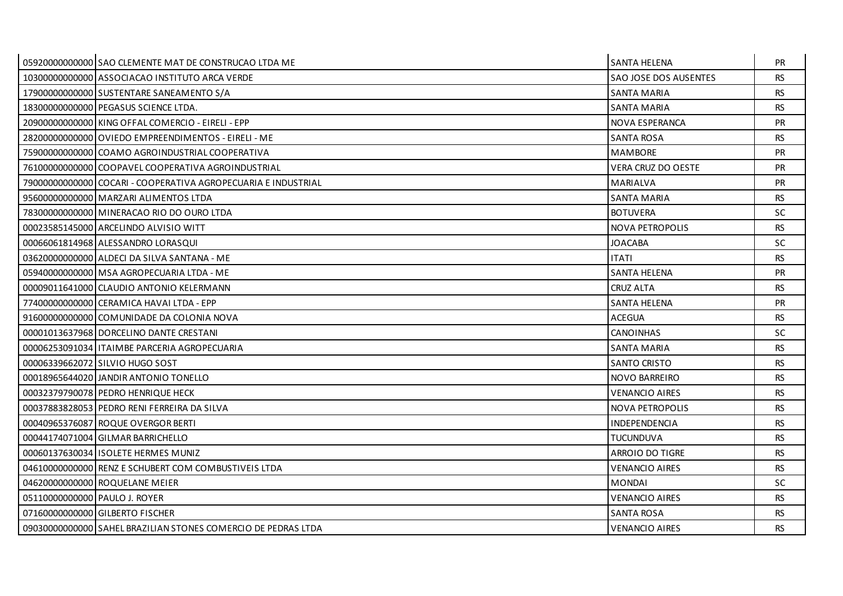|                               | 05920000000000 SAO CLEMENTE MAT DE CONSTRUCAO LTDA ME         | SANTA HELENA           | <b>PR</b> |
|-------------------------------|---------------------------------------------------------------|------------------------|-----------|
|                               | 10300000000000 ASSOCIACAO INSTITUTO ARCA VERDE                | SAO JOSE DOS AUSENTES  | <b>RS</b> |
|                               | 17900000000000 SUSTENTARE SANEAMENTO S/A                      | <b>SANTA MARIA</b>     | <b>RS</b> |
|                               | 18300000000000 PEGASUS SCIENCE LTDA.                          | <b>SANTA MARIA</b>     | <b>RS</b> |
|                               | 20900000000000 KING OFFAL COMERCIO - EIRELI - EPP             | NOVA ESPERANCA         | PR        |
|                               | 28200000000000 OVIEDO EMPREENDIMENTOS - EIRELI - ME           | <b>SANTA ROSA</b>      | <b>RS</b> |
|                               | 75900000000000 COAMO AGROINDUSTRIAL COOPERATIVA               | <b>MAMBORE</b>         | PR.       |
|                               | 76100000000000 COOPAVEL COOPERATIVA AGROINDUSTRIAL            | VERA CRUZ DO OESTE     | PR        |
|                               | 79000000000000 COCARI - COOPERATIVA AGROPECUARIA E INDUSTRIAL | <b>MARIALVA</b>        | <b>PR</b> |
|                               | 95600000000000 MARZARI ALIMENTOS LTDA                         | <b>SANTA MARIA</b>     | <b>RS</b> |
|                               | 78300000000000 MINERACAO RIO DO OURO LTDA                     | <b>BOTUVERA</b>        | <b>SC</b> |
|                               | 00023585145000 ARCELINDO ALVISIO WITT                         | <b>NOVA PETROPOLIS</b> | <b>RS</b> |
|                               | 00066061814968 ALESSANDRO LORASQUI                            | <b>JOACABA</b>         | SC.       |
|                               | 03620000000000 ALDECI DA SILVA SANTANA - ME                   | <b>ITATI</b>           | <b>RS</b> |
|                               | 05940000000000 MSA AGROPECUARIA LTDA - ME                     | <b>SANTA HELENA</b>    | <b>PR</b> |
|                               | 00009011641000 CLAUDIO ANTONIO KELERMANN                      | <b>CRUZ ALTA</b>       | <b>RS</b> |
|                               | 77400000000000 CERAMICA HAVAI LTDA - EPP                      | <b>SANTA HELENA</b>    | PR        |
|                               | 91600000000000 COMUNIDADE DA COLONIA NOVA                     | <b>ACEGUA</b>          | <b>RS</b> |
|                               | 00001013637968 DORCELINO DANTE CRESTANI                       | <b>CANOINHAS</b>       | SC.       |
|                               | 00006253091034   ITAIMBE PARCERIA AGROPECUARIA                | <b>SANTA MARIA</b>     | <b>RS</b> |
|                               | 00006339662072 SILVIO HUGO SOST                               | <b>SANTO CRISTO</b>    | <b>RS</b> |
|                               | 00018965644020 JANDIR ANTONIO TONELLO                         | NOVO BARREIRO          | <b>RS</b> |
|                               | 00032379790078 PEDRO HENRIQUE HECK                            | <b>VENANCIO AIRES</b>  | <b>RS</b> |
|                               | 00037883828053 PEDRO RENI FERREIRA DA SILVA                   | <b>NOVA PETROPOLIS</b> | <b>RS</b> |
|                               | 00040965376087 ROQUE OVERGOR BERTI                            | <b>INDEPENDENCIA</b>   | <b>RS</b> |
|                               | 00044174071004 GILMAR BARRICHELLO                             | <b>TUCUNDUVA</b>       | <b>RS</b> |
|                               | 0006013763003411SOLETE HERMES MUNIZ                           | <b>ARROIO DO TIGRE</b> | <b>RS</b> |
|                               | 04610000000000 RENZ E SCHUBERT COM COMBUSTIVEIS LTDA          | <b>VENANCIO AIRES</b>  | <b>RS</b> |
|                               | 04620000000000 ROQUELANE MEIER                                | <b>MONDAI</b>          | <b>SC</b> |
| 05110000000000 PAULO J. ROYER |                                                               | <b>VENANCIO AIRES</b>  | <b>RS</b> |
|                               | 07160000000000 GILBERTO FISCHER                               | <b>SANTA ROSA</b>      | <b>RS</b> |
|                               | 09030000000000 SAHEL BRAZILIAN STONES COMERCIO DE PEDRAS LTDA | <b>VENANCIO AIRES</b>  | <b>RS</b> |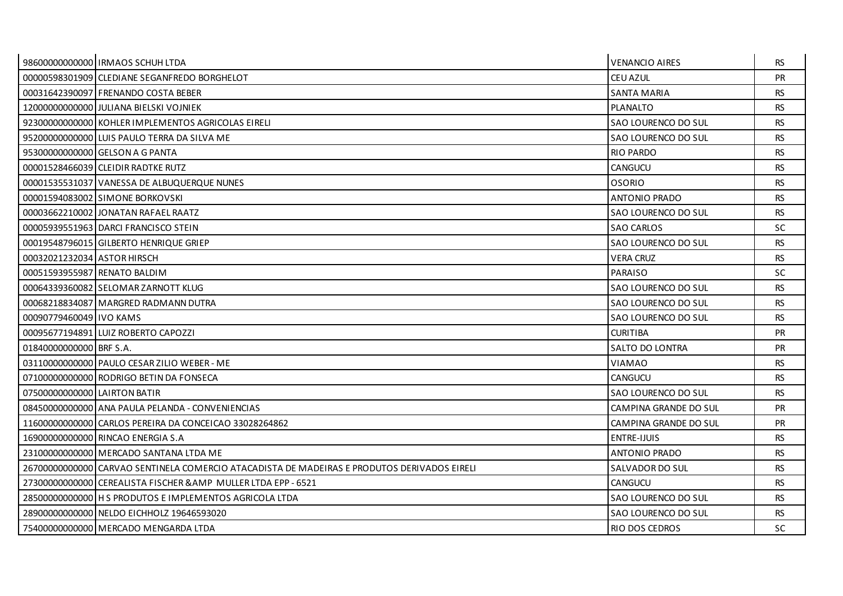|                              | 98600000000000 IRMAOS SCHUH LTDA                                                            | <b>VENANCIO AIRES</b> | <b>RS</b> |
|------------------------------|---------------------------------------------------------------------------------------------|-----------------------|-----------|
|                              | 00000598301909 CLEDIANE SEGANFREDO BORGHELOT                                                | CEU AZUL              | <b>PR</b> |
|                              | 00031642390097 FRENANDO COSTA BEBER                                                         | <b>SANTA MARIA</b>    | <b>RS</b> |
|                              | 120000000000000 JULIANA BIELSKI VOJNIEK                                                     | <b>PLANALTO</b>       | <b>RS</b> |
|                              | 92300000000000 KOHLER IMPLEMENTOS AGRICOLAS EIRELI                                          | SAO LOURENCO DO SUL   | <b>RS</b> |
|                              | 952000000000000 LUIS PAULO TERRA DA SILVA ME                                                | SAO LOURENCO DO SUL   | <b>RS</b> |
|                              | 95300000000000 GELSON A G PANTA                                                             | <b>RIO PARDO</b>      | <b>RS</b> |
|                              | 00001528466039 CLEIDIR RADTKE RUTZ                                                          | CANGUCU               | <b>RS</b> |
|                              | 00001535531037 VANESSA DE ALBUQUERQUE NUNES                                                 | OSORIO                | <b>RS</b> |
|                              | 00001594083002 SIMONE BORKOVSKI                                                             | <b>ANTONIO PRADO</b>  | <b>RS</b> |
|                              | 00003662210002 JJONATAN RAFAEL RAATZ                                                        | SAO LOURENCO DO SUL   | <b>RS</b> |
|                              | 00005939551963 DARCL FRANCISCO STEIN                                                        | <b>SAO CARLOS</b>     | <b>SC</b> |
|                              | 00019548796015 GILBERTO HENRIQUE GRIEP                                                      | SAO LOURENCO DO SUL   | <b>RS</b> |
| 00032021232034 ASTOR HIRSCH  |                                                                                             | <b>VERA CRUZ</b>      | <b>RS</b> |
| 00051593955987 RENATO BALDIM |                                                                                             | PARAISO               | SC.       |
|                              | 000643393600821SELOMARZARNOTT KLUG                                                          | SAO LOURENCO DO SUL   | <b>RS</b> |
|                              | 00068218834087 MARGRED RADMANN DUTRA                                                        | SAO LOURENCO DO SUL   | <b>RS</b> |
| 00090779460049 I IVO KAMS    |                                                                                             | SAO LOURENCO DO SUL   | <b>RS</b> |
|                              | 00095677194891 LUIZ ROBERTO CAPOZZI                                                         | <b>CURITIBA</b>       | <b>PR</b> |
| 01840000000000 BRF S.A.      |                                                                                             | SALTO DO LONTRA       | PR        |
|                              | 03110000000000 PAULO CESAR ZILIO WEBER - ME                                                 | <b>VIAMAO</b>         | <b>RS</b> |
|                              | 07100000000000 RODRIGO BETIN DA FONSECA                                                     | CANGUCU               | RS.       |
| 07500000000000 LAIRTON BATIR |                                                                                             | SAO LOURENCO DO SUL   | <b>RS</b> |
|                              | 08450000000000 ANA PAULA PELANDA - CONVENIENCIAS                                            | CAMPINA GRANDE DO SUL | <b>PR</b> |
|                              | 11600000000000 CARLOS PEREIRA DA CONCEICAO 33028264862                                      | CAMPINA GRANDE DO SUL | <b>PR</b> |
|                              | 16900000000000 RINCAO ENERGIA S.A                                                           | ENTRE-IJUIS           | <b>RS</b> |
|                              | 23100000000000 MERCADO SANTANA LTDA ME                                                      | ANTONIO PRADO         | <b>RS</b> |
|                              | 26700000000000 CARVAO SENTINELA COMERCIO ATACADISTA DE MADEIRAS E PRODUTOS DERIVADOS EIRELI | SALVADOR DO SUL       | <b>RS</b> |
|                              | 27300000000000 CEREALISTA FISCHER & AMP MULLER LTDA EPP - 6521                              | CANGUCU               | <b>RS</b> |
|                              | 28500000000000 H S PRODUTOS E IMPLEMENTOS AGRICOLA LTDA                                     | SAO LOURENCO DO SUL   | <b>RS</b> |
|                              | 28900000000000 NELDO EICHHOLZ 19646593020                                                   | SAO LOURENCO DO SUL   | <b>RS</b> |
|                              | 75400000000000 MERCADO MENGARDA LTDA                                                        | <b>RIO DOS CEDROS</b> | <b>SC</b> |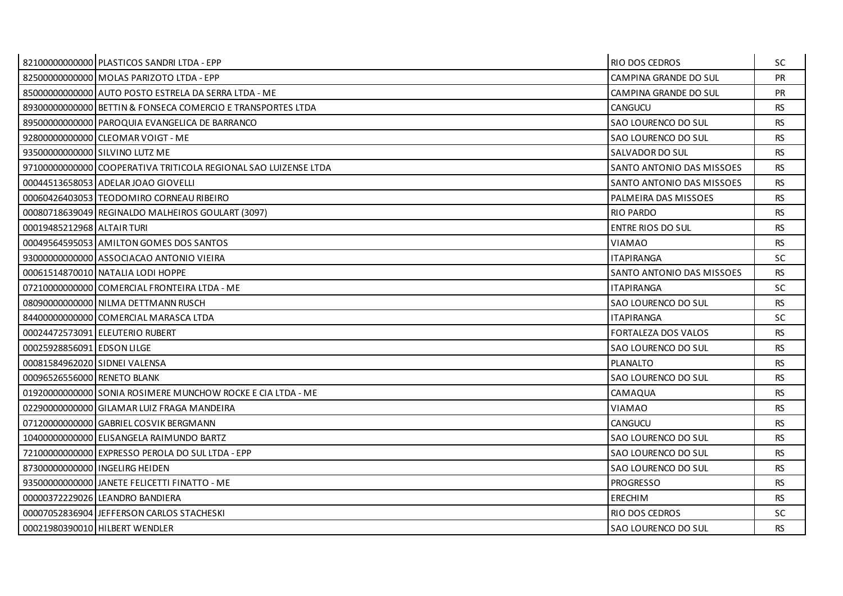|                               | 82100000000000 PLASTICOS SANDRI LTDA - EPP                      | RIO DOS CEDROS            | <b>SC</b> |
|-------------------------------|-----------------------------------------------------------------|---------------------------|-----------|
|                               | 82500000000000 MOLAS PARIZOTO LTDA - EPP                        | CAMPINA GRANDE DO SUL     | <b>PR</b> |
|                               | 85000000000000 AUTO POSTO ESTRELA DA SERRA LTDA - ME            | CAMPINA GRANDE DO SUL     | <b>PR</b> |
|                               | 89300000000000 BETTIN & FONSECA COMERCIO E TRANSPORTES LTDA     | CANGUCU                   | <b>RS</b> |
|                               | 89500000000000 PAROQUIA EVANGELICA DE BARRANCO                  | SAO LOURENCO DO SUL       | <b>RS</b> |
|                               | 92800000000000 CLEOMAR VOIGT - ME                               | SAO LOURENCO DO SUL       | <b>RS</b> |
|                               | 93500000000000 SILVINO LUTZ ME                                  | SALVADOR DO SUL           | <b>RS</b> |
|                               | 97100000000000 COOPERATIVA TRITICOLA REGIONAL SAO LUIZENSE LTDA | SANTO ANTONIO DAS MISSOES | <b>RS</b> |
|                               | 00044513658053 ADELAR JOAO GIOVELLI                             | SANTO ANTONIO DAS MISSOES | <b>RS</b> |
|                               | 00060426403053 TEODOMIRO CORNEAU RIBEIRO                        | PALMEIRA DAS MISSOES      | <b>RS</b> |
|                               | 00080718639049 REGINALDO MALHEIROS GOULART (3097)               | <b>RIO PARDO</b>          | <b>RS</b> |
| 00019485212968 ALTAIR TURI    |                                                                 | ENTRE RIOS DO SUL         | <b>RS</b> |
|                               | 00049564595053 AMILTON GOMES DOS SANTOS                         | VIAMAO                    | <b>RS</b> |
|                               | 93000000000000 ASSOCIACAO ANTONIO VIEIRA                        | <b>ITAPIRANGA</b>         | SC.       |
|                               | 00061514870010 NATALIA LODI HOPPE                               | SANTO ANTONIO DAS MISSOES | <b>RS</b> |
|                               | 07210000000000 COMERCIAL FRONTEIRA LTDA - ME                    | <b>ITAPIRANGA</b>         | <b>SC</b> |
|                               | 08090000000000 NILMA DETTMANN RUSCH                             | SAO LOURENCO DO SUL       | <b>RS</b> |
|                               | 84400000000000 COMERCIAL MARASCA LTDA                           | <b>ITAPIRANGA</b>         | <b>SC</b> |
|                               | 00024472573091 ELEUTERIO RUBERT                                 | FORTALEZA DOS VALOS       | <b>RS</b> |
| 00025928856091 EDSON LILGE    |                                                                 | SAO LOURENCO DO SUL       | <b>RS</b> |
| 00081584962020 SIDNEI VALENSA |                                                                 | <b>PLANALTO</b>           | <b>RS</b> |
| 00096526556000 RENETO BLANK   |                                                                 | SAO LOURENCO DO SUL       | <b>RS</b> |
|                               | 01920000000000 SONIA ROSIMERE MUNCHOW ROCKE E CIA LTDA - ME     | CAMAQUA                   | <b>RS</b> |
|                               | 02290000000000 GILAMAR LUIZ FRAGA MANDEIRA                      | VIAMAO                    | <b>RS</b> |
|                               | 07120000000000 GABRIEL COSVIK BERGMANN                          | CANGUCU                   | <b>RS</b> |
|                               | 10400000000000 ELISANGELA RAIMUNDO BARTZ                        | SAO LOURENCO DO SUL       | <b>RS</b> |
|                               | 72100000000000 EXPRESSO PEROLA DO SUL LTDA - EPP                | SAO LOURENCO DO SUL       | <b>RS</b> |
|                               | 87300000000000 INGELIRG HEIDEN                                  | SAO LOURENCO DO SUL       | <b>RS</b> |
|                               | 93500000000000 JANETE FELICETTI FINATTO - ME                    | <b>PROGRESSO</b>          | <b>RS</b> |
|                               | 00000372229026 LEANDRO BANDIERA                                 | <b>ERECHIM</b>            | <b>RS</b> |
|                               | 00007052836904 JEFFERSON CARLOS STACHESKI                       | RIO DOS CEDROS            | SC.       |
|                               | 00021980390010 HILBERT WENDLER                                  | SAO LOURENCO DO SUL       | <b>RS</b> |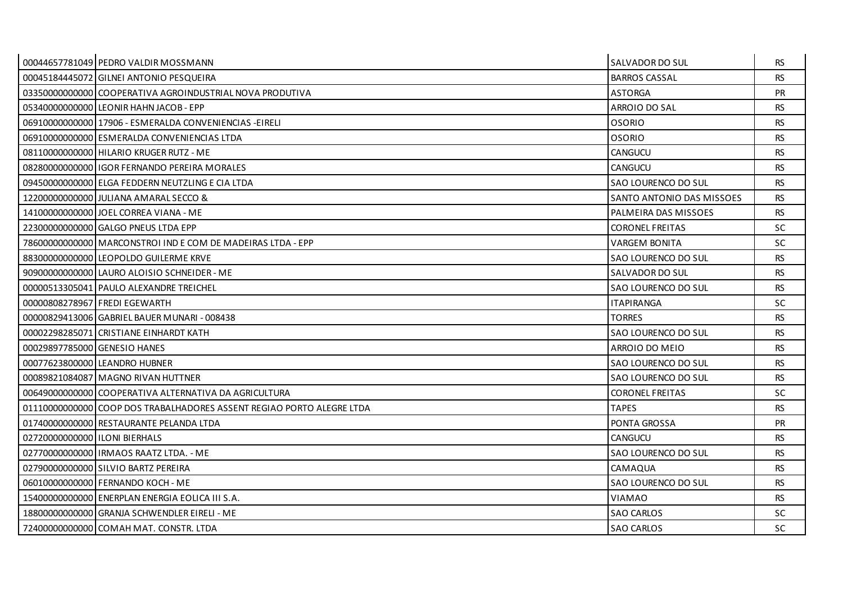|                               | 00044657781049 PEDRO VALDIR MOSSMANN                                  | <b>SALVADOR DO SUL</b>    | RS.       |
|-------------------------------|-----------------------------------------------------------------------|---------------------------|-----------|
|                               | 00045184445072 GILNEI ANTONIO PESQUEIRA                               | <b>BARROS CASSAL</b>      | <b>RS</b> |
|                               | 03350000000000 COOPERATIVA AGROINDUSTRIAL NOVA PRODUTIVA              | <b>ASTORGA</b>            | <b>PR</b> |
|                               | 05340000000000 LEONIR HAHN JACOB - EPP                                | ARROIO DO SAL             | <b>RS</b> |
|                               | 06910000000000 17906 - ESMERALDA CONVENIENCIAS - EIRELI               | <b>OSORIO</b>             | <b>RS</b> |
|                               | 06910000000000 ESMERALDA CONVENIENCIAS LTDA                           | <b>OSORIO</b>             | <b>RS</b> |
|                               | 08110000000000 HILARIO KRUGER RUTZ - ME                               | CANGUCU                   | RS.       |
|                               | 08280000000000 IGOR FERNANDO PEREIRA MORALES                          | CANGUCU                   | <b>RS</b> |
|                               | 094500000000000 ELGA FEDDERN NEUTZLING E CIA LTDA                     | SAO LOURENCO DO SUL       | <b>RS</b> |
|                               | 122000000000000 JULIANA AMARAL SECCO &                                | SANTO ANTONIO DAS MISSOES | <b>RS</b> |
|                               | 14100000000000 JOEL CORREA VIANA - ME                                 | PALMEIRA DAS MISSOES      | <b>RS</b> |
|                               | 22300000000000 GALGO PNEUS LTDA EPP                                   | <b>CORONEL FREITAS</b>    | <b>SC</b> |
|                               | 78600000000000 MARCONSTROLIND E COM DE MADEIRAS LTDA - EPP            | VARGEM BONITA             | SC.       |
|                               | 88300000000000 LEOPOLDO GUILERME KRVE                                 | SAO LOURENCO DO SUL       | <b>RS</b> |
|                               | 909000000000000 LAURO ALOISIO SCHNEIDER - ME                          | SALVADOR DO SUL           | RS.       |
|                               | 00000513305041 PAULO ALEXANDRE TREICHEL                               | SAO LOURENCO DO SUL       | <b>RS</b> |
|                               | 00000808278967 FREDI EGEWARTH                                         | <b>ITAPIRANGA</b>         | <b>SC</b> |
|                               | 00000829413006 GABRIEL BAUER MUNARI - 008438                          | <b>TORRES</b>             | <b>RS</b> |
|                               | 00002298285071 CRISTIANE EINHARDT KATH                                | SAO LOURENCO DO SUL       | <b>RS</b> |
| 00029897785000 GENESIO HANES  |                                                                       | ARROIO DO MEIO            | <b>RS</b> |
|                               | 00077623800000 LEANDRO HUBNER                                         | SAO LOURENCO DO SUL       | <b>RS</b> |
|                               | 00089821084087 MAGNO RIVAN HUTTNER                                    | SAO LOURENCO DO SUL       | <b>RS</b> |
|                               | 00649000000000 COOPERATIVA ALTERNATIVA DA AGRICULTURA                 | <b>CORONEL FREITAS</b>    | <b>SC</b> |
|                               | 01110000000000 COOP DOS TRABALHADORES ASSENT REGIAO PORTO ALEGRE LTDA | <b>TAPES</b>              | <b>RS</b> |
|                               | 01740000000000 RESTAURANTE PELANDA LTDA                               | PONTA GROSSA              | <b>PR</b> |
| 02720000000000 ILONI BIERHALS |                                                                       | CANGUCU                   | <b>RS</b> |
|                               | 02770000000000 IRMAOS RAATZ LTDA. - ME                                | SAO LOURENCO DO SUL       | <b>RS</b> |
|                               | 027900000000000 SILVIO BARTZ PEREIRA                                  | CAMAQUA                   | <b>RS</b> |
|                               | 06010000000000 FERNANDO KOCH - ME                                     | SAO LOURENCO DO SUL       | <b>RS</b> |
|                               | 15400000000000 ENERPLAN ENERGIA EOLICA III S.A.                       | <b>VIAMAO</b>             | <b>RS</b> |
|                               | 188000000000000 GRANJA SCHWENDLER EIRELI - ME                         | <b>SAO CARLOS</b>         | <b>SC</b> |
|                               | 72400000000000 COMAH MAT. CONSTR. LTDA                                | <b>SAO CARLOS</b>         | <b>SC</b> |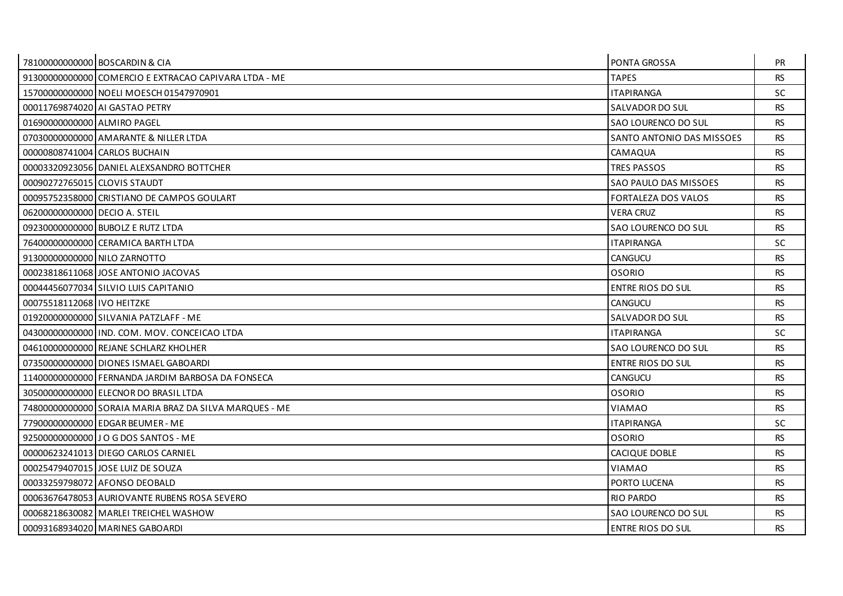|                               | 78100000000000 BOSCARDIN & CIA                         | PONTA GROSSA               | <b>PR</b> |
|-------------------------------|--------------------------------------------------------|----------------------------|-----------|
|                               | 91300000000000 COMERCIO E EXTRACAO CAPIVARA LTDA - ME  | <b>TAPES</b>               | <b>RS</b> |
|                               | 15700000000000 NOELI MOESCH 01547970901                | <b>ITAPIRANGA</b>          | <b>SC</b> |
|                               | 00011769874020 AI GASTAO PETRY                         | SALVADOR DO SUL            | <b>RS</b> |
| 01690000000000 ALMIRO PAGEL   |                                                        | SAO LOURENCO DO SUL        | <b>RS</b> |
|                               | 07030000000000 AMARANTE & NILLER LTDA                  | SANTO ANTONIO DAS MISSOES  | <b>RS</b> |
|                               | 00000808741004 CARLOS BUCHAIN                          | CAMAQUA                    | RS.       |
|                               | 00003320923056 DANIEL ALEXSANDRO BOTTCHER              | <b>TRES PASSOS</b>         | <b>RS</b> |
| 00090272765015 CLOVIS STAUDT  |                                                        | SAO PAULO DAS MISSOES      | <b>RS</b> |
|                               | 00095752358000 CRISTIANO DE CAMPOS GOULART             | <b>FORTALEZA DOS VALOS</b> | <b>RS</b> |
| 06200000000000 DECIO A. STEIL |                                                        | <b>VERA CRUZ</b>           | <b>RS</b> |
|                               | 09230000000000 BUBOLZ E RUTZ LTDA                      | SAO LOURENCO DO SUL        | <b>RS</b> |
|                               | 76400000000000 CERAMICA BARTH LTDA                     | <b>ITAPIRANGA</b>          | <b>SC</b> |
| 91300000000000 NILO ZARNOTTO  |                                                        | CANGUCU                    | <b>RS</b> |
|                               | 00023818611068 JOSE ANTONIO JACOVAS                    | <b>OSORIO</b>              | <b>RS</b> |
|                               | 00044456077034 SILVIO LUIS CAPITANIO                   | <b>ENTRE RIOS DO SUL</b>   | <b>RS</b> |
| 00075518112068 IVO HEITZKE    |                                                        | CANGUCU                    | <b>RS</b> |
|                               | 019200000000000 SILVANIA PATZLAFF - ME                 | SALVADOR DO SUL            | <b>RS</b> |
|                               | 04300000000000 IND. COM. MOV. CONCEICAO LTDA           | <b>ITAPIRANGA</b>          | <b>SC</b> |
|                               | 04610000000000 REJANE SCHLARZ KHOLHER                  | SAO LOURENCO DO SUL        | <b>RS</b> |
|                               | 07350000000000 DIONES ISMAEL GABOARDI                  | ENTRE RIOS DO SUL          | <b>RS</b> |
|                               | 11400000000000 FERNANDA JARDIM BARBOSA DA FONSECA      | CANGUCU                    | <b>RS</b> |
|                               | 30500000000000 ELECNOR DO BRASIL LTDA                  | <b>OSORIO</b>              | <b>RS</b> |
|                               | 74800000000000 SORAIA MARIA BRAZ DA SILVA MARQUES - ME | <b>VIAMAO</b>              | <b>RS</b> |
|                               | 77900000000000 EDGAR BEUMER - ME                       | <b>ITAPIRANGA</b>          | SC.       |
|                               | 92500000000000 J O G DOS SANTOS - ME                   | <b>OSORIO</b>              | <b>RS</b> |
|                               | 00000623241013 DIEGO CARLOS CARNIEL                    | CACIQUE DOBLE              | <b>RS</b> |
|                               | 00025479407015 JOSE LUIZ DE SOUZA                      | <b>VIAMAO</b>              | <b>RS</b> |
|                               | 00033259798072 AFONSO DEOBALD                          | PORTO LUCENA               | <b>RS</b> |
|                               | 00063676478053 AURIOVANTE RUBENS ROSA SEVERO           | <b>RIO PARDO</b>           | <b>RS</b> |
|                               | 00068218630082 MARLEI TREICHEL WASHOW                  | SAO LOURENCO DO SUL        | <b>RS</b> |
|                               | 00093168934020 MARINES GABOARDI                        | <b>ENTRE RIOS DO SUL</b>   | <b>RS</b> |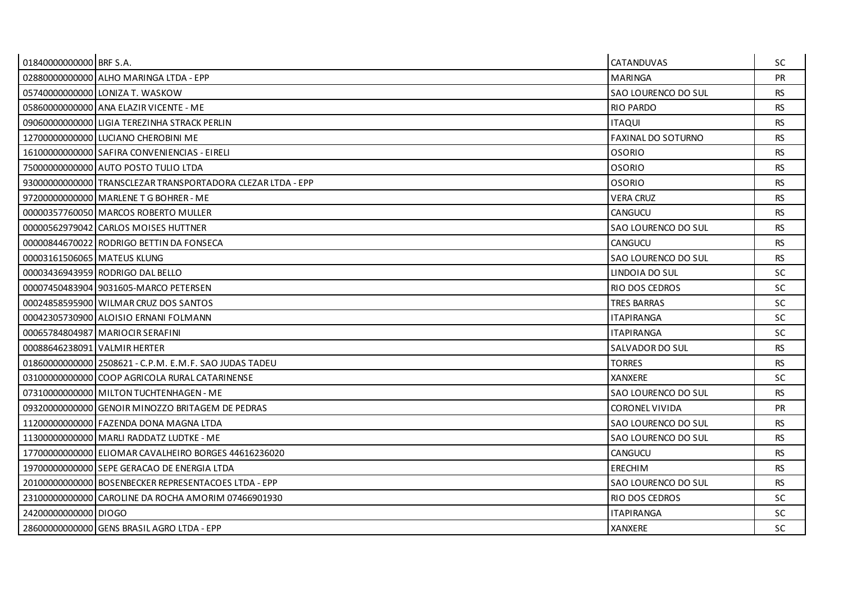| 01840000000000 BRF S.A.      |                                                               | <b>CATANDUVAS</b>         | SC.       |
|------------------------------|---------------------------------------------------------------|---------------------------|-----------|
|                              | 028800000000000 ALHO MARINGA LTDA - EPP                       | <b>MARINGA</b>            | <b>PR</b> |
|                              | 05740000000000 LONIZA T. WASKOW                               | SAO LOURENCO DO SUL       | <b>RS</b> |
|                              | 05860000000000 ANA ELAZIR VICENTE - ME                        | <b>RIO PARDO</b>          | <b>RS</b> |
|                              | 090600000000000 LIGIA TEREZINHA STRACK PERLIN                 | <b>ITAQUI</b>             | <b>RS</b> |
|                              | 12700000000000 LUCIANO CHEROBINI ME                           | <b>FAXINAL DO SOTURNO</b> | <b>RS</b> |
|                              | 16100000000000 SAFIRA CONVENIENCIAS - EIRELI                  | <b>OSORIO</b>             | RS.       |
|                              | 75000000000000 AUTO POSTO TULIO LTDA                          | <b>OSORIO</b>             | <b>RS</b> |
|                              | 93000000000000   TRANSCLEZAR TRANSPORTADORA CLEZAR LTDA - EPP | <b>OSORIO</b>             | <b>RS</b> |
|                              | 972000000000000 MARLENE T G BOHRER - ME                       | <b>VERA CRUZ</b>          | <b>RS</b> |
|                              | 00000357760050 MARCOS ROBERTO MULLER                          | <b>CANGUCU</b>            | <b>RS</b> |
|                              | 00000562979042 CARLOS MOISES HUTTNER                          | SAO LOURENCO DO SUL       | <b>RS</b> |
|                              | 00000844670022 RODRIGO BETTIN DA FONSECA                      | CANGUCU                   | <b>RS</b> |
| 00003161506065 MATEUS KLUNG  |                                                               | SAO LOURENCO DO SUL       | <b>RS</b> |
|                              | 00003436943959 RODRIGO DAL BELLO                              | LINDOIA DO SUL            | SC.       |
|                              | 0000745048390419031605-MARCO PETERSEN                         | RIO DOS CEDROS            | SC        |
|                              | 00024858595900 WILMAR CRUZ DOS SANTOS                         | <b>TRES BARRAS</b>        | SC        |
|                              | 00042305730900 ALOISIO ERNANI FOLMANN                         | <b>ITAPIRANGA</b>         | <b>SC</b> |
|                              | 00065784804987 MARIOCIR SERAFINI                              | <b>ITAPIRANGA</b>         | SC.       |
| 00088646238091 VALMIR HERTER |                                                               | SALVADOR DO SUL           | <b>RS</b> |
|                              | 01860000000000 2508621 - C.P.M. E.M.F. SAO JUDAS TADEU        | <b>TORRES</b>             | RS.       |
|                              | 03100000000000 COOP AGRICOLA RURAL CATARINENSE                | <b>XANXERE</b>            | <b>SC</b> |
|                              | 07310000000000 MILTON TUCHTENHAGEN - ME                       | SAO LOURENCO DO SUL       | <b>RS</b> |
|                              | 09320000000000 GENOIR MINOZZO BRITAGEM DE PEDRAS              | <b>CORONEL VIVIDA</b>     | <b>PR</b> |
|                              | 112000000000000 FAZENDA DONA MAGNA LTDA                       | SAO LOURENCO DO SUL       | <b>RS</b> |
|                              | 11300000000000 MARLI RADDATZ LUDTKE - ME                      | SAO LOURENCO DO SUL       | <b>RS</b> |
|                              | 17700000000000 ELIOMAR CAVALHEIRO BORGES 44616236020          | CANGUCU                   | <b>RS</b> |
|                              | 197000000000000 SEPE GERACAO DE ENERGIA LTDA                  | <b>ERECHIM</b>            | <b>RS</b> |
|                              | 20100000000000 BOSENBECKER REPRESENTACOES LTDA - EPP          | SAO LOURENCO DO SUL       | <b>RS</b> |
|                              | 23100000000000 CAROLINE DA ROCHA AMORIM 07466901930           | RIO DOS CEDROS            | SC.       |
| 24200000000000 DIOGO         |                                                               | <b>ITAPIRANGA</b>         | <b>SC</b> |
|                              | 28600000000000 GENS BRASIL AGRO LTDA - EPP                    | <b>XANXERE</b>            | <b>SC</b> |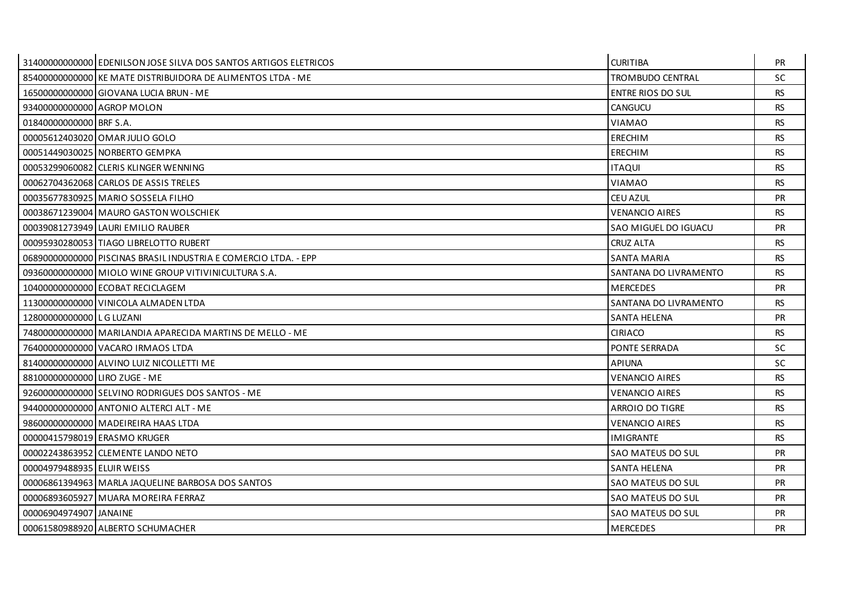|                               | 3140000000000 EDENILSON JOSE SILVA DOS SANTOS ARTIGOS ELETRICOS | <b>CURITIBA</b>          | <b>PR</b> |
|-------------------------------|-----------------------------------------------------------------|--------------------------|-----------|
|                               | 85400000000000 KE MATE DISTRIBUIDORA DE ALIMENTOS LTDA - ME     | TROMBUDO CENTRAL         | <b>SC</b> |
|                               | 16500000000000 GIOVANA LUCIA BRUN - ME                          | <b>ENTRE RIOS DO SUL</b> | <b>RS</b> |
| 93400000000000 AGROP MOLON    |                                                                 | <b>CANGUCU</b>           | <b>RS</b> |
| 01840000000000 BRF S.A.       |                                                                 | <b>VIAMAO</b>            | <b>RS</b> |
|                               | 00005612403020 OMAR JULIO GOLO                                  | ERECHIM                  | <b>RS</b> |
|                               | 00051449030025 NORBERTO GEMPKA                                  | <b>ERECHIM</b>           | <b>RS</b> |
|                               | 00053299060082 CLERIS KLINGER WENNING                           | <b>ITAQUI</b>            | <b>RS</b> |
|                               | 00062704362068 CARLOS DE ASSIS TRELES                           | <b>VIAMAO</b>            | <b>RS</b> |
|                               | 00035677830925 MARIO SOSSELA FILHO                              | CEU AZUL                 | <b>PR</b> |
|                               | 00038671239004 MAURO GASTON WOLSCHIEK                           | <b>VENANCIO AIRES</b>    | <b>RS</b> |
|                               | 00039081273949 LAURI EMILIO RAUBER                              | SAO MIGUEL DO IGUACU     | PR        |
|                               | 00095930280053 TIAGO LIBRELOTTO RUBERT                          | <b>CRUZ ALTA</b>         | <b>RS</b> |
|                               | 06890000000000 PISCINAS BRASILINDUSTRIA E COMERCIO LTDA. - EPP  | <b>SANTA MARIA</b>       | <b>RS</b> |
|                               | 09360000000000 MIOLO WINE GROUP VITIVINICULTURA S.A.            | SANTANA DO LIVRAMENTO    | <b>RS</b> |
|                               | 10400000000000 ECOBAT RECICLAGEM                                | <b>MERCEDES</b>          | <b>PR</b> |
|                               | 11300000000000 VINICOLA ALMADEN LTDA                            | SANTANA DO LIVRAMENTO    | <b>RS</b> |
| 12800000000000 L G LUZANI     |                                                                 | <b>SANTA HELENA</b>      | PR        |
|                               | 74800000000000 MARILANDIA APARECIDA MARTINS DE MELLO - ME       | <b>CIRIACO</b>           | <b>RS</b> |
|                               | 76400000000000 VACARO IRMAOS LTDA                               | <b>PONTE SERRADA</b>     | <b>SC</b> |
|                               | 81400000000000 ALVINO LUIZ NICOLLETTI ME                        | <b>APIUNA</b>            | <b>SC</b> |
| 88100000000000 LIRO ZUGE - ME |                                                                 | <b>VENANCIO AIRES</b>    | <b>RS</b> |
|                               | 92600000000000 SELVINO RODRIGUES DOS SANTOS - ME                | <b>VENANCIO AIRES</b>    | <b>RS</b> |
|                               | 94400000000000 ANTONIO ALTERCI ALT - ME                         | ARROIO DO TIGRE          | <b>RS</b> |
|                               | 98600000000000 MADEIREIRA HAAS LTDA                             | <b>VENANCIO AIRES</b>    | <b>RS</b> |
|                               | 00000415798019 ERASMO KRUGER                                    | <b>IMIGRANTE</b>         | <b>RS</b> |
|                               | 00002243863952 CLEMENTE LANDO NETO                              | SAO MATEUS DO SUL        | PR        |
| 00004979488935 ELUIR WEISS    |                                                                 | <b>SANTA HELENA</b>      | <b>PR</b> |
|                               | 00006861394963 MARLA JAQUELINE BARBOSA DOS SANTOS               | SAO MATEUS DO SUL        | <b>PR</b> |
|                               | 00006893605927 MUARA MOREIRA FERRAZ                             | SAO MATEUS DO SUL        | <b>PR</b> |
| 00006904974907 JJANAINE       |                                                                 | SAO MATEUS DO SUL        | <b>PR</b> |
|                               | 00061580988920 ALBERTO SCHUMACHER                               | <b>MERCEDES</b>          | PR        |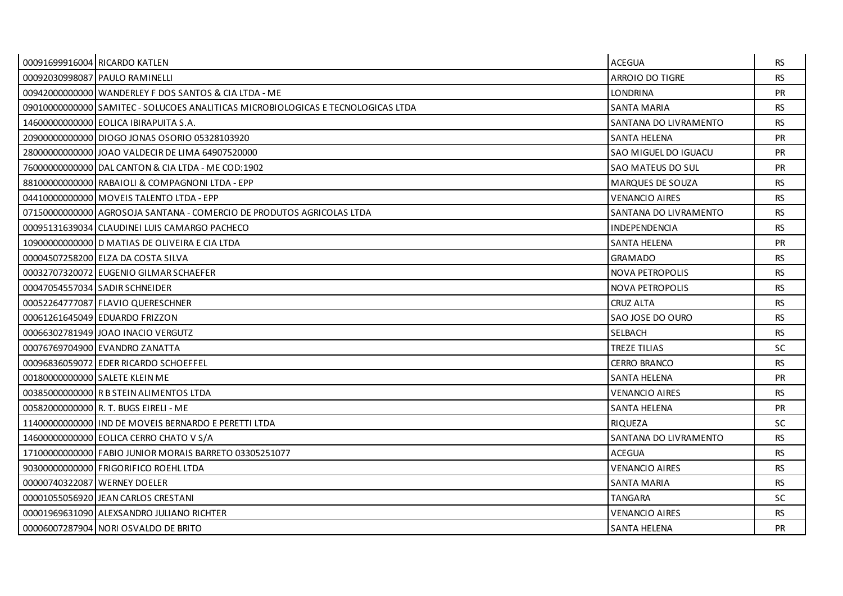| 00091699916004 RICARDO KATLEN |                                                                                   | <b>ACEGUA</b>           | RS.       |
|-------------------------------|-----------------------------------------------------------------------------------|-------------------------|-----------|
|                               | 00092030998087 PAULO RAMINELLI                                                    | ARROIO DO TIGRE         | <b>RS</b> |
|                               | 00942000000000 WANDERLEY F DOS SANTOS & CIA LTDA - ME                             | <b>LONDRINA</b>         | <b>PR</b> |
|                               | 090100000000000 SAMITEC - SOLUCOES ANALITICAS MICROBIOLOGICAS E TECNOLOGICAS LTDA | <b>SANTA MARIA</b>      | <b>RS</b> |
|                               | 14600000000000 EOLICA IBIRAPUITA S.A.                                             | SANTANA DO LIVRAMENTO   | <b>RS</b> |
|                               | 20900000000000 DIOGO JONAS OSORIO 05328103920                                     | <b>SANTA HELENA</b>     | <b>PR</b> |
|                               | 28000000000000 JJOAO VALDECIR DE LIMA 64907520000                                 | SAO MIGUEL DO IGUACU    | <b>PR</b> |
|                               | 76000000000000 DAL CANTON & CIA LTDA - ME COD:1902                                | SAO MATEUS DO SUL       | <b>PR</b> |
|                               | 88100000000000 RABAIOLI & COMPAGNONI LTDA - EPP                                   | <b>MARQUES DE SOUZA</b> | RS.       |
|                               | 04410000000000   MOVEIS TALENTO LTDA - EPP                                        | <b>VENANCIO AIRES</b>   | <b>RS</b> |
|                               | 07150000000000 AGROSOJA SANTANA - COMERCIO DE PRODUTOS AGRICOLAS LTDA             | SANTANA DO LIVRAMENTO   | <b>RS</b> |
|                               | 00095131639034 CLAUDINEI LUIS CAMARGO PACHECO                                     | <b>INDEPENDENCIA</b>    | <b>RS</b> |
|                               | 10900000000000 D MATIAS DE OLIVEIRA E CIA LTDA                                    | SANTA HELENA            | <b>PR</b> |
|                               | 00004507258200 ELZA DA COSTA SILVA                                                | <b>GRAMADO</b>          | <b>RS</b> |
|                               | 00032707320072 EUGENIO GILMAR SCHAEFER                                            | <b>NOVA PETROPOLIS</b>  | <b>RS</b> |
|                               | 00047054557034 SADIR SCHNEIDER                                                    | NOVA PETROPOLIS         | <b>RS</b> |
|                               | 00052264777087 FLAVIO QUERESCHNER                                                 | <b>CRUZ ALTA</b>        | <b>RS</b> |
|                               | 00061261645049 EDUARDO FRIZZON                                                    | SAO JOSE DO OURO        | <b>RS</b> |
|                               | 00066302781949 JOAO INACIO VERGUTZ                                                | <b>SELBACH</b>          | <b>RS</b> |
|                               | 00076769704900 EVANDRO ZANATTA                                                    | <b>TREZE TILIAS</b>     | SC.       |
|                               | 00096836059072 EDER RICARDO SCHOEFFEL                                             | <b>CERRO BRANCO</b>     | <b>RS</b> |
|                               | 00180000000000 SALETE KLEIN ME                                                    | SANTA HELENA            | <b>PR</b> |
|                               | 00385000000000 R B STEIN ALIMENTOS LTDA                                           | <b>VENANCIO AIRES</b>   | <b>RS</b> |
|                               | 00582000000000 R. T. BUGS EIRELI - ME                                             | SANTA HELENA            | <b>PR</b> |
|                               | 11400000000000 IND DE MOVEIS BERNARDO E PERETTI LTDA                              | <b>RIOUEZA</b>          | <b>SC</b> |
|                               | 14600000000000 EOLICA CERRO CHATO V S/A                                           | SANTANA DO LIVRAMENTO   | <b>RS</b> |
|                               | 17100000000000 FABIO JUNIOR MORAIS BARRETO 03305251077                            | ACEGUA                  | <b>RS</b> |
|                               | 90300000000000 FRIGORIFICO ROEHL LTDA                                             | <b>VENANCIO AIRES</b>   | <b>RS</b> |
| 00000740322087 WERNEY DOELER  |                                                                                   | <b>SANTA MARIA</b>      | <b>RS</b> |
|                               | 00001055056920 JEAN CARLOS CRESTANI                                               | <b>TANGARA</b>          | SC.       |
|                               | 00001969631090 ALEXSANDRO JULIANO RICHTER                                         | <b>VENANCIO AIRES</b>   | <b>RS</b> |
|                               | 00006007287904 NORI OSVALDO DE BRITO                                              | <b>SANTA HELENA</b>     | <b>PR</b> |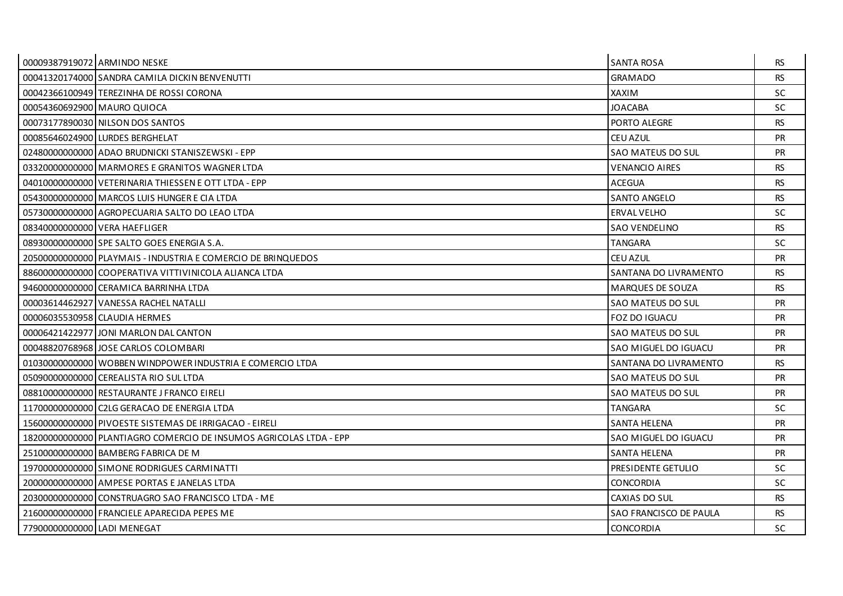|                             | 00009387919072 ARMINDO NESKE                                       | <b>SANTA ROSA</b>       | RS.       |
|-----------------------------|--------------------------------------------------------------------|-------------------------|-----------|
|                             | 00041320174000 SANDRA CAMILA DICKIN BENVENUTTI                     | <b>GRAMADO</b>          | <b>RS</b> |
|                             | 00042366100949 TEREZINHA DE ROSSI CORONA                           | XAXIM                   | <b>SC</b> |
|                             | 00054360692900 MAURO QUIOCA                                        | <b>JOACABA</b>          | SC.       |
|                             | 00073177890030 NILSON DOS SANTOS                                   | PORTO ALEGRE            | <b>RS</b> |
|                             | 00085646024900 LURDES BERGHELAT                                    | CEU AZUL                | <b>PR</b> |
|                             | 02480000000000 ADAO BRUDNICKI STANISZEWSKI - EPP                   | SAO MATEUS DO SUL       | <b>PR</b> |
|                             | 03320000000000 MARMORES E GRANITOS WAGNER LTDA                     | <b>VENANCIO AIRES</b>   | <b>RS</b> |
|                             | 04010000000000 VETERINARIA THIESSEN E OTT LTDA - EPP               | <b>ACEGUA</b>           | <b>RS</b> |
|                             | 054300000000000 MARCOS LUIS HUNGER E CIA LTDA                      | <b>SANTO ANGELO</b>     | RS.       |
|                             | 05730000000000 AGROPECUARIA SALTO DO LEAO LTDA                     | <b>ERVAL VELHO</b>      | <b>SC</b> |
|                             | 08340000000000 VERA HAEFLIGER                                      | <b>SAO VENDELINO</b>    | <b>RS</b> |
|                             | 08930000000000 SPE SALTO GOES ENERGIA S.A.                         | <b>TANGARA</b>          | SC.       |
|                             | 20500000000000 PLAYMAIS - INDUSTRIA E COMERCIO DE BRINQUEDOS       | CEU AZUL                | <b>PR</b> |
|                             | 88600000000000 COOPERATIVA VITTIVINICOLA ALIANCA LTDA              | SANTANA DO LIVRAMENTO   | <b>RS</b> |
|                             | 946000000000000 CERAMICA BARRINHA LTDA                             | <b>MARQUES DE SOUZA</b> | <b>RS</b> |
|                             | 00003614462927 VANESSA RACHEL NATALLI                              | SAO MATEUS DO SUL       | <b>PR</b> |
|                             | 00006035530958 CLAUDIA HERMES                                      | FOZ DO IGUACU           | <b>PR</b> |
|                             | 00006421422977 JJONI MARLON DAL CANTON                             | SAO MATEUS DO SUL       | <b>PR</b> |
|                             | 00048820768968 JOSE CARLOS COLOMBARI                               | SAO MIGUEL DO IGUACU    | <b>PR</b> |
|                             | 01030000000000 WOBBEN WINDPOWER INDUSTRIA E COMERCIO LTDA          | SANTANA DO LIVRAMENTO   | <b>RS</b> |
|                             | 050900000000000 CEREALISTA RIO SUL LTDA                            | SAO MATEUS DO SUL       | <b>PR</b> |
|                             | 08810000000000 RESTAURANTE J FRANCO EIRELI                         | SAO MATEUS DO SUL       | <b>PR</b> |
|                             | 11700000000000 C2LG GERACAO DE ENERGIA LTDA                        | <b>TANGARA</b>          | <b>SC</b> |
|                             | 15600000000000 PIVOESTE SISTEMAS DE IRRIGACAO - EIRELI             | <b>SANTA HELENA</b>     | <b>PR</b> |
|                             | 18200000000000 PLANTIAGRO COMERCIO DE INSUMOS AGRICOLAS LTDA - EPP | SAO MIGUEL DO IGUACU    | <b>PR</b> |
|                             | 25100000000000 BAMBERG FABRICA DE M                                | <b>SANTA HELENA</b>     | <b>PR</b> |
|                             | 19700000000000 SIMONE RODRIGUES CARMINATTI                         | PRESIDENTE GETULIO      | SC.       |
|                             | 200000000000000 AMPESE PORTAS E JANELAS LTDA                       | <b>CONCORDIA</b>        | SC.       |
|                             | 20300000000000 CONSTRUAGRO SAO FRANCISCO LTDA - ME                 | CAXIAS DO SUL           | <b>RS</b> |
|                             | 21600000000000 FRANCIELE APARECIDA PEPES ME                        | SAO FRANCISCO DE PAULA  | RS.       |
| 77900000000000 LADI MENEGAT |                                                                    | <b>CONCORDIA</b>        | <b>SC</b> |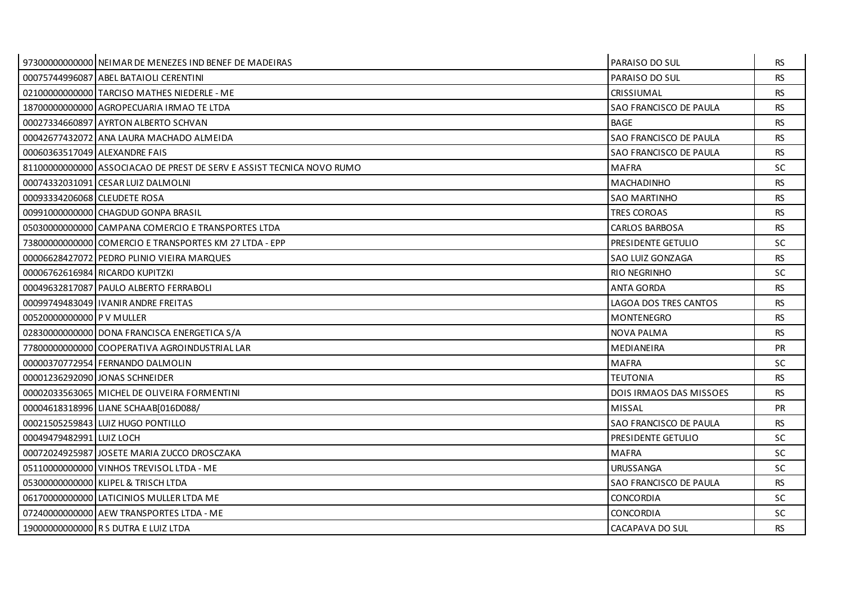|                               | 97300000000000 NEIMAR DE MENEZES IND BENEF DE MADEIRAS                | PARAISO DO SUL                 | RS.       |
|-------------------------------|-----------------------------------------------------------------------|--------------------------------|-----------|
|                               | 00075744996087 ABEL BATAIOLI CERENTINI                                | PARAISO DO SUL                 | <b>RS</b> |
|                               | 02100000000000 TARCISO MATHES NIEDERLE - ME                           | <b>CRISSIUMAL</b>              | <b>RS</b> |
|                               | 187000000000000 AGROPECUARIA IRMAO TE LTDA                            | SAO FRANCISCO DE PAULA         | <b>RS</b> |
|                               | 00027334660897 AYRTON ALBERTO SCHVAN                                  | <b>BAGE</b>                    | <b>RS</b> |
|                               | 00042677432072 ANA LAURA MACHADO ALMEIDA                              | SAO FRANCISCO DE PAULA         | <b>RS</b> |
| 00060363517049 ALEXANDRE FAIS |                                                                       | SAO FRANCISCO DE PAULA         | <b>RS</b> |
|                               | 81100000000000 ASSOCIACAO DE PREST DE SERV E ASSIST TECNICA NOVO RUMO | <b>MAFRA</b>                   | <b>SC</b> |
|                               | 00074332031091 CESAR LUIZ DALMOLNI                                    | <b>MACHADINHO</b>              | <b>RS</b> |
| 00093334206068 CLEUDETE ROSA  |                                                                       | <b>SAO MARTINHO</b>            | <b>RS</b> |
|                               | 00991000000000 CHAGDUD GONPA BRASIL                                   | <b>TRES COROAS</b>             | <b>RS</b> |
|                               | 05030000000000 CAMPANA COMERCIO E TRANSPORTES LTDA                    | <b>CARLOS BARBOSA</b>          | <b>RS</b> |
|                               | 73800000000000 COMERCIO E TRANSPORTES KM 27 LTDA - EPP                | PRESIDENTE GETULIO             | <b>SC</b> |
|                               | 00006628427072 PEDRO PLINIO VIEIRA MARQUES                            | SAO LUIZ GONZAGA               | <b>RS</b> |
|                               | 00006762616984 RICARDO KUPITZKI                                       | <b>RIO NEGRINHO</b>            | <b>SC</b> |
|                               | 00049632817087 PAULO ALBERTO FERRABOLI                                | <b>ANTA GORDA</b>              | <b>RS</b> |
|                               | 00099749483049 IVANIR ANDRE FREITAS                                   | LAGOA DOS TRES CANTOS          | <b>RS</b> |
| 00520000000000 P V MULLER     |                                                                       | <b>MONTENEGRO</b>              | <b>RS</b> |
|                               | 02830000000000 DONA FRANCISCA ENERGETICA S/A                          | <b>NOVA PALMA</b>              | <b>RS</b> |
|                               | 77800000000000 COOPERATIVA AGROINDUSTRIAL LAR                         | MEDIANEIRA                     | <b>PR</b> |
|                               | 00000370772954 FERNANDO DALMOLIN                                      | <b>MAFRA</b>                   | <b>SC</b> |
|                               | 000012362920901JONAS SCHNEIDER                                        | <b>TEUTONIA</b>                | <b>RS</b> |
|                               | 00002033563065 MICHEL DE OLIVEIRA FORMENTINI                          | <b>DOIS IRMAOS DAS MISSOES</b> | <b>RS</b> |
|                               | 00004618318996 LIANE SCHAAB[016D088/                                  | <b>MISSAL</b>                  | PR        |
|                               | 00021505259843 LUIZ HUGO PONTILLO                                     | SAO FRANCISCO DE PAULA         | <b>RS</b> |
| 00049479482991 LUIZ LOCH      |                                                                       | PRESIDENTE GETULIO             | <b>SC</b> |
|                               | 00072024925987 JOSETE MARIA ZUCCO DROSCZAKA                           | <b>MAFRA</b>                   | <b>SC</b> |
|                               | 05110000000000 VINHOS TREVISOL LTDA - ME                              | <b>URUSSANGA</b>               | <b>SC</b> |
|                               | 05300000000000 KLIPEL & TRISCH LTDA                                   | SAO FRANCISCO DE PAULA         | <b>RS</b> |
|                               | 06170000000000 LATICINIOS MULLER LTDA ME                              | <b>CONCORDIA</b>               | <b>SC</b> |
|                               | 07240000000000 AEW TRANSPORTES LTDA - ME                              | CONCORDIA                      | <b>SC</b> |
|                               | 19000000000000 R S DUTRA E LUIZ LTDA                                  | CACAPAVA DO SUL                | <b>RS</b> |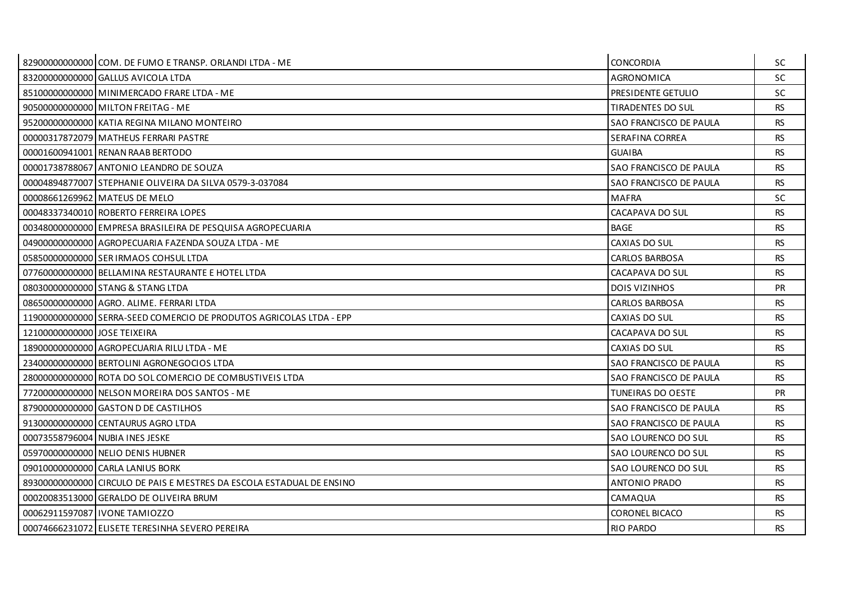|                              | 82900000000000 COM. DE FUMO E TRANSP. ORLANDI LTDA - ME               | <b>CONCORDIA</b>         | SC.       |
|------------------------------|-----------------------------------------------------------------------|--------------------------|-----------|
|                              | 83200000000000 GALLUS AVICOLA LTDA                                    | AGRONOMICA               | <b>SC</b> |
|                              | 85100000000000 MINIMERCADO FRARE LTDA - ME                            | PRESIDENTE GETULIO       | <b>SC</b> |
|                              | 90500000000000 MILTON FREITAG - ME                                    | <b>TIRADENTES DO SUL</b> | <b>RS</b> |
|                              | 95200000000000 KATIA REGINA MILANO MONTEIRO                           | SAO FRANCISCO DE PAULA   | <b>RS</b> |
|                              | 00000317872079 MATHEUS FERRARI PASTRE                                 | SERAFINA CORREA          | <b>RS</b> |
|                              | 00001600941001 RENAN RAAB BERTODO                                     | <b>GUAIBA</b>            | RS.       |
|                              | 00001738788067 ANTONIO LEANDRO DE SOUZA                               | SAO FRANCISCO DE PAULA   | <b>RS</b> |
|                              | 00004894877007 STEPHANIE OLIVEIRA DA SILVA 0579-3-037084              | SAO FRANCISCO DE PAULA   | <b>RS</b> |
|                              | 00008661269962 MATEUS DE MELO                                         | <b>MAFRA</b>             | <b>SC</b> |
|                              | 00048337340010 ROBERTO FERREIRA LOPES                                 | CACAPAVA DO SUL          | <b>RS</b> |
|                              | 00348000000000 EMPRESA BRASILEIRA DE PESQUISA AGROPECUARIA            | <b>BAGE</b>              | <b>RS</b> |
|                              | 049000000000000 AGROPECUARIA FAZENDA SOUZA LTDA - ME                  | CAXIAS DO SUL            | <b>RS</b> |
|                              | 05850000000000 SER IRMAOS COHSUL LTDA                                 | <b>CARLOS BARBOSA</b>    | <b>RS</b> |
|                              | 07760000000000 BELLAMINA RESTAURANTE E HOTEL LTDA                     | CACAPAVA DO SUL          | RS.       |
|                              | 08030000000000 STANG & STANG LTDA                                     | <b>DOIS VIZINHOS</b>     | <b>PR</b> |
|                              | 086500000000000 AGRO, ALIME, FERRARI LTDA                             | <b>CARLOS BARBOSA</b>    | <b>RS</b> |
|                              | 11900000000000 SERRA-SEED COMERCIO DE PRODUTOS AGRICOLAS LTDA - EPP   | CAXIAS DO SUL            | <b>RS</b> |
| 12100000000000 JOSE TEIXEIRA |                                                                       | CACAPAVA DO SUL          | <b>RS</b> |
|                              | 18900000000000 AGROPECUARIA RILU LTDA - ME                            | CAXIAS DO SUL            | <b>RS</b> |
|                              | 23400000000000 BERTOLINI AGRONEGOCIOS LTDA                            | SAO FRANCISCO DE PAULA   | <b>RS</b> |
|                              | 28000000000000 ROTA DO SOL COMERCIO DE COMBUSTIVEIS LTDA              | SAO FRANCISCO DE PAULA   | <b>RS</b> |
|                              | 77200000000000 NELSON MOREIRA DOS SANTOS - ME                         | TUNEIRAS DO OESTE        | PR        |
|                              | 879000000000000 GASTON D DE CASTILHOS                                 | SAO FRANCISCO DE PAULA   | <b>RS</b> |
|                              | 91300000000000 CENTAURUS AGRO LTDA                                    | SAO FRANCISCO DE PAULA   | <b>RS</b> |
|                              | 00073558796004 NUBIA INES JESKE                                       | SAO LOURENCO DO SUL      | <b>RS</b> |
|                              | 05970000000000 NELIO DENIS HUBNER                                     | SAO LOURENCO DO SUL      | <b>RS</b> |
|                              | 090100000000000 CARLA LANIUS BORK                                     | SAO LOURENCO DO SUL      | <b>RS</b> |
|                              | 89300000000000 CIRCULO DE PAIS E MESTRES DA ESCOLA ESTADUAL DE ENSINO | <b>ANTONIO PRADO</b>     | <b>RS</b> |
|                              | 00020083513000 GERALDO DE OLIVEIRA BRUM                               | CAMAQUA                  | <b>RS</b> |
|                              | 00062911597087 I IVONE TAMIOZZO                                       | CORONEL BICACO           | <b>RS</b> |
|                              | 00074666231072 ELISETE TERESINHA SEVERO PEREIRA                       | <b>RIO PARDO</b>         | <b>RS</b> |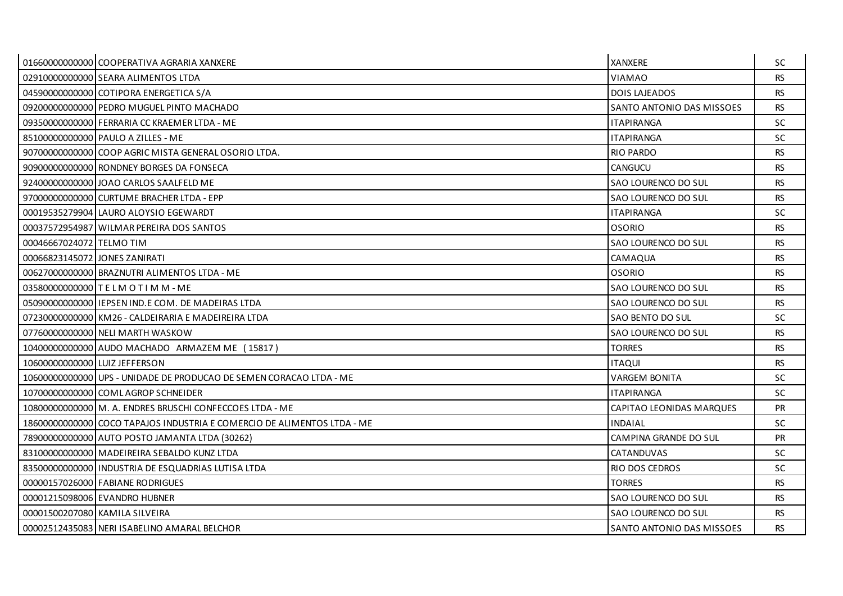|                               | 01660000000000 COOPERATIVA AGRARIA XANXERE                              | <b>XANXERE</b>            | <b>SC</b> |
|-------------------------------|-------------------------------------------------------------------------|---------------------------|-----------|
|                               | 02910000000000 SEARA ALIMENTOS LTDA                                     | <b>VIAMAO</b>             | <b>RS</b> |
|                               | 04590000000000 COTIPORA ENERGETICA S/A                                  | <b>DOIS LAJEADOS</b>      | <b>RS</b> |
|                               | 092000000000000 PEDRO MUGUEL PINTO MACHADO                              | SANTO ANTONIO DAS MISSOES | <b>RS</b> |
|                               | 09350000000000 FERRARIA CC KRAEMER LTDA - ME                            | <b>ITAPIRANGA</b>         | <b>SC</b> |
|                               | 85100000000000 PAULO A ZILLES - ME                                      | <b>ITAPIRANGA</b>         | <b>SC</b> |
|                               | 90700000000000 COOP AGRIC MISTA GENERAL OSORIO LTDA.                    | <b>RIO PARDO</b>          | <b>RS</b> |
|                               | 90900000000000 RONDNEY BORGES DA FONSECA                                | CANGUCU                   | <b>RS</b> |
|                               | 924000000000000 JOAO CARLOS SAALFELD ME                                 | SAO LOURENCO DO SUL       | <b>RS</b> |
|                               | 97000000000000 CURTUME BRACHER LTDA - EPP                               | SAO LOURENCO DO SUL       | <b>RS</b> |
|                               | 00019535279904 LAURO ALOYSIO EGEWARDT                                   | <b>ITAPIRANGA</b>         | SC        |
|                               | 00037572954987 WILMAR PEREIRA DOS SANTOS                                | <b>OSORIO</b>             | <b>RS</b> |
| 00046667024072 TELMO TIM      |                                                                         | SAO LOURENCO DO SUL       | <b>RS</b> |
| 00066823145072 JONES ZANIRATI |                                                                         | CAMAQUA                   | <b>RS</b> |
|                               | 00627000000000 BRAZNUTRI ALIMENTOS LTDA - ME                            | <b>OSORIO</b>             | <b>RS</b> |
|                               | 035800000000000 T E L M O T I M M - ME                                  | SAO LOURENCO DO SUL       | <b>RS</b> |
|                               | 05090000000000 IEPSEN IND.E COM. DE MADEIRAS LTDA                       | SAO LOURENCO DO SUL       | <b>RS</b> |
|                               | 07230000000000 KM26 - CALDEIRARIA E MADEIREIRA LTDA                     | SAO BENTO DO SUL          | <b>SC</b> |
|                               | 07760000000000 NELI MARTH WASKOW                                        | SAO LOURENCO DO SUL       | RS.       |
|                               | 10400000000000 AUDO MACHADO ARMAZEM ME (15817)                          | <b>TORRES</b>             | <b>RS</b> |
| 10600000000000 LUIZ JEFFERSON |                                                                         | <b>ITAQUI</b>             | <b>RS</b> |
|                               | 10600000000000 UPS - UNIDADE DE PRODUCAO DE SEMEN CORACAO LTDA - ME     | <b>VARGEM BONITA</b>      | <b>SC</b> |
|                               | 10700000000000 COML AGROP SCHNEIDER                                     | <b>ITAPIRANGA</b>         | SC        |
|                               | 10800000000000 M. A. ENDRES BRUSCHI CONFECCOES LTDA - ME                | CAPITAO LEONIDAS MARQUES  | <b>PR</b> |
|                               | 18600000000000 COCO TAPAJOS INDUSTRIA E COMERCIO DE ALIMENTOS LTDA - ME | <b>INDAIAL</b>            | <b>SC</b> |
|                               | 78900000000000 AUTO POSTO JAMANTA LTDA (30262)                          | CAMPINA GRANDE DO SUL     | PR        |
|                               | 83100000000000 MADEIREIRA SEBALDO KUNZ LTDA                             | <b>CATANDUVAS</b>         | <b>SC</b> |
|                               | 83500000000000 INDUSTRIA DE ESQUADRIAS LUTISA LTDA                      | RIO DOS CEDROS            | <b>SC</b> |
|                               | 00000157026000 FABIANE RODRIGUES                                        | <b>TORRES</b>             | <b>RS</b> |
|                               | 00001215098006 EVANDRO HUBNER                                           | SAO LOURENCO DO SUL       | <b>RS</b> |
|                               | 00001500207080 KAMILA SILVEIRA                                          | SAO LOURENCO DO SUL       | <b>RS</b> |
|                               | 00002512435083 NERI ISABELINO AMARAL BELCHOR                            | SANTO ANTONIO DAS MISSOES | <b>RS</b> |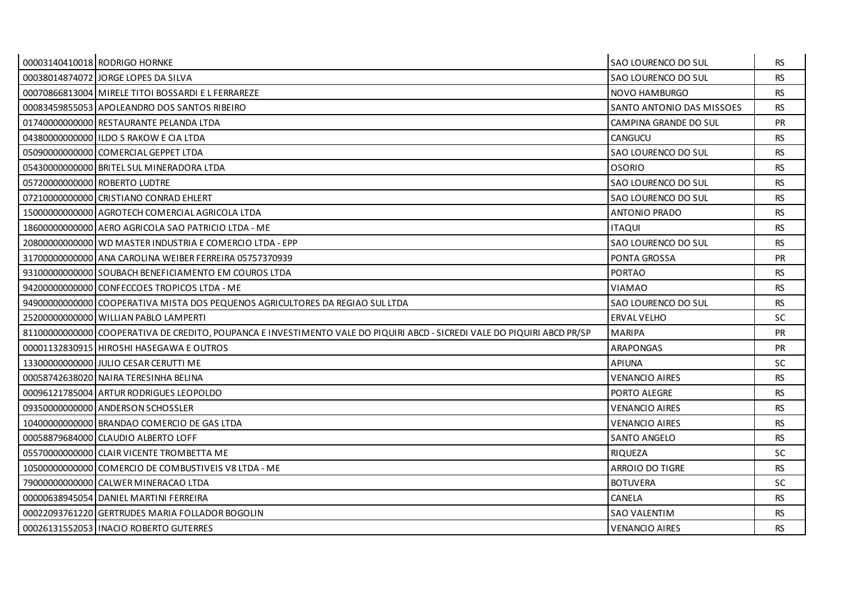| 00003140410018 RODRIGO HORNKE                                                                                            | SAO LOURENCO DO SUL       | <b>RS</b> |
|--------------------------------------------------------------------------------------------------------------------------|---------------------------|-----------|
| 00038014874072 JORGE LOPES DA SILVA                                                                                      | SAO LOURENCO DO SUL       | <b>RS</b> |
| 00070866813004 MIRELE TITOI BOSSARDI E L FERRAREZE                                                                       | NOVO HAMBURGO             | <b>RS</b> |
| 00083459855053 APOLEANDRO DOS SANTOS RIBEIRO                                                                             | SANTO ANTONIO DAS MISSOES | <b>RS</b> |
| 01740000000000 RESTAURANTE PELANDA LTDA                                                                                  | CAMPINA GRANDE DO SUL     | <b>PR</b> |
| 043800000000000 I ILDO S RAKOW E CIA LTDA                                                                                | <b>CANGUCU</b>            | <b>RS</b> |
| 050900000000000 COMERCIAL GEPPET LTDA                                                                                    | SAO LOURENCO DO SUL       | <b>RS</b> |
| 05430000000000 BRITEL SUL MINERADORA LTDA                                                                                | <b>OSORIO</b>             | <b>RS</b> |
| 05720000000000 ROBERTO LUDTRE                                                                                            | SAO LOURENCO DO SUL       | <b>RS</b> |
| 07210000000000 CRISTIANO CONRAD EHLERT                                                                                   | SAO LOURENCO DO SUL       | <b>RS</b> |
| 15000000000000 AGROTECH COMERCIAL AGRICOLA LTDA                                                                          | ANTONIO PRADO             | <b>RS</b> |
| 18600000000000 AERO AGRICOLA SAO PATRICIO LTDA - ME                                                                      | <b>ITAQUI</b>             | <b>RS</b> |
| 20800000000000 WD MASTER INDUSTRIA E COMERCIO LTDA - EPP                                                                 | SAO LOURENCO DO SUL       | <b>RS</b> |
| 31700000000000 ANA CAROLINA WEIBER FERREIRA 05757370939                                                                  | PONTA GROSSA              | <b>PR</b> |
| 93100000000000 SOUBACH BENEFICIAMENTO EM COUROS LTDA                                                                     | <b>PORTAO</b>             | <b>RS</b> |
| 94200000000000 CONFECCOES TROPICOS LTDA - ME                                                                             | VIAMAO                    | <b>RS</b> |
| 94900000000000 COOPERATIVA MISTA DOS PEQUENOS AGRICULTORES DA REGIAO SUL LTDA                                            | SAO LOURENCO DO SUL       | <b>RS</b> |
| 25200000000000 WILLIAN PABLO LAMPERTI                                                                                    | ERVAL VELHO               | <b>SC</b> |
| 81100000000000 COOPERATIVA DE CREDITO, POUPANCA E INVESTIMENTO VALE DO PIQUIRI ABCD - SICREDI VALE DO PIQUIRI ABCD PR/SP | <b>MARIPA</b>             | <b>PR</b> |
| 00001132830915 HIROSHI HASEGAWA E OUTROS                                                                                 | <b>ARAPONGAS</b>          | PR        |
| 13300000000000 JULIO CESAR CERUTTI ME                                                                                    | <b>APIUNA</b>             | <b>SC</b> |
| 00058742638020 NAIRA TERESINHA BELINA                                                                                    | <b>VENANCIO AIRES</b>     | <b>RS</b> |
| 00096121785004 ARTUR RODRIGUES LEOPOLDO                                                                                  | PORTO ALEGRE              | <b>RS</b> |
| 09350000000000 ANDERSON SCHOSSLER                                                                                        | <b>VENANCIO AIRES</b>     | <b>RS</b> |
| 10400000000000 BRANDAO COMERCIO DE GAS LTDA                                                                              | <b>VENANCIO AIRES</b>     | <b>RS</b> |
| 00058879684000 CLAUDIO ALBERTO LOFF                                                                                      | <b>SANTO ANGELO</b>       | <b>RS</b> |
| 05570000000000 CLAIR VICENTE TROMBETTA ME                                                                                | <b>RIQUEZA</b>            | <b>SC</b> |
|                                                                                                                          | ARROIO DO TIGRE           | <b>RS</b> |
| 79000000000000 CALWER MINERACAO LTDA                                                                                     | <b>BOTUVERA</b>           | <b>SC</b> |
| 00000638945054 DANIEL MARTINI FERREIRA                                                                                   | CANELA                    | <b>RS</b> |
| 00022093761220 GERTRUDES MARIA FOLLADOR BOGOLIN                                                                          | <b>SAO VALENTIM</b>       | <b>RS</b> |
| 00026131552053   INACIO ROBERTO GUTERRES                                                                                 | <b>VENANCIO AIRES</b>     | <b>RS</b> |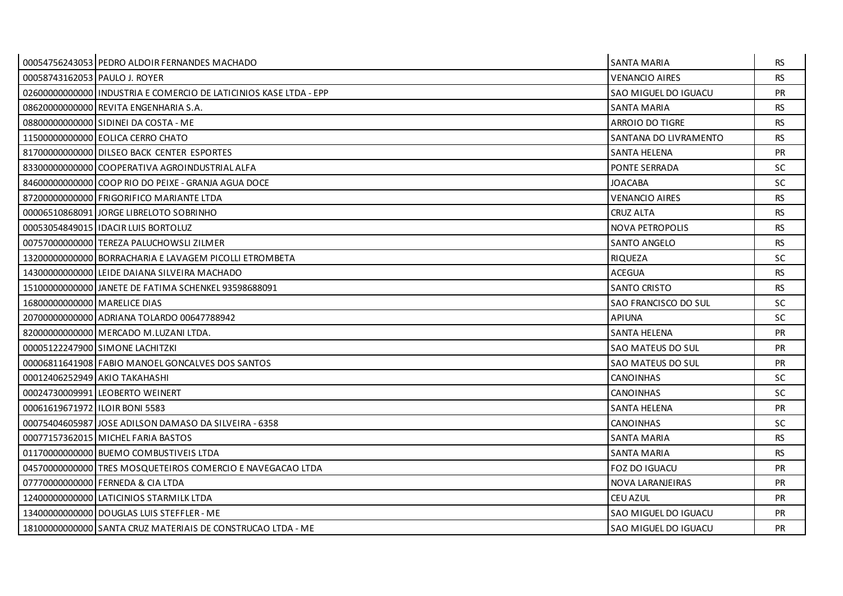|                                  | 00054756243053 PEDRO ALDOIR FERNANDES MACHADO                      | <b>SANTA MARIA</b>       | <b>RS</b> |
|----------------------------------|--------------------------------------------------------------------|--------------------------|-----------|
| 00058743162053 PAULO J. ROYER    |                                                                    | <b>VENANCIO AIRES</b>    | <b>RS</b> |
|                                  | 02600000000000 IINDUSTRIA E COMERCIO DE LATICINIOS KASE LTDA - EPP | SAO MIGUEL DO IGUACU     | <b>PR</b> |
|                                  | 086200000000000 REVITA ENGENHARIA S.A.                             | SANTA MARIA              | <b>RS</b> |
|                                  | 08800000000000 SIDINEI DA COSTA - ME                               | ARROIO DO TIGRE          | <b>RS</b> |
|                                  | 11500000000000 EOLICA CERRO CHATO                                  | SANTANA DO LIVRAMENTO    | <b>RS</b> |
|                                  | 81700000000000 DILSEO BACK CENTER ESPORTES                         | SANTA HELENA             | <b>PR</b> |
|                                  | 83300000000000 COOPERATIVA AGROINDUSTRIAL ALFA                     | PONTE SERRADA            | <b>SC</b> |
|                                  | 84600000000000 COOP RIO DO PEIXE - GRANJA AGUA DOCE                | JOACABA                  | SC.       |
|                                  | 872000000000000 FRIGORIFICO MARIANTE LTDA                          | VENANCIO AIRES           | <b>RS</b> |
|                                  | 00006510868091 JORGE LIBRELOTO SOBRINHO                            | <b>CRUZ ALTA</b>         | <b>RS</b> |
|                                  | 00053054849015 I IDACIR LUIS BORTOLUZ                              | NOVA PETROPOLIS          | <b>RS</b> |
|                                  | 007570000000001TEREZA PALUCHOWSLI ZILMER                           | <b>SANTO ANGELO</b>      | <b>RS</b> |
|                                  | 13200000000000 BORRACHARIA E LAVAGEM PICOLLI ETROMBETA             | <b>RIQUEZA</b>           | <b>SC</b> |
|                                  | 14300000000000 LEIDE DAIANA SILVEIRA MACHADO                       | ACEGUA                   | <b>RS</b> |
|                                  | 15100000000000 JANETE DE FATIMA SCHENKEL 93598688091               | <b>SANTO CRISTO</b>      | <b>RS</b> |
| 16800000000000 MARELICE DIAS     |                                                                    | SAO FRANCISCO DO SUL     | <b>SC</b> |
|                                  | 207000000000000 ADRIANA TOLARDO 00647788942                        | <b>APIUNA</b>            | <b>SC</b> |
|                                  | 820000000000000 MERCADO M.LUZANI LTDA.                             | <b>SANTA HELENA</b>      | <b>PR</b> |
|                                  | 00005122247900 SIMONE LACHITZKI                                    | <b>SAO MATEUS DO SUL</b> | PR        |
|                                  | 00006811641908 FABIO MANOEL GONCALVES DOS SANTOS                   | <b>SAO MATEUS DO SUL</b> | <b>PR</b> |
|                                  | 00012406252949 AKIO TAKAHASHI                                      | <b>CANOINHAS</b>         | SC.       |
|                                  | 00024730009991 LEOBERTO WEINERT                                    | CANOINHAS                | <b>SC</b> |
| 00061619671972 I ILOIR BONI 5583 |                                                                    | SANTA HELENA             | <b>PR</b> |
|                                  | 00075404605987 JJOSE ADILSON DAMASO DA SILVEIRA - 6358             | CANOINHAS                | SC.       |
|                                  | 00077157362015 MICHEL FARIA BASTOS                                 | <b>SANTA MARIA</b>       | <b>RS</b> |
|                                  | 01170000000000 BUEMO COMBUSTIVEIS LTDA                             | <b>SANTA MARIA</b>       | <b>RS</b> |
|                                  | 045700000000001TRES MOSQUETEIROS COMERCIO E NAVEGACAO LTDA         | FOZ DO IGUACU            | <b>PR</b> |
|                                  | 07770000000000 FERNEDA & CIA LTDA                                  | NOVA LARANJEIRAS         | PR        |
|                                  | 12400000000000 LATICINIOS STARMILK LTDA                            | CEU AZUL                 | <b>PR</b> |
|                                  | 13400000000000 DOUGLAS LUIS STEFFLER - ME                          | SAO MIGUEL DO IGUACU     | <b>PR</b> |
|                                  | 18100000000000 SANTA CRUZ MATERIAIS DE CONSTRUCAO LTDA - ME        | SAO MIGUEL DO IGUACU     | <b>PR</b> |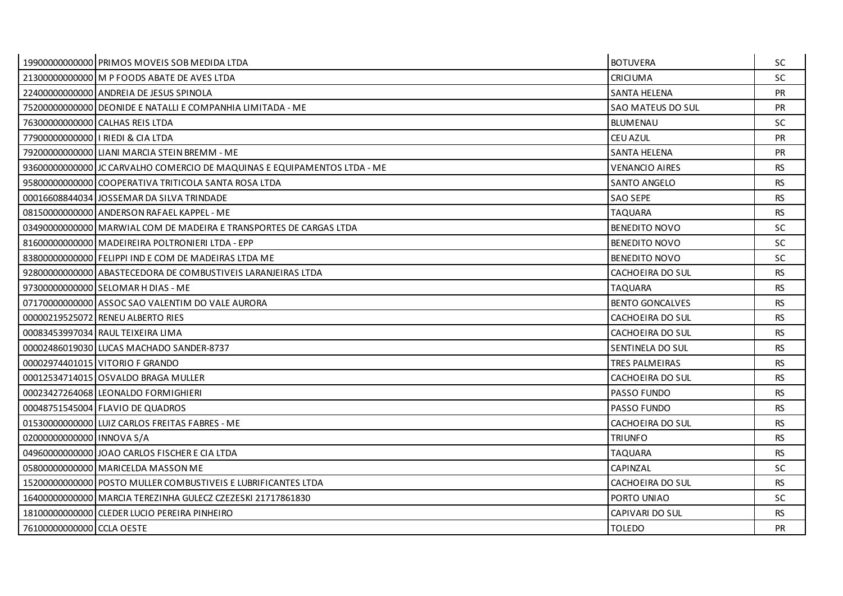|                           | 19900000000000 PRIMOS MOVEIS SOB MEDIDA LTDA                             | <b>BOTUVERA</b>        | <b>SC</b> |
|---------------------------|--------------------------------------------------------------------------|------------------------|-----------|
|                           | 21300000000000 M P FOODS ABATE DE AVES LTDA                              | <b>CRICIUMA</b>        | <b>SC</b> |
|                           | 224000000000000 ANDREIA DE JESUS SPINOLA                                 | <b>SANTA HELENA</b>    | <b>PR</b> |
|                           | 75200000000000 DEONIDE E NATALLI E COMPANHIA LIMITADA - ME               | SAO MATEUS DO SUL      | <b>PR</b> |
|                           | 76300000000000 CALHAS REIS LTDA                                          | BLUMENAU               | <b>SC</b> |
|                           | 77900000000000   RIEDI & CIA LTDA                                        | <b>CEU AZUL</b>        | PR        |
|                           | 79200000000000 LIANI MARCIA STEIN BREMM - ME                             | SANTA HELENA           | <b>PR</b> |
|                           | 93600000000000 JC CARVALHO COMERCIO DE MAQUINAS E EQUIPAMENTOS LTDA - ME | <b>VENANCIO AIRES</b>  | <b>RS</b> |
|                           | 95800000000000 COOPERATIVA TRITICOLA SANTA ROSA LTDA                     | <b>SANTO ANGELO</b>    | <b>RS</b> |
|                           | 00016608844034 JOSSEMAR DA SILVA TRINDADE                                | SAO SEPE               | <b>RS</b> |
|                           | 08150000000000 ANDERSON RAFAEL KAPPEL - ME                               | <b>TAQUARA</b>         | <b>RS</b> |
|                           | 03490000000000 MARWIAL COM DE MADEIRA E TRANSPORTES DE CARGAS LTDA       | <b>BENEDITO NOVO</b>   | <b>SC</b> |
|                           | 81600000000000 MADEIREIRA POLTRONIERI LTDA - EPP                         | <b>BENEDITO NOVO</b>   | SC.       |
|                           | 83800000000000 FELIPPI IND E COM DE MADEIRAS LTDA ME                     | <b>BENEDITO NOVO</b>   | <b>SC</b> |
|                           | 92800000000000 ABASTECEDORA DE COMBUSTIVEIS LARANJEIRAS LTDA             | CACHOEIRA DO SUL       | <b>RS</b> |
|                           | 97300000000000 SELOMAR H DIAS - ME                                       | <b>TAQUARA</b>         | <b>RS</b> |
|                           | 07170000000000 ASSOC SAO VALENTIM DO VALE AURORA                         | <b>BENTO GONCALVES</b> | <b>RS</b> |
|                           | 00000219525072 RENEU ALBERTO RIES                                        | CACHOEIRA DO SUL       | <b>RS</b> |
|                           | 00083453997034 RAUL TEIXEIRA LIMA                                        | CACHOEIRA DO SUL       | <b>RS</b> |
|                           | 00002486019030 LUCAS MACHADO SANDER-8737                                 | SENTINELA DO SUL       | <b>RS</b> |
|                           | 00002974401015 VITORIO F GRANDO                                          | TRES PALMEIRAS         | <b>RS</b> |
|                           | 000125347140151OSVALDO BRAGA MULLER                                      | CACHOEIRA DO SUL       | <b>RS</b> |
|                           | 00023427264068 LEONALDO FORMIGHIERI                                      | PASSO FUNDO            | <b>RS</b> |
|                           | 00048751545004 FLAVIO DE QUADROS                                         | <b>PASSO FUNDO</b>     | <b>RS</b> |
|                           | 01530000000000 LUIZ CARLOS FREITAS FABRES - ME                           | CACHOEIRA DO SUL       | <b>RS</b> |
| 02000000000000 INNOVA S/A |                                                                          | <b>TRIUNFO</b>         | <b>RS</b> |
|                           | 04960000000000 JJOAO CARLOS FISCHER E CIA LTDA                           | TAQUARA                | <b>RS</b> |
|                           | 058000000000000 MARICELDA MASSON ME                                      | CAPINZAL               | <b>SC</b> |
|                           | 15200000000000 POSTO MULLER COMBUSTIVEIS E LUBRIFICANTES LTDA            | CACHOEIRA DO SUL       | <b>RS</b> |
|                           | 16400000000000 MARCIA TEREZINHA GULECZ CZEZESKI 21717861830              | PORTO UNIAO            | <b>SC</b> |
|                           | 18100000000000 CLEDER LUCIO PEREIRA PINHEIRO                             | CAPIVARI DO SUL        | <b>RS</b> |
| 76100000000000 CCLA OESTE |                                                                          | <b>TOLEDO</b>          | PR        |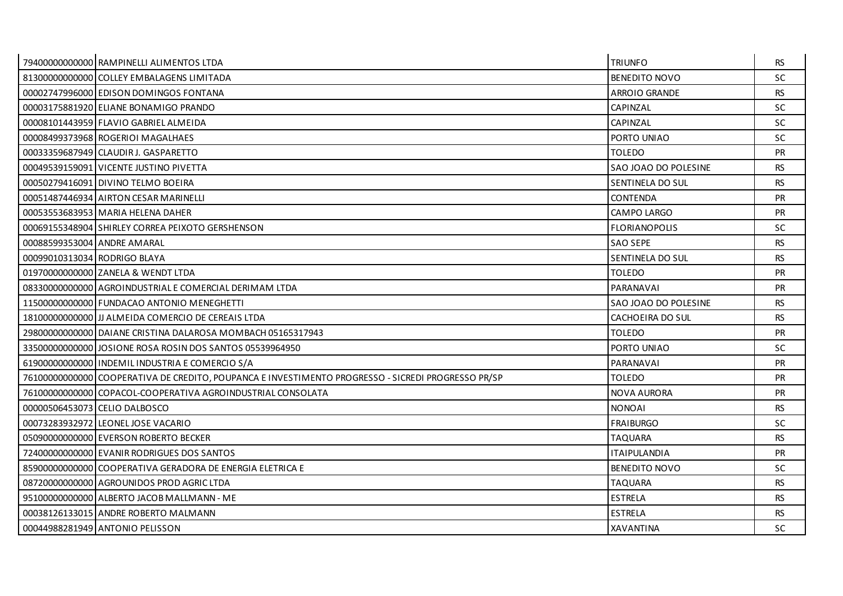|                              | 79400000000000 RAMPINELLI ALIMENTOS LTDA                                                           | <b>TRIUNFO</b>       | <b>RS</b> |
|------------------------------|----------------------------------------------------------------------------------------------------|----------------------|-----------|
|                              | 81300000000000 COLLEY EMBALAGENS LIMITADA                                                          | <b>BENEDITO NOVO</b> | <b>SC</b> |
|                              | 00002747996000 EDISON DOMINGOS FONTANA                                                             | ARROIO GRANDE        | <b>RS</b> |
|                              | 00003175881920 ELIANE BONAMIGO PRANDO                                                              | CAPINZAL             | <b>SC</b> |
|                              | 00008101443959 FLAVIO GABRIEL ALMEIDA                                                              | CAPINZAL             | <b>SC</b> |
|                              | 00008499373968 ROGERIOI MAGALHAES                                                                  | PORTO UNIAO          | <b>SC</b> |
|                              | 00033359687949 CLAUDIR J. GASPARETTO                                                               | <b>TOLEDO</b>        | <b>PR</b> |
|                              | 00049539159091 VICENTE JUSTINO PIVETTA                                                             | SAO JOAO DO POLESINE | <b>RS</b> |
|                              | 00050279416091 DIVINO TELMO BOEIRA                                                                 | SENTINELA DO SUL     | <b>RS</b> |
|                              | 00051487446934 AIRTON CESAR MARINELLI                                                              | <b>CONTENDA</b>      | PR        |
|                              | 00053553683953 MARIA HELENA DAHER                                                                  | <b>CAMPO LARGO</b>   | <b>PR</b> |
|                              | 00069155348904 SHIRLEY CORREA PEIXOTO GERSHENSON                                                   | <b>FLORIANOPOLIS</b> | <b>SC</b> |
| 00088599353004 ANDRE AMARAL  |                                                                                                    | <b>SAO SEPE</b>      | <b>RS</b> |
| 00099010313034 RODRIGO BLAYA |                                                                                                    | SENTINELA DO SUL     | <b>RS</b> |
|                              | 01970000000000 ZANELA & WENDT LTDA                                                                 | <b>TOLEDO</b>        | PR        |
|                              | 08330000000000 AGROINDUSTRIAL E COMERCIAL DERIMAM LTDA                                             | PARANAVAI            | <b>PR</b> |
|                              | 11500000000000 FUNDACAO ANTONIO MENEGHETTI                                                         | SAO JOAO DO POLESINE | <b>RS</b> |
|                              | 18100000000000 JJJ ALMEIDA COMERCIO DE CEREAIS LTDA                                                | CACHOEIRA DO SUL     | <b>RS</b> |
|                              | 29800000000000 DAIANE CRISTINA DALAROSA MOMBACH 05165317943                                        | <b>TOLEDO</b>        | <b>PR</b> |
|                              | 33500000000000 JJOSIONE ROSA ROSIN DOS SANTOS 05539964950                                          | PORTO UNIAO          | <b>SC</b> |
|                              | 61900000000000 INDEMIL INDUSTRIA E COMERCIO S/A                                                    | PARANAVAI            | <b>PR</b> |
|                              | 76100000000000 COOPERATIVA DE CREDITO, POUPANCA E INVESTIMENTO PROGRESSO - SICREDI PROGRESSO PR/SP | <b>TOLEDO</b>        | PR.       |
|                              | 76100000000000 COPACOL-COOPERATIVA AGROINDUSTRIAL CONSOLATA                                        | <b>NOVA AURORA</b>   | <b>PR</b> |
|                              | 00000506453073 CELIO DALBOSCO                                                                      | <b>NONOAI</b>        | <b>RS</b> |
|                              | 00073283932972 LEONEL JOSE VACARIO                                                                 | <b>FRAIBURGO</b>     | <b>SC</b> |
|                              | 05090000000000 EVERSON ROBERTO BECKER                                                              | <b>TAQUARA</b>       | <b>RS</b> |
|                              | 72400000000000 EVANIR RODRIGUES DOS SANTOS                                                         | <b>ITAIPULANDIA</b>  | <b>PR</b> |
|                              | 85900000000000 COOPERATIVA GERADORA DE ENERGIA ELETRICA E                                          | <b>BENEDITO NOVO</b> | SC.       |
|                              | 08720000000000 AGROUNIDOS PROD AGRIC LTDA                                                          | <b>TAQUARA</b>       | <b>RS</b> |
|                              | 95100000000000 ALBERTO JACOB MALLMANN - ME                                                         | <b>ESTRELA</b>       | <b>RS</b> |
|                              | 00038126133015 ANDRE ROBERTO MALMANN                                                               | <b>ESTRELA</b>       | <b>RS</b> |
|                              | 00044988281949 ANTONIO PELISSON                                                                    | <b>XAVANTINA</b>     | <b>SC</b> |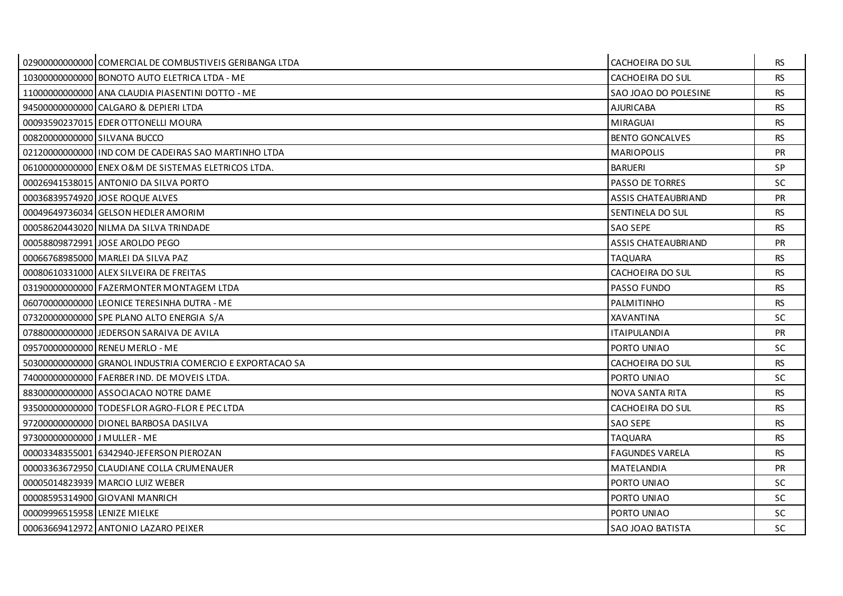|                              | 02900000000000 COMERCIAL DE COMBUSTIVEIS GERIBANGA LTDA  | CACHOEIRA DO SUL           | RS.       |
|------------------------------|----------------------------------------------------------|----------------------------|-----------|
|                              | 10300000000000 BONOTO AUTO ELETRICA LTDA - ME            | CACHOEIRA DO SUL           | <b>RS</b> |
|                              | 11000000000000 ANA CLAUDIA PIASENTINI DOTTO - ME         | SAO JOAO DO POLESINE       | <b>RS</b> |
|                              | 945000000000000 CALGARO & DEPIERI LTDA                   | <b>AJURICABA</b>           | <b>RS</b> |
|                              | 00093590237015 EDER OTTONELLI MOURA                      | <b>MIRAGUAI</b>            | <b>RS</b> |
| 00820000000000 SILVANA BUCCO |                                                          | <b>BENTO GONCALVES</b>     | <b>RS</b> |
|                              | 02120000000000 I IND COM DE CADEIRAS SAO MARTINHO LTDA   | <b>MARIOPOLIS</b>          | <b>PR</b> |
|                              | 06100000000000 ENEX O&M DE SISTEMAS ELETRICOS LTDA.      | <b>BARUERI</b>             | SP        |
|                              | 00026941538015 ANTONIO DA SILVA PORTO                    | <b>PASSO DE TORRES</b>     | <b>SC</b> |
|                              | 00036839574920 JOSE ROQUE ALVES                          | <b>ASSIS CHATEAUBRIAND</b> | <b>PR</b> |
|                              | 00049649736034 GELSON HEDLER AMORIM                      | SENTINELA DO SUL           | <b>RS</b> |
|                              | 00058620443020 NILMA DA SILVA TRINDADE                   | SAO SEPE                   | <b>RS</b> |
|                              | 00058809872991 JOSE AROLDO PEGO                          | <b>ASSIS CHATEAUBRIAND</b> | <b>PR</b> |
|                              | 00066768985000 MARLEI DA SILVA PAZ                       | <b>TAQUARA</b>             | <b>RS</b> |
|                              | 00080610331000 ALEX SILVEIRA DE FREITAS                  | CACHOEIRA DO SUL           | <b>RS</b> |
|                              | 03190000000000 FAZERMONTER MONTAGEM LTDA                 | <b>PASSO FUNDO</b>         | <b>RS</b> |
|                              | 06070000000000 LEONICE TERESINHA DUTRA - ME              | PALMITINHO                 | <b>RS</b> |
|                              | 07320000000000 SPE PLANO ALTO ENERGIA S/A                | <b>XAVANTINA</b>           | <b>SC</b> |
|                              | 078800000000000 JEDERSON SARAIVA DE AVILA                | <b>ITAIPULANDIA</b>        | <b>PR</b> |
|                              | 09570000000000 RENEU MERLO - ME                          | PORTO UNIAO                | SC        |
|                              | 50300000000000 GRANOL INDUSTRIA COMERCIO E EXPORTACAO SA | CACHOEIRA DO SUL           | <b>RS</b> |
|                              | 74000000000000 FAERBER IND. DE MOVEIS LTDA.              | PORTO UNIAO                | SC.       |
|                              | 88300000000000 ASSOCIACAO NOTRE DAME                     | NOVA SANTA RITA            | <b>RS</b> |
|                              | 93500000000000 TODESFLOR AGRO-FLOR E PEC LTDA            | CACHOEIRA DO SUL           | <b>RS</b> |
|                              | 97200000000000 DIONEL BARBOSA DASILVA                    | SAO SEPE                   | <b>RS</b> |
| 97300000000000 J MULLER - ME |                                                          | <b>TAQUARA</b>             | <b>RS</b> |
|                              | 00003348355001 6342940-JEFERSON PIEROZAN                 | <b>FAGUNDES VARELA</b>     | <b>RS</b> |
|                              | 00003363672950 CLAUDIANE COLLA CRUMENAUER                | MATELANDIA                 | <b>PR</b> |
|                              | 00005014823939 MARCIO LUIZ WEBER                         | PORTO UNIAO                | <b>SC</b> |
|                              | 00008595314900 GIOVANI MANRICH                           | PORTO UNIAO                | SC.       |
| 00009996515958 LENIZE MIELKE |                                                          | PORTO UNIAO                | SC.       |
|                              | 00063669412972 ANTONIO LAZARO PEIXER                     | <b>SAO JOAO BATISTA</b>    | SC        |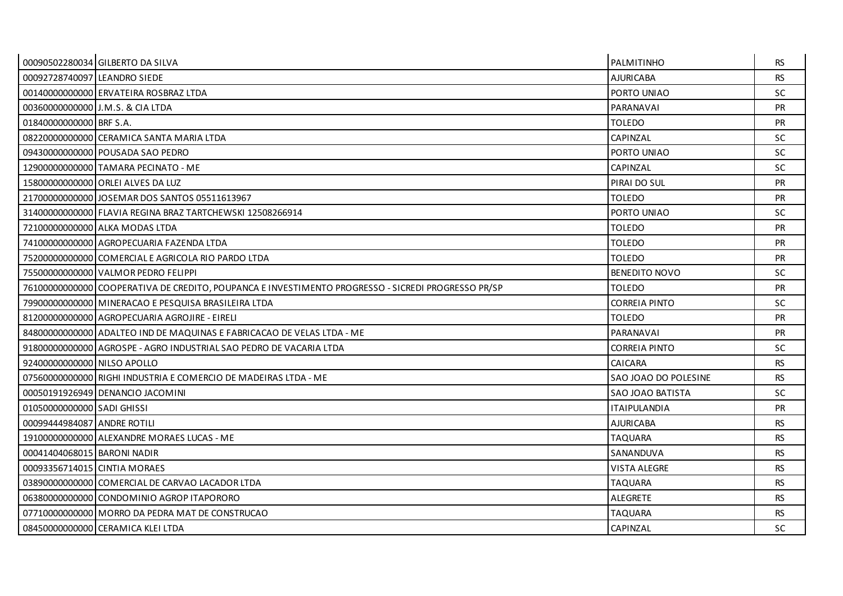|                              | 00090502280034 GILBERTO DA SILVA                                                                   | PALMITINHO              | <b>RS</b> |
|------------------------------|----------------------------------------------------------------------------------------------------|-------------------------|-----------|
| 00092728740097 LEANDRO SIEDE |                                                                                                    | <b>AJURICABA</b>        | <b>RS</b> |
|                              | 00140000000000 ERVATEIRA ROSBRAZ LTDA                                                              | PORTO UNIAO             | <b>SC</b> |
|                              | 00360000000000 J.M.S. & CIA LTDA                                                                   | PARANAVAI               | PR        |
| 01840000000000 BRF S.A.      |                                                                                                    | <b>TOLEDO</b>           | <b>PR</b> |
|                              | 08220000000000 CERAMICA SANTA MARIA LTDA                                                           | CAPINZAL                | <b>SC</b> |
|                              | 09430000000000 POUSADA SAO PEDRO                                                                   | PORTO UNIAO             | <b>SC</b> |
|                              | 12900000000000 TAMARA PECINATO - ME                                                                | CAPINZAL                | <b>SC</b> |
|                              | 15800000000000 ORLEI ALVES DA LUZ                                                                  | PIRAI DO SUL            | PR        |
|                              | 21700000000000 JJOSEMAR DOS SANTOS 05511613967                                                     | <b>TOLEDO</b>           | <b>PR</b> |
|                              | 31400000000000 FLAVIA REGINA BRAZ TARTCHEWSKI 12508266914                                          | PORTO UNIAO             | <b>SC</b> |
|                              | 72100000000000 ALKA MODAS LTDA                                                                     | <b>TOLEDO</b>           | <b>PR</b> |
|                              | 74100000000000 AGROPECUARIA FAZENDA LTDA                                                           | <b>TOLEDO</b>           | <b>PR</b> |
|                              | 75200000000000 COMERCIAL E AGRICOLA RIO PARDO LTDA                                                 | <b>TOLEDO</b>           | PR        |
|                              | 75500000000000 VALMOR PEDRO FELIPPI                                                                | <b>BENEDITO NOVO</b>    | SC.       |
|                              | 76100000000000 COOPERATIVA DE CREDITO, POUPANCA E INVESTIMENTO PROGRESSO - SICREDI PROGRESSO PR/SP | <b>TOLEDO</b>           | <b>PR</b> |
|                              | 79900000000000 MINERACAO E PESQUISA BRASILEIRA LTDA                                                | <b>CORREIA PINTO</b>    | <b>SC</b> |
|                              | 81200000000000 AGROPECUARIA AGROJIRE - EIRELI                                                      | <b>TOLEDO</b>           | <b>PR</b> |
|                              | 84800000000000 ADALTEO IND DE MAQUINAS E FABRICACAO DE VELAS LTDA - ME                             | PARANAVAI               | <b>PR</b> |
|                              | 91800000000000 AGROSPE - AGRO INDUSTRIAL SAO PEDRO DE VACARIA LTDA                                 | <b>CORREIA PINTO</b>    | <b>SC</b> |
| 92400000000000 NILSO APOLLO  |                                                                                                    | CAICARA                 | <b>RS</b> |
|                              | 07560000000000 RIGHI INDUSTRIA E COMERCIO DE MADEIRAS LTDA - ME                                    | SAO JOAO DO POLESINE    | <b>RS</b> |
|                              | 00050191926949 DENANCIO JACOMINI                                                                   | <b>SAO JOAO BATISTA</b> | <b>SC</b> |
| 01050000000000 SADI GHISSI   |                                                                                                    | <b>ITAIPULANDIA</b>     | PR        |
| 00099444984087 ANDRE ROTILI  |                                                                                                    | <b>AJURICABA</b>        | <b>RS</b> |
|                              | 19100000000000 ALEXANDRE MORAES LUCAS - ME                                                         | <b>TAQUARA</b>          | <b>RS</b> |
| 00041404068015 BARONI NADIR  |                                                                                                    | SANANDUVA               | <b>RS</b> |
| 00093356714015 CINTIA MORAES |                                                                                                    | <b>VISTA ALEGRE</b>     | <b>RS</b> |
|                              | 03890000000000 COMERCIAL DE CARVAO LACADOR LTDA                                                    | <b>TAQUARA</b>          | <b>RS</b> |
|                              | 06380000000000 CONDOMINIO AGROP ITAPORORO                                                          | ALEGRETE                | <b>RS</b> |
|                              | 07710000000000 MORRO DA PEDRA MAT DE CONSTRUCAO                                                    | <b>TAQUARA</b>          | <b>RS</b> |
|                              | 08450000000000 CERAMICA KLEI LTDA                                                                  | CAPINZAL                | <b>SC</b> |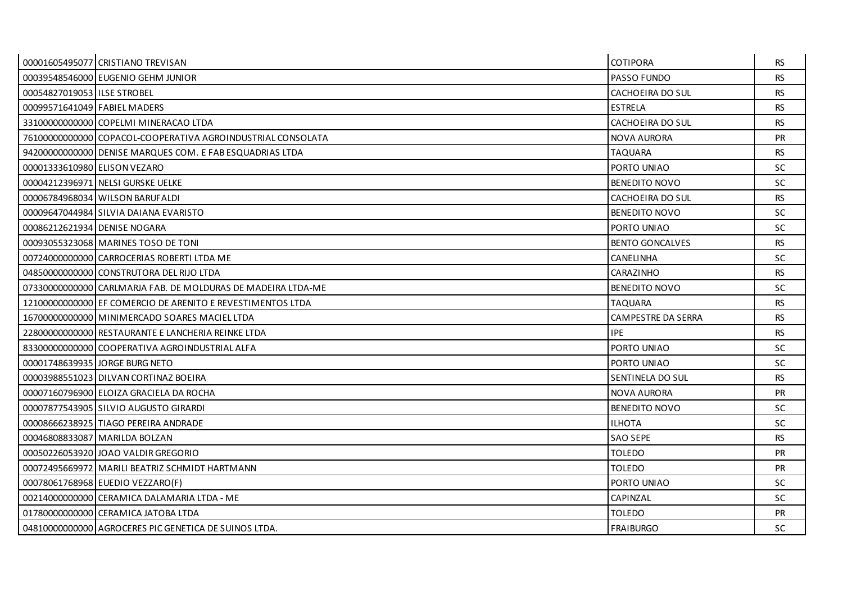|                               | 00001605495077 CRISTIANO TREVISAN                            | <b>COTIPORA</b>        | <b>RS</b> |
|-------------------------------|--------------------------------------------------------------|------------------------|-----------|
|                               | 00039548546000 EUGENIO GEHM JUNIOR                           | PASSO FUNDO            | <b>RS</b> |
| 00054827019053 I ILSE STROBEL |                                                              | CACHOEIRA DO SUL       | <b>RS</b> |
| 00099571641049 FABIEL MADERS  |                                                              | <b>ESTRELA</b>         | <b>RS</b> |
|                               | 33100000000000 COPELMI MINERACAO LTDA                        | CACHOEIRA DO SUL       | <b>RS</b> |
|                               | 76100000000000 COPACOL-COOPERATIVA AGROINDUSTRIAL CONSOLATA  | <b>NOVA AURORA</b>     | <b>PR</b> |
|                               | 94200000000000 DENISE MARQUES COM. E FAB ESQUADRIAS LTDA     | <b>TAQUARA</b>         | <b>RS</b> |
| 00001333610980 ELISON VEZARO  |                                                              | PORTO UNIAO            | <b>SC</b> |
|                               | 00004212396971 NELSI GURSKE UELKE                            | <b>BENEDITO NOVO</b>   | <b>SC</b> |
|                               | 00006784968034 WILSON BARUFALDI                              | CACHOEIRA DO SUL       | <b>RS</b> |
|                               | 00009647044984 SILVIA DAIANA EVARISTO                        | <b>BENEDITO NOVO</b>   | <b>SC</b> |
|                               | 00086212621934 DENISE NOGARA                                 | PORTO UNIAO            | <b>SC</b> |
|                               | 00093055323068 MARINES TOSO DE TONI                          | <b>BENTO GONCALVES</b> | <b>RS</b> |
|                               | 00724000000000 CARROCERIAS ROBERTI LTDA ME                   | <b>CANELINHA</b>       | <b>SC</b> |
|                               | 04850000000000 CONSTRUTORA DEL RIJO LTDA                     | CARAZINHO              | <b>RS</b> |
|                               | 07330000000000 CARLMARJA FAB. DE MOLDURAS DE MADEIRA LTDA-ME | <b>BENEDITO NOVO</b>   | SC.       |
|                               | 12100000000000 EF COMERCIO DE ARENITO E REVESTIMENTOS LTDA   | <b>TAQUARA</b>         | <b>RS</b> |
|                               | 16700000000000 MINIMERCADO SOARES MACIEL LTDA                | CAMPESTRE DA SERRA     | <b>RS</b> |
|                               | 22800000000000 RESTAURANTE E LANCHERIA REINKE LTDA           | <b>IPE</b>             | <b>RS</b> |
|                               | 83300000000000 COOPERATIVA AGROINDUSTRIAL ALFA               | PORTO UNIAO            | <b>SC</b> |
|                               | 00001748639935 JORGE BURG NETO                               | PORTO UNIAO            | SC.       |
|                               | 00003988551023 DILVAN CORTINAZ BOEIRA                        | SENTINELA DO SUL       | <b>RS</b> |
|                               | 00007160796900 ELOIZA GRACIELA DA ROCHA                      | <b>NOVA AURORA</b>     | PR        |
|                               | 00007877543905 SILVIO AUGUSTO GIRARDI                        | <b>BENEDITO NOVO</b>   | SC.       |
|                               | 00008666238925 TIAGO PEREIRA ANDRADE                         | <b>ILHOTA</b>          | SC.       |
|                               | 00046808833087 MARILDA BOLZAN                                | <b>SAO SEPE</b>        | <b>RS</b> |
|                               | 00050226053920 JOAO VALDIR GREGORIO                          | <b>TOLEDO</b>          | <b>PR</b> |
|                               | 00072495669972 MARILI BEATRIZ SCHMIDT HARTMANN               | <b>TOLEDO</b>          | <b>PR</b> |
|                               | 00078061768968 EUEDIO VEZZARO(F)                             | PORTO UNIAO            | <b>SC</b> |
|                               | 00214000000000 CERAMICA DALAMARIA LTDA - ME                  | CAPINZAL               | <b>SC</b> |
|                               | 017800000000000 CERAMICA JATOBA LTDA                         | <b>TOLEDO</b>          | <b>PR</b> |
|                               | 04810000000000 AGROCERES PIC GENETICA DE SUINOS LTDA.        | <b>FRAIBURGO</b>       | <b>SC</b> |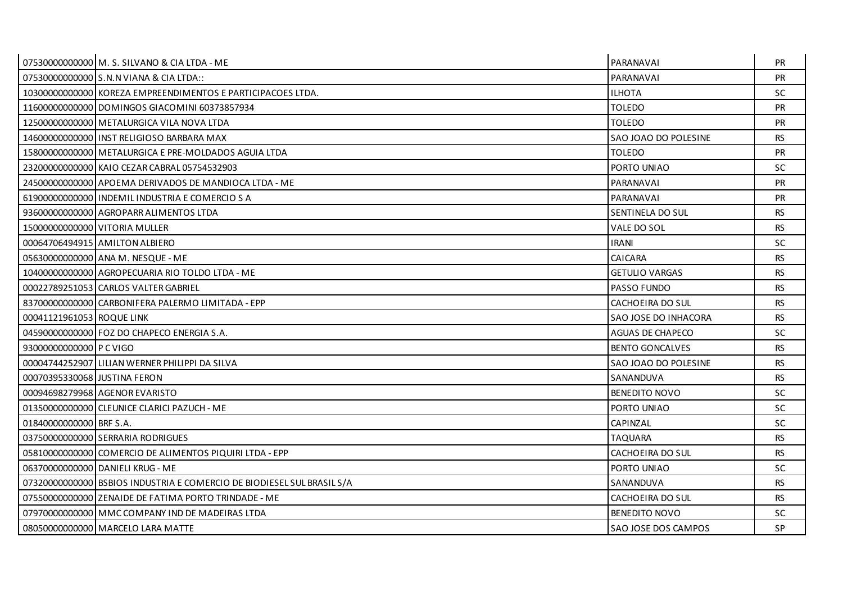|                              | 07530000000000 M. S. SILVANO & CIA LTDA - ME                           | PARANAVAI              | <b>PR</b> |
|------------------------------|------------------------------------------------------------------------|------------------------|-----------|
|                              | 07530000000000 S.N.N VIANA & CIA LTDA::                                | PARANAVAI              | <b>PR</b> |
|                              | 10300000000000 KOREZA EMPREENDIMENTOS E PARTICIPACOES LTDA.            | <b>ILHOTA</b>          | SC.       |
|                              | 11600000000000 DOMINGOS GIACOMINI 60373857934                          | <b>TOLEDO</b>          | <b>PR</b> |
|                              | 12500000000000 METALURGICA VILA NOVA LTDA                              | <b>TOLEDO</b>          | <b>PR</b> |
|                              | 146000000000000 UNST RELIGIOSO BARBARA MAX                             | SAO JOAO DO POLESINE   | <b>RS</b> |
|                              | 15800000000000 METALURGICA E PRE-MOLDADOS AGUIA LTDA                   | <b>TOLEDO</b>          | <b>PR</b> |
|                              | 23200000000000 KAIO CEZAR CABRAL 05754532903                           | PORTO UNIAO            | SC        |
|                              | 24500000000000 APOEMA DERIVADOS DE MANDIOCA LTDA - ME                  | PARANAVAI              | <b>PR</b> |
|                              | 619000000000000 INDEMIL INDUSTRIA E COMERCIO S A                       | PARANAVAI              | <b>PR</b> |
|                              | 93600000000000 AGROPARR ALIMENTOS LTDA                                 | SENTINELA DO SUL       | <b>RS</b> |
|                              | 15000000000000 VITORIA MULLER                                          | VALE DO SOL            | <b>RS</b> |
|                              | 00064706494915 AMILTON ALBIERO                                         | <b>IRANI</b>           | <b>SC</b> |
|                              | 05630000000000 ANA M. NESQUE - ME                                      | CAICARA                | <b>RS</b> |
|                              | 10400000000000 AGROPECUARIA RIO TOLDO LTDA - ME                        | <b>GETULIO VARGAS</b>  | <b>RS</b> |
|                              | 00022789251053 CARLOS VALTER GABRIEL                                   | <b>PASSO FUNDO</b>     | <b>RS</b> |
|                              | 83700000000000 CARBONIFERA PALERMO LIMITADA - EPP                      | CACHOEIRA DO SUL       | <b>RS</b> |
| 00041121961053 ROQUE LINK    |                                                                        | SAO JOSE DO INHACORA   | <b>RS</b> |
|                              | 04590000000000 FOZ DO CHAPECO ENERGIA S.A.                             | AGUAS DE CHAPECO       | SC.       |
| 93000000000000 P C VIGO      |                                                                        | <b>BENTO GONCALVES</b> | <b>RS</b> |
|                              | 00004744252907 LILIAN WERNER PHILIPPI DA SILVA                         | SAO JOAO DO POLESINE   | <b>RS</b> |
| 00070395330068 JUSTINA FERON |                                                                        | SANANDUVA              | <b>RS</b> |
|                              | 00094698279968 AGENOR EVARISTO                                         | <b>BENEDITO NOVO</b>   | SC        |
|                              | 01350000000000 CLEUNICE CLARICI PAZUCH - ME                            | PORTO UNIAO            | SC        |
| 01840000000000 BRF S.A.      |                                                                        | CAPINZAL               | <b>SC</b> |
|                              | 03750000000000 SERRARIA RODRIGUES                                      | <b>TAQUARA</b>         | <b>RS</b> |
|                              | 05810000000000 COMERCIO DE ALIMENTOS PIQUIRI LTDA - EPP                | CACHOEIRA DO SUL       | <b>RS</b> |
|                              | 06370000000000 DANIELI KRUG - ME                                       | PORTO UNIAO            | <b>SC</b> |
|                              | 07320000000000 BSBIOS INDUSTRIA E COMERCIO DE BIODIESEL SUL BRASIL S/A | SANANDUVA              | <b>RS</b> |
|                              | 07550000000000 ZENAIDE DE FATIMA PORTO TRINDADE - ME                   | CACHOEIRA DO SUL       | <b>RS</b> |
|                              | 07970000000000 MMC COMPANY IND DE MADEIRAS LTDA                        | <b>BENEDITO NOVO</b>   | SC.       |
|                              | 08050000000000 MARCELO LARA MATTE                                      | SAO JOSE DOS CAMPOS    | <b>SP</b> |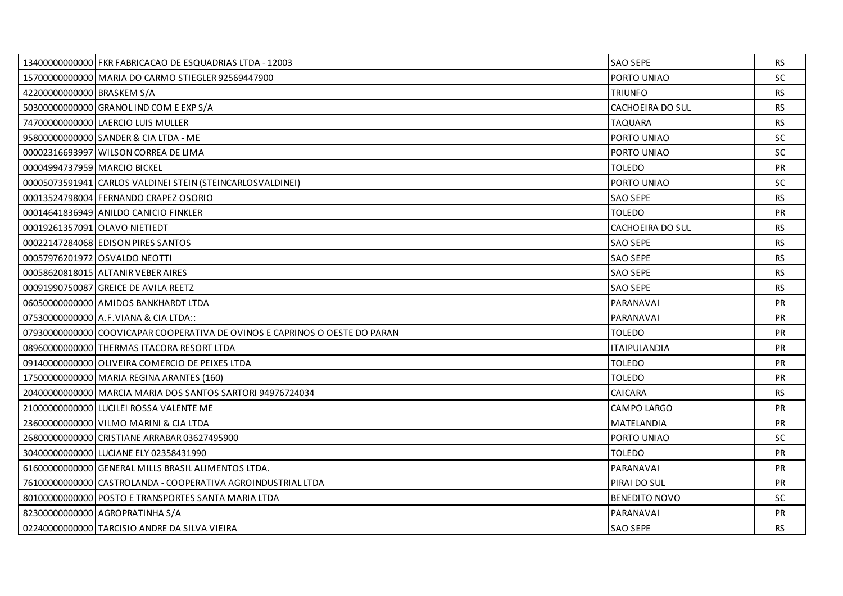|                               | 13400000000000 FKR FABRICACAO DE ESQUADRIAS LTDA - 12003                    | <b>SAO SEPE</b>         | <b>RS</b> |
|-------------------------------|-----------------------------------------------------------------------------|-------------------------|-----------|
|                               | 15700000000000 MARIA DO CARMO STIEGLER 92569447900                          | PORTO UNIAO             | <b>SC</b> |
| 42200000000000 BRASKEM S/A    |                                                                             | <b>TRIUNFO</b>          | <b>RS</b> |
|                               | 50300000000000 GRANOL IND COM E EXP S/A                                     | CACHOEIRA DO SUL        | <b>RS</b> |
|                               | 74700000000000 LAERCIO LUIS MULLER                                          | <b>TAQUARA</b>          | <b>RS</b> |
|                               | 95800000000000 SANDER & CIA LTDA - ME                                       | PORTO UNIAO             | <b>SC</b> |
|                               | 00002316693997 WILSON CORREA DE LIMA                                        | PORTO UNIAO             | <b>SC</b> |
| 00004994737959 MARCIO BICKEL  |                                                                             | <b>TOLEDO</b>           | PR        |
|                               | 00005073591941 CARLOS VALDINEI STEIN (STEINCARLOSVALDINEI)                  | PORTO UNIAO             | SC.       |
|                               | 00013524798004 FERNANDO CRAPEZ OSORIO                                       | <b>SAO SEPE</b>         | <b>RS</b> |
|                               | 00014641836949 ANILDO CANICIO FINKLER                                       | <b>TOLEDO</b>           | PR        |
| 00019261357091 OLAVO NIETIEDT |                                                                             | <b>CACHOEIRA DO SUL</b> | <b>RS</b> |
|                               | 00022147284068 EDISON PIRES SANTOS                                          | <b>SAO SEPE</b>         | <b>RS</b> |
|                               | 00057976201972 OSVALDO NEOTTI                                               | <b>SAO SEPE</b>         | <b>RS</b> |
|                               | 00058620818015 ALTANIR VEBER AIRES                                          | <b>SAO SEPE</b>         | <b>RS</b> |
|                               | 00091990750087 GREICE DE AVILA REETZ                                        | <b>SAO SEPE</b>         | <b>RS</b> |
|                               | 06050000000000 AMIDOS BANKHARDT LTDA                                        | PARANAVAI               | PR        |
|                               | 07530000000000 A.F. VIANA & CIA LTDA::                                      | PARANAVAI               | <b>PR</b> |
|                               | 07930000000000 COOVICAPAR COOPERATIVA DE OVINOS E CAPRINOS O OESTE DO PARAN | <b>TOLEDO</b>           | <b>PR</b> |
|                               | 08960000000000 THERMAS ITACORA RESORT LTDA                                  | <b>ITAIPULANDIA</b>     | PR        |
|                               | 09140000000000 OLIVEIRA COMERCIO DE PEIXES LTDA                             | <b>TOLEDO</b>           | <b>PR</b> |
|                               | 17500000000000 MARIA REGINA ARANTES (160)                                   | <b>TOLEDO</b>           | <b>PR</b> |
|                               | 20400000000000 MARCIA MARIA DOS SANTOS SARTORI 94976724034                  | CAICARA                 | <b>RS</b> |
|                               | 210000000000000 LUCILEI ROSSA VALENTE ME                                    | <b>CAMPO LARGO</b>      | <b>PR</b> |
|                               | 23600000000000 VILMO MARINI & CIA LTDA                                      | MATELANDIA              | <b>PR</b> |
|                               | 26800000000000 CRISTIANE ARRABAR 03627495900                                | PORTO UNIAO             | <b>SC</b> |
|                               | 30400000000000 LUCIANE ELY 02358431990                                      | <b>TOLEDO</b>           | <b>PR</b> |
|                               | 61600000000000 GENERAL MILLS BRASIL ALIMENTOS LTDA.                         | PARANAVAI               | <b>PR</b> |
|                               | 76100000000000 CASTROLANDA - COOPERATIVA AGROINDUSTRIAL LTDA                | PIRAI DO SUL            | PR        |
|                               | 80100000000000 POSTO E TRANSPORTES SANTA MARIA LTDA                         | <b>BENEDITO NOVO</b>    | <b>SC</b> |
|                               | 82300000000000 AGROPRATINHA S/A                                             | PARANAVAI               | <b>PR</b> |
|                               | 02240000000000 TARCISIO ANDRE DA SILVA VIEIRA                               | <b>SAO SEPE</b>         | <b>RS</b> |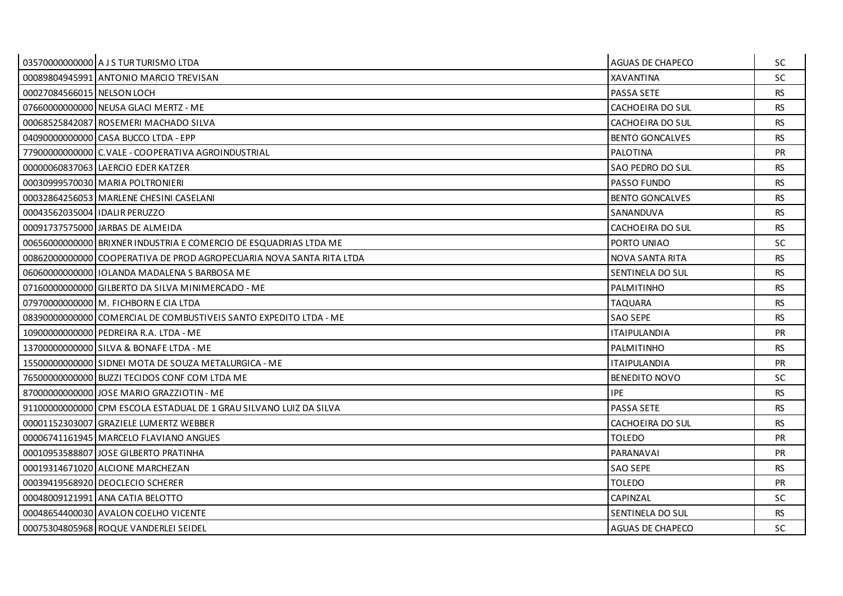|                                 | 03570000000000 A J S TUR TURISMO LTDA                                | AGUAS DE CHAPECO        | SC.       |
|---------------------------------|----------------------------------------------------------------------|-------------------------|-----------|
|                                 | 00089804945991 ANTONIO MARCIO TREVISAN                               | <b>XAVANTINA</b>        | <b>SC</b> |
| 00027084566015 NELSON LOCH      |                                                                      | PASSA SETE              | <b>RS</b> |
|                                 | 076600000000000 NEUSA GLACI MERTZ - ME                               | CACHOEIRA DO SUL        | RS.       |
|                                 | 00068525842087 ROSEMERI MACHADO SILVA                                | CACHOEIRA DO SUL        | <b>RS</b> |
|                                 | 04090000000000 CASA BUCCO LTDA - EPP                                 | <b>BENTO GONCALVES</b>  | <b>RS</b> |
|                                 | 779000000000000 C. VALE - COOPERATIVA AGROINDUSTRIAL                 | <b>PALOTINA</b>         | <b>PR</b> |
|                                 | 00000060837063   LAERCIO EDER KATZER                                 | SAO PEDRO DO SUL        | <b>RS</b> |
|                                 | 00030999570030 MARIA POLTRONIERI                                     | PASSO FUNDO             | <b>RS</b> |
|                                 | 000328642560531MARLENE CHESINI CASELANI                              | <b>BENTO GONCALVES</b>  | RS.       |
| 00043562035004   IDALIR PERUZZO |                                                                      | SANANDUVA               | <b>RS</b> |
|                                 | 00091737575000 JARBAS DE ALMEIDA                                     | CACHOEIRA DO SUL        | <b>RS</b> |
|                                 | 00656000000000 BRIXNER INDUSTRIA E COMERCIO DE ESQUADRIAS LTDA ME    | PORTO UNIAO             | SC.       |
|                                 | 00862000000000 COOPERATIVA DE PROD AGROPECUARIA NOVA SANTA RITA LTDA | NOVA SANTA RITA         | <b>RS</b> |
|                                 | 06060000000000011OLANDA MADALENA S BARBOSA ME                        | SENTINELA DO SUL        | <b>RS</b> |
|                                 | 07160000000000 GILBERTO DA SILVA MINIMERCADO - ME                    | PALMITINHO              | RS.       |
|                                 | 079700000000000 M. FICHBORN E CIA LTDA                               | <b>TAQUARA</b>          | <b>RS</b> |
|                                 | 08390000000000 COMERCIAL DE COMBUSTIVEIS SANTO EXPEDITO LTDA - ME    | SAO SEPE                | <b>RS</b> |
|                                 | 10900000000000 PEDREIRA R.A. LTDA - ME                               | <b>ITAIPULANDIA</b>     | <b>PR</b> |
|                                 | 13700000000000 SILVA & BONAFE LTDA - ME                              | PALMITINHO              | <b>RS</b> |
|                                 | 15500000000000 SIDNEI MOTA DE SOUZA METALURGICA - ME                 | <b>ITAIPULANDIA</b>     | <b>PR</b> |
|                                 | 765000000000000 BUZZI TECIDOS CONF COM LTDA ME                       | <b>BENEDITO NOVO</b>    | SC.       |
|                                 | 870000000000000 JJOSE MARIO GRAZZIOTIN - ME                          | <b>IPE</b>              | <b>RS</b> |
|                                 | 91100000000000 CPM ESCOLA ESTADUAL DE 1 GRAU SILVANO LUIZ DA SILVA   | <b>PASSA SETE</b>       | <b>RS</b> |
|                                 | 00001152303007 GRAZIELE LUMERTZ WEBBER                               | CACHOEIRA DO SUL        | RS.       |
|                                 | 00006741161945   MARCELO FLAVIANO ANGUES                             | <b>TOLEDO</b>           | <b>PR</b> |
|                                 | 00010953588807 JJOSE GILBERTO PRATINHA                               | PARANAVAI               | <b>PR</b> |
|                                 | 00019314671020 ALCIONE MARCHEZAN                                     | <b>SAO SEPE</b>         | RS.       |
|                                 | 00039419568920 DEOCLECIO SCHERER                                     | <b>TOLEDO</b>           | <b>PR</b> |
|                                 | 00048009121991 ANA CATIA BELOTTO                                     | CAPINZAL                | SC.       |
|                                 | 00048654400030 AVALON COELHO VICENTE                                 | SENTINELA DO SUL        | RS.       |
|                                 | 00075304805968 ROQUE VANDERLEI SEIDEL                                | <b>AGUAS DE CHAPECO</b> | SC        |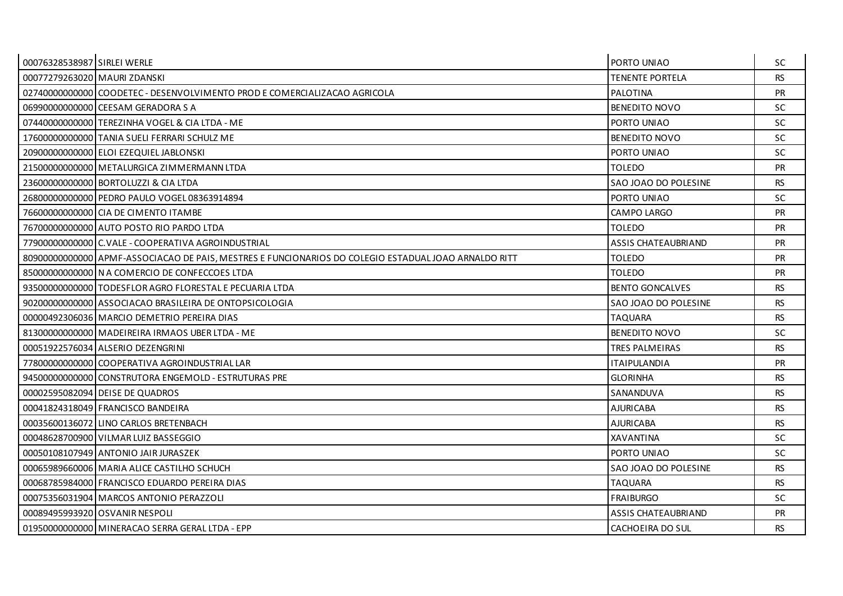| 00076328538987 SIRLEI WERLE  |                                                                                                      | PORTO UNIAO                | SC.       |
|------------------------------|------------------------------------------------------------------------------------------------------|----------------------------|-----------|
| 00077279263020 MAURI ZDANSKI |                                                                                                      | <b>TENENTE PORTELA</b>     | <b>RS</b> |
|                              | 02740000000000 COODETEC - DESENVOLVIMENTO PROD E COMERCIALIZACAO AGRICOLA                            | PALOTINA                   | PR        |
|                              | 069900000000000 CEESAM GERADORA S A                                                                  | <b>BENEDITO NOVO</b>       | <b>SC</b> |
|                              | 07440000000000 TEREZINHA VOGEL & CIA LTDA - ME                                                       | PORTO UNIAO                | <b>SC</b> |
|                              | 17600000000000 TANIA SUELI FERRARI SCHULZ ME                                                         | <b>BENEDITO NOVO</b>       | <b>SC</b> |
|                              | 20900000000000 ELOI EZEQUIEL JABLONSKI                                                               | PORTO UNIAO                | <b>SC</b> |
|                              | 21500000000000 METALURGICA ZIMMERMANN LTDA                                                           | <b>TOLEDO</b>              | <b>PR</b> |
|                              | 23600000000000 BORTOLUZZI & CIA LTDA                                                                 | SAO JOAO DO POLESINE       | <b>RS</b> |
|                              | 26800000000000 PEDRO PAULO VOGEL 08363914894                                                         | PORTO UNIAO                | <b>SC</b> |
|                              | 76600000000000 CIA DE CIMENTO ITAMBE                                                                 | CAMPO LARGO                | <b>PR</b> |
|                              | 76700000000000 AUTO POSTO RIO PARDO LTDA                                                             | <b>TOLEDO</b>              | PR        |
|                              | 77900000000000 C.VALE - COOPERATIVA AGROINDUSTRIAL                                                   | <b>ASSIS CHATEAUBRIAND</b> | <b>PR</b> |
|                              | 80900000000000 APMF-ASSOCIACAO DE PAIS, MESTRES E FUNCIONARIOS DO COLEGIO ESTADUAL JOAO ARNALDO RITT | <b>TOLEDO</b>              | PR        |
|                              | 85000000000000 N A COMERCIO DE CONFECCOES LTDA                                                       | <b>TOLEDO</b>              | PR        |
|                              | 93500000000000 TODESFLOR AGRO FLORESTAL E PECUARIA LTDA                                              | <b>BENTO GONCALVES</b>     | <b>RS</b> |
|                              | 90200000000000 ASSOCIACAO BRASILEIRA DE ONTOPSICOLOGIA                                               | SAO JOAO DO POLESINE       | <b>RS</b> |
|                              | 00000492306036 MARCIO DEMETRIO PEREIRA DIAS                                                          | <b>TAQUARA</b>             | <b>RS</b> |
|                              | 81300000000000 MADEIREIRA IRMAOS UBER LTDA - ME                                                      | BENEDITO NOVO              | <b>SC</b> |
|                              | 00051922576034 ALSERIO DEZENGRINI                                                                    | <b>TRES PALMEIRAS</b>      | <b>RS</b> |
|                              | 77800000000000 COOPERATIVA AGROINDUSTRIAL LAR                                                        | <b>ITAIPULANDIA</b>        | <b>PR</b> |
|                              | 94500000000000 CONSTRUTORA ENGEMOLD - ESTRUTURAS PRE                                                 | <b>GLORINHA</b>            | <b>RS</b> |
|                              | 00002595082094 DEISE DE QUADROS                                                                      | SANANDUVA                  | <b>RS</b> |
|                              | 00041824318049 FRANCISCO BANDEIRA                                                                    | <b>AJURICABA</b>           | <b>RS</b> |
|                              | 00035600136072 LINO CARLOS BRETENBACH                                                                | <b>AJURICABA</b>           | <b>RS</b> |
|                              | 00048628700900 VILMAR LUIZ BASSEGGIO                                                                 | <b>XAVANTINA</b>           | SC.       |
|                              | 00050108107949 ANTONIO JAIR JURASZEK                                                                 | PORTO UNIAO                | SC.       |
|                              | 00065989660006   MARIA ALICE CASTILHO SCHUCH                                                         | SAO JOAO DO POLESINE       | <b>RS</b> |
|                              | 00068785984000 FRANCISCO EDUARDO PEREIRA DIAS                                                        | <b>TAQUARA</b>             | <b>RS</b> |
|                              | 00075356031904 MARCOS ANTONIO PERAZZOLI                                                              | <b>FRAIBURGO</b>           | <b>SC</b> |
|                              | 00089495993920 OSVANIR NESPOLI                                                                       | ASSIS CHATEAUBRIAND        | <b>PR</b> |
|                              | 01950000000000 MINERACAO SERRA GERAL LTDA - EPP                                                      | CACHOEIRA DO SUL           | <b>RS</b> |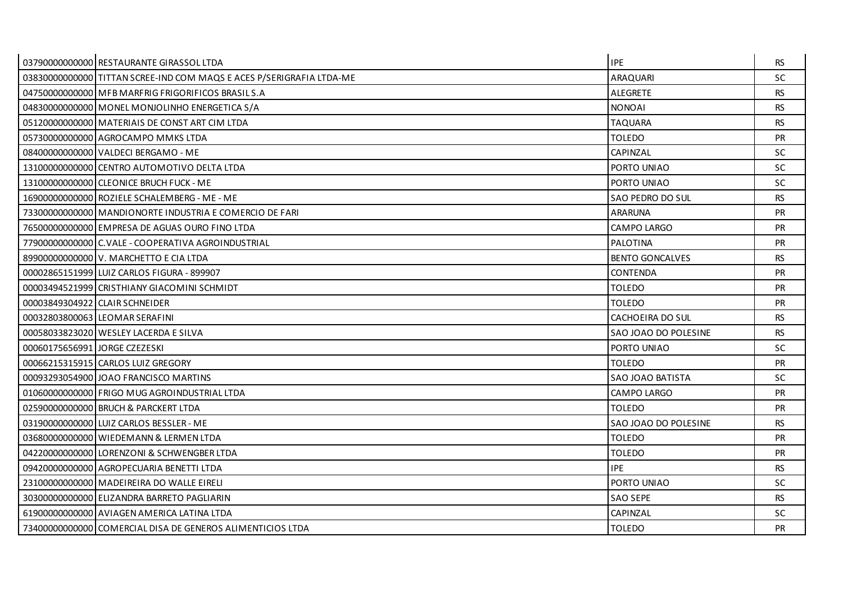|                               | 03790000000000 RESTAURANTE GIRASSOL LTDA                             | <b>IPE</b>             | RS.       |
|-------------------------------|----------------------------------------------------------------------|------------------------|-----------|
|                               | 03830000000000 TITTAN SCREE-IND COM MAQS E ACES P/SERIGRAFIA LTDA-ME | <b>ARAQUARI</b>        | <b>SC</b> |
|                               | 04750000000000 MFB MARFRIG FRIGORIFICOS BRASILS.A                    | <b>ALEGRETE</b>        | <b>RS</b> |
|                               | 04830000000000 MONEL MONJOLINHO ENERGETICA S/A                       | <b>NONOAI</b>          | RS.       |
|                               | 05120000000000 MATERIAIS DE CONST ART CIM LTDA                       | <b>TAQUARA</b>         | <b>RS</b> |
|                               | 05730000000000 AGROCAMPO MMKS LTDA                                   | TOLEDO                 | <b>PR</b> |
|                               | 084000000000000 VALDECI BERGAMO - ME                                 | CAPINZAL               | <b>SC</b> |
|                               | 13100000000000 CENTRO AUTOMOTIVO DELTA LTDA                          | PORTO UNIAO            | <b>SC</b> |
|                               | 13100000000000 CLEONICE BRUCH FUCK - ME                              | PORTO UNIAO            | SC        |
|                               | 16900000000000 ROZIELE SCHALEMBERG - ME - ME                         | SAO PEDRO DO SUL       | <b>RS</b> |
|                               | 73300000000000 MANDIONORTE INDUSTRIA E COMERCIO DE FARI              | <b>ARARUNA</b>         | <b>PR</b> |
|                               | 76500000000000 EMPRESA DE AGUAS OURO FINO LTDA                       | CAMPO LARGO            | <b>PR</b> |
|                               | 77900000000000 C.VALE - COOPERATIVA AGROINDUSTRIAL                   | PALOTINA               | <b>PR</b> |
|                               | 89900000000000 V. MARCHETTO E CIA LTDA                               | <b>BENTO GONCALVES</b> | <b>RS</b> |
|                               | 00002865151999 LUIZ CARLOS FIGURA - 899907                           | CONTENDA               | <b>PR</b> |
|                               | 00003494521999 CRISTHIANY GIACOMINI SCHMIDT                          | <b>TOLEDO</b>          | <b>PR</b> |
|                               | 00003849304922 CLAIR SCHNEIDER                                       | <b>TOLEDO</b>          | <b>PR</b> |
|                               | 00032803800063 LEOMAR SERAFINI                                       | CACHOEIRA DO SUL       | <b>RS</b> |
|                               | 00058033823020   WESLEY LACERDA E SILVA                              | SAO JOAO DO POLESINE   | <b>RS</b> |
| 00060175656991 JORGE CZEZESKI |                                                                      | PORTO UNIAO            | <b>SC</b> |
|                               | 00066215315915 CARLOS LUIZ GREGORY                                   | <b>TOLEDO</b>          | <b>PR</b> |
|                               | 00093293054900 JOAO FRANCISCO MARTINS                                | SAO JOAO BATISTA       | SC        |
|                               | 01060000000000 FRIGO MUG AGROINDUSTRIAL LTDA                         | CAMPO LARGO            | <b>PR</b> |
|                               | 025900000000000 BRUCH & PARCKERT LTDA                                | <b>TOLEDO</b>          | <b>PR</b> |
|                               | 03190000000000 LUIZ CARLOS BESSLER - ME                              | SAO JOAO DO POLESINE   | RS.       |
|                               | 03680000000000 WIEDEMANN & LERMEN LTDA                               | <b>TOLEDO</b>          | <b>PR</b> |
|                               | 042200000000000 LORENZONI & SCHWENGBER LTDA                          | TOLEDO                 | <b>PR</b> |
|                               | 09420000000000 AGROPECUARIA BENETTI LTDA                             | <b>IPE</b>             | RS.       |
|                               | 23100000000000   MADEIREIRA DO WALLE EIRELI                          | PORTO UNIAO            | SC        |
|                               | 303000000000000 ELIZANDRA BARRETO PAGLIARIN                          | <b>SAO SEPE</b>        | <b>RS</b> |
|                               | 61900000000000 AVIAGEN AMERICA LATINA LTDA                           | CAPINZAL               | <b>SC</b> |
|                               | 73400000000000 COMERCIAL DISA DE GENEROS ALIMENTICIOS LTDA           | <b>TOLEDO</b>          | <b>PR</b> |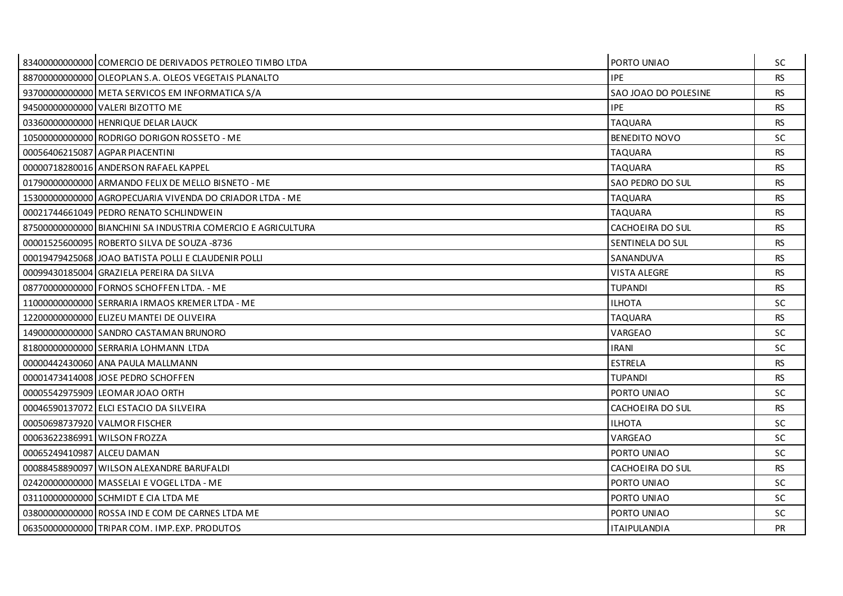|                              | 83400000000000 COMERCIO DE DERIVADOS PETROLEO TIMBO LTDA     | PORTO UNIAO             | <b>SC</b> |
|------------------------------|--------------------------------------------------------------|-------------------------|-----------|
|                              | 88700000000000 OLEOPLAN S.A. OLEOS VEGETAIS PLANALTO         | <b>IPE</b>              | <b>RS</b> |
|                              | 93700000000000 META SERVICOS EM INFORMATICA S/A              | SAO JOAO DO POLESINE    | <b>RS</b> |
|                              | 94500000000000 VALERI BIZOTTO ME                             | <b>IPE</b>              | <b>RS</b> |
|                              | 03360000000000 HENRIQUE DELAR LAUCK                          | <b>TAQUARA</b>          | <b>RS</b> |
|                              | 10500000000000 RODRIGO DORIGON ROSSETO - ME                  | <b>BENEDITO NOVO</b>    | <b>SC</b> |
|                              | 00056406215087 AGPAR PIACENTINI                              | <b>TAQUARA</b>          | <b>RS</b> |
|                              | 00000718280016 ANDERSON RAFAEL KAPPEL                        | <b>TAQUARA</b>          | <b>RS</b> |
|                              | 01790000000000 ARMANDO FELIX DE MELLO BISNETO - ME           | SAO PEDRO DO SUL        | <b>RS</b> |
|                              | 15300000000000 AGROPECUARIA VIVENDA DO CRIADOR LTDA - ME     | <b>TAQUARA</b>          | <b>RS</b> |
|                              | 00021744661049 PEDRO RENATO SCHLINDWEIN                      | <b>TAQUARA</b>          | <b>RS</b> |
|                              | 87500000000000 BIANCHINI SA INDUSTRIA COMERCIO E AGRICULTURA | <b>CACHOEIRA DO SUL</b> | <b>RS</b> |
|                              | 00001525600095 ROBERTO SILVA DE SOUZA -8736                  | SENTINELA DO SUL        | <b>RS</b> |
|                              | 00019479425068 JOAO BATISTA POLLI E CLAUDENIR POLLI          | SANANDUVA               | <b>RS</b> |
|                              | 00099430185004 GRAZIELA PEREIRA DA SILVA                     | <b>VISTA ALEGRE</b>     | <b>RS</b> |
|                              | 08770000000000 FORNOS SCHOFFEN LTDA. - ME                    | <b>TUPANDI</b>          | <b>RS</b> |
|                              | 11000000000000 SERRARIA IRMAOS KREMER LTDA - ME              | <b>ILHOTA</b>           | <b>SC</b> |
|                              | 122000000000000 ELIZEU MANTEI DE OLIVEIRA                    | <b>TAQUARA</b>          | <b>RS</b> |
|                              | 14900000000000 SANDRO CASTAMAN BRUNORO                       | VARGEAO                 | SC.       |
|                              | 81800000000000 SERRARIA LOHMANN LTDA                         | <b>IRANI</b>            | <b>SC</b> |
|                              | 00000442430060 ANA PAULA MALLMANN                            | <b>ESTRELA</b>          | <b>RS</b> |
|                              | 00001473414008 JOSE PEDRO SCHOFFEN                           | <b>TUPANDI</b>          | <b>RS</b> |
|                              | 00005542975909 LEOMAR JOAO ORTH                              | PORTO UNIAO             | <b>SC</b> |
|                              | 00046590137072 ELCI ESTACIO DA SILVEIRA                      | CACHOEIRA DO SUL        | <b>RS</b> |
|                              | 00050698737920 VALMOR FISCHER                                | <b>ILHOTA</b>           | <b>SC</b> |
| 00063622386991 WILSON FROZZA |                                                              | VARGEAO                 | <b>SC</b> |
| 00065249410987 ALCEU DAMAN   |                                                              | PORTO UNIAO             | <b>SC</b> |
|                              | 00088458890097 WILSON ALEXANDRE BARUFALDI                    | CACHOEIRA DO SUL        | <b>RS</b> |
|                              | 02420000000000 MASSELAI E VOGEL LTDA - ME                    | PORTO UNIAO             | <b>SC</b> |
|                              | 03110000000000 SCHMIDT E CIA LTDA ME                         | PORTO UNIAO             | <b>SC</b> |
|                              | 03800000000000 ROSSA IND E COM DE CARNES LTDA ME             | PORTO UNIAO             | SC.       |
|                              | 06350000000000 TRIPAR COM. IMP.EXP. PRODUTOS                 | <b>ITAIPULANDIA</b>     | PR        |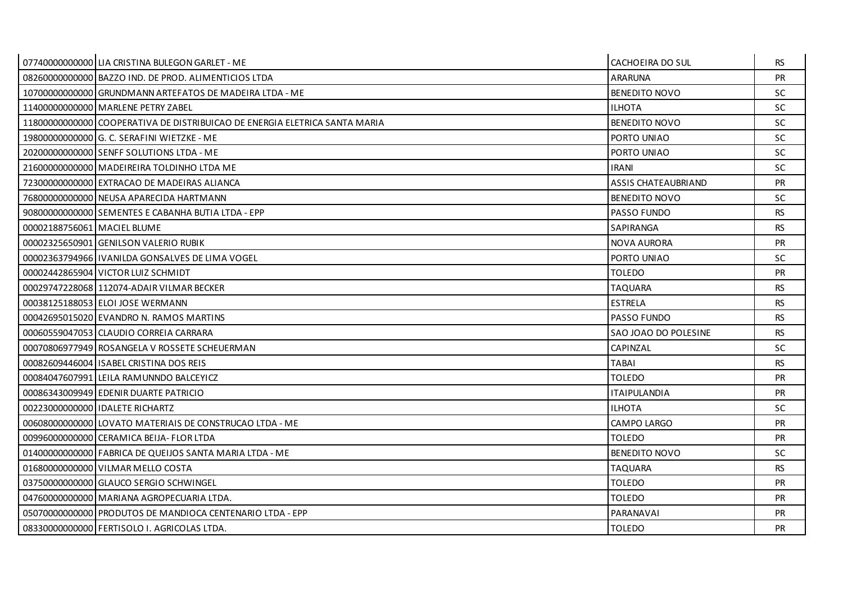|                             | 07740000000000 LIA CRISTINA BULEGON GARLET - ME                           | CACHOEIRA DO SUL           | <b>RS</b> |
|-----------------------------|---------------------------------------------------------------------------|----------------------------|-----------|
|                             | 08260000000000 BAZZO IND. DE PROD. ALIMENTICIOS LTDA                      | <b>ARARUNA</b>             | PR        |
|                             | 10700000000000 GRUNDMANN ARTEFATOS DE MADEIRA LTDA - ME                   | <b>BENEDITO NOVO</b>       | SC.       |
|                             | 11400000000000 MARLENE PETRY ZABEL                                        | <b>ILHOTA</b>              | SC.       |
|                             | 1180000000000 COOPERATIVA DE DISTRIBUICAO DE ENERGIA ELETRICA SANTA MARIA | <b>BENEDITO NOVO</b>       | <b>SC</b> |
|                             | 19800000000000 G. C. SERAFINI WIETZKE - ME                                | PORTO UNIAO                | <b>SC</b> |
|                             | 20200000000000 SENFF SOLUTIONS LTDA - ME                                  | PORTO UNIAO                | SC.       |
|                             | 21600000000000 MADEIREIRA TOLDINHO LTDA ME                                | <b>IRANI</b>               | <b>SC</b> |
|                             | 723000000000000 EXTRACAO DE MADEIRAS ALIANCA                              | <b>ASSIS CHATEAUBRIAND</b> | <b>PR</b> |
|                             | 76800000000000 NEUSA APARECIDA HARTMANN                                   | <b>BENEDITO NOVO</b>       | SC.       |
|                             | 90800000000000 SEMENTES E CABANHA BUTIA LTDA - EPP                        | PASSO FUNDO                | <b>RS</b> |
| 00002188756061 MACIEL BLUME |                                                                           | SAPIRANGA                  | <b>RS</b> |
|                             | 00002325650901 GENILSON VALERIO RUBIK                                     | <b>NOVA AURORA</b>         | <b>PR</b> |
|                             | 00002363794966   IVANILDA GONSALVES DE LIMA VOGEL                         | PORTO UNIAO                | SC.       |
|                             | 00002442865904 VICTOR LUIZ SCHMIDT                                        | <b>TOLEDO</b>              | <b>PR</b> |
|                             | 00029747228068 112074-ADAIR VILMAR BECKER                                 | TAQUARA                    | <b>RS</b> |
|                             | 00038125188053 ELOI JOSE WERMANN                                          | <b>ESTRELA</b>             | <b>RS</b> |
|                             | 00042695015020 EVANDRO N. RAMOS MARTINS                                   | PASSO FUNDO                | <b>RS</b> |
|                             | 00060559047053 CLAUDIO CORREIA CARRARA                                    | SAO JOAO DO POLESINE       | <b>RS</b> |
|                             | 00070806977949 ROSANGELA V ROSSETE SCHEUERMAN                             | CAPINZAL                   | SC.       |
|                             | 00082609446004 ISABEL CRISTINA DOS REIS                                   | <b>TABAI</b>               | <b>RS</b> |
|                             | 00084047607991 LEILA RAMUNNDO BALCEYICZ                                   | <b>TOLEDO</b>              | <b>PR</b> |
|                             | 00086343009949 EDENIR DUARTE PATRICIO                                     | <b>ITAIPULANDIA</b>        | <b>PR</b> |
|                             | 00223000000000   IDALETE RICHARTZ                                         | <b>ILHOTA</b>              | <b>SC</b> |
|                             | 00608000000000 LOVATO MATERIAIS DE CONSTRUCAO LTDA - ME                   | CAMPO LARGO                | <b>PR</b> |
|                             | 009960000000000 CERAMICA BEIJA- FLOR LTDA                                 | <b>TOLEDO</b>              | <b>PR</b> |
|                             | 01400000000000 FABRICA DE QUEIJOS SANTA MARIA LTDA - ME                   | <b>BENEDITO NOVO</b>       | <b>SC</b> |
|                             | 01680000000000 VILMAR MELLO COSTA                                         | <b>TAQUARA</b>             | <b>RS</b> |
|                             | 03750000000000 GLAUCO SERGIO SCHWINGEL                                    | <b>TOLEDO</b>              | <b>PR</b> |
|                             | 04760000000000 MARIANA AGROPECUARIA LTDA.                                 | <b>TOLEDO</b>              | <b>PR</b> |
|                             | 05070000000000 PRODUTOS DE MANDIOCA CENTENARIO LTDA - EPP                 | PARANAVAI                  | <b>PR</b> |
|                             | 08330000000000 FERTISOLO I. AGRICOLAS LTDA.                               | <b>TOLEDO</b>              | PR        |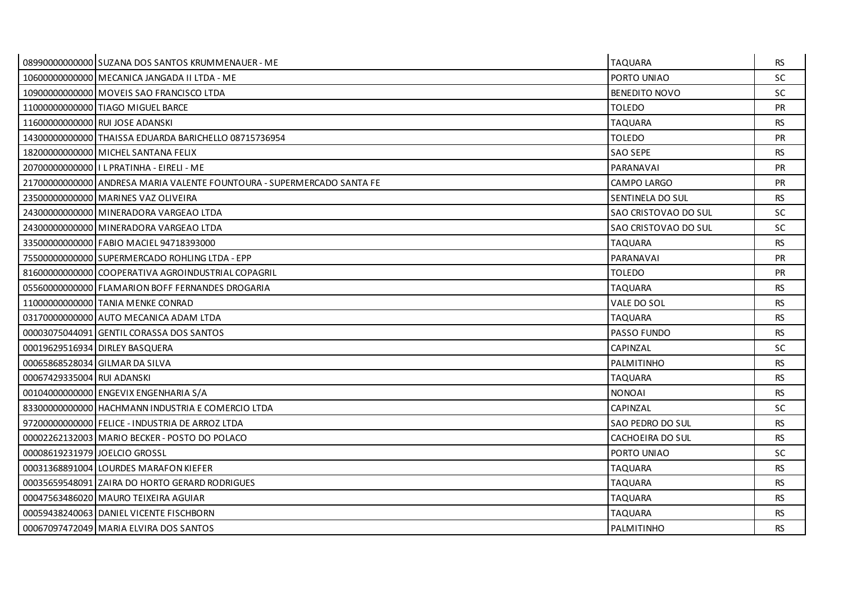|                               | 08990000000000 SUZANA DOS SANTOS KRUMMENAUER - ME                      | <b>TAQUARA</b>       | <b>RS</b> |
|-------------------------------|------------------------------------------------------------------------|----------------------|-----------|
|                               | 10600000000000 MECANICA JANGADA II LTDA - ME                           | PORTO UNIAO          | <b>SC</b> |
|                               | 10900000000000 MOVEIS SAO FRANCISCO LTDA                               | <b>BENEDITO NOVO</b> | <b>SC</b> |
|                               | 11000000000000 TIAGO MIGUEL BARCE                                      | TOLEDO               | <b>PR</b> |
|                               | 11600000000000 RUI JOSE ADANSKI                                        | <b>TAQUARA</b>       | <b>RS</b> |
|                               | 14300000000000 THAISSA EDUARDA BARICHELLO 08715736954                  | TOLEDO               | <b>PR</b> |
|                               | 18200000000000 MICHEL SANTANA FELIX                                    | <b>SAO SEPE</b>      | <b>RS</b> |
|                               | 207000000000000   L PRATINHA - EIRELI - ME                             | PARANAVAI            | PR        |
|                               | 21700000000000 ANDRESA MARIA VALENTE FOUNTOURA - SUPERMERCADO SANTA FE | CAMPO LARGO          | <b>PR</b> |
|                               | 23500000000000 MARINES VAZ OLIVEIRA                                    | SENTINELA DO SUL     | <b>RS</b> |
|                               | 24300000000000 MINERADORA VARGEAO LTDA                                 | SAO CRISTOVAO DO SUL | <b>SC</b> |
|                               | 243000000000000 MINERADORA VARGEAO LTDA                                | SAO CRISTOVAO DO SUL | <b>SC</b> |
|                               | 33500000000000 FABIO MACIEL 94718393000                                | <b>TAQUARA</b>       | <b>RS</b> |
|                               | 75500000000000 SUPERMERCADO ROHLING LTDA - EPP                         | PARANAVAI            | <b>PR</b> |
|                               | 81600000000000 COOPERATIVA AGROINDUSTRIAL COPAGRIL                     | <b>TOLEDO</b>        | PR        |
|                               | 05560000000000 FLAMARION BOFF FERNANDES DROGARIA                       | TAQUARA              | <b>RS</b> |
|                               | 11000000000000 TANIA MENKE CONRAD                                      | VALE DO SOL          | <b>RS</b> |
|                               | 03170000000000 AUTO MECANICA ADAM LTDA                                 | TAQUARA              | <b>RS</b> |
|                               | 00003075044091 GENTIL CORASSA DOS SANTOS                               | PASSO FUNDO          | <b>RS</b> |
|                               | 00019629516934 DIRLEY BASQUERA                                         | CAPINZAL             | <b>SC</b> |
|                               | 00065868528034 GILMAR DA SILVA                                         | PALMITINHO           | <b>RS</b> |
| 00067429335004 RUI ADANSKI    |                                                                        | TAQUARA              | <b>RS</b> |
|                               | 00104000000000 ENGEVIX ENGENHARIA S/A                                  | <b>NONOAI</b>        | <b>RS</b> |
|                               | 83300000000000 HACHMANN INDUSTRIA E COMERCIO LTDA                      | CAPINZAL             | <b>SC</b> |
|                               | 97200000000000 FELICE - INDUSTRIA DE ARROZ LTDA                        | SAO PEDRO DO SUL     | <b>RS</b> |
|                               | 00002262132003 MARIO BECKER - POSTO DO POLACO                          | CACHOEIRA DO SUL     | <b>RS</b> |
| 00008619231979 JOELCIO GROSSL |                                                                        | PORTO UNIAO          | <b>SC</b> |
|                               | 00031368891004 LOURDES MARAFON KIEFER                                  | TAQUARA              | <b>RS</b> |
|                               | 00035659548091 ZAIRA DO HORTO GERARD RODRIGUES                         | <b>TAQUARA</b>       | <b>RS</b> |
|                               | 00047563486020 MAURO TEIXEIRA AGUIAR                                   | <b>TAQUARA</b>       | <b>RS</b> |
|                               | 00059438240063 DANIEL VICENTE FISCHBORN                                | <b>TAQUARA</b>       | <b>RS</b> |
|                               | 00067097472049 MARIA ELVIRA DOS SANTOS                                 | PALMITINHO           | <b>RS</b> |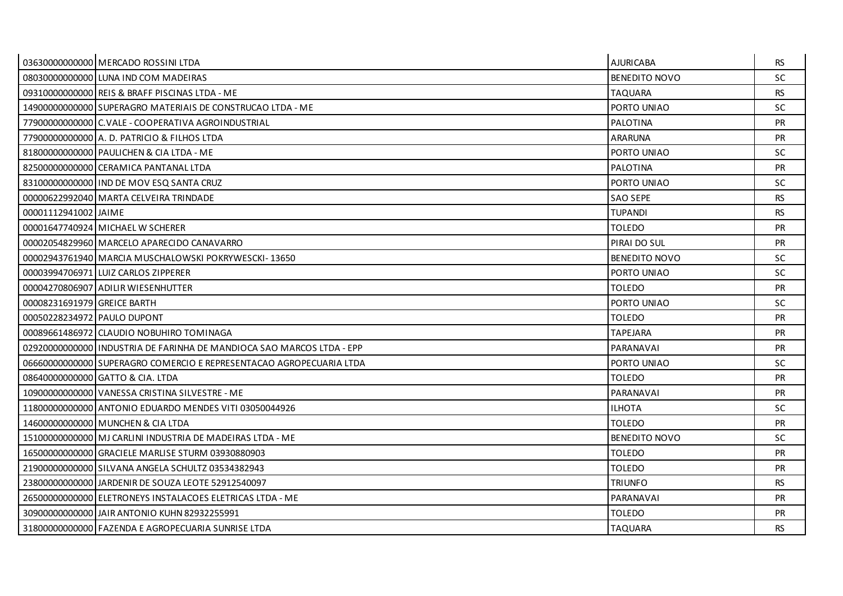|                             | 03630000000000 MERCADO ROSSINI LTDA                                   | <b>AJURICABA</b>     | RS.       |
|-----------------------------|-----------------------------------------------------------------------|----------------------|-----------|
|                             | 08030000000000 LUNA IND COM MADEIRAS                                  | <b>BENEDITO NOVO</b> | <b>SC</b> |
|                             | 09310000000000 REIS & BRAFF PISCINAS LTDA - ME                        | <b>TAQUARA</b>       | <b>RS</b> |
|                             | 14900000000000 SUPERAGRO MATERIAIS DE CONSTRUCAO LTDA - ME            | PORTO UNIAO          | SC        |
|                             | 77900000000000 C.VALE - COOPERATIVA AGROINDUSTRIAL                    | PALOTINA             | <b>PR</b> |
|                             | 77900000000000 A.D. PATRICIO & FILHOS LTDA                            | <b>ARARUNA</b>       | <b>PR</b> |
|                             | 81800000000000 PAULICHEN & CIA LTDA - ME                              | PORTO UNIAO          | SC.       |
|                             | 82500000000000 CERAMICA PANTANAL LTDA                                 | PALOTINA             | <b>PR</b> |
|                             | 83100000000000 IND DE MOV ESQ SANTA CRUZ                              | PORTO UNIAO          | <b>SC</b> |
|                             | 00000622992040 MARTA CELVEIRA TRINDADE                                | <b>SAO SEPE</b>      | <b>RS</b> |
| 00001112941002 JAIME        |                                                                       | <b>TUPANDI</b>       | <b>RS</b> |
|                             | 00001647740924 MICHAEL W SCHERER                                      | <b>TOLEDO</b>        | <b>PR</b> |
|                             | 00002054829960 MARCELO APARECIDO CANAVARRO                            | PIRAI DO SUL         | <b>PR</b> |
|                             | 00002943761940 MARCIA MUSCHALOWSKI POKRYWESCKI-13650                  | <b>BENEDITO NOVO</b> | <b>SC</b> |
|                             | 000039947069711LUIZ CARLOS ZIPPERER                                   | PORTO UNIAO          | SC.       |
|                             | 00004270806907 ADILIR WIESENHUTTER                                    | <b>TOLEDO</b>        | <b>PR</b> |
| 00008231691979 GREICE BARTH |                                                                       | PORTO UNIAO          | <b>SC</b> |
| 00050228234972 PAULO DUPONT |                                                                       | <b>TOLEDO</b>        | <b>PR</b> |
|                             | 00089661486972 CLAUDIO NOBUHIRO TOMINAGA                              | <b>TAPEJARA</b>      | <b>PR</b> |
|                             | 029200000000001INDUSTRIA DE FARINHA DE MANDIOCA SAO MARCOS LTDA - EPP | PARANAVAI            | <b>PR</b> |
|                             | 06660000000000 SUPERAGRO COMERCIO E REPRESENTACAO AGROPECUARIA LTDA   | PORTO UNIAO          | SC.       |
|                             | 08640000000000 GATTO & CIA. LTDA                                      | <b>TOLEDO</b>        | <b>PR</b> |
|                             | 10900000000000 VANESSA CRISTINA SILVESTRE - ME                        | PARANAVAI            | PR        |
|                             | 11800000000000 ANTONIO EDUARDO MENDES VITI 03050044926                | <b>ILHOTA</b>        | SC.       |
|                             | 14600000000000 MUNCHEN & CIA LTDA                                     | <b>TOLEDO</b>        | <b>PR</b> |
|                             | 15100000000000 MJ CARLINI INDUSTRIA DE MADEIRAS LTDA - ME             | <b>BENEDITO NOVO</b> | <b>SC</b> |
|                             | 16500000000000 GRACIELE MARLISE STURM 03930880903                     | <b>TOLEDO</b>        | <b>PR</b> |
|                             | 21900000000000 SILVANA ANGELA SCHULTZ 03534382943                     | <b>TOLEDO</b>        | <b>PR</b> |
|                             | 23800000000000 JARDENIR DE SOUZA LEOTE 52912540097                    | <b>TRIUNFO</b>       | <b>RS</b> |
|                             | 26500000000000 ELETRONEYS INSTALACOES ELETRICAS LTDA - ME             | PARANAVAI            | <b>PR</b> |
|                             | 309000000000000 JAIR ANTONIO KUHN 82932255991                         | <b>TOLEDO</b>        | <b>PR</b> |
|                             | 31800000000000 FAZENDA E AGROPECUARIA SUNRISE LTDA                    | <b>TAQUARA</b>       | <b>RS</b> |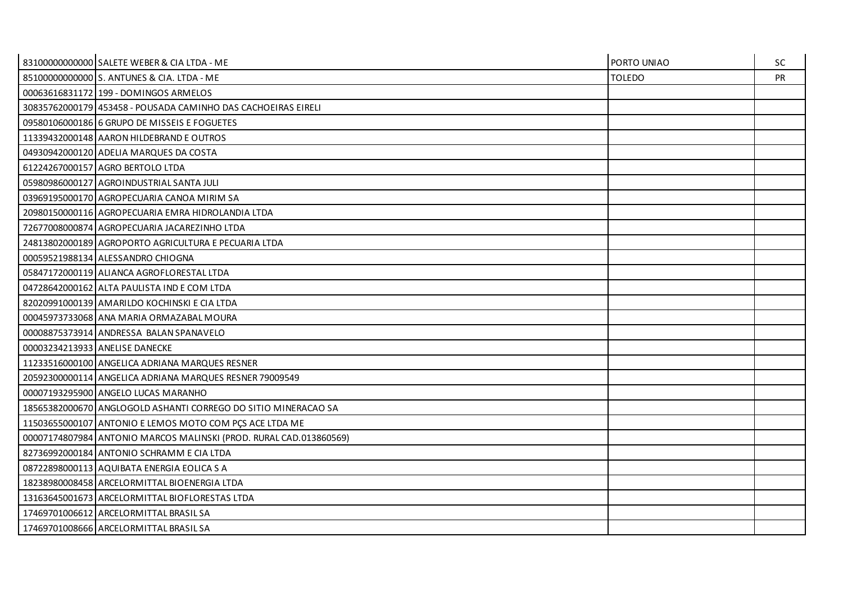| 83100000000000 SALETE WEBER & CIA LTDA - ME                        | PORTO UNIAO   | SC.       |
|--------------------------------------------------------------------|---------------|-----------|
| 85100000000000 S. ANTUNES & CIA. LTDA - ME                         | <b>TOLEDO</b> | <b>PR</b> |
| 00063616831172 199 - DOMINGOS ARMELOS                              |               |           |
| 30835762000179 453458 - POUSADA CAMINHO DAS CACHOEIRAS EIRELI      |               |           |
| 09580106000186 6 GRUPO DE MISSEIS E FOGUETES                       |               |           |
| 11339432000148 AARON HILDEBRAND E OUTROS                           |               |           |
| 04930942000120 ADELIA MARQUES DA COSTA                             |               |           |
| 61224267000157 AGRO BERTOLO LTDA                                   |               |           |
| 05980986000127 AGROINDUSTRIAL SANTA JULI                           |               |           |
| 03969195000170 AGROPECUARIA CANOA MIRIM SA                         |               |           |
| 20980150000116 AGROPECUARIA EMRA HIDROLANDIA LTDA                  |               |           |
| 72677008000874 AGROPECUARIA JACAREZINHO LTDA                       |               |           |
| 24813802000189 AGROPORTO AGRICULTURA E PECUARIA LTDA               |               |           |
| 00059521988134 ALESSANDRO CHIOGNA                                  |               |           |
| 05847172000119 ALIANCA AGROFLORESTAL LTDA                          |               |           |
| 04728642000162 ALTA PAULISTA IND E COM LTDA                        |               |           |
| 82020991000139 AMARILDO KOCHINSKI E CIA LTDA                       |               |           |
| 00045973733068 ANA MARIA ORMAZABAL MOURA                           |               |           |
| 00008875373914 ANDRESSA BALAN SPANAVELO                            |               |           |
| 00003234213933 ANELISE DANECKE                                     |               |           |
| 11233516000100 ANGELICA ADRIANA MARQUES RESNER                     |               |           |
| 20592300000114 ANGELICA ADRIANA MARQUES RESNER 79009549            |               |           |
| 00007193295900 ANGELO LUCAS MARANHO                                |               |           |
| 18565382000670 ANGLOGOLD ASHANTI CORREGO DO SITIO MINERACAO SA     |               |           |
| 11503655000107 ANTONIO E LEMOS MOTO COM PÇS ACE LTDA ME            |               |           |
| 00007174807984 ANTONIO MARCOS MALINSKI (PROD. RURAL CAD.013860569) |               |           |
| 82736992000184 ANTONIO SCHRAMM E CIA LTDA                          |               |           |
| 08722898000113 AQUIBATA ENERGIA EOLICA S A                         |               |           |
| 18238980008458 ARCELORMITTAL BIOENERGIA LTDA                       |               |           |
| 13163645001673 ARCELORMITTAL BIOFLORESTAS LTDA                     |               |           |
| 17469701006612 ARCELORMITTAL BRASIL SA                             |               |           |
| 17469701008666 ARCELORMITTAL BRASIL SA                             |               |           |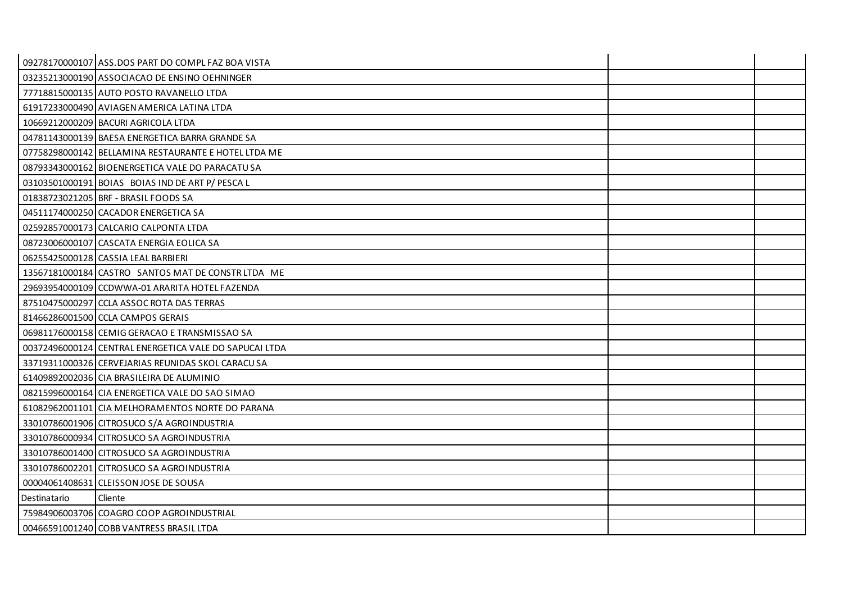|              | 09278170000107 ASS.DOS PART DO COMPL FAZ BOA VISTA     |  |
|--------------|--------------------------------------------------------|--|
|              | 03235213000190 ASSOCIACAO DE ENSINO OEHNINGER          |  |
|              | 77718815000135 AUTO POSTO RAVANELLO LTDA               |  |
|              | 61917233000490 AVIAGEN AMERICA LATINA LTDA             |  |
|              | 10669212000209 BACURI AGRICOLA LTDA                    |  |
|              | 04781143000139 BAESA ENERGETICA BARRA GRANDE SA        |  |
|              | 07758298000142 BELLAMINA RESTAURANTE E HOTEL LTDA ME   |  |
|              | 08793343000162 BIOENERGETICA VALE DO PARACATU SA       |  |
|              | 03103501000191 BOIAS BOIAS IND DE ART P/ PESCA L       |  |
|              | 01838723021205 BRF - BRASIL FOODS SA                   |  |
|              | 04511174000250 CACADOR ENERGETICA SA                   |  |
|              | 02592857000173 CALCARIO CALPONTA LTDA                  |  |
|              | 08723006000107 CASCATA ENERGIA EOLICA SA               |  |
|              | 06255425000128 CASSIA LEAL BARBIERI                    |  |
|              | 13567181000184 CASTRO SANTOS MAT DE CONSTR LTDA ME     |  |
|              | 29693954000109 CCDWWA-01 ARARITA HOTEL FAZENDA         |  |
|              | 87510475000297 CCLA ASSOC ROTA DAS TERRAS              |  |
|              | 81466286001500 CCLA CAMPOS GERAIS                      |  |
|              | 06981176000158 CEMIG GERACAO E TRANSMISSAO SA          |  |
|              | 00372496000124 CENTRAL ENERGETICA VALE DO SAPUCAI LTDA |  |
|              | 33719311000326 CERVEJARIAS REUNIDAS SKOL CARACU SA     |  |
|              | 61409892002036 CIA BRASILEIRA DE ALUMINIO              |  |
|              | 08215996000164 CIA ENERGETICA VALE DO SAO SIMAO        |  |
|              | 61082962001101 CIA MELHORAMENTOS NORTE DO PARANA       |  |
|              | 33010786001906 CITROSUCO S/A AGROINDUSTRIA             |  |
|              | 33010786000934 CITROSUCO SA AGROINDUSTRIA              |  |
|              | 33010786001400 CITROSUCO SA AGROINDUSTRIA              |  |
|              | 33010786002201 CITROSUCO SA AGROINDUSTRIA              |  |
|              | 00004061408631 CLEISSON JOSE DE SOUSA                  |  |
| Destinatario | Cliente                                                |  |
|              | 75984906003706 COAGRO COOP AGROINDUSTRIAL              |  |
|              | 00466591001240 COBB VANTRESS BRASIL LTDA               |  |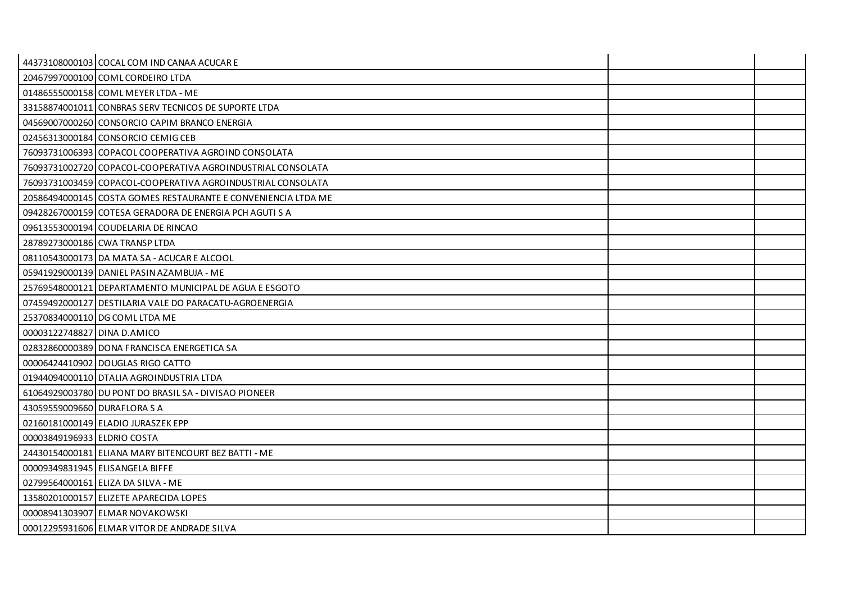|                              | 44373108000103 COCAL COM IND CANAA ACUCAR E                   |  |
|------------------------------|---------------------------------------------------------------|--|
|                              | 20467997000100 COML CORDEIRO LTDA                             |  |
|                              | 01486555000158 COML MEYER LTDA - ME                           |  |
|                              | 331588740010111CONBRAS SERV TECNICOS DE SUPORTE LTDA          |  |
|                              | 04569007000260 CONSORCIO CAPIM BRANCO ENERGIA                 |  |
|                              | 02456313000184 CONSORCIO CEMIG CEB                            |  |
|                              | 760937310063931COPACOL COOPERATIVA AGROIND CONSOLATA          |  |
|                              | 76093731002720 COPACOL-COOPERATIVA AGROINDUSTRIAL CONSOLATA   |  |
|                              | 76093731003459 COPACOL-COOPERATIVA AGROINDUSTRIAL CONSOLATA   |  |
|                              | 20586494000145 COSTA GOMES RESTAURANTE E CONVENIENCIA LTDA ME |  |
|                              | 09428267000159 COTESA GERADORA DE ENERGIA PCH AGUTI S A       |  |
|                              | 09613553000194 COUDELARIA DE RINCAO                           |  |
|                              | 28789273000186 CWA TRANSP LTDA                                |  |
|                              | 08110543000173 DA MATA SA - ACUCAR E ALCOOL                   |  |
|                              | 05941929000139   DANIEL PASIN AZAMBUJA - ME                   |  |
|                              | 25769548000121 DEPARTAMENTO MUNICIPAL DE AGUA E ESGOTO        |  |
|                              | 07459492000127 DESTILARIA VALE DO PARACATU-AGROENERGIA        |  |
|                              | 25370834000110 DG COML LTDA ME                                |  |
| 00003122748827 DINA D.AMICO  |                                                               |  |
|                              | 02832860000389 DONA FRANCISCA ENERGETICA SA                   |  |
|                              | 00006424410902   DOUGLAS RIGO CATTO                           |  |
|                              | 01944094000110 DTALIA AGROINDUSTRIA LTDA                      |  |
|                              | 61064929003780 DU PONT DO BRASIL SA - DIVISAO PIONEER         |  |
| 43059559009660 DURAFLORA S A |                                                               |  |
|                              | 02160181000149 ELADIO JURASZEK EPP                            |  |
| 00003849196933 ELDRIO COSTA  |                                                               |  |
|                              | 24430154000181 ELIANA MARY BITENCOURT BEZ BATTI - ME          |  |
|                              | 00009349831945 ELISANGELA BIFFE                               |  |
|                              | 02799564000161 ELIZA DA SILVA - ME                            |  |
|                              | 13580201000157 ELIZETE APARECIDA LOPES                        |  |
|                              | 00008941303907 ELMAR NOVAKOWSKI                               |  |
|                              | 00012295931606 ELMAR VITOR DE ANDRADE SILVA                   |  |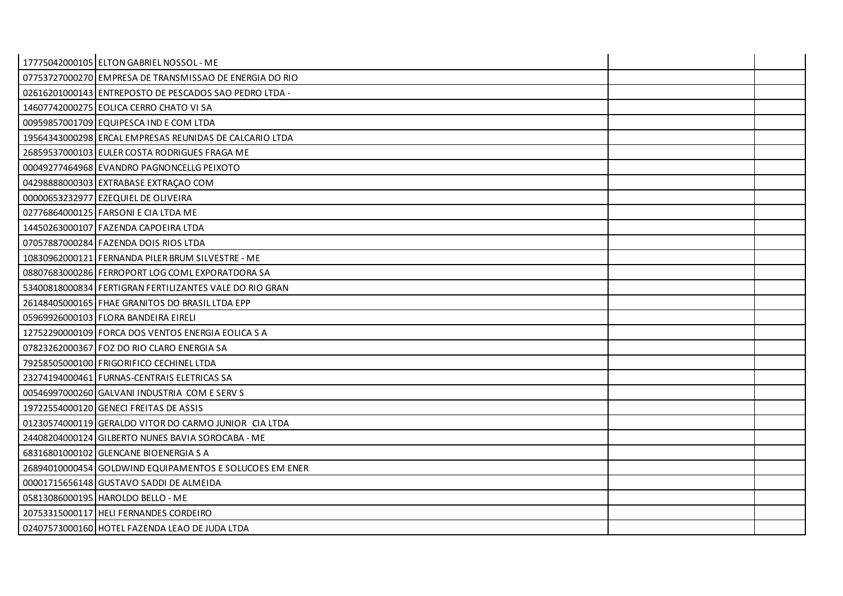| 17775042000105 ELTON GABRIEL NOSSOL - ME                |  |
|---------------------------------------------------------|--|
| 07753727000270 EMPRESA DE TRANSMISSAO DE ENERGIA DO RIO |  |
| 02616201000143 ENTREPOSTO DE PESCADOS SAO PEDRO LTDA -  |  |
| 14607742000275 EOLICA CERRO CHATO VI SA                 |  |
| 00959857001709 EQUIPESCA IND E COM LTDA                 |  |
| 19564343000298 ERCAL EMPRESAS REUNIDAS DE CALCARIO LTDA |  |
| 26859537000103 EULER COSTA RODRIGUES FRAGA ME           |  |
| 00049277464968 EVANDRO PAGNONCELLG PEIXOTO              |  |
| 04298888000303 EXTRABASE EXTRAÇAO COM                   |  |
| 00000653232977 EZEQUIEL DE OLIVEIRA                     |  |
| 02776864000125 FARSONI E CIA LTDA ME                    |  |
| 14450263000107 FAZENDA CAPOEIRA LTDA                    |  |
| 07057887000284 FAZENDA DOIS RIOS LTDA                   |  |
| 10830962000121 FERNANDA PILER BRUM SILVESTRE - ME       |  |
| 08807683000286 FERROPORT LOG COML EXPORATDORA SA        |  |
| 53400818000834 FERTIGRAN FERTILIZANTES VALE DO RIO GRAN |  |
| 26148405000165 FHAE GRANITOS DO BRASIL LTDA EPP         |  |
| 05969926000103 FLORA BANDEIRA EIRELI                    |  |
| 12752290000109 FORCA DOS VENTOS ENERGIA EOLICA S A      |  |
| 07823262000367 FOZ DO RIO CLARO ENERGIA SA              |  |
| 79258505000100 FRIGORIFICO CECHINEL LTDA                |  |
| 23274194000461 FURNAS-CENTRAIS ELETRICAS SA             |  |
| 00546997000260 GALVANI INDUSTRIA COM E SERV S           |  |
| 19722554000120 GENECI FREITAS DE ASSIS                  |  |
| 01230574000119 GERALDO VITOR DO CARMO JUNIOR CIA LTDA   |  |
| 24408204000124 GILBERTO NUNES BAVIA SOROCABA - ME       |  |
| 68316801000102 GLENCANE BIOENERGIA S A                  |  |
| 26894010000454 GOLDWIND EQUIPAMENTOS E SOLUCOES EM ENER |  |
| 00001715656148 GUSTAVO SADDI DE ALMEIDA                 |  |
| 05813086000195 HAROLDO BELLO - ME                       |  |
| 20753315000117 HELI FERNANDES CORDEIRO                  |  |
| 02407573000160 HOTEL FAZENDA LEAO DE JUDA LTDA          |  |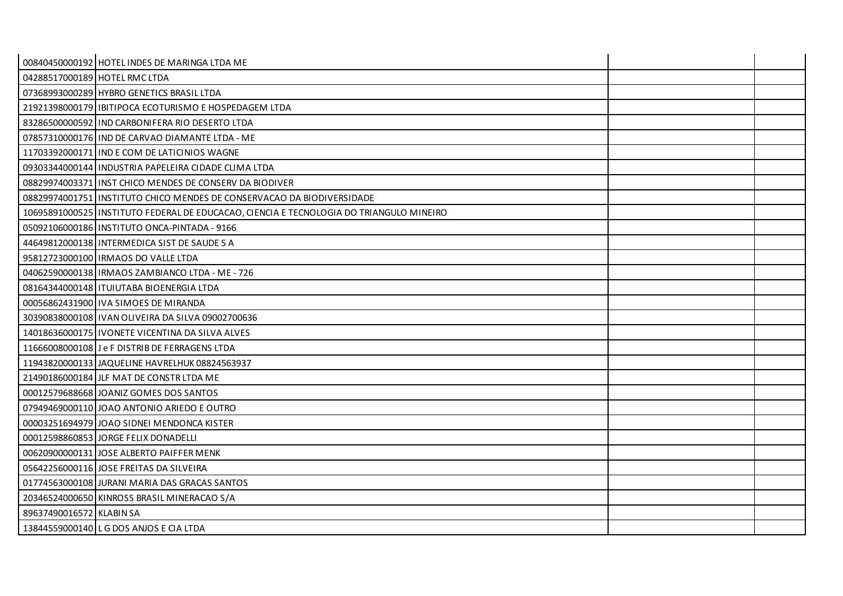|                               | 00840450000192 HOTEL INDES DE MARINGA LTDA ME                                           |  |
|-------------------------------|-----------------------------------------------------------------------------------------|--|
| 04288517000189 HOTEL RMC LTDA |                                                                                         |  |
|                               | 07368993000289 HYBRO GENETICS BRASIL LTDA                                               |  |
|                               | 21921398000179   IBITIPOCA ECOTURISMO E HOSPEDAGEM LTDA                                 |  |
|                               | 83286500000592 IND CARBONIFERA RIO DESERTO LTDA                                         |  |
|                               | 07857310000176 IIND DE CARVAO DIAMANTE LTDA - ME                                        |  |
|                               | 11703392000171 IIND E COM DE LATICINIOS WAGNE                                           |  |
|                               | 09303344000144   INDUSTRIA PAPELEIRA CIDADE CLIMA LTDA                                  |  |
|                               | 08829974003371 INST CHICO MENDES DE CONSERV DA BIODIVER                                 |  |
|                               | 088299740017511INSTITUTO CHICO MENDES DE CONSERVACAO DA BIODIVERSIDADE                  |  |
|                               | 10695891000525 INSTITUTO FEDERAL DE EDUCACAO, CIENCIA E TECNOLOGIA DO TRIANGULO MINEIRO |  |
|                               | 05092106000186 IINSTITUTO ONCA-PINTADA - 9166                                           |  |
|                               | 44649812000138 INTERMEDICA SIST DE SAUDE S A                                            |  |
|                               | 95812723000100   IRMAOS DO VALLE LTDA                                                   |  |
|                               | 04062590000138   IRMAOS ZAMBIANCO LTDA - ME - 726                                       |  |
|                               | 08164344000148   ITUIUTABA BIOENERGIA LTDA                                              |  |
|                               | 00056862431900 IVA SIMOES DE MIRANDA                                                    |  |
|                               | 30390838000108   IVAN OLIVEIRA DA SILVA 09002700636                                     |  |
|                               | 14018636000175   IVONETE VICENTINA DA SILVA ALVES                                       |  |
|                               | 11666008000108 J e F DISTRIB DE FERRAGENS LTDA                                          |  |
|                               | 11943820000133 JJAQUELINE HAVRELHUK 08824563937                                         |  |
|                               | 21490186000184 JLF MAT DE CONSTR LTDA ME                                                |  |
|                               | 00012579688668 JOANIZ GOMES DOS SANTOS                                                  |  |
|                               | 07949469000110 JOAO ANTONIO ARIEDO E OUTRO                                              |  |
|                               | 00003251694979 JOAO SIDNEI MENDONCA KISTER                                              |  |
|                               | 00012598860853 JORGE FELIX DONADELLI                                                    |  |
|                               | 00620900000131 JOSE ALBERTO PAIFFER MENK                                                |  |
|                               | 05642256000116 JOSE FREITAS DA SILVEIRA                                                 |  |
|                               | 01774563000108 JURANI MARIA DAS GRACAS SANTOS                                           |  |
|                               | 20346524000650 KINROSS BRASIL MINERACAO S/A                                             |  |
| 89637490016572 KLABIN SA      |                                                                                         |  |
|                               | 13844559000140 LG DOS ANJOS E CIA LTDA                                                  |  |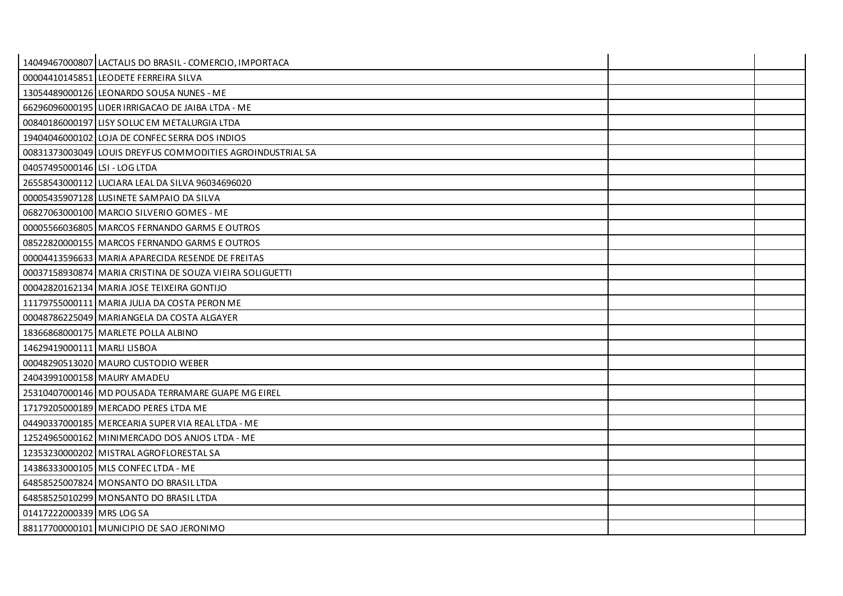|                               | 14049467000807 LACTALIS DO BRASIL - COMERCIO, IMPORTACA    |  |
|-------------------------------|------------------------------------------------------------|--|
|                               | 00004410145851 LEODETE FERREIRA SILVA                      |  |
|                               | 13054489000126 LEONARDO SOUSA NUNES - ME                   |  |
|                               | 66296096000195 LIDER IRRIGACAO DE JAIBA LTDA - ME          |  |
|                               | 00840186000197 LISY SOLUC EM METALURGIA LTDA               |  |
|                               | 19404046000102 LOJA DE CONFEC SERRA DOS INDIOS             |  |
|                               | 00831373003049 LOUIS DREYFUS COMMODITIES AGROINDUSTRIAL SA |  |
| 04057495000146 LSI - LOG LTDA |                                                            |  |
|                               | 26558543000112 LUCIARA LEAL DA SILVA 96034696020           |  |
|                               | 00005435907128 LUSINETE SAMPAIO DA SILVA                   |  |
|                               | 06827063000100 MARCIO SILVERIO GOMES - ME                  |  |
|                               | 00005566036805 MARCOS FERNANDO GARMS E OUTROS              |  |
|                               | 08522820000155   MARCOS FERNANDO GARMS E OUTROS            |  |
|                               | 00004413596633 MARIA APARECIDA RESENDE DE FREITAS          |  |
|                               | 00037158930874 MARIA CRISTINA DE SOUZA VIEIRA SOLIGUETTI   |  |
|                               | 00042820162134 MARIA JOSE TEIXEIRA GONTIJO                 |  |
|                               | 11179755000111 MARIA JULIA DA COSTA PERON ME               |  |
|                               | 00048786225049 MARIANGELA DA COSTA ALGAYER                 |  |
|                               | 18366868000175 MARLETE POLLA ALBINO                        |  |
| 14629419000111 MARLI LISBOA   |                                                            |  |
|                               | 00048290513020 MAURO CUSTODIO WEBER                        |  |
| 24043991000158 MAURY AMADEU   |                                                            |  |
|                               | 25310407000146 MD POUSADA TERRAMARE GUAPE MG EIREL         |  |
|                               | 17179205000189 MERCADO PERES LTDA ME                       |  |
|                               | 04490337000185   MERCEARIA SUPER VIA REAL LTDA - ME        |  |
|                               | 12524965000162 MINIMERCADO DOS ANJOS LTDA - ME             |  |
|                               | 12353230000202 MISTRAL AGROFLORESTAL SA                    |  |
|                               | 14386333000105 MLS CONFEC LTDA - ME                        |  |
|                               | 64858525007824 MONSANTO DO BRASIL LTDA                     |  |
|                               | 64858525010299 MONSANTO DO BRASIL LTDA                     |  |
| 01417222000339 MRS LOG SA     |                                                            |  |
|                               | 88117700000101 MUNICIPIO DE SAO JERONIMO                   |  |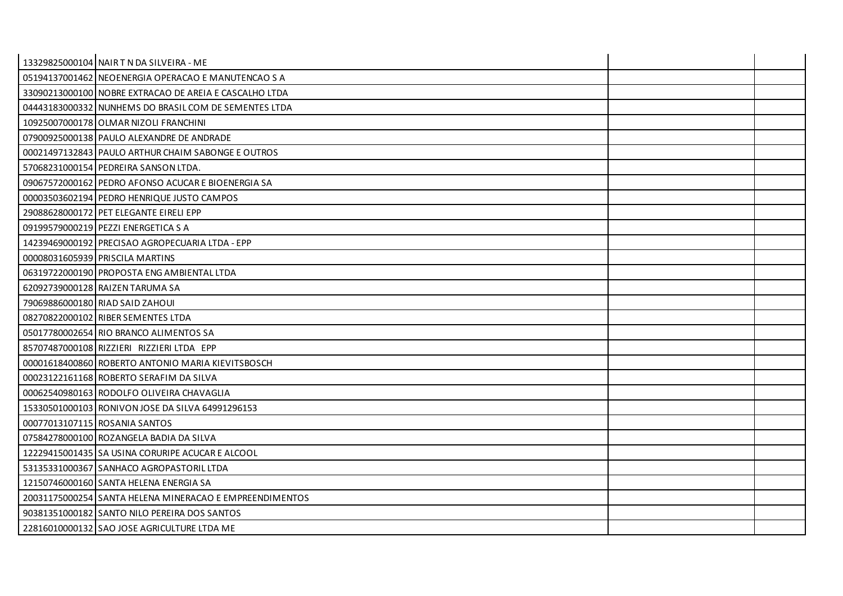| 13329825000104 NAIR T N DA SILVEIRA - ME                |  |
|---------------------------------------------------------|--|
| 05194137001462 NEOENERGIA OPERACAO E MANUTENCAO S A     |  |
| 33090213000100 NOBRE EXTRACAO DE AREIA E CASCALHO LTDA  |  |
| 04443183000332 NUNHEMS DO BRASIL COM DE SEMENTES LTDA   |  |
| 10925007000178 OLMAR NIZOLI FRANCHINI                   |  |
| 07900925000138 PAULO ALEXANDRE DE ANDRADE               |  |
| 00021497132843 PAULO ARTHUR CHAIM SABONGE E OUTROS      |  |
| 57068231000154 PEDREIRA SANSON LTDA.                    |  |
| 09067572000162 PEDRO AFONSO ACUCAR E BIOENERGIA SA      |  |
| 00003503602194 PEDRO HENRIQUE JUSTO CAMPOS              |  |
| 29088628000172 PET ELEGANTE EIRELI EPP                  |  |
| 09199579000219 PEZZI ENERGETICA S A                     |  |
| 14239469000192 PRECISAO AGROPECUARIA LTDA - EPP         |  |
| 00008031605939 PRISCILA MARTINS                         |  |
| 06319722000190 PROPOSTA ENG AMBIENTAL LTDA              |  |
| 62092739000128 RAIZEN TARUMA SA                         |  |
| 79069886000180 RIAD SAID ZAHOUI                         |  |
| 08270822000102 RIBER SEMENTES LTDA                      |  |
| 05017780002654 RIO BRANCO ALIMENTOS SA                  |  |
| 85707487000108 RIZZIERI RIZZIERI LTDA EPP               |  |
| 00001618400860 ROBERTO ANTONIO MARIA KIEVITSBOSCH       |  |
| 00023122161168 ROBERTO SERAFIM DA SILVA                 |  |
| 00062540980163 RODOLFO OLIVEIRA CHAVAGLIA               |  |
| 15330501000103 RONIVON JOSE DA SILVA 64991296153        |  |
| 00077013107115 ROSANIA SANTOS                           |  |
| 07584278000100 ROZANGELA BADIA DA SILVA                 |  |
| 12229415001435 SA USINA CORURIPE ACUCAR E ALCOOL        |  |
| 53135331000367 SANHACO AGROPASTORIL LTDA                |  |
| 12150746000160 SANTA HELENA ENERGIA SA                  |  |
| 20031175000254 SANTA HELENA MINERACAO E EMPREENDIMENTOS |  |
| 90381351000182 SANTO NILO PEREIRA DOS SANTOS            |  |
| 22816010000132 SAO JOSE AGRICULTURE LTDA ME             |  |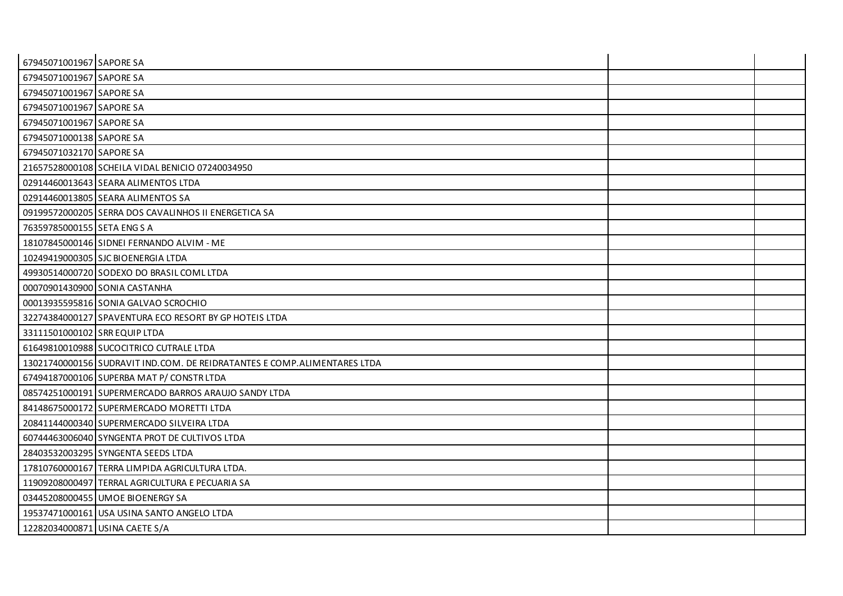| 67945071001967 SAPORE SA       |                                                                          |  |
|--------------------------------|--------------------------------------------------------------------------|--|
| 67945071001967 SAPORE SA       |                                                                          |  |
| 67945071001967 SAPORE SA       |                                                                          |  |
| 67945071001967 SAPORE SA       |                                                                          |  |
| 67945071001967 SAPORE SA       |                                                                          |  |
| 67945071000138 SAPORE SA       |                                                                          |  |
| 67945071032170 SAPORE SA       |                                                                          |  |
|                                | 21657528000108 SCHEILA VIDAL BENICIO 07240034950                         |  |
|                                | 02914460013643 SEARA ALIMENTOS LTDA                                      |  |
|                                | 02914460013805 SEARA ALIMENTOS SA                                        |  |
|                                | 09199572000205 SERRA DOS CAVALINHOS II ENERGETICA SA                     |  |
| 76359785000155 SETA ENG S A    |                                                                          |  |
|                                | 18107845000146 SIDNEI FERNANDO ALVIM - ME                                |  |
|                                | 10249419000305 SJC BIOENERGIA LTDA                                       |  |
|                                | 49930514000720 SODEXO DO BRASIL COML LTDA                                |  |
|                                | 00070901430900 SONIA CASTANHA                                            |  |
|                                | 00013935595816 SONIA GALVAO SCROCHIO                                     |  |
|                                | 32274384000127 SPAVENTURA ECO RESORT BY GP HOTEIS LTDA                   |  |
| 33111501000102 SRR EQUIP LTDA  |                                                                          |  |
|                                | 61649810010988 SUCOCITRICO CUTRALE LTDA                                  |  |
|                                | 13021740000156 SUDRAVIT IND.COM. DE REIDRATANTES E COMP.ALIMENTARES LTDA |  |
|                                | 67494187000106 SUPERBA MAT P/ CONSTR LTDA                                |  |
|                                | 08574251000191 SUPERMERCADO BARROS ARAUJO SANDY LTDA                     |  |
|                                | 84148675000172 SUPERMERCADO MORETTI LTDA                                 |  |
|                                | 20841144000340 SUPERMERCADO SILVEIRA LTDA                                |  |
|                                | 60744463006040 SYNGENTA PROT DE CULTIVOS LTDA                            |  |
|                                | 28403532003295 SYNGENTA SEEDS LTDA                                       |  |
|                                | 17810760000167 TERRA LIMPIDA AGRICULTURA LTDA.                           |  |
|                                | 11909208000497 TERRAL AGRICULTURA E PECUARIA SA                          |  |
|                                | 03445208000455 UMOE BIOENERGY SA                                         |  |
|                                | 19537471000161 USA USINA SANTO ANGELO LTDA                               |  |
| 12282034000871 USINA CAETE S/A |                                                                          |  |